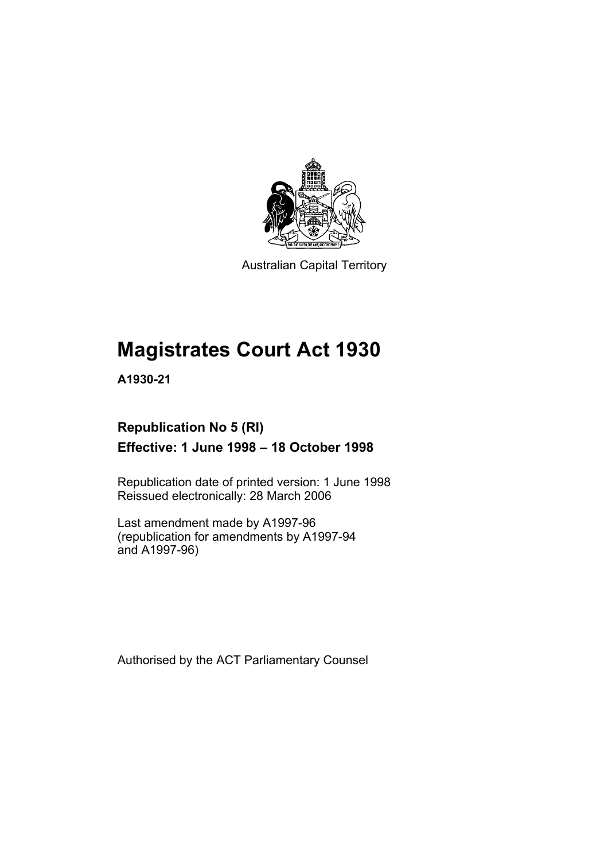

Australian Capital Territory

# **Magistrates Court Act 1930**

**A1930-21** 

## **Republication No 5 (RI) Effective: 1 June 1998 – 18 October 1998**

Republication date of printed version: 1 June 1998 Reissued electronically: 28 March 2006

Last amendment made by A1997-96 (republication for amendments by A1997-94 and A1997-96)

Authorised by the ACT Parliamentary Counsel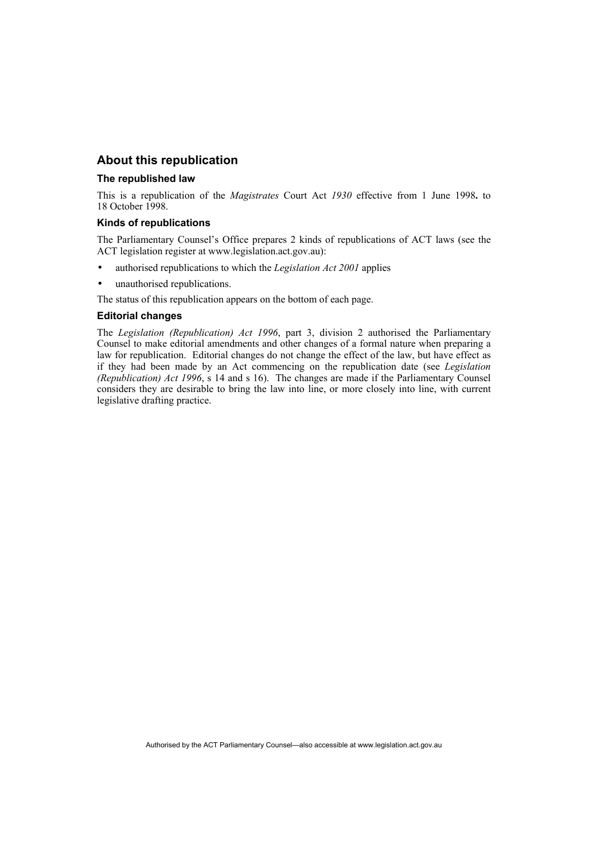## **About this republication**

#### **The republished law**

This is a republication of the *Magistrates* Court Act *1930* effective from 1 June 1998**.** to 18 October 1998.

#### **Kinds of republications**

The Parliamentary Counsel's Office prepares 2 kinds of republications of ACT laws (see the ACT legislation register at www.legislation.act.gov.au):

- authorised republications to which the *Legislation Act 2001* applies
- unauthorised republications.
- The status of this republication appears on the bottom of each page.

#### **Editorial changes**

The *Legislation (Republication) Act 1996*, part 3, division 2 authorised the Parliamentary Counsel to make editorial amendments and other changes of a formal nature when preparing a law for republication. Editorial changes do not change the effect of the law, but have effect as if they had been made by an Act commencing on the republication date (see *Legislation (Republication) Act 1996*, s 14 and s 16). The changes are made if the Parliamentary Counsel considers they are desirable to bring the law into line, or more closely into line, with current legislative drafting practice.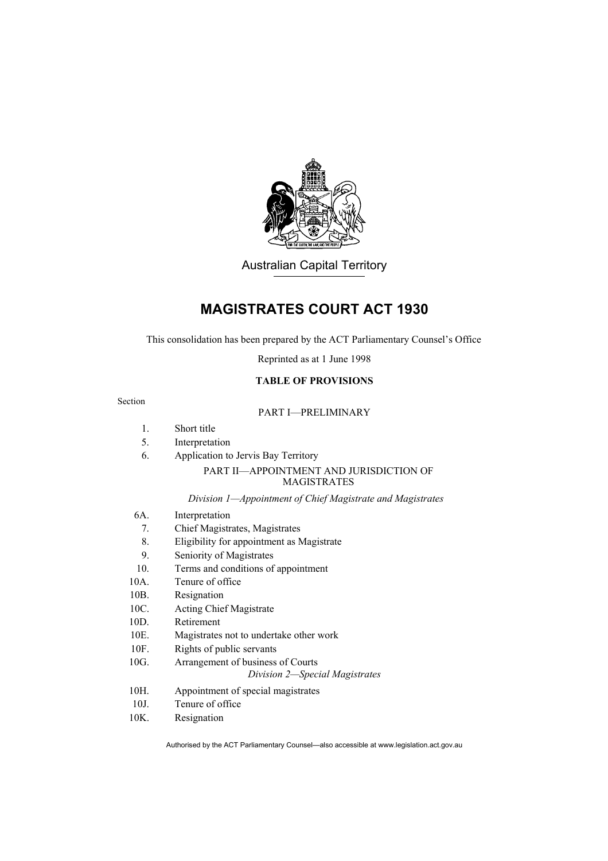

Australian Capital Territory

## **MAGISTRATES COURT ACT 1930**

This consolidation has been prepared by the ACT Parliamentary Counsel's Office

Reprinted as at 1 June 1998

## **TABLE OF PROVISIONS**

#### Section

## PART I—PRELIMINARY

- 1. Short title
- 5. Interpretation
- 6. Application to Jervis Bay Territory

### PART II—APPOINTMENT AND JURISDICTION OF MAGISTRATES

#### *Division 1—Appointment of Chief Magistrate and Magistrates*

- 6A. Interpretation
	- 7. Chief Magistrates, Magistrates
- 8. Eligibility for appointment as Magistrate
- 9. Seniority of Magistrates
- 10. Terms and conditions of appointment
- 10A. Tenure of office
- 10B. Resignation
- 10C. Acting Chief Magistrate
- 10D. Retirement
- 10E. Magistrates not to undertake other work
- 10F. Rights of public servants
- 10G. Arrangement of business of Courts

#### *Division 2—Special Magistrates*

- 10H. Appointment of special magistrates
- 10J. Tenure of office
- 10K. Resignation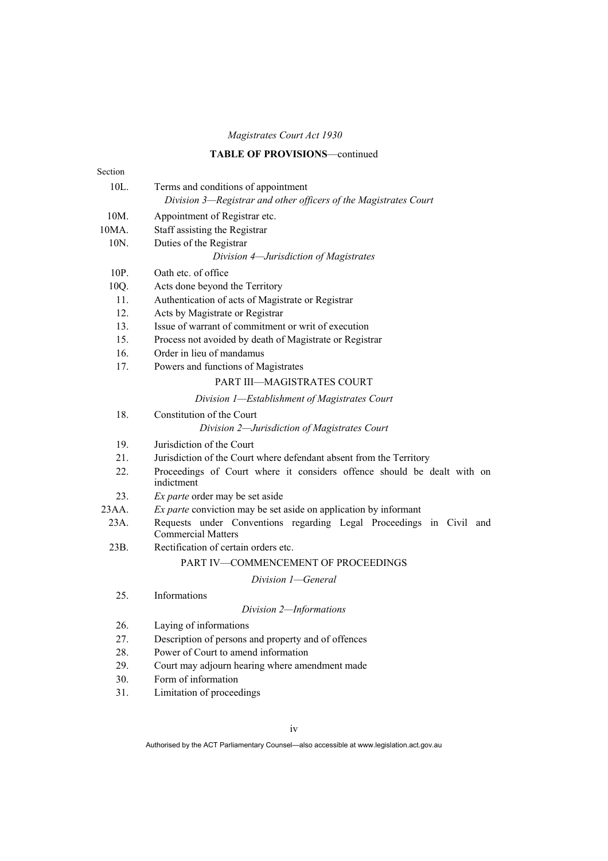## **TABLE OF PROVISIONS**—continued

| Section         |                                                                                                  |
|-----------------|--------------------------------------------------------------------------------------------------|
| 10L.            | Terms and conditions of appointment                                                              |
|                 | Division 3-Registrar and other officers of the Magistrates Court                                 |
| 10M.            | Appointment of Registrar etc.                                                                    |
| 10MA.           | Staff assisting the Registrar                                                                    |
| 10 <sub>N</sub> | Duties of the Registrar                                                                          |
|                 | Division 4—Jurisdiction of Magistrates                                                           |
| 10P.            | Oath etc. of office                                                                              |
| 10Q.            | Acts done beyond the Territory                                                                   |
| 11.             | Authentication of acts of Magistrate or Registrar                                                |
| 12.             | Acts by Magistrate or Registrar                                                                  |
| 13.             | Issue of warrant of commitment or writ of execution                                              |
| 15.             | Process not avoided by death of Magistrate or Registrar                                          |
| 16.             | Order in lieu of mandamus                                                                        |
| 17.             | Powers and functions of Magistrates                                                              |
|                 | PART III-MAGISTRATES COURT                                                                       |
|                 | Division 1-Establishment of Magistrates Court                                                    |
| 18.             | Constitution of the Court                                                                        |
|                 | Division 2-Jurisdiction of Magistrates Court                                                     |
| 19.             | Jurisdiction of the Court                                                                        |
| 21.             | Jurisdiction of the Court where defendant absent from the Territory                              |
| 22.             | Proceedings of Court where it considers offence should be dealt with on<br>indictment            |
| 23.             | <i>Ex parte</i> order may be set aside                                                           |
| 23AA.           | Ex parte conviction may be set aside on application by informant                                 |
| 23A.            | Requests under Conventions regarding Legal Proceedings in Civil and<br><b>Commercial Matters</b> |
| 23B.            | Rectification of certain orders etc.                                                             |
|                 | PART IV-COMMENCEMENT OF PROCEEDINGS                                                              |
|                 | Division 1-General                                                                               |
| 25.             | Informations                                                                                     |
|                 | Division 2-Informations                                                                          |
| 26.             | Laying of informations                                                                           |
| 27.             | Description of persons and property and of offences                                              |
| 28.             | Power of Court to amend information                                                              |
| 29.             | Court may adjourn hearing where amendment made                                                   |
| 30.             | Form of information                                                                              |
| 31.             | Limitation of proceedings                                                                        |
|                 |                                                                                                  |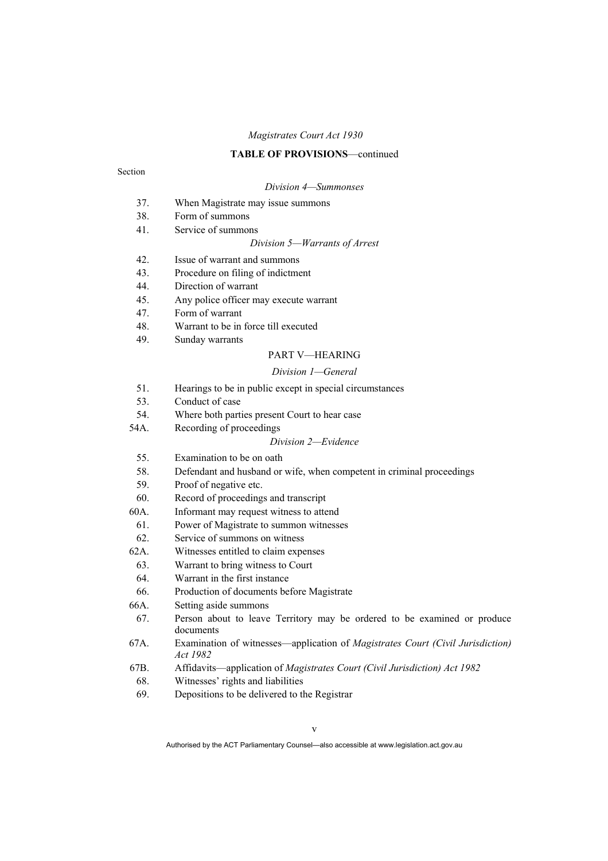#### **TABLE OF PROVISIONS**—continued

#### Section

#### *Division 4—Summonses*

- 37. When Magistrate may issue summons
- 38. Form of summons
- 41. Service of summons

#### *Division 5—Warrants of Arrest*

- 42. Issue of warrant and summons
- 43. Procedure on filing of indictment
- 44. Direction of warrant
- 45. Any police officer may execute warrant
- 47. Form of warrant
- 48. Warrant to be in force till executed
- 49. Sunday warrants

#### PART V—HEARING

#### *Division 1—General*

- 51. Hearings to be in public except in special circumstances
- 53. Conduct of case
- 54. Where both parties present Court to hear case
- 54A. Recording of proceedings

#### *Division 2—Evidence*

- 55. Examination to be on oath
- 58. Defendant and husband or wife, when competent in criminal proceedings
- 59. Proof of negative etc.
- 60. Record of proceedings and transcript
- 60A. Informant may request witness to attend
- 61. Power of Magistrate to summon witnesses
- 62. Service of summons on witness
- 62A. Witnesses entitled to claim expenses
- 63. Warrant to bring witness to Court
- 64. Warrant in the first instance
- 66. Production of documents before Magistrate
- 66A. Setting aside summons
- 67. Person about to leave Territory may be ordered to be examined or produce documents
- 67A. Examination of witnesses—application of *Magistrates Court (Civil Jurisdiction) Act 1982*
- 67B. Affidavits—application of *Magistrates Court (Civil Jurisdiction) Act 1982*
- 68. Witnesses' rights and liabilities
- 69. Depositions to be delivered to the Registrar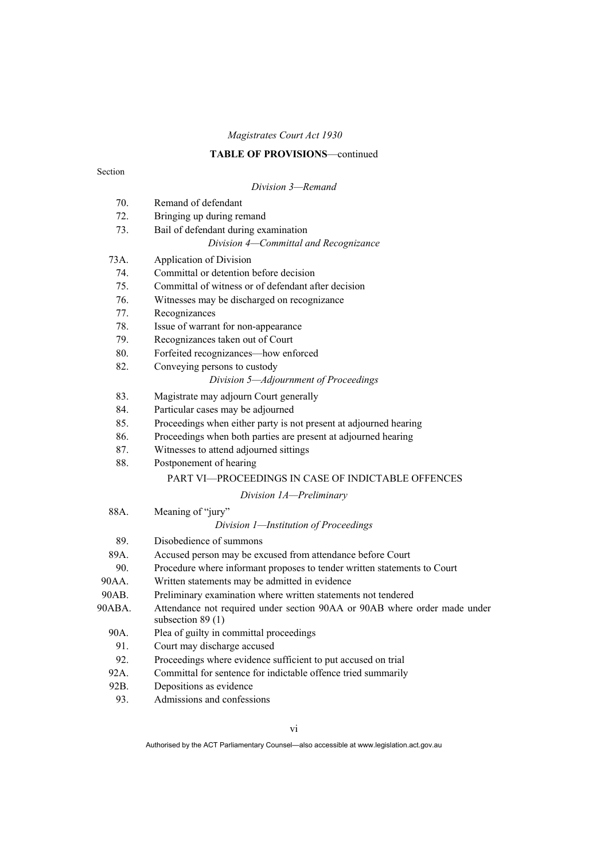## **TABLE OF PROVISIONS**—continued

|        | Division 3-Remand                                                                               |
|--------|-------------------------------------------------------------------------------------------------|
| 70.    | Remand of defendant                                                                             |
| 72.    | Bringing up during remand                                                                       |
| 73.    | Bail of defendant during examination                                                            |
|        | Division 4-Committal and Recognizance                                                           |
| 73A.   | Application of Division                                                                         |
| 74.    | Committal or detention before decision                                                          |
| 75.    | Committal of witness or of defendant after decision                                             |
| 76.    | Witnesses may be discharged on recognizance                                                     |
| 77.    | Recognizances                                                                                   |
| 78.    | Issue of warrant for non-appearance                                                             |
| 79.    | Recognizances taken out of Court                                                                |
| 80.    | Forfeited recognizances-how enforced                                                            |
| 82.    | Conveying persons to custody                                                                    |
|        | Division 5-Adjournment of Proceedings                                                           |
| 83.    | Magistrate may adjourn Court generally                                                          |
| 84.    | Particular cases may be adjourned                                                               |
| 85.    | Proceedings when either party is not present at adjourned hearing                               |
| 86.    | Proceedings when both parties are present at adjourned hearing                                  |
| 87.    | Witnesses to attend adjourned sittings                                                          |
| 88.    | Postponement of hearing                                                                         |
|        | <b>PART VI—PROCEEDINGS IN CASE OF INDICTABLE OFFENCES</b>                                       |
|        | Division 1A-Preliminary                                                                         |
| 88A.   | Meaning of "jury"                                                                               |
|        | Division 1-Institution of Proceedings                                                           |
| 89.    | Disobedience of summons                                                                         |
| 89A.   | Accused person may be excused from attendance before Court                                      |
| 90.    | Procedure where informant proposes to tender written statements to Court                        |
| 90AA.  | Written statements may be admitted in evidence                                                  |
| 90AB.  | Preliminary examination where written statements not tendered                                   |
| 90ABA. | Attendance not required under section 90AA or 90AB where order made under<br>subsection $89(1)$ |
| 90A.   | Plea of guilty in committal proceedings                                                         |
| 91.    | Court may discharge accused                                                                     |
| 92.    | Proceedings where evidence sufficient to put accused on trial                                   |
| 92A.   | Committal for sentence for indictable offence tried summarily                                   |
| 92B.   | Depositions as evidence                                                                         |
|        |                                                                                                 |

93. Admissions and confessions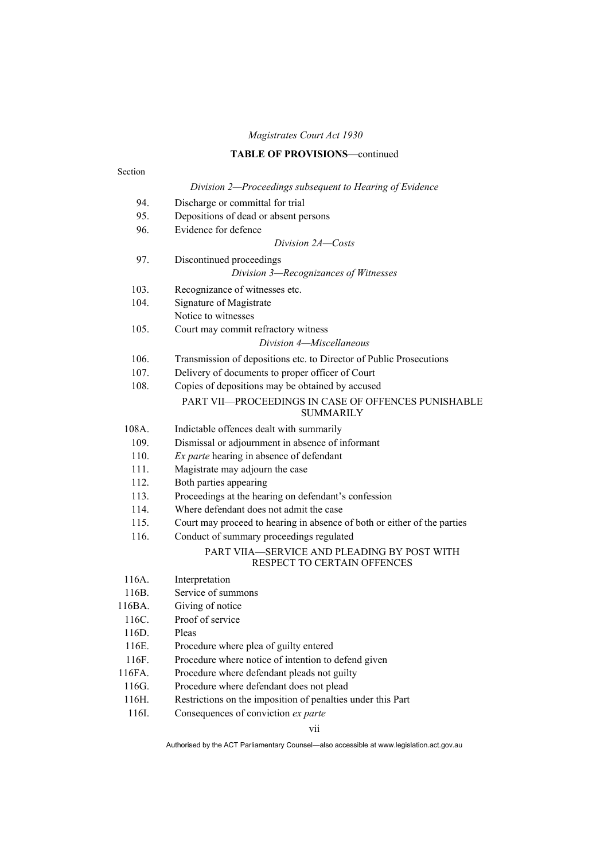#### **TABLE OF PROVISIONS**—continued

## Section *Division 2—Proceedings subsequent to Hearing of Evidence*  94. Discharge or committal for trial 95. Depositions of dead or absent persons 96. Evidence for defence *Division 2A—Costs*  97. Discontinued proceedings *Division 3—Recognizances of Witnesses*  103. Recognizance of witnesses etc. 104. Signature of Magistrate Notice to witnesses 105. Court may commit refractory witness *Division 4—Miscellaneous*  106. Transmission of depositions etc. to Director of Public Prosecutions 107. Delivery of documents to proper officer of Court 108. Copies of depositions may be obtained by accused PART VII—PROCEEDINGS IN CASE OF OFFENCES PUNISHABLE SUMMARILY 108A. Indictable offences dealt with summarily 109. Dismissal or adjournment in absence of informant 110. *Ex parte* hearing in absence of defendant 111. Magistrate may adjourn the case 112. Both parties appearing 113. Proceedings at the hearing on defendant's confession 114. Where defendant does not admit the case 115. Court may proceed to hearing in absence of both or either of the parties 116. Conduct of summary proceedings regulated PART VIIA—SERVICE AND PLEADING BY POST WITH RESPECT TO CERTAIN OFFENCES 116A. Interpretation 116B. Service of summons 116BA. Giving of notice 116C. Proof of service 116D. Pleas 116E. Procedure where plea of guilty entered 116F. Procedure where notice of intention to defend given 116FA. Procedure where defendant pleads not guilty 116G. Procedure where defendant does not plead 116H. Restrictions on the imposition of penalties under this Part 116I. Consequences of conviction *ex parte*

vii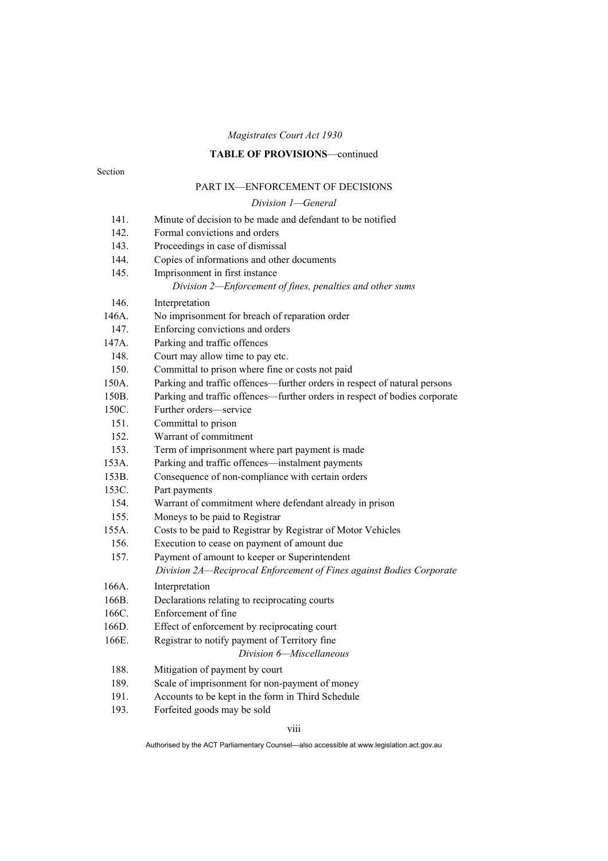## **TABLE OF PROVISIONS**—continued

#### Section

## PART IX—ENFORCEMENT OF DECISIONS

## *Division 1—General*

| 141.  | Minute of decision to be made and defendant to be notified                 |
|-------|----------------------------------------------------------------------------|
| 142.  | Formal convictions and orders                                              |
| 143.  | Proceedings in case of dismissal                                           |
| 144.  | Copies of informations and other documents                                 |
| 145.  | Imprisonment in first instance                                             |
|       | Division 2—Enforcement of fines, penalties and other sums                  |
| 146.  | Interpretation                                                             |
| 146A. | No imprisonment for breach of reparation order                             |
| 147.  | Enforcing convictions and orders                                           |
| 147A. | Parking and traffic offences                                               |
| 148.  | Court may allow time to pay etc.                                           |
| 150.  | Committal to prison where fine or costs not paid                           |
| 150A. | Parking and traffic offences—further orders in respect of natural persons  |
| 150B. | Parking and traffic offences—further orders in respect of bodies corporate |
| 150C. | Further orders-service                                                     |
| 151.  | Committal to prison                                                        |
| 152.  | Warrant of commitment                                                      |
| 153.  | Term of imprisonment where part payment is made                            |
| 153A. | Parking and traffic offences—instalment payments                           |
| 153B. | Consequence of non-compliance with certain orders                          |
| 153C. | Part payments                                                              |
| 154.  | Warrant of commitment where defendant already in prison                    |
| 155.  | Moneys to be paid to Registrar                                             |
| 155A. | Costs to be paid to Registrar by Registrar of Motor Vehicles               |
| 156.  | Execution to cease on payment of amount due                                |
| 157.  | Payment of amount to keeper or Superintendent                              |
|       | Division 2A-Reciprocal Enforcement of Fines against Bodies Corporate       |
| 166A. | Interpretation                                                             |
| 166B. | Declarations relating to reciprocating courts                              |
| 166C. | Enforcement of fine                                                        |
| 166D. | Effect of enforcement by reciprocating court                               |
| 166E. | Registrar to notify payment of Territory fine                              |
|       | Division 6-Miscellaneous                                                   |
| 188.  | Mitigation of payment by court                                             |
| 189.  | Scale of imprisonment for non-payment of money                             |
| 191.  | Accounts to be kept in the form in Third Schedule                          |
| 193.  | Forfeited goods may be sold                                                |

viii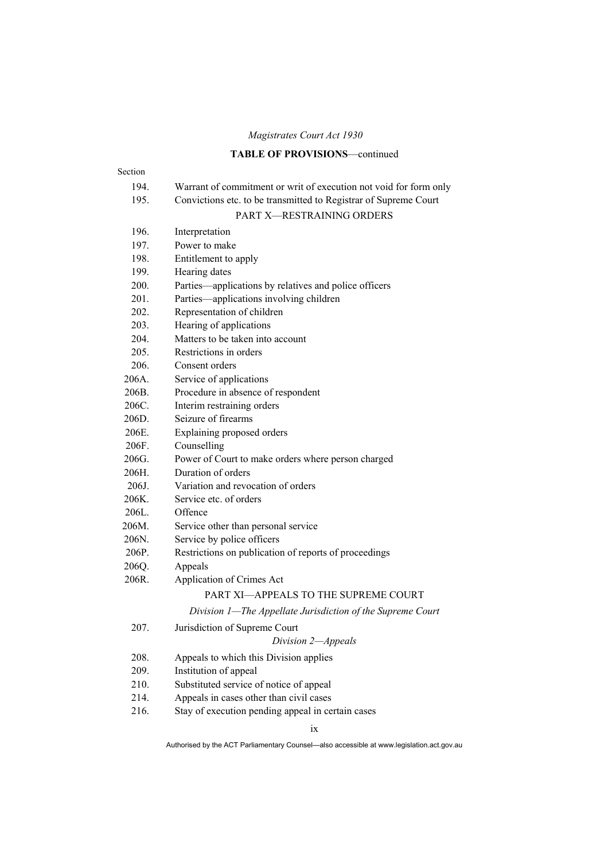## **TABLE OF PROVISIONS**—continued

#### Section

## 194. Warrant of commitment or writ of execution not void for form only

## 195. Convictions etc. to be transmitted to Registrar of Supreme Court

## PART X—RESTRAINING ORDERS

| 196.  | Interpretation                                             |
|-------|------------------------------------------------------------|
| 197.  | Power to make                                              |
| 198.  | Entitlement to apply                                       |
| 199.  | Hearing dates                                              |
| 200.  | Parties—applications by relatives and police officers      |
| 201.  | Parties—applications involving children                    |
| 202.  | Representation of children                                 |
| 203.  | Hearing of applications                                    |
| 204.  | Matters to be taken into account                           |
| 205.  | Restrictions in orders                                     |
| 206.  | Consent orders                                             |
| 206A. | Service of applications                                    |
| 206B. | Procedure in absence of respondent                         |
| 206C. | Interim restraining orders                                 |
| 206D. | Seizure of firearms                                        |
| 206E. | Explaining proposed orders                                 |
| 206F. | Counselling                                                |
| 206G. | Power of Court to make orders where person charged         |
| 206H. | Duration of orders                                         |
| 206J. | Variation and revocation of orders                         |
| 206K. | Service etc. of orders                                     |
| 206L. | Offence                                                    |
| 206M. | Service other than personal service                        |
| 206N. | Service by police officers                                 |
| 206P. | Restrictions on publication of reports of proceedings      |
| 206Q. | Appeals                                                    |
| 206R. | Application of Crimes Act                                  |
|       | PART XI-APPEALS TO THE SUPREME COURT                       |
|       | Division 1-The Appellate Jurisdiction of the Supreme Court |
| 207.  | Jurisdiction of Supreme Court                              |
|       | Division 2-Appeals                                         |
| 208.  | Appeals to which this Division applies                     |
| 209.  | Institution of appeal                                      |
| 210.  | Substituted service of notice of appeal                    |

- 214. Appeals in cases other than civil cases
- 216. Stay of execution pending appeal in certain cases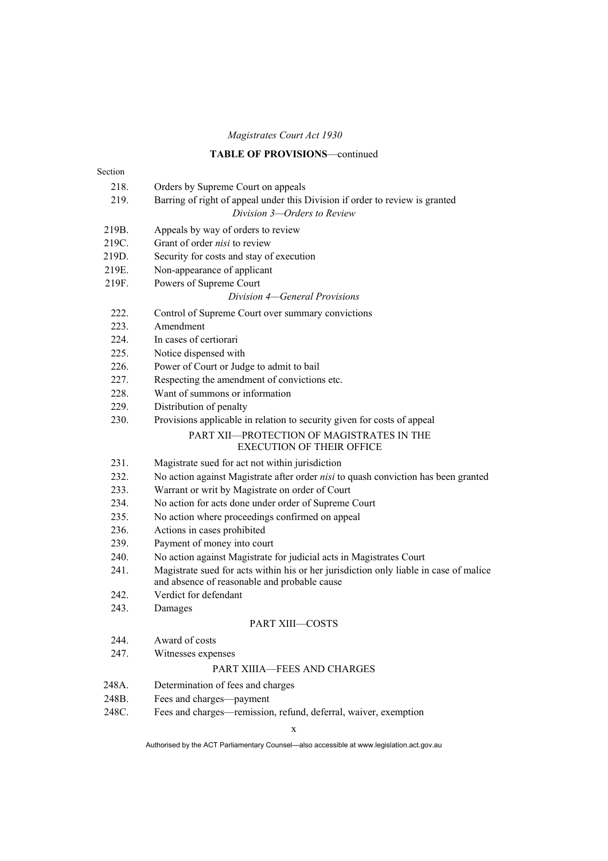## **TABLE OF PROVISIONS**—continued

| Section |                                                                                                                                       |
|---------|---------------------------------------------------------------------------------------------------------------------------------------|
| 218.    | Orders by Supreme Court on appeals                                                                                                    |
| 219.    | Barring of right of appeal under this Division if order to review is granted                                                          |
|         | Division 3-Orders to Review                                                                                                           |
| 219B.   | Appeals by way of orders to review                                                                                                    |
| 219C.   | Grant of order nisi to review                                                                                                         |
| 219D.   | Security for costs and stay of execution                                                                                              |
| 219E.   | Non-appearance of applicant                                                                                                           |
| 219F.   | Powers of Supreme Court                                                                                                               |
|         | Division 4–General Provisions                                                                                                         |
| 222.    | Control of Supreme Court over summary convictions                                                                                     |
| 223.    | Amendment                                                                                                                             |
| 224.    | In cases of certiorari                                                                                                                |
| 225.    | Notice dispensed with                                                                                                                 |
| 226.    | Power of Court or Judge to admit to bail                                                                                              |
| 227.    | Respecting the amendment of convictions etc.                                                                                          |
| 228.    | Want of summons or information                                                                                                        |
| 229.    | Distribution of penalty                                                                                                               |
| 230.    | Provisions applicable in relation to security given for costs of appeal                                                               |
|         | PART XII-PROTECTION OF MAGISTRATES IN THE                                                                                             |
|         | <b>EXECUTION OF THEIR OFFICE</b>                                                                                                      |
| 231.    | Magistrate sued for act not within jurisdiction                                                                                       |
| 232.    | No action against Magistrate after order nisi to quash conviction has been granted                                                    |
| 233.    | Warrant or writ by Magistrate on order of Court                                                                                       |
| 234.    | No action for acts done under order of Supreme Court                                                                                  |
| 235.    | No action where proceedings confirmed on appeal                                                                                       |
| 236.    | Actions in cases prohibited                                                                                                           |
| 239.    | Payment of money into court                                                                                                           |
| 240.    | No action against Magistrate for judicial acts in Magistrates Court                                                                   |
| 241.    | Magistrate sued for acts within his or her jurisdiction only liable in case of malice<br>and absence of reasonable and probable cause |
| 242.    | Verdict for defendant                                                                                                                 |
| 243.    | Damages                                                                                                                               |
|         | PART XIII-COSTS                                                                                                                       |
| 244.    | Award of costs                                                                                                                        |
| 247.    | Witnesses expenses                                                                                                                    |
|         | PART XIIIA-FEES AND CHARGES                                                                                                           |
| 248A.   | Determination of fees and charges                                                                                                     |
| 248B.   | Fees and charges-payment                                                                                                              |
| 248C.   | Fees and charges-remission, refund, deferral, waiver, exemption                                                                       |

x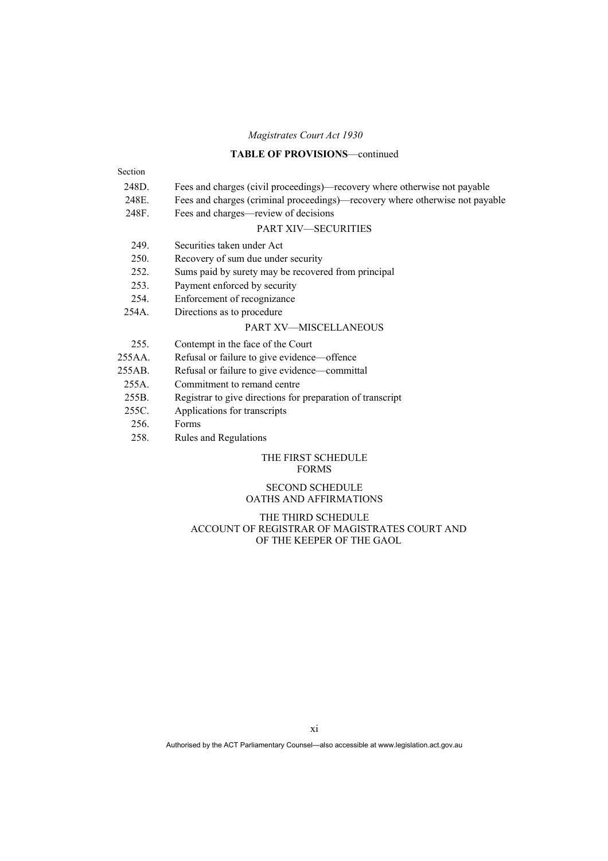## **TABLE OF PROVISIONS**—continued

| Section                            |                                                                              |  |
|------------------------------------|------------------------------------------------------------------------------|--|
| 248D.                              | Fees and charges (civil proceedings)—recovery where otherwise not payable    |  |
| 248E.                              | Fees and charges (criminal proceedings)—recovery where otherwise not payable |  |
| 248F.                              | Fees and charges—review of decisions                                         |  |
| <b>PART XIV-SECURITIES</b>         |                                                                              |  |
| 249.                               | Securities taken under Act                                                   |  |
| 250.                               | Recovery of sum due under security                                           |  |
| 252.                               | Sums paid by surety may be recovered from principal                          |  |
| 253.                               | Payment enforced by security                                                 |  |
| 254.                               | Enforcement of recognizance                                                  |  |
| 254A.                              | Directions as to procedure                                                   |  |
|                                    | PART XV-MISCELLANEOUS                                                        |  |
| 255.                               | Contempt in the face of the Court                                            |  |
| 255AA                              | Refusal or failure to give evidence—offence                                  |  |
| 255AB.                             | Refusal or failure to give evidence—committal                                |  |
| $255A$ .                           | Commitment to remand centre                                                  |  |
| 255B.                              | Registrar to give directions for preparation of transcript                   |  |
| 255C.                              | Applications for transcripts                                                 |  |
| 256.                               | Forms                                                                        |  |
| 258.                               | Rules and Regulations                                                        |  |
| THE FIRST SCHEDULE<br><b>FORMS</b> |                                                                              |  |

#### SECOND SCHEDULE OATHS AND AFFIRMATIONS

#### THE THIRD SCHEDULE ACCOUNT OF REGISTRAR OF MAGISTRATES COURT AND OF THE KEEPER OF THE GAOL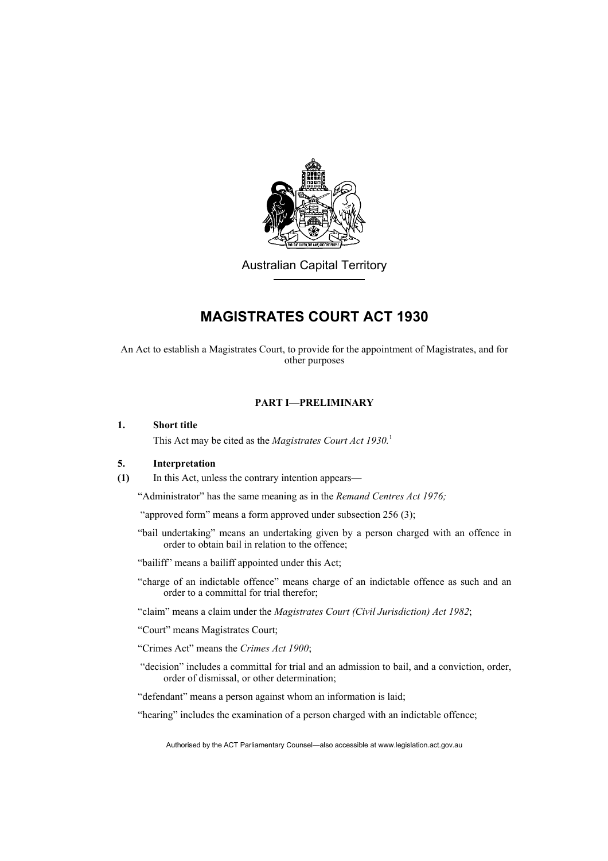

Australian Capital Territory

## **MAGISTRATES COURT ACT 1930**

An Act to establish a Magistrates Court, to provide for the appointment of Magistrates, and for other purposes

## **PART I—PRELIMINARY**

#### **1. Short title**

This Act may be cited as the *Magistrates Court Act 1930.*<sup>1</sup>

#### **5. Interpretation**

**(1)** In this Act, unless the contrary intention appears—

"Administrator" has the same meaning as in the *Remand Centres Act 1976;* 

"approved form" means a form approved under subsection 256 (3);

"bail undertaking" means an undertaking given by a person charged with an offence in order to obtain bail in relation to the offence;

"bailiff" means a bailiff appointed under this Act;

"charge of an indictable offence" means charge of an indictable offence as such and an order to a committal for trial therefor;

"claim" means a claim under the *Magistrates Court (Civil Jurisdiction) Act 1982*;

"Court" means Magistrates Court;

- "Crimes Act" means the *Crimes Act 1900*;
- "decision" includes a committal for trial and an admission to bail, and a conviction, order, order of dismissal, or other determination;

"defendant" means a person against whom an information is laid;

"hearing" includes the examination of a person charged with an indictable offence;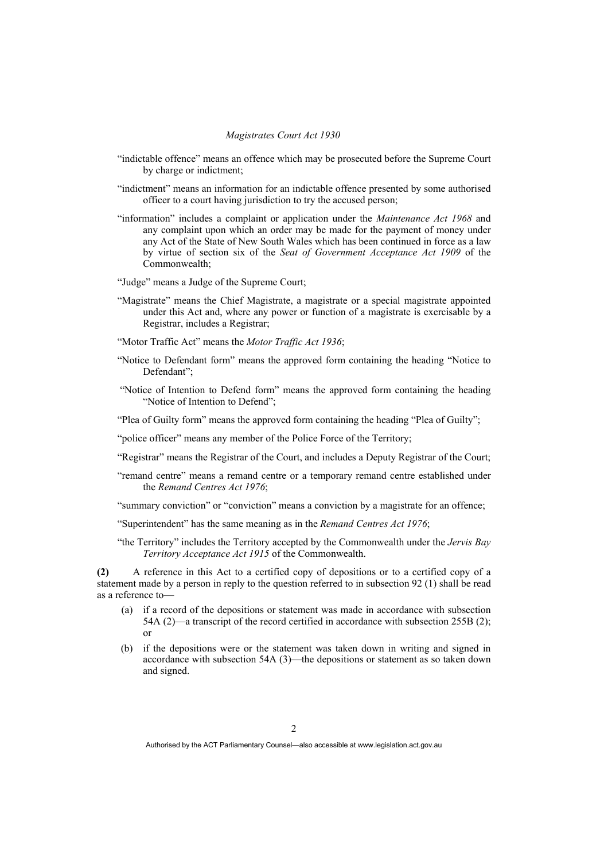- "indictable offence" means an offence which may be prosecuted before the Supreme Court by charge or indictment;
- "indictment" means an information for an indictable offence presented by some authorised officer to a court having jurisdiction to try the accused person;
- "information" includes a complaint or application under the *Maintenance Act 1968* and any complaint upon which an order may be made for the payment of money under any Act of the State of New South Wales which has been continued in force as a law by virtue of section six of the *Seat of Government Acceptance Act 1909* of the Commonwealth;
- "Judge" means a Judge of the Supreme Court;
- "Magistrate" means the Chief Magistrate, a magistrate or a special magistrate appointed under this Act and, where any power or function of a magistrate is exercisable by a Registrar, includes a Registrar;
- "Motor Traffic Act" means the *Motor Traffic Act 1936*;
- "Notice to Defendant form" means the approved form containing the heading "Notice to Defendant";
- "Notice of Intention to Defend form" means the approved form containing the heading "Notice of Intention to Defend";
- "Plea of Guilty form" means the approved form containing the heading "Plea of Guilty";
- "police officer" means any member of the Police Force of the Territory;
- "Registrar" means the Registrar of the Court, and includes a Deputy Registrar of the Court;
- "remand centre" means a remand centre or a temporary remand centre established under the *Remand Centres Act 1976*;
- "summary conviction" or "conviction" means a conviction by a magistrate for an offence;
- "Superintendent" has the same meaning as in the *Remand Centres Act 1976*;
- "the Territory" includes the Territory accepted by the Commonwealth under the *Jervis Bay Territory Acceptance Act 1915* of the Commonwealth.

**(2)** A reference in this Act to a certified copy of depositions or to a certified copy of a statement made by a person in reply to the question referred to in subsection 92 (1) shall be read as a reference to—

- (a) if a record of the depositions or statement was made in accordance with subsection 54A (2)—a transcript of the record certified in accordance with subsection 255B (2); or
- (b) if the depositions were or the statement was taken down in writing and signed in accordance with subsection 54A (3)—the depositions or statement as so taken down and signed.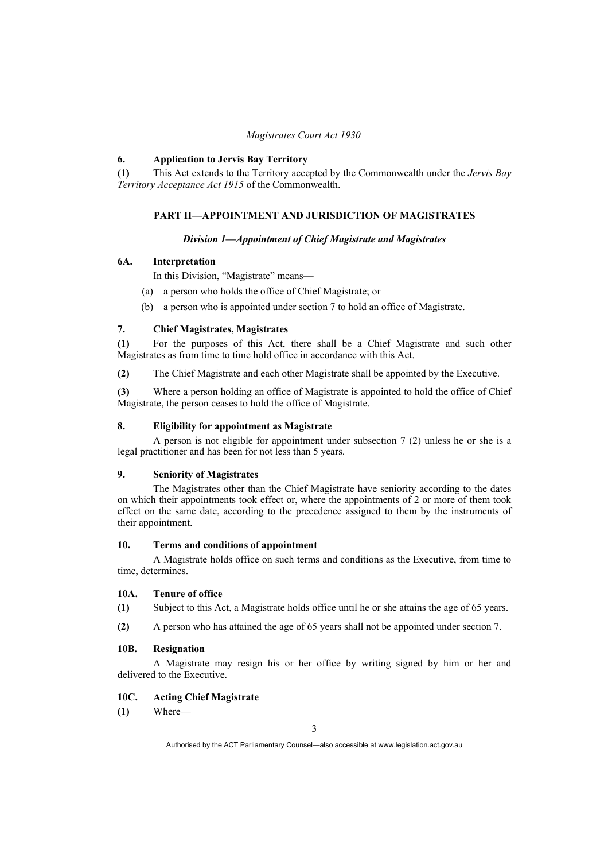#### **6. Application to Jervis Bay Territory**

**(1)** This Act extends to the Territory accepted by the Commonwealth under the *Jervis Bay Territory Acceptance Act 1915* of the Commonwealth.

#### **PART II—APPOINTMENT AND JURISDICTION OF MAGISTRATES**

#### *Division 1—Appointment of Chief Magistrate and Magistrates*

#### **6A. Interpretation**

In this Division, "Magistrate" means—

- (a) a person who holds the office of Chief Magistrate; or
- (b) a person who is appointed under section 7 to hold an office of Magistrate.

#### **7. Chief Magistrates, Magistrates**

**(1)** For the purposes of this Act, there shall be a Chief Magistrate and such other Magistrates as from time to time hold office in accordance with this Act.

**(2)** The Chief Magistrate and each other Magistrate shall be appointed by the Executive.

**(3)** Where a person holding an office of Magistrate is appointed to hold the office of Chief Magistrate, the person ceases to hold the office of Magistrate.

#### **8. Eligibility for appointment as Magistrate**

 A person is not eligible for appointment under subsection 7 (2) unless he or she is a legal practitioner and has been for not less than 5 years.

#### **9. Seniority of Magistrates**

 The Magistrates other than the Chief Magistrate have seniority according to the dates on which their appointments took effect or, where the appointments of 2 or more of them took effect on the same date, according to the precedence assigned to them by the instruments of their appointment.

#### **10. Terms and conditions of appointment**

 A Magistrate holds office on such terms and conditions as the Executive, from time to time, determines.

#### **10A. Tenure of office**

**(1)** Subject to this Act, a Magistrate holds office until he or she attains the age of 65 years.

**(2)** A person who has attained the age of 65 years shall not be appointed under section 7.

#### **10B. Resignation**

 A Magistrate may resign his or her office by writing signed by him or her and delivered to the Executive.

#### **10C. Acting Chief Magistrate**

**(1)** Where—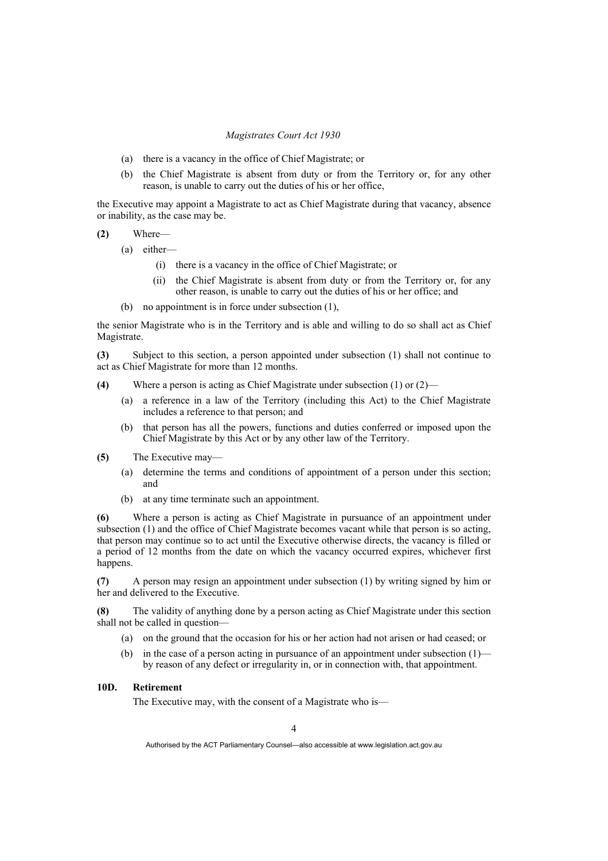- (a) there is a vacancy in the office of Chief Magistrate; or
- (b) the Chief Magistrate is absent from duty or from the Territory or, for any other reason, is unable to carry out the duties of his or her office,

the Executive may appoint a Magistrate to act as Chief Magistrate during that vacancy, absence or inability, as the case may be.

**(2)** Where—

- (a) either—
	- (i) there is a vacancy in the office of Chief Magistrate; or
	- (ii) the Chief Magistrate is absent from duty or from the Territory or, for any other reason, is unable to carry out the duties of his or her office; and
- (b) no appointment is in force under subsection (1),

the senior Magistrate who is in the Territory and is able and willing to do so shall act as Chief Magistrate.

**(3)** Subject to this section, a person appointed under subsection (1) shall not continue to act as Chief Magistrate for more than 12 months.

- **(4)** Where a person is acting as Chief Magistrate under subsection (1) or (2)—
	- (a) a reference in a law of the Territory (including this Act) to the Chief Magistrate includes a reference to that person; and
	- (b) that person has all the powers, functions and duties conferred or imposed upon the Chief Magistrate by this Act or by any other law of the Territory.
- **(5)** The Executive may—
	- (a) determine the terms and conditions of appointment of a person under this section; and
	- (b) at any time terminate such an appointment.

**(6)** Where a person is acting as Chief Magistrate in pursuance of an appointment under subsection (1) and the office of Chief Magistrate becomes vacant while that person is so acting, that person may continue so to act until the Executive otherwise directs, the vacancy is filled or a period of 12 months from the date on which the vacancy occurred expires, whichever first happens.

**(7)** A person may resign an appointment under subsection (1) by writing signed by him or her and delivered to the Executive.

**(8)** The validity of anything done by a person acting as Chief Magistrate under this section shall not be called in question—

- (a) on the ground that the occasion for his or her action had not arisen or had ceased; or
- (b) in the case of a person acting in pursuance of an appointment under subsection (1) by reason of any defect or irregularity in, or in connection with, that appointment.

## **10D. Retirement**

The Executive may, with the consent of a Magistrate who is—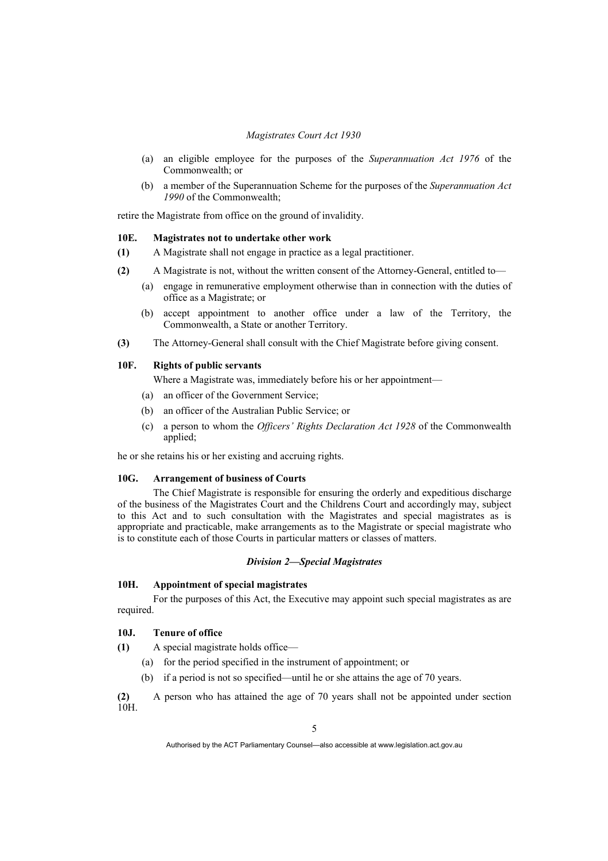- (a) an eligible employee for the purposes of the *Superannuation Act 1976* of the Commonwealth; or
- (b) a member of the Superannuation Scheme for the purposes of the *Superannuation Act 1990* of the Commonwealth;

retire the Magistrate from office on the ground of invalidity.

#### **10E. Magistrates not to undertake other work**

- **(1)** A Magistrate shall not engage in practice as a legal practitioner.
- **(2)** A Magistrate is not, without the written consent of the Attorney-General, entitled to—
	- (a) engage in remunerative employment otherwise than in connection with the duties of office as a Magistrate; or
	- (b) accept appointment to another office under a law of the Territory, the Commonwealth, a State or another Territory.
- **(3)** The Attorney-General shall consult with the Chief Magistrate before giving consent.

#### **10F. Rights of public servants**

Where a Magistrate was, immediately before his or her appointment—

- (a) an officer of the Government Service;
- (b) an officer of the Australian Public Service; or
- (c) a person to whom the *Officers' Rights Declaration Act 1928* of the Commonwealth applied;

he or she retains his or her existing and accruing rights.

#### **10G. Arrangement of business of Courts**

 The Chief Magistrate is responsible for ensuring the orderly and expeditious discharge of the business of the Magistrates Court and the Childrens Court and accordingly may, subject to this Act and to such consultation with the Magistrates and special magistrates as is appropriate and practicable, make arrangements as to the Magistrate or special magistrate who is to constitute each of those Courts in particular matters or classes of matters.

#### *Division 2—Special Magistrates*

### **10H. Appointment of special magistrates**

 For the purposes of this Act, the Executive may appoint such special magistrates as are required.

#### **10J. Tenure of office**

**(1)** A special magistrate holds office—

- (a) for the period specified in the instrument of appointment; or
- (b) if a period is not so specified—until he or she attains the age of 70 years.

**(2)** A person who has attained the age of 70 years shall not be appointed under section  $\frac{(2)}{10H}$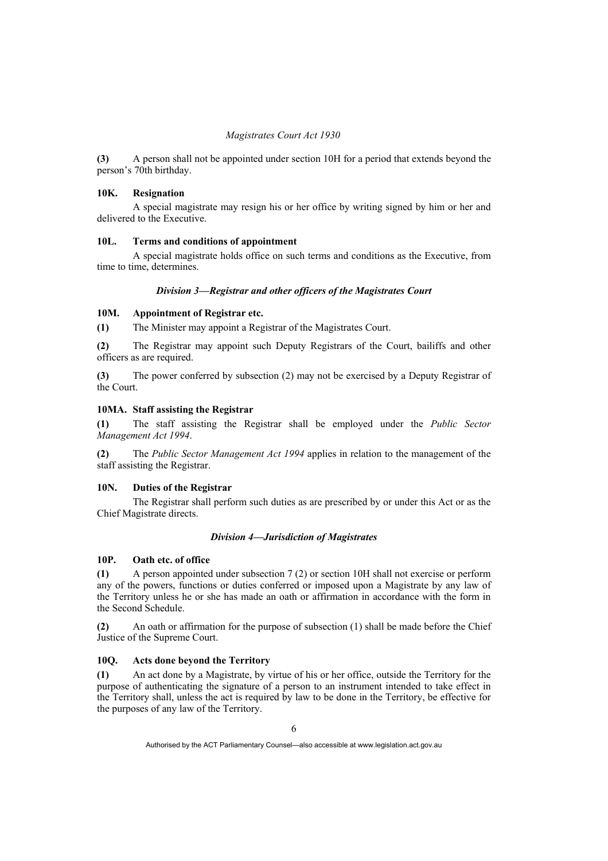**(3)** A person shall not be appointed under section 10H for a period that extends beyond the person's 70th birthday.

#### **10K. Resignation**

 A special magistrate may resign his or her office by writing signed by him or her and delivered to the Executive.

#### **10L. Terms and conditions of appointment**

 A special magistrate holds office on such terms and conditions as the Executive, from time to time, determines.

#### *Division 3—Registrar and other officers of the Magistrates Court*

#### **10M. Appointment of Registrar etc.**

**(1)** The Minister may appoint a Registrar of the Magistrates Court.

**(2)** The Registrar may appoint such Deputy Registrars of the Court, bailiffs and other officers as are required.

**(3)** The power conferred by subsection (2) may not be exercised by a Deputy Registrar of the Court.

#### **10MA. Staff assisting the Registrar**

**(1)** The staff assisting the Registrar shall be employed under the *Public Sector Management Act 1994*.

**(2)** The *Public Sector Management Act 1994* applies in relation to the management of the staff assisting the Registrar.

#### **10N. Duties of the Registrar**

 The Registrar shall perform such duties as are prescribed by or under this Act or as the Chief Magistrate directs.

#### *Division 4—Jurisdiction of Magistrates*

#### **10P. Oath etc. of office**

**(1)** A person appointed under subsection 7 (2) or section 10H shall not exercise or perform any of the powers, functions or duties conferred or imposed upon a Magistrate by any law of the Territory unless he or she has made an oath or affirmation in accordance with the form in the Second Schedule.

**(2)** An oath or affirmation for the purpose of subsection (1) shall be made before the Chief Justice of the Supreme Court.

#### **10Q. Acts done beyond the Territory**

**(1)** An act done by a Magistrate, by virtue of his or her office, outside the Territory for the purpose of authenticating the signature of a person to an instrument intended to take effect in the Territory shall, unless the act is required by law to be done in the Territory, be effective for the purposes of any law of the Territory.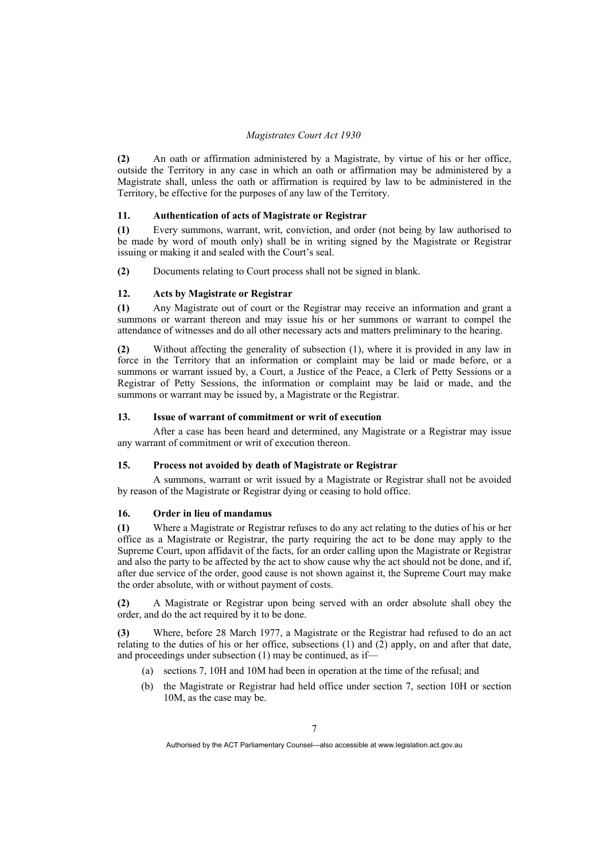**(2)** An oath or affirmation administered by a Magistrate, by virtue of his or her office, outside the Territory in any case in which an oath or affirmation may be administered by a Magistrate shall, unless the oath or affirmation is required by law to be administered in the Territory, be effective for the purposes of any law of the Territory.

#### **11. Authentication of acts of Magistrate or Registrar**

**(1)** Every summons, warrant, writ, conviction, and order (not being by law authorised to be made by word of mouth only) shall be in writing signed by the Magistrate or Registrar issuing or making it and sealed with the Court's seal.

**(2)** Documents relating to Court process shall not be signed in blank.

#### **12. Acts by Magistrate or Registrar**

**(1)** Any Magistrate out of court or the Registrar may receive an information and grant a summons or warrant thereon and may issue his or her summons or warrant to compel the attendance of witnesses and do all other necessary acts and matters preliminary to the hearing.

**(2)** Without affecting the generality of subsection (1), where it is provided in any law in force in the Territory that an information or complaint may be laid or made before, or a summons or warrant issued by, a Court, a Justice of the Peace, a Clerk of Petty Sessions or a Registrar of Petty Sessions, the information or complaint may be laid or made, and the summons or warrant may be issued by, a Magistrate or the Registrar.

#### **13. Issue of warrant of commitment or writ of execution**

 After a case has been heard and determined, any Magistrate or a Registrar may issue any warrant of commitment or writ of execution thereon.

#### **15. Process not avoided by death of Magistrate or Registrar**

 A summons, warrant or writ issued by a Magistrate or Registrar shall not be avoided by reason of the Magistrate or Registrar dying or ceasing to hold office.

#### **16. Order in lieu of mandamus**

**(1)** Where a Magistrate or Registrar refuses to do any act relating to the duties of his or her office as a Magistrate or Registrar, the party requiring the act to be done may apply to the Supreme Court, upon affidavit of the facts, for an order calling upon the Magistrate or Registrar and also the party to be affected by the act to show cause why the act should not be done, and if, after due service of the order, good cause is not shown against it, the Supreme Court may make the order absolute, with or without payment of costs.

**(2)** A Magistrate or Registrar upon being served with an order absolute shall obey the order, and do the act required by it to be done.

**(3)** Where, before 28 March 1977, a Magistrate or the Registrar had refused to do an act relating to the duties of his or her office, subsections  $(1)$  and  $(2)$  apply, on and after that date, and proceedings under subsection (1) may be continued, as if—

- (a) sections 7, 10H and 10M had been in operation at the time of the refusal; and
- (b) the Magistrate or Registrar had held office under section 7, section 10H or section 10M, as the case may be.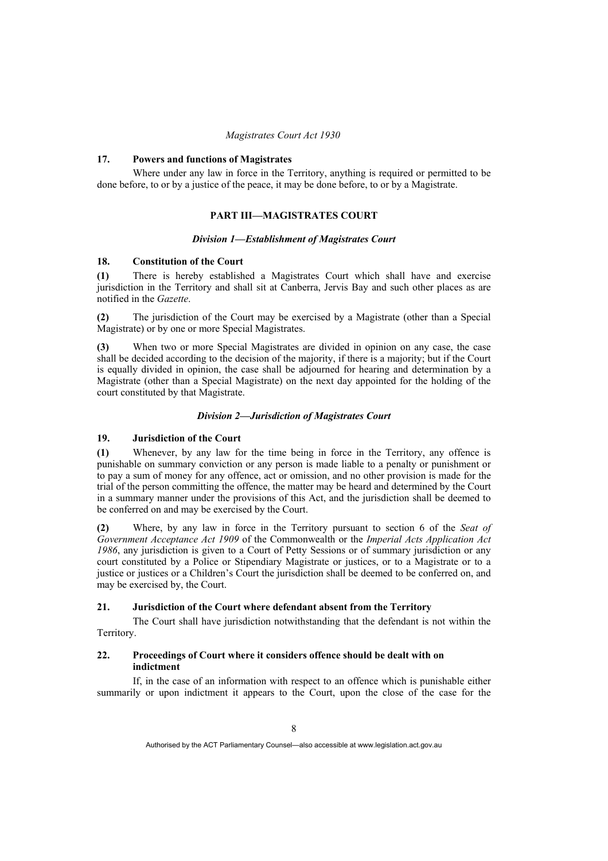#### **17. Powers and functions of Magistrates**

 Where under any law in force in the Territory, anything is required or permitted to be done before, to or by a justice of the peace, it may be done before, to or by a Magistrate.

#### **PART III—MAGISTRATES COURT**

#### *Division 1—Establishment of Magistrates Court*

#### **18. Constitution of the Court**

**(1)** There is hereby established a Magistrates Court which shall have and exercise jurisdiction in the Territory and shall sit at Canberra, Jervis Bay and such other places as are notified in the *Gazette*.

**(2)** The jurisdiction of the Court may be exercised by a Magistrate (other than a Special Magistrate) or by one or more Special Magistrates.

**(3)** When two or more Special Magistrates are divided in opinion on any case, the case shall be decided according to the decision of the majority, if there is a majority; but if the Court is equally divided in opinion, the case shall be adjourned for hearing and determination by a Magistrate (other than a Special Magistrate) on the next day appointed for the holding of the court constituted by that Magistrate.

#### *Division 2—Jurisdiction of Magistrates Court*

#### **19. Jurisdiction of the Court**

**(1)** Whenever, by any law for the time being in force in the Territory, any offence is punishable on summary conviction or any person is made liable to a penalty or punishment or to pay a sum of money for any offence, act or omission, and no other provision is made for the trial of the person committing the offence, the matter may be heard and determined by the Court in a summary manner under the provisions of this Act, and the jurisdiction shall be deemed to be conferred on and may be exercised by the Court.

**(2)** Where, by any law in force in the Territory pursuant to section 6 of the *Seat of Government Acceptance Act 1909* of the Commonwealth or the *Imperial Acts Application Act 1986*, any jurisdiction is given to a Court of Petty Sessions or of summary jurisdiction or any court constituted by a Police or Stipendiary Magistrate or justices, or to a Magistrate or to a justice or justices or a Children's Court the jurisdiction shall be deemed to be conferred on, and may be exercised by, the Court.

#### **21. Jurisdiction of the Court where defendant absent from the Territory**

 The Court shall have jurisdiction notwithstanding that the defendant is not within the Territory.

#### **22. Proceedings of Court where it considers offence should be dealt with on indictment**

 If, in the case of an information with respect to an offence which is punishable either summarily or upon indictment it appears to the Court, upon the close of the case for the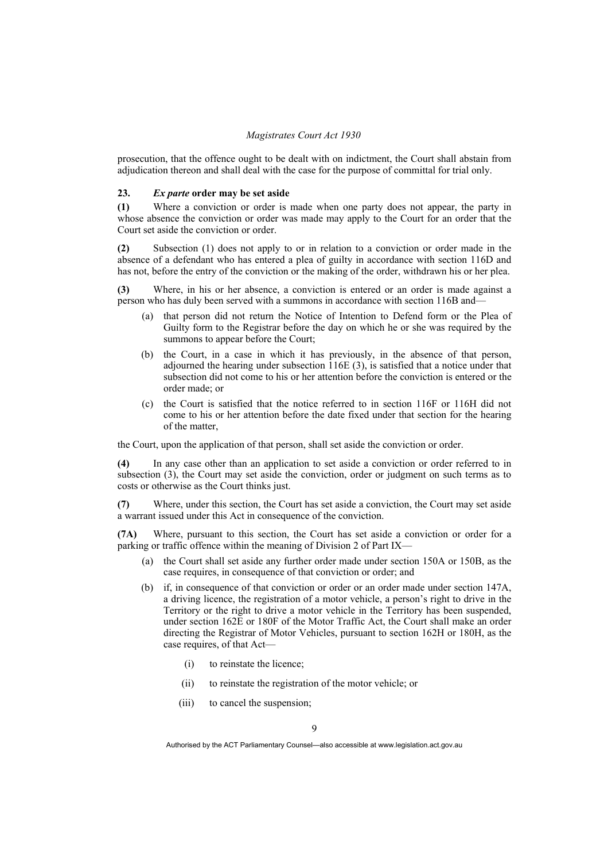prosecution, that the offence ought to be dealt with on indictment, the Court shall abstain from adjudication thereon and shall deal with the case for the purpose of committal for trial only.

#### **23.** *Ex parte* **order may be set aside**

**(1)** Where a conviction or order is made when one party does not appear, the party in whose absence the conviction or order was made may apply to the Court for an order that the Court set aside the conviction or order.

**(2)** Subsection (1) does not apply to or in relation to a conviction or order made in the absence of a defendant who has entered a plea of guilty in accordance with section 116D and has not, before the entry of the conviction or the making of the order, withdrawn his or her plea.

**(3)** Where, in his or her absence, a conviction is entered or an order is made against a person who has duly been served with a summons in accordance with section 116B and—

- (a) that person did not return the Notice of Intention to Defend form or the Plea of Guilty form to the Registrar before the day on which he or she was required by the summons to appear before the Court:
- (b) the Court, in a case in which it has previously, in the absence of that person, adjourned the hearing under subsection 116E (3), is satisfied that a notice under that subsection did not come to his or her attention before the conviction is entered or the order made; or
- (c) the Court is satisfied that the notice referred to in section 116F or 116H did not come to his or her attention before the date fixed under that section for the hearing of the matter,

the Court, upon the application of that person, shall set aside the conviction or order.

**(4)** In any case other than an application to set aside a conviction or order referred to in subsection (3), the Court may set aside the conviction, order or judgment on such terms as to costs or otherwise as the Court thinks just.

**(7)** Where, under this section, the Court has set aside a conviction, the Court may set aside a warrant issued under this Act in consequence of the conviction.

**(7A)** Where, pursuant to this section, the Court has set aside a conviction or order for a parking or traffic offence within the meaning of Division 2 of Part IX—

- (a) the Court shall set aside any further order made under section 150A or 150B, as the case requires, in consequence of that conviction or order; and
- (b) if, in consequence of that conviction or order or an order made under section 147A, a driving licence, the registration of a motor vehicle, a person's right to drive in the Territory or the right to drive a motor vehicle in the Territory has been suspended, under section 162E or 180F of the Motor Traffic Act, the Court shall make an order directing the Registrar of Motor Vehicles, pursuant to section 162H or 180H, as the case requires, of that Act—
	- (i) to reinstate the licence;
	- (ii) to reinstate the registration of the motor vehicle; or
	- (iii) to cancel the suspension;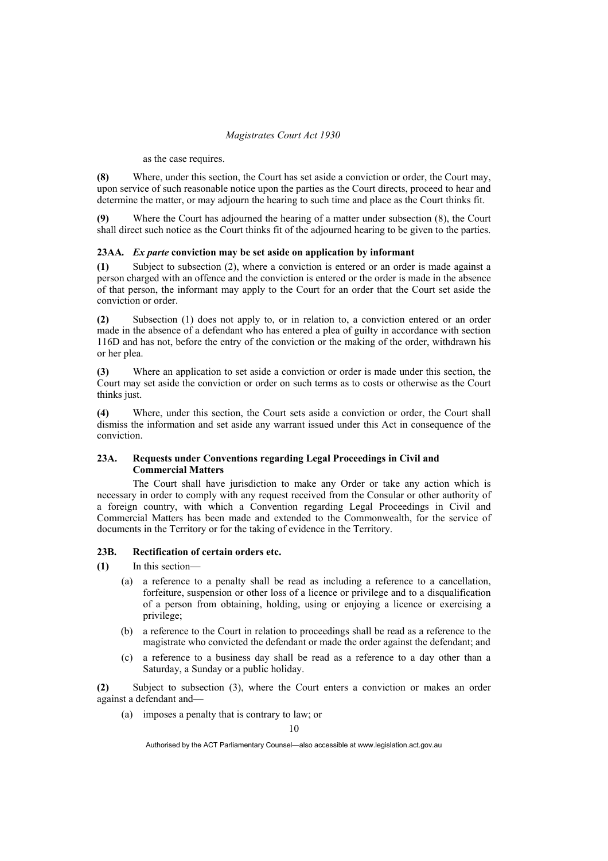#### as the case requires.

**(8)** Where, under this section, the Court has set aside a conviction or order, the Court may, upon service of such reasonable notice upon the parties as the Court directs, proceed to hear and determine the matter, or may adjourn the hearing to such time and place as the Court thinks fit.

**(9)** Where the Court has adjourned the hearing of a matter under subsection (8), the Court shall direct such notice as the Court thinks fit of the adjourned hearing to be given to the parties.

#### **23AA***. Ex parte* **conviction may be set aside on application by informant**

**(1)** Subject to subsection (2), where a conviction is entered or an order is made against a person charged with an offence and the conviction is entered or the order is made in the absence of that person, the informant may apply to the Court for an order that the Court set aside the conviction or order.

**(2)** Subsection (1) does not apply to, or in relation to, a conviction entered or an order made in the absence of a defendant who has entered a plea of guilty in accordance with section 116D and has not, before the entry of the conviction or the making of the order, withdrawn his or her plea.

**(3)** Where an application to set aside a conviction or order is made under this section, the Court may set aside the conviction or order on such terms as to costs or otherwise as the Court thinks just.

**(4)** Where, under this section, the Court sets aside a conviction or order, the Court shall dismiss the information and set aside any warrant issued under this Act in consequence of the conviction.

### **23A. Requests under Conventions regarding Legal Proceedings in Civil and Commercial Matters**

 The Court shall have jurisdiction to make any Order or take any action which is necessary in order to comply with any request received from the Consular or other authority of a foreign country, with which a Convention regarding Legal Proceedings in Civil and Commercial Matters has been made and extended to the Commonwealth, for the service of documents in the Territory or for the taking of evidence in the Territory.

#### **23B. Rectification of certain orders etc.**

**(1)** In this section—

- (a) a reference to a penalty shall be read as including a reference to a cancellation, forfeiture, suspension or other loss of a licence or privilege and to a disqualification of a person from obtaining, holding, using or enjoying a licence or exercising a privilege;
- (b) a reference to the Court in relation to proceedings shall be read as a reference to the magistrate who convicted the defendant or made the order against the defendant; and
- (c) a reference to a business day shall be read as a reference to a day other than a Saturday, a Sunday or a public holiday.

**(2)** Subject to subsection (3), where the Court enters a conviction or makes an order against a defendant and—

(a) imposes a penalty that is contrary to law; or

Authorised by the ACT Parliamentary Counsel—also accessible at www.legislation.act.gov.au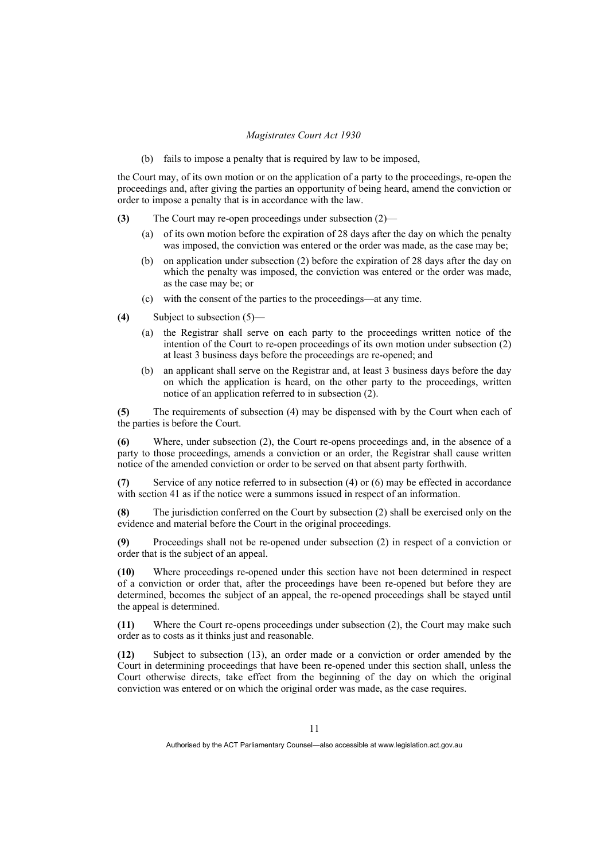(b) fails to impose a penalty that is required by law to be imposed,

the Court may, of its own motion or on the application of a party to the proceedings, re-open the proceedings and, after giving the parties an opportunity of being heard, amend the conviction or order to impose a penalty that is in accordance with the law.

- **(3)** The Court may re-open proceedings under subsection (2)—
	- (a) of its own motion before the expiration of 28 days after the day on which the penalty was imposed, the conviction was entered or the order was made, as the case may be;
	- (b) on application under subsection (2) before the expiration of 28 days after the day on which the penalty was imposed, the conviction was entered or the order was made, as the case may be; or
	- (c) with the consent of the parties to the proceedings—at any time.
- **(4)** Subject to subsection (5)—
	- (a) the Registrar shall serve on each party to the proceedings written notice of the intention of the Court to re-open proceedings of its own motion under subsection (2) at least 3 business days before the proceedings are re-opened; and
	- (b) an applicant shall serve on the Registrar and, at least 3 business days before the day on which the application is heard, on the other party to the proceedings, written notice of an application referred to in subsection (2).

**(5)** The requirements of subsection (4) may be dispensed with by the Court when each of the parties is before the Court.

**(6)** Where, under subsection (2), the Court re-opens proceedings and, in the absence of a party to those proceedings, amends a conviction or an order, the Registrar shall cause written notice of the amended conviction or order to be served on that absent party forthwith.

**(7)** Service of any notice referred to in subsection (4) or (6) may be effected in accordance with section 41 as if the notice were a summons issued in respect of an information.

**(8)** The jurisdiction conferred on the Court by subsection (2) shall be exercised only on the evidence and material before the Court in the original proceedings.

**(9)** Proceedings shall not be re-opened under subsection (2) in respect of a conviction or order that is the subject of an appeal.

**(10)** Where proceedings re-opened under this section have not been determined in respect of a conviction or order that, after the proceedings have been re-opened but before they are determined, becomes the subject of an appeal, the re-opened proceedings shall be stayed until the appeal is determined.

**(11)** Where the Court re-opens proceedings under subsection (2), the Court may make such order as to costs as it thinks just and reasonable.

**(12)** Subject to subsection (13), an order made or a conviction or order amended by the Court in determining proceedings that have been re-opened under this section shall, unless the Court otherwise directs, take effect from the beginning of the day on which the original conviction was entered or on which the original order was made, as the case requires.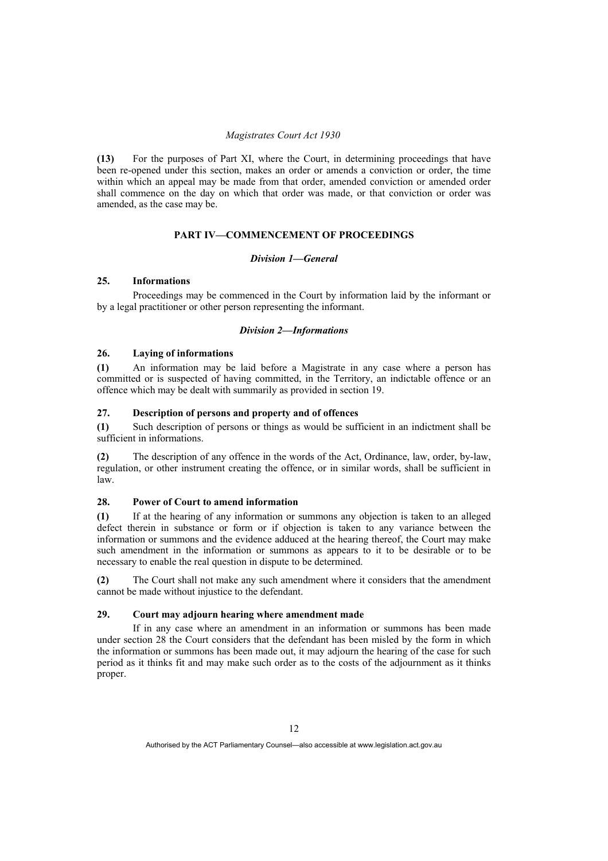**(13)** For the purposes of Part XI, where the Court, in determining proceedings that have been re-opened under this section, makes an order or amends a conviction or order, the time within which an appeal may be made from that order, amended conviction or amended order shall commence on the day on which that order was made, or that conviction or order was amended, as the case may be.

#### **PART IV—COMMENCEMENT OF PROCEEDINGS**

#### *Division 1—General*

#### **25. Informations**

 Proceedings may be commenced in the Court by information laid by the informant or by a legal practitioner or other person representing the informant.

#### *Division 2—Informations*

#### **26. Laying of informations**

**(1)** An information may be laid before a Magistrate in any case where a person has committed or is suspected of having committed, in the Territory, an indictable offence or an offence which may be dealt with summarily as provided in section 19.

#### **27. Description of persons and property and of offences**

**(1)** Such description of persons or things as would be sufficient in an indictment shall be sufficient in informations.

**(2)** The description of any offence in the words of the Act, Ordinance, law, order, by-law, regulation, or other instrument creating the offence, or in similar words, shall be sufficient in law.

#### **28. Power of Court to amend information**

**(1)** If at the hearing of any information or summons any objection is taken to an alleged defect therein in substance or form or if objection is taken to any variance between the information or summons and the evidence adduced at the hearing thereof, the Court may make such amendment in the information or summons as appears to it to be desirable or to be necessary to enable the real question in dispute to be determined.

**(2)** The Court shall not make any such amendment where it considers that the amendment cannot be made without injustice to the defendant.

#### **29. Court may adjourn hearing where amendment made**

 If in any case where an amendment in an information or summons has been made under section 28 the Court considers that the defendant has been misled by the form in which the information or summons has been made out, it may adjourn the hearing of the case for such period as it thinks fit and may make such order as to the costs of the adjournment as it thinks proper.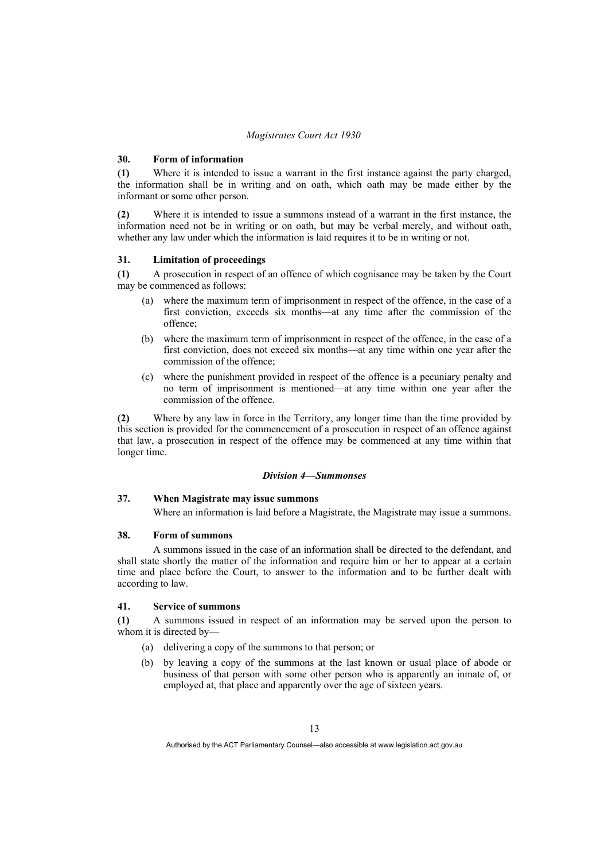#### **30. Form of information**

**(1)** Where it is intended to issue a warrant in the first instance against the party charged, the information shall be in writing and on oath, which oath may be made either by the informant or some other person.

**(2)** Where it is intended to issue a summons instead of a warrant in the first instance, the information need not be in writing or on oath, but may be verbal merely, and without oath, whether any law under which the information is laid requires it to be in writing or not.

#### **31. Limitation of proceedings**

**(1)** A prosecution in respect of an offence of which cognisance may be taken by the Court may be commenced as follows:

- (a) where the maximum term of imprisonment in respect of the offence, in the case of a first conviction, exceeds six months—at any time after the commission of the offence;
- (b) where the maximum term of imprisonment in respect of the offence, in the case of a first conviction, does not exceed six months—at any time within one year after the commission of the offence;
- (c) where the punishment provided in respect of the offence is a pecuniary penalty and no term of imprisonment is mentioned—at any time within one year after the commission of the offence.

**(2)** Where by any law in force in the Territory, any longer time than the time provided by this section is provided for the commencement of a prosecution in respect of an offence against that law, a prosecution in respect of the offence may be commenced at any time within that longer time.

#### *Division 4—Summonses*

#### **37. When Magistrate may issue summons**

Where an information is laid before a Magistrate, the Magistrate may issue a summons.

#### **38. Form of summons**

 A summons issued in the case of an information shall be directed to the defendant, and shall state shortly the matter of the information and require him or her to appear at a certain time and place before the Court, to answer to the information and to be further dealt with according to law.

#### **41. Service of summons**

**(1)** A summons issued in respect of an information may be served upon the person to whom it is directed by-

- (a) delivering a copy of the summons to that person; or
- (b) by leaving a copy of the summons at the last known or usual place of abode or business of that person with some other person who is apparently an inmate of, or employed at, that place and apparently over the age of sixteen years.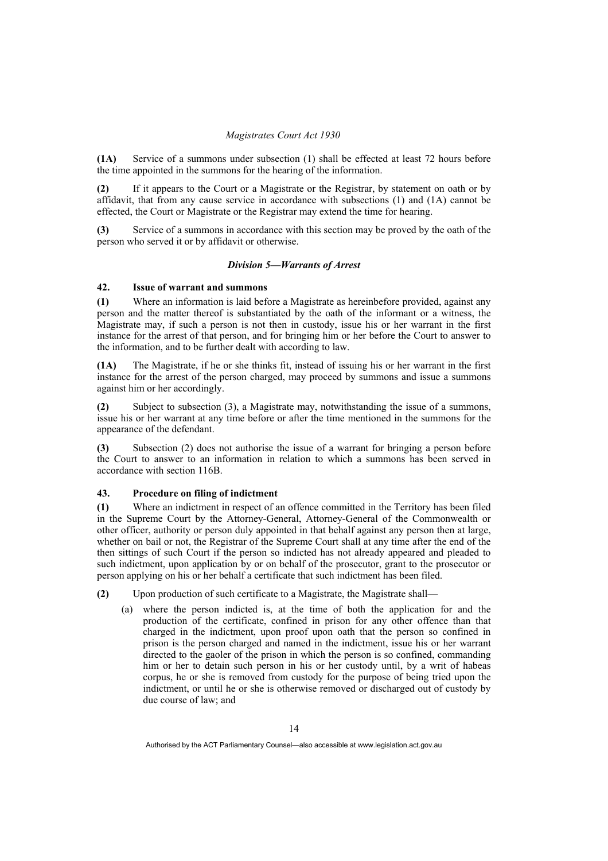**(1A)** Service of a summons under subsection (1) shall be effected at least 72 hours before the time appointed in the summons for the hearing of the information.

**(2)** If it appears to the Court or a Magistrate or the Registrar, by statement on oath or by affidavit, that from any cause service in accordance with subsections (1) and (1A) cannot be effected, the Court or Magistrate or the Registrar may extend the time for hearing.

**(3)** Service of a summons in accordance with this section may be proved by the oath of the person who served it or by affidavit or otherwise.

#### *Division 5—Warrants of Arrest*

#### **42. Issue of warrant and summons**

**(1)** Where an information is laid before a Magistrate as hereinbefore provided, against any person and the matter thereof is substantiated by the oath of the informant or a witness, the Magistrate may, if such a person is not then in custody, issue his or her warrant in the first instance for the arrest of that person, and for bringing him or her before the Court to answer to the information, and to be further dealt with according to law.

**(1A)** The Magistrate, if he or she thinks fit, instead of issuing his or her warrant in the first instance for the arrest of the person charged, may proceed by summons and issue a summons against him or her accordingly.

**(2)** Subject to subsection (3), a Magistrate may, notwithstanding the issue of a summons, issue his or her warrant at any time before or after the time mentioned in the summons for the appearance of the defendant.

**(3)** Subsection (2) does not authorise the issue of a warrant for bringing a person before the Court to answer to an information in relation to which a summons has been served in accordance with section 116B.

#### **43. Procedure on filing of indictment**

**(1)** Where an indictment in respect of an offence committed in the Territory has been filed in the Supreme Court by the Attorney-General, Attorney-General of the Commonwealth or other officer, authority or person duly appointed in that behalf against any person then at large, whether on bail or not, the Registrar of the Supreme Court shall at any time after the end of the then sittings of such Court if the person so indicted has not already appeared and pleaded to such indictment, upon application by or on behalf of the prosecutor, grant to the prosecutor or person applying on his or her behalf a certificate that such indictment has been filed.

**(2)** Upon production of such certificate to a Magistrate, the Magistrate shall—

 (a) where the person indicted is, at the time of both the application for and the production of the certificate, confined in prison for any other offence than that charged in the indictment, upon proof upon oath that the person so confined in prison is the person charged and named in the indictment, issue his or her warrant directed to the gaoler of the prison in which the person is so confined, commanding him or her to detain such person in his or her custody until, by a writ of habeas corpus, he or she is removed from custody for the purpose of being tried upon the indictment, or until he or she is otherwise removed or discharged out of custody by due course of law; and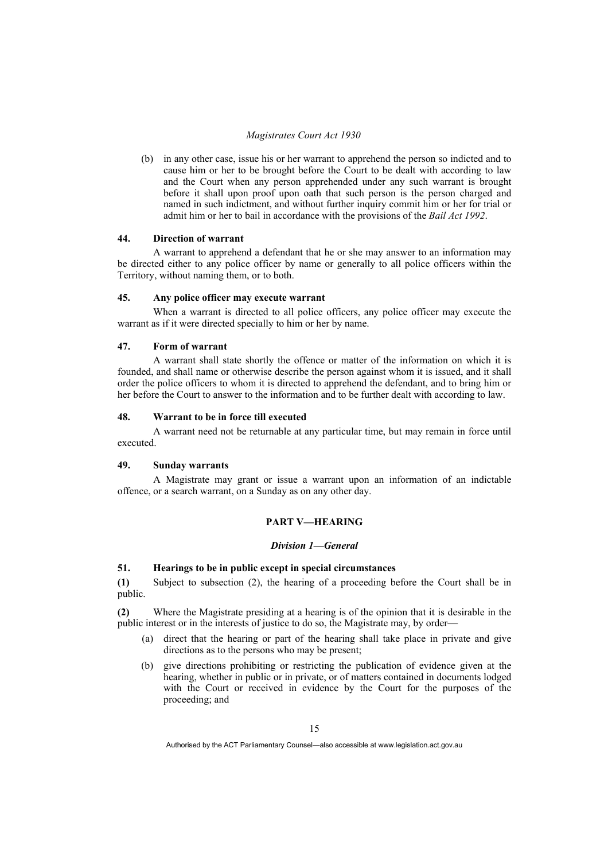(b) in any other case, issue his or her warrant to apprehend the person so indicted and to cause him or her to be brought before the Court to be dealt with according to law and the Court when any person apprehended under any such warrant is brought before it shall upon proof upon oath that such person is the person charged and named in such indictment, and without further inquiry commit him or her for trial or admit him or her to bail in accordance with the provisions of the *Bail Act 1992*.

#### **44. Direction of warrant**

 A warrant to apprehend a defendant that he or she may answer to an information may be directed either to any police officer by name or generally to all police officers within the Territory, without naming them, or to both.

#### **45. Any police officer may execute warrant**

 When a warrant is directed to all police officers, any police officer may execute the warrant as if it were directed specially to him or her by name.

#### **47. Form of warrant**

 A warrant shall state shortly the offence or matter of the information on which it is founded, and shall name or otherwise describe the person against whom it is issued, and it shall order the police officers to whom it is directed to apprehend the defendant, and to bring him or her before the Court to answer to the information and to be further dealt with according to law.

#### **48. Warrant to be in force till executed**

 A warrant need not be returnable at any particular time, but may remain in force until executed.

## **49. Sunday warrants**

 A Magistrate may grant or issue a warrant upon an information of an indictable offence, or a search warrant, on a Sunday as on any other day.

#### **PART V—HEARING**

#### *Division 1—General*

#### **51. Hearings to be in public except in special circumstances**

**(1)** Subject to subsection (2), the hearing of a proceeding before the Court shall be in public.

**(2)** Where the Magistrate presiding at a hearing is of the opinion that it is desirable in the public interest or in the interests of justice to do so, the Magistrate may, by order—

- (a) direct that the hearing or part of the hearing shall take place in private and give directions as to the persons who may be present;
- (b) give directions prohibiting or restricting the publication of evidence given at the hearing, whether in public or in private, or of matters contained in documents lodged with the Court or received in evidence by the Court for the purposes of the proceeding; and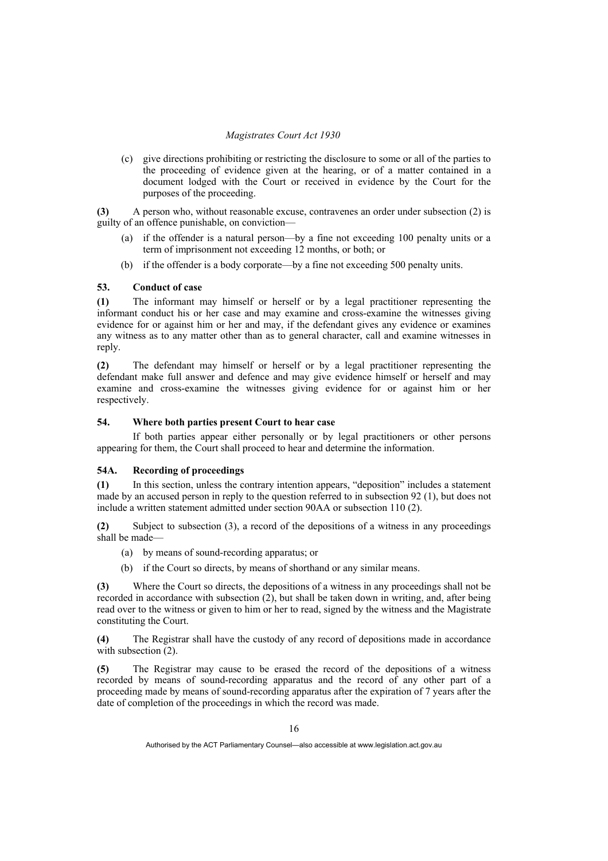(c) give directions prohibiting or restricting the disclosure to some or all of the parties to the proceeding of evidence given at the hearing, or of a matter contained in a document lodged with the Court or received in evidence by the Court for the purposes of the proceeding.

**(3)** A person who, without reasonable excuse, contravenes an order under subsection (2) is guilty of an offence punishable, on conviction—

- (a) if the offender is a natural person—by a fine not exceeding 100 penalty units or a term of imprisonment not exceeding 12 months, or both; or
- (b) if the offender is a body corporate—by a fine not exceeding 500 penalty units.

#### **53. Conduct of case**

**(1)** The informant may himself or herself or by a legal practitioner representing the informant conduct his or her case and may examine and cross-examine the witnesses giving evidence for or against him or her and may, if the defendant gives any evidence or examines any witness as to any matter other than as to general character, call and examine witnesses in reply.

**(2)** The defendant may himself or herself or by a legal practitioner representing the defendant make full answer and defence and may give evidence himself or herself and may examine and cross-examine the witnesses giving evidence for or against him or her respectively.

#### **54. Where both parties present Court to hear case**

 If both parties appear either personally or by legal practitioners or other persons appearing for them, the Court shall proceed to hear and determine the information.

#### **54A. Recording of proceedings**

**(1)** In this section, unless the contrary intention appears, "deposition" includes a statement made by an accused person in reply to the question referred to in subsection 92 (1), but does not include a written statement admitted under section 90AA or subsection 110 (2).

**(2)** Subject to subsection (3), a record of the depositions of a witness in any proceedings shall be made—

- (a) by means of sound-recording apparatus; or
- (b) if the Court so directs, by means of shorthand or any similar means.

**(3)** Where the Court so directs, the depositions of a witness in any proceedings shall not be recorded in accordance with subsection (2), but shall be taken down in writing, and, after being read over to the witness or given to him or her to read, signed by the witness and the Magistrate constituting the Court.

**(4)** The Registrar shall have the custody of any record of depositions made in accordance with subsection  $(2)$ .

**(5)** The Registrar may cause to be erased the record of the depositions of a witness recorded by means of sound-recording apparatus and the record of any other part of a proceeding made by means of sound-recording apparatus after the expiration of 7 years after the date of completion of the proceedings in which the record was made.

Authorised by the ACT Parliamentary Counsel—also accessible at www.legislation.act.gov.au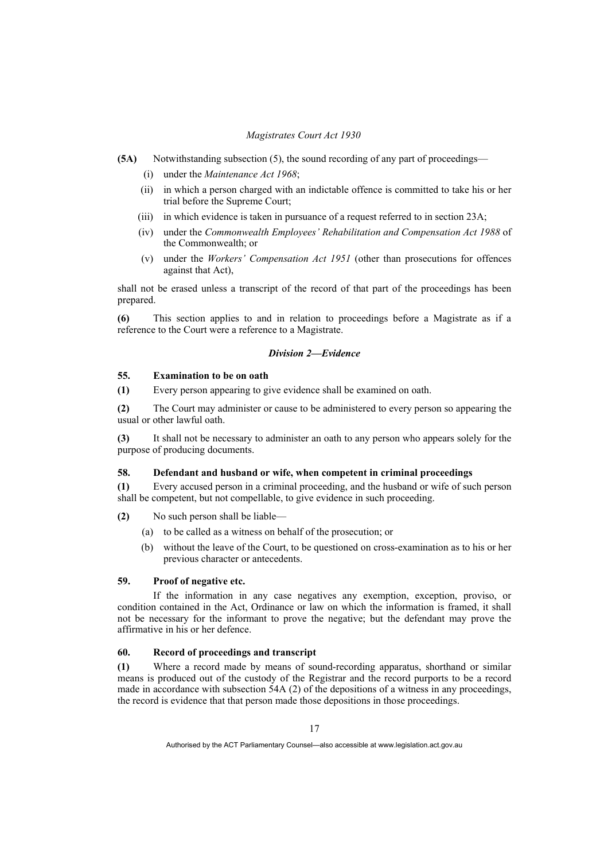- **(5A)** Notwithstanding subsection (5), the sound recording of any part of proceedings—
	- (i) under the *Maintenance Act 1968*;
	- (ii) in which a person charged with an indictable offence is committed to take his or her trial before the Supreme Court;
	- (iii) in which evidence is taken in pursuance of a request referred to in section 23A;
	- (iv) under the *Commonwealth Employees' Rehabilitation and Compensation Act 1988* of the Commonwealth; or
	- (v) under the *Workers' Compensation Act 1951* (other than prosecutions for offences against that Act),

shall not be erased unless a transcript of the record of that part of the proceedings has been prepared.

**(6)** This section applies to and in relation to proceedings before a Magistrate as if a reference to the Court were a reference to a Magistrate.

#### *Division 2—Evidence*

#### **55. Examination to be on oath**

**(1)** Every person appearing to give evidence shall be examined on oath.

**(2)** The Court may administer or cause to be administered to every person so appearing the usual or other lawful oath.

**(3)** It shall not be necessary to administer an oath to any person who appears solely for the purpose of producing documents.

#### **58. Defendant and husband or wife, when competent in criminal proceedings**

**(1)** Every accused person in a criminal proceeding, and the husband or wife of such person shall be competent, but not compellable, to give evidence in such proceeding.

**(2)** No such person shall be liable—

- (a) to be called as a witness on behalf of the prosecution; or
- (b) without the leave of the Court, to be questioned on cross-examination as to his or her previous character or antecedents.

#### **59. Proof of negative etc.**

 If the information in any case negatives any exemption, exception, proviso, or condition contained in the Act, Ordinance or law on which the information is framed, it shall not be necessary for the informant to prove the negative; but the defendant may prove the affirmative in his or her defence.

#### **60. Record of proceedings and transcript**

**(1)** Where a record made by means of sound-recording apparatus, shorthand or similar means is produced out of the custody of the Registrar and the record purports to be a record made in accordance with subsection 54A (2) of the depositions of a witness in any proceedings, the record is evidence that that person made those depositions in those proceedings.

Authorised by the ACT Parliamentary Counsel—also accessible at www.legislation.act.gov.au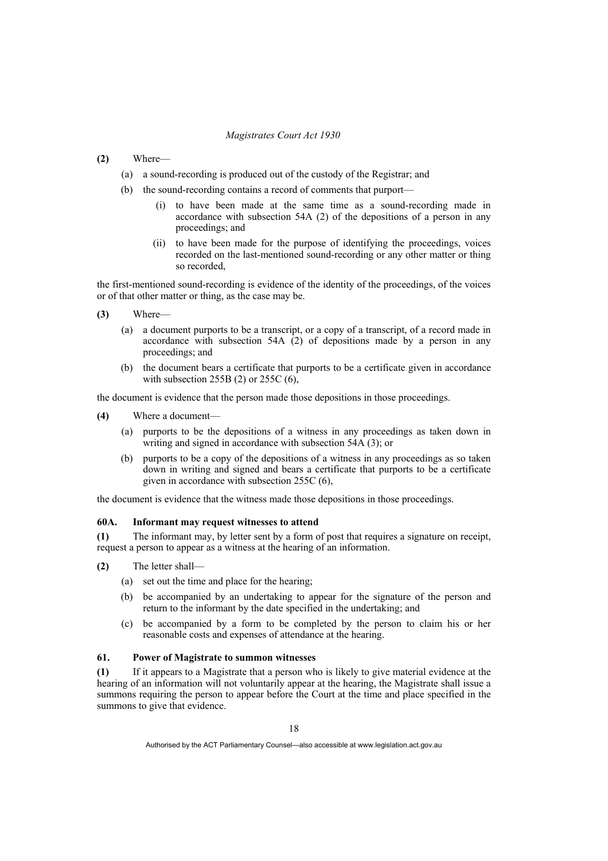- **(2)** Where—
	- (a) a sound-recording is produced out of the custody of the Registrar; and
	- (b) the sound-recording contains a record of comments that purport—
		- (i) to have been made at the same time as a sound-recording made in accordance with subsection 54A (2) of the depositions of a person in any proceedings; and
		- (ii) to have been made for the purpose of identifying the proceedings, voices recorded on the last-mentioned sound-recording or any other matter or thing so recorded,

the first-mentioned sound-recording is evidence of the identity of the proceedings, of the voices or of that other matter or thing, as the case may be.

- **(3)** Where—
	- (a) a document purports to be a transcript, or a copy of a transcript, of a record made in accordance with subsection 54A (2) of depositions made by a person in any proceedings; and
	- (b) the document bears a certificate that purports to be a certificate given in accordance with subsection 255B (2) or 255C (6),

the document is evidence that the person made those depositions in those proceedings.

- **(4)** Where a document—
	- (a) purports to be the depositions of a witness in any proceedings as taken down in writing and signed in accordance with subsection 54A (3); or
	- (b) purports to be a copy of the depositions of a witness in any proceedings as so taken down in writing and signed and bears a certificate that purports to be a certificate given in accordance with subsection 255C (6),

the document is evidence that the witness made those depositions in those proceedings.

#### **60A. Informant may request witnesses to attend**

**(1)** The informant may, by letter sent by a form of post that requires a signature on receipt, request a person to appear as a witness at the hearing of an information.

- **(2)** The letter shall—
	- (a) set out the time and place for the hearing;
	- (b) be accompanied by an undertaking to appear for the signature of the person and return to the informant by the date specified in the undertaking; and
	- (c) be accompanied by a form to be completed by the person to claim his or her reasonable costs and expenses of attendance at the hearing.

#### **61. Power of Magistrate to summon witnesses**

**(1)** If it appears to a Magistrate that a person who is likely to give material evidence at the hearing of an information will not voluntarily appear at the hearing, the Magistrate shall issue a summons requiring the person to appear before the Court at the time and place specified in the summons to give that evidence.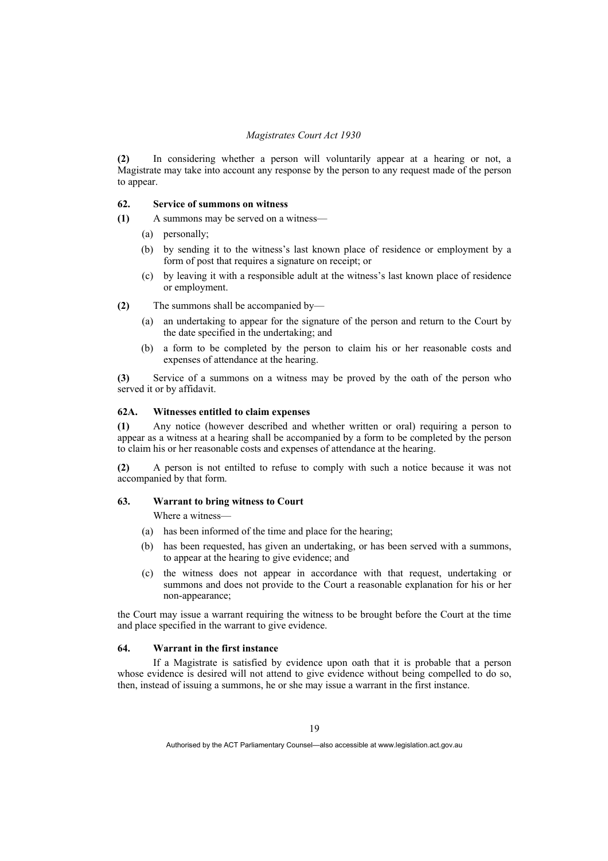**(2)** In considering whether a person will voluntarily appear at a hearing or not, a Magistrate may take into account any response by the person to any request made of the person to appear.

#### **62. Service of summons on witness**

**(1)** A summons may be served on a witness—

- (a) personally;
- (b) by sending it to the witness's last known place of residence or employment by a form of post that requires a signature on receipt; or
- (c) by leaving it with a responsible adult at the witness's last known place of residence or employment.
- **(2)** The summons shall be accompanied by—
	- (a) an undertaking to appear for the signature of the person and return to the Court by the date specified in the undertaking; and
	- (b) a form to be completed by the person to claim his or her reasonable costs and expenses of attendance at the hearing.

**(3)** Service of a summons on a witness may be proved by the oath of the person who served it or by affidavit.

#### **62A. Witnesses entitled to claim expenses**

**(1)** Any notice (however described and whether written or oral) requiring a person to appear as a witness at a hearing shall be accompanied by a form to be completed by the person to claim his or her reasonable costs and expenses of attendance at the hearing.

**(2)** A person is not entilted to refuse to comply with such a notice because it was not accompanied by that form.

#### **63. Warrant to bring witness to Court**

Where a witness—

- (a) has been informed of the time and place for the hearing;
- (b) has been requested, has given an undertaking, or has been served with a summons, to appear at the hearing to give evidence; and
- (c) the witness does not appear in accordance with that request, undertaking or summons and does not provide to the Court a reasonable explanation for his or her non-appearance;

the Court may issue a warrant requiring the witness to be brought before the Court at the time and place specified in the warrant to give evidence.

#### **64. Warrant in the first instance**

 If a Magistrate is satisfied by evidence upon oath that it is probable that a person whose evidence is desired will not attend to give evidence without being compelled to do so, then, instead of issuing a summons, he or she may issue a warrant in the first instance.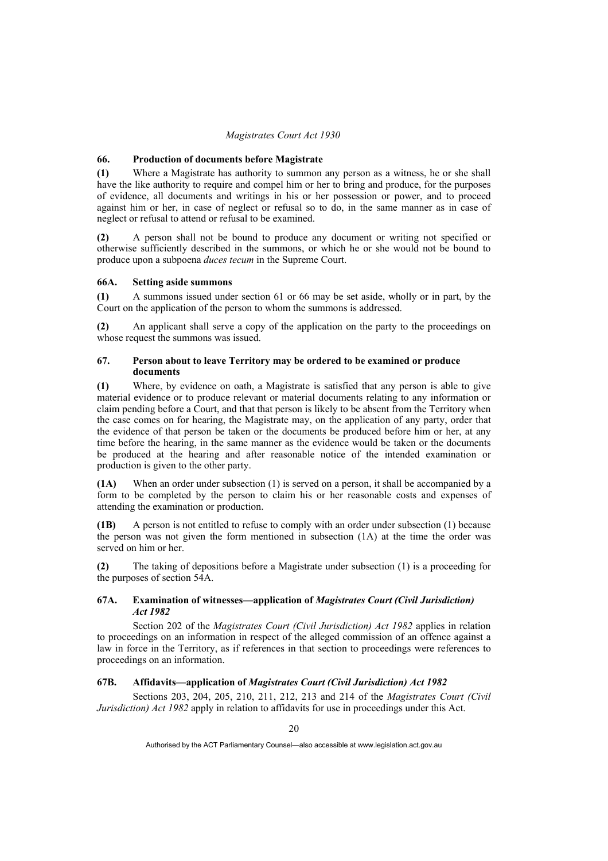#### **66. Production of documents before Magistrate**

**(1)** Where a Magistrate has authority to summon any person as a witness, he or she shall have the like authority to require and compel him or her to bring and produce, for the purposes of evidence, all documents and writings in his or her possession or power, and to proceed against him or her, in case of neglect or refusal so to do, in the same manner as in case of neglect or refusal to attend or refusal to be examined.

**(2)** A person shall not be bound to produce any document or writing not specified or otherwise sufficiently described in the summons, or which he or she would not be bound to produce upon a subpoena *duces tecum* in the Supreme Court.

#### **66A. Setting aside summons**

**(1)** A summons issued under section 61 or 66 may be set aside, wholly or in part, by the Court on the application of the person to whom the summons is addressed.

**(2)** An applicant shall serve a copy of the application on the party to the proceedings on whose request the summons was issued.

#### **67. Person about to leave Territory may be ordered to be examined or produce documents**

**(1)** Where, by evidence on oath, a Magistrate is satisfied that any person is able to give material evidence or to produce relevant or material documents relating to any information or claim pending before a Court, and that that person is likely to be absent from the Territory when the case comes on for hearing, the Magistrate may, on the application of any party, order that the evidence of that person be taken or the documents be produced before him or her, at any time before the hearing, in the same manner as the evidence would be taken or the documents be produced at the hearing and after reasonable notice of the intended examination or production is given to the other party.

**(1A)** When an order under subsection (1) is served on a person, it shall be accompanied by a form to be completed by the person to claim his or her reasonable costs and expenses of attending the examination or production.

**(1B)** A person is not entitled to refuse to comply with an order under subsection (1) because the person was not given the form mentioned in subsection (1A) at the time the order was served on him or her.

**(2)** The taking of depositions before a Magistrate under subsection (1) is a proceeding for the purposes of section 54A.

#### **67A. Examination of witnesses—application of** *Magistrates Court (Civil Jurisdiction) Act 1982*

 Section 202 of the *Magistrates Court (Civil Jurisdiction) Act 1982* applies in relation to proceedings on an information in respect of the alleged commission of an offence against a law in force in the Territory, as if references in that section to proceedings were references to proceedings on an information.

#### **67B. Affidavits—application of** *Magistrates Court (Civil Jurisdiction) Act 1982*

 Sections 203, 204, 205, 210, 211, 212, 213 and 214 of the *Magistrates Court (Civil Jurisdiction) Act 1982* apply in relation to affidavits for use in proceedings under this Act.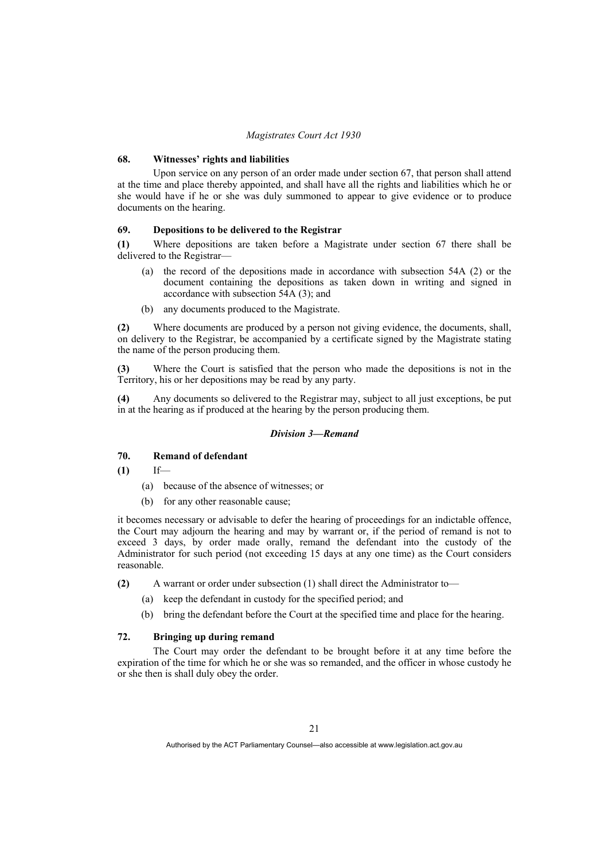#### **68. Witnesses' rights and liabilities**

 Upon service on any person of an order made under section 67, that person shall attend at the time and place thereby appointed, and shall have all the rights and liabilities which he or she would have if he or she was duly summoned to appear to give evidence or to produce documents on the hearing.

#### **69. Depositions to be delivered to the Registrar**

**(1)** Where depositions are taken before a Magistrate under section 67 there shall be delivered to the Registrar—

- (a) the record of the depositions made in accordance with subsection 54A (2) or the document containing the depositions as taken down in writing and signed in accordance with subsection 54A (3); and
- (b) any documents produced to the Magistrate.

**(2)** Where documents are produced by a person not giving evidence, the documents, shall, on delivery to the Registrar, be accompanied by a certificate signed by the Magistrate stating the name of the person producing them.

**(3)** Where the Court is satisfied that the person who made the depositions is not in the Territory, his or her depositions may be read by any party.

**(4)** Any documents so delivered to the Registrar may, subject to all just exceptions, be put in at the hearing as if produced at the hearing by the person producing them.

#### *Division 3—Remand*

#### **70. Remand of defendant**

**(1)** If—

- (a) because of the absence of witnesses; or
- (b) for any other reasonable cause;

it becomes necessary or advisable to defer the hearing of proceedings for an indictable offence, the Court may adjourn the hearing and may by warrant or, if the period of remand is not to exceed 3 days, by order made orally, remand the defendant into the custody of the Administrator for such period (not exceeding 15 days at any one time) as the Court considers reasonable.

**(2)** A warrant or order under subsection (1) shall direct the Administrator to—

- (a) keep the defendant in custody for the specified period; and
- (b) bring the defendant before the Court at the specified time and place for the hearing.

#### **72. Bringing up during remand**

 The Court may order the defendant to be brought before it at any time before the expiration of the time for which he or she was so remanded, and the officer in whose custody he or she then is shall duly obey the order.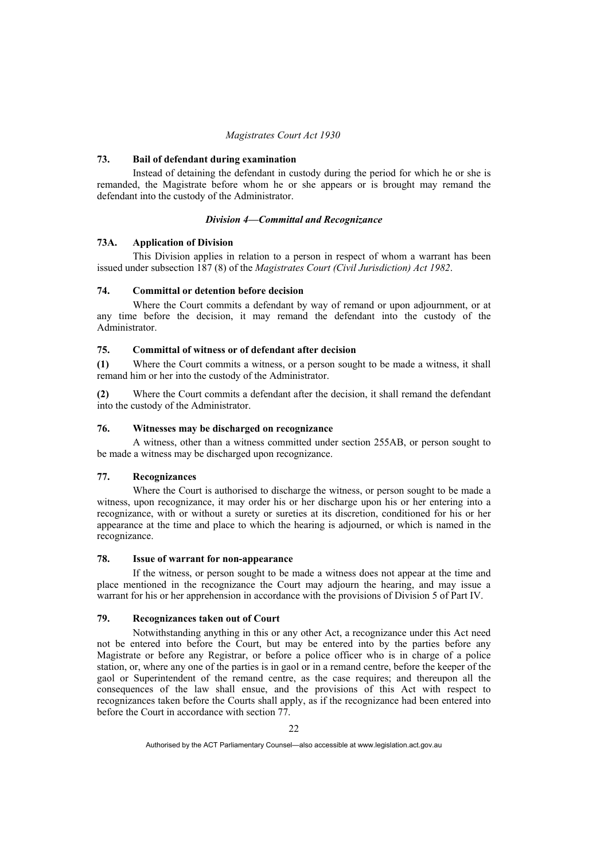#### **73. Bail of defendant during examination**

 Instead of detaining the defendant in custody during the period for which he or she is remanded, the Magistrate before whom he or she appears or is brought may remand the defendant into the custody of the Administrator.

#### *Division 4—Committal and Recognizance*

#### **73A. Application of Division**

 This Division applies in relation to a person in respect of whom a warrant has been issued under subsection 187 (8) of the *Magistrates Court (Civil Jurisdiction) Act 1982*.

#### **74. Committal or detention before decision**

 Where the Court commits a defendant by way of remand or upon adjournment, or at any time before the decision, it may remand the defendant into the custody of the Administrator.

#### **75. Committal of witness or of defendant after decision**

**(1)** Where the Court commits a witness, or a person sought to be made a witness, it shall remand him or her into the custody of the Administrator.

**(2)** Where the Court commits a defendant after the decision, it shall remand the defendant into the custody of the Administrator.

#### **76. Witnesses may be discharged on recognizance**

 A witness, other than a witness committed under section 255AB, or person sought to be made a witness may be discharged upon recognizance.

#### **77. Recognizances**

 Where the Court is authorised to discharge the witness, or person sought to be made a witness, upon recognizance, it may order his or her discharge upon his or her entering into a recognizance, with or without a surety or sureties at its discretion, conditioned for his or her appearance at the time and place to which the hearing is adjourned, or which is named in the recognizance.

#### **78. Issue of warrant for non-appearance**

 If the witness, or person sought to be made a witness does not appear at the time and place mentioned in the recognizance the Court may adjourn the hearing, and may issue a warrant for his or her apprehension in accordance with the provisions of Division 5 of Part IV.

#### **79. Recognizances taken out of Court**

 Notwithstanding anything in this or any other Act, a recognizance under this Act need not be entered into before the Court, but may be entered into by the parties before any Magistrate or before any Registrar, or before a police officer who is in charge of a police station, or, where any one of the parties is in gaol or in a remand centre, before the keeper of the gaol or Superintendent of the remand centre, as the case requires; and thereupon all the consequences of the law shall ensue, and the provisions of this Act with respect to recognizances taken before the Courts shall apply, as if the recognizance had been entered into before the Court in accordance with section 77.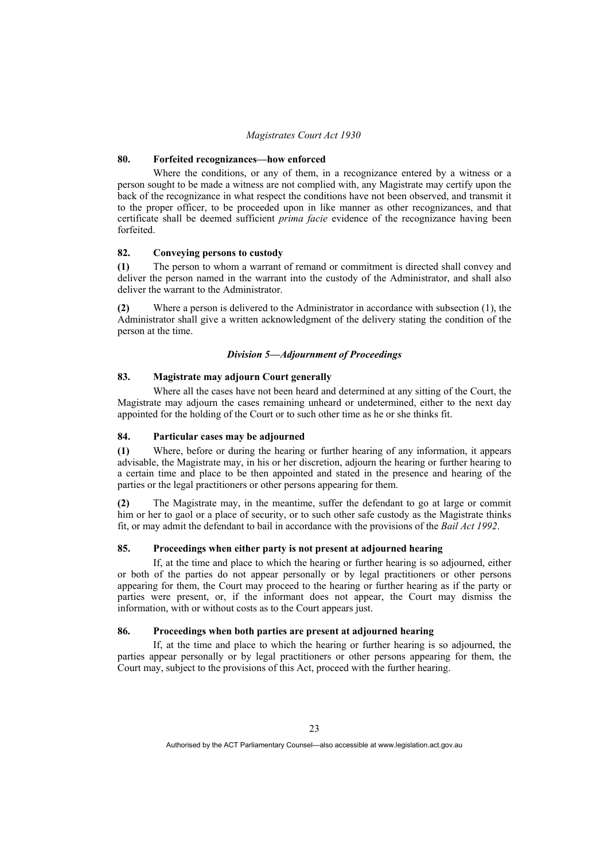#### **80. Forfeited recognizances—how enforced**

 Where the conditions, or any of them, in a recognizance entered by a witness or a person sought to be made a witness are not complied with, any Magistrate may certify upon the back of the recognizance in what respect the conditions have not been observed, and transmit it to the proper officer, to be proceeded upon in like manner as other recognizances, and that certificate shall be deemed sufficient *prima facie* evidence of the recognizance having been forfeited.

#### **82. Conveying persons to custody**

**(1)** The person to whom a warrant of remand or commitment is directed shall convey and deliver the person named in the warrant into the custody of the Administrator, and shall also deliver the warrant to the Administrator.

**(2)** Where a person is delivered to the Administrator in accordance with subsection (1), the Administrator shall give a written acknowledgment of the delivery stating the condition of the person at the time.

#### *Division 5—Adjournment of Proceedings*

#### **83. Magistrate may adjourn Court generally**

 Where all the cases have not been heard and determined at any sitting of the Court, the Magistrate may adjourn the cases remaining unheard or undetermined, either to the next day appointed for the holding of the Court or to such other time as he or she thinks fit.

#### **84. Particular cases may be adjourned**

**(1)** Where, before or during the hearing or further hearing of any information, it appears advisable, the Magistrate may, in his or her discretion, adjourn the hearing or further hearing to a certain time and place to be then appointed and stated in the presence and hearing of the parties or the legal practitioners or other persons appearing for them.

**(2)** The Magistrate may, in the meantime, suffer the defendant to go at large or commit him or her to gaol or a place of security, or to such other safe custody as the Magistrate thinks fit, or may admit the defendant to bail in accordance with the provisions of the *Bail Act 1992*.

#### **85. Proceedings when either party is not present at adjourned hearing**

 If, at the time and place to which the hearing or further hearing is so adjourned, either or both of the parties do not appear personally or by legal practitioners or other persons appearing for them, the Court may proceed to the hearing or further hearing as if the party or parties were present, or, if the informant does not appear, the Court may dismiss the information, with or without costs as to the Court appears just.

#### **86. Proceedings when both parties are present at adjourned hearing**

 If, at the time and place to which the hearing or further hearing is so adjourned, the parties appear personally or by legal practitioners or other persons appearing for them, the Court may, subject to the provisions of this Act, proceed with the further hearing.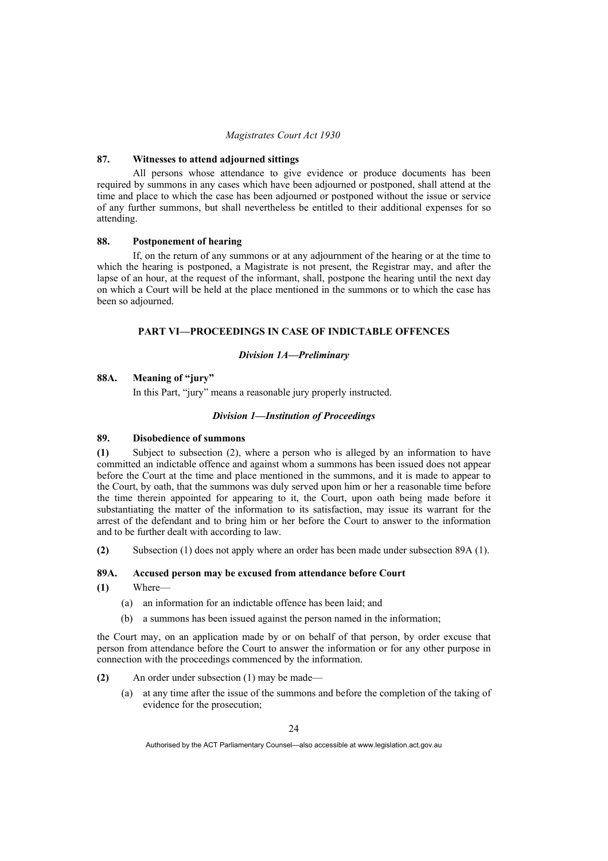#### **87. Witnesses to attend adjourned sittings**

 All persons whose attendance to give evidence or produce documents has been required by summons in any cases which have been adjourned or postponed, shall attend at the time and place to which the case has been adjourned or postponed without the issue or service of any further summons, but shall nevertheless be entitled to their additional expenses for so attending.

#### **88. Postponement of hearing**

 If, on the return of any summons or at any adjournment of the hearing or at the time to which the hearing is postponed, a Magistrate is not present, the Registrar may, and after the lapse of an hour, at the request of the informant, shall, postpone the hearing until the next day on which a Court will be held at the place mentioned in the summons or to which the case has been so adjourned.

### **PART VI—PROCEEDINGS IN CASE OF INDICTABLE OFFENCES**

#### *Division 1A—Preliminary*

#### **88A. Meaning of "jury"**

In this Part, "jury" means a reasonable jury properly instructed.

#### *Division 1—Institution of Proceedings*

#### **89. Disobedience of summons**

**(1)** Subject to subsection (2), where a person who is alleged by an information to have committed an indictable offence and against whom a summons has been issued does not appear before the Court at the time and place mentioned in the summons, and it is made to appear to the Court, by oath, that the summons was duly served upon him or her a reasonable time before the time therein appointed for appearing to it, the Court, upon oath being made before it substantiating the matter of the information to its satisfaction, may issue its warrant for the arrest of the defendant and to bring him or her before the Court to answer to the information and to be further dealt with according to law.

**(2)** Subsection (1) does not apply where an order has been made under subsection 89A (1).

#### **89A. Accused person may be excused from attendance before Court**

- **(1)** Where—
	- (a) an information for an indictable offence has been laid; and
	- (b) a summons has been issued against the person named in the information;

the Court may, on an application made by or on behalf of that person, by order excuse that person from attendance before the Court to answer the information or for any other purpose in connection with the proceedings commenced by the information.

- **(2)** An order under subsection (1) may be made—
	- (a) at any time after the issue of the summons and before the completion of the taking of evidence for the prosecution;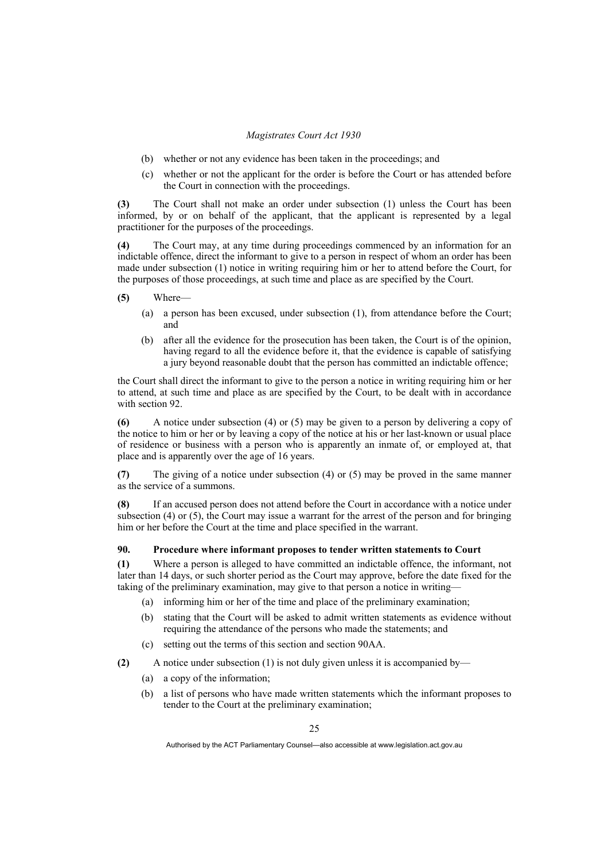- (b) whether or not any evidence has been taken in the proceedings; and
- (c) whether or not the applicant for the order is before the Court or has attended before the Court in connection with the proceedings.

**(3)** The Court shall not make an order under subsection (1) unless the Court has been informed, by or on behalf of the applicant, that the applicant is represented by a legal practitioner for the purposes of the proceedings.

**(4)** The Court may, at any time during proceedings commenced by an information for an indictable offence, direct the informant to give to a person in respect of whom an order has been made under subsection (1) notice in writing requiring him or her to attend before the Court, for the purposes of those proceedings, at such time and place as are specified by the Court.

- **(5)** Where—
	- (a) a person has been excused, under subsection (1), from attendance before the Court; and
	- (b) after all the evidence for the prosecution has been taken, the Court is of the opinion, having regard to all the evidence before it, that the evidence is capable of satisfying a jury beyond reasonable doubt that the person has committed an indictable offence;

the Court shall direct the informant to give to the person a notice in writing requiring him or her to attend, at such time and place as are specified by the Court, to be dealt with in accordance with section 92.

**(6)** A notice under subsection (4) or (5) may be given to a person by delivering a copy of the notice to him or her or by leaving a copy of the notice at his or her last-known or usual place of residence or business with a person who is apparently an inmate of, or employed at, that place and is apparently over the age of 16 years.

**(7)** The giving of a notice under subsection (4) or (5) may be proved in the same manner as the service of a summons.

**(8)** If an accused person does not attend before the Court in accordance with a notice under subsection (4) or (5), the Court may issue a warrant for the arrest of the person and for bringing him or her before the Court at the time and place specified in the warrant.

# **90. Procedure where informant proposes to tender written statements to Court**

**(1)** Where a person is alleged to have committed an indictable offence, the informant, not later than 14 days, or such shorter period as the Court may approve, before the date fixed for the taking of the preliminary examination, may give to that person a notice in writing—

- (a) informing him or her of the time and place of the preliminary examination;
- (b) stating that the Court will be asked to admit written statements as evidence without requiring the attendance of the persons who made the statements; and
- (c) setting out the terms of this section and section 90AA.

**(2)** A notice under subsection (1) is not duly given unless it is accompanied by—

- (a) a copy of the information;
- (b) a list of persons who have made written statements which the informant proposes to tender to the Court at the preliminary examination;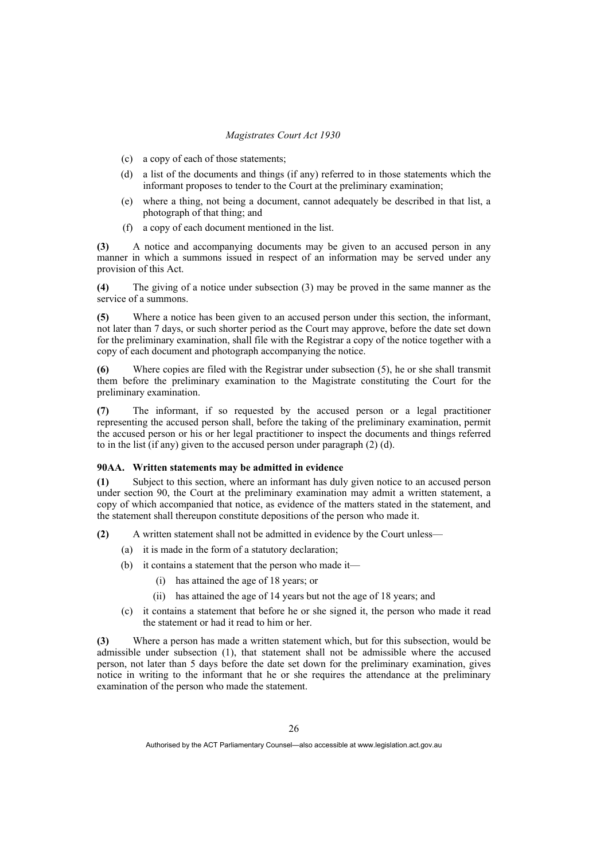- (c) a copy of each of those statements;
- (d) a list of the documents and things (if any) referred to in those statements which the informant proposes to tender to the Court at the preliminary examination;
- (e) where a thing, not being a document, cannot adequately be described in that list, a photograph of that thing; and
- (f) a copy of each document mentioned in the list.

**(3)** A notice and accompanying documents may be given to an accused person in any manner in which a summons issued in respect of an information may be served under any provision of this Act.

**(4)** The giving of a notice under subsection (3) may be proved in the same manner as the service of a summons.

**(5)** Where a notice has been given to an accused person under this section, the informant, not later than 7 days, or such shorter period as the Court may approve, before the date set down for the preliminary examination, shall file with the Registrar a copy of the notice together with a copy of each document and photograph accompanying the notice.

**(6)** Where copies are filed with the Registrar under subsection (5), he or she shall transmit them before the preliminary examination to the Magistrate constituting the Court for the preliminary examination.

**(7)** The informant, if so requested by the accused person or a legal practitioner representing the accused person shall, before the taking of the preliminary examination, permit the accused person or his or her legal practitioner to inspect the documents and things referred to in the list (if any) given to the accused person under paragraph (2) (d).

## **90AA. Written statements may be admitted in evidence**

**(1)** Subject to this section, where an informant has duly given notice to an accused person under section 90, the Court at the preliminary examination may admit a written statement, a copy of which accompanied that notice, as evidence of the matters stated in the statement, and the statement shall thereupon constitute depositions of the person who made it.

- **(2)** A written statement shall not be admitted in evidence by the Court unless—
	- (a) it is made in the form of a statutory declaration;
	- (b) it contains a statement that the person who made it—
		- (i) has attained the age of 18 years; or
		- (ii) has attained the age of 14 years but not the age of 18 years; and
	- (c) it contains a statement that before he or she signed it, the person who made it read the statement or had it read to him or her.

**(3)** Where a person has made a written statement which, but for this subsection, would be admissible under subsection (1), that statement shall not be admissible where the accused person, not later than 5 days before the date set down for the preliminary examination, gives notice in writing to the informant that he or she requires the attendance at the preliminary examination of the person who made the statement.

Authorised by the ACT Parliamentary Counsel—also accessible at www.legislation.act.gov.au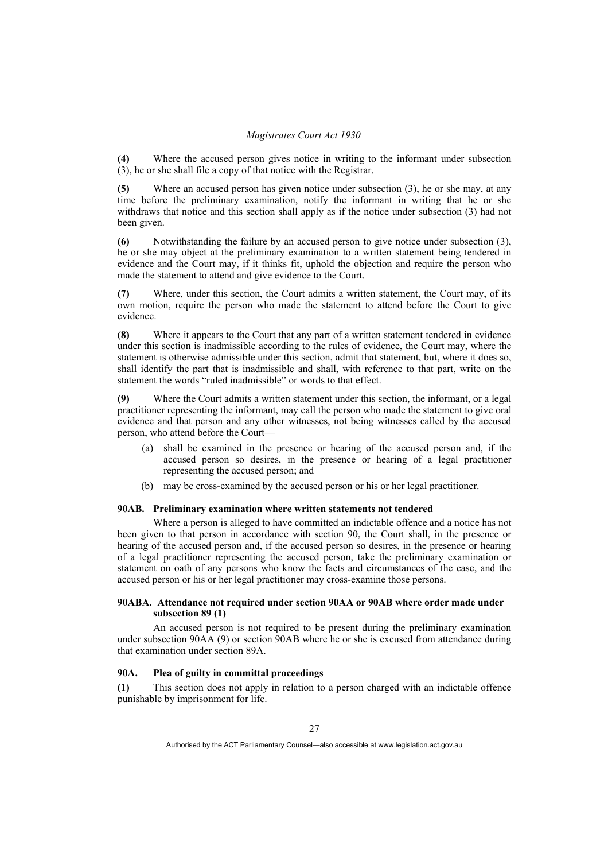**(4)** Where the accused person gives notice in writing to the informant under subsection (3), he or she shall file a copy of that notice with the Registrar.

**(5)** Where an accused person has given notice under subsection (3), he or she may, at any time before the preliminary examination, notify the informant in writing that he or she withdraws that notice and this section shall apply as if the notice under subsection (3) had not been given.

**(6)** Notwithstanding the failure by an accused person to give notice under subsection (3), he or she may object at the preliminary examination to a written statement being tendered in evidence and the Court may, if it thinks fit, uphold the objection and require the person who made the statement to attend and give evidence to the Court.

**(7)** Where, under this section, the Court admits a written statement, the Court may, of its own motion, require the person who made the statement to attend before the Court to give evidence.

**(8)** Where it appears to the Court that any part of a written statement tendered in evidence under this section is inadmissible according to the rules of evidence, the Court may, where the statement is otherwise admissible under this section, admit that statement, but, where it does so, shall identify the part that is inadmissible and shall, with reference to that part, write on the statement the words "ruled inadmissible" or words to that effect.

**(9)** Where the Court admits a written statement under this section, the informant, or a legal practitioner representing the informant, may call the person who made the statement to give oral evidence and that person and any other witnesses, not being witnesses called by the accused person, who attend before the Court—

- (a) shall be examined in the presence or hearing of the accused person and, if the accused person so desires, in the presence or hearing of a legal practitioner representing the accused person; and
- (b) may be cross-examined by the accused person or his or her legal practitioner.

# **90AB. Preliminary examination where written statements not tendered**

 Where a person is alleged to have committed an indictable offence and a notice has not been given to that person in accordance with section 90, the Court shall, in the presence or hearing of the accused person and, if the accused person so desires, in the presence or hearing of a legal practitioner representing the accused person, take the preliminary examination or statement on oath of any persons who know the facts and circumstances of the case, and the accused person or his or her legal practitioner may cross-examine those persons.

## **90ABA. Attendance not required under section 90AA or 90AB where order made under subsection 89 (1)**

 An accused person is not required to be present during the preliminary examination under subsection 90AA (9) or section 90AB where he or she is excused from attendance during that examination under section 89A.

## **90A. Plea of guilty in committal proceedings**

**(1)** This section does not apply in relation to a person charged with an indictable offence punishable by imprisonment for life.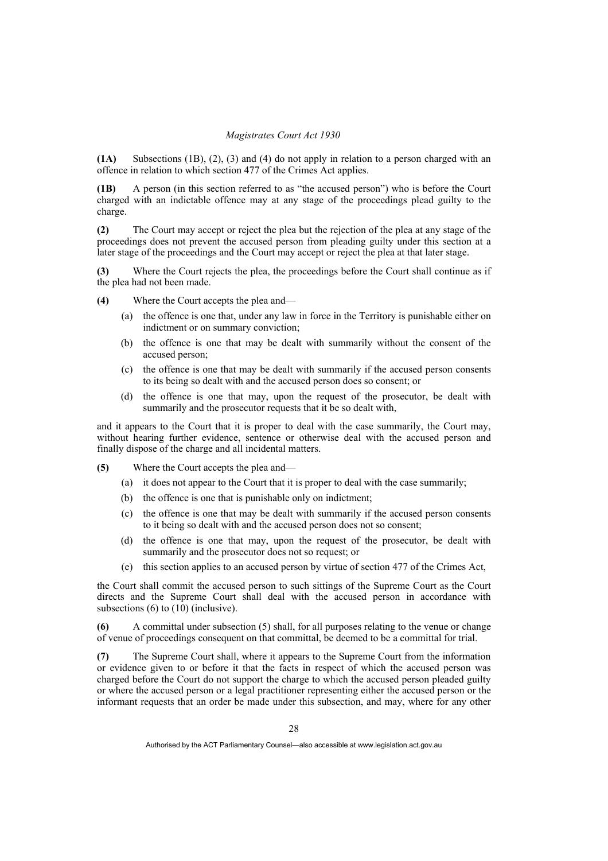**(1A)** Subsections (1B), (2), (3) and (4) do not apply in relation to a person charged with an offence in relation to which section 477 of the Crimes Act applies.

**(1B)** A person (in this section referred to as "the accused person") who is before the Court charged with an indictable offence may at any stage of the proceedings plead guilty to the charge.

**(2)** The Court may accept or reject the plea but the rejection of the plea at any stage of the proceedings does not prevent the accused person from pleading guilty under this section at a later stage of the proceedings and the Court may accept or reject the plea at that later stage.

**(3)** Where the Court rejects the plea, the proceedings before the Court shall continue as if the plea had not been made.

- **(4)** Where the Court accepts the plea and—
	- (a) the offence is one that, under any law in force in the Territory is punishable either on indictment or on summary conviction;
	- (b) the offence is one that may be dealt with summarily without the consent of the accused person;
	- (c) the offence is one that may be dealt with summarily if the accused person consents to its being so dealt with and the accused person does so consent; or
	- (d) the offence is one that may, upon the request of the prosecutor, be dealt with summarily and the prosecutor requests that it be so dealt with,

and it appears to the Court that it is proper to deal with the case summarily, the Court may, without hearing further evidence, sentence or otherwise deal with the accused person and finally dispose of the charge and all incidental matters.

- **(5)** Where the Court accepts the plea and—
	- (a) it does not appear to the Court that it is proper to deal with the case summarily;
	- (b) the offence is one that is punishable only on indictment;
	- (c) the offence is one that may be dealt with summarily if the accused person consents to it being so dealt with and the accused person does not so consent;
	- (d) the offence is one that may, upon the request of the prosecutor, be dealt with summarily and the prosecutor does not so request; or
	- (e) this section applies to an accused person by virtue of section 477 of the Crimes Act,

the Court shall commit the accused person to such sittings of the Supreme Court as the Court directs and the Supreme Court shall deal with the accused person in accordance with subsections (6) to (10) (inclusive).

**(6)** A committal under subsection (5) shall, for all purposes relating to the venue or change of venue of proceedings consequent on that committal, be deemed to be a committal for trial.

**(7)** The Supreme Court shall, where it appears to the Supreme Court from the information or evidence given to or before it that the facts in respect of which the accused person was charged before the Court do not support the charge to which the accused person pleaded guilty or where the accused person or a legal practitioner representing either the accused person or the informant requests that an order be made under this subsection, and may, where for any other

Authorised by the ACT Parliamentary Counsel—also accessible at www.legislation.act.gov.au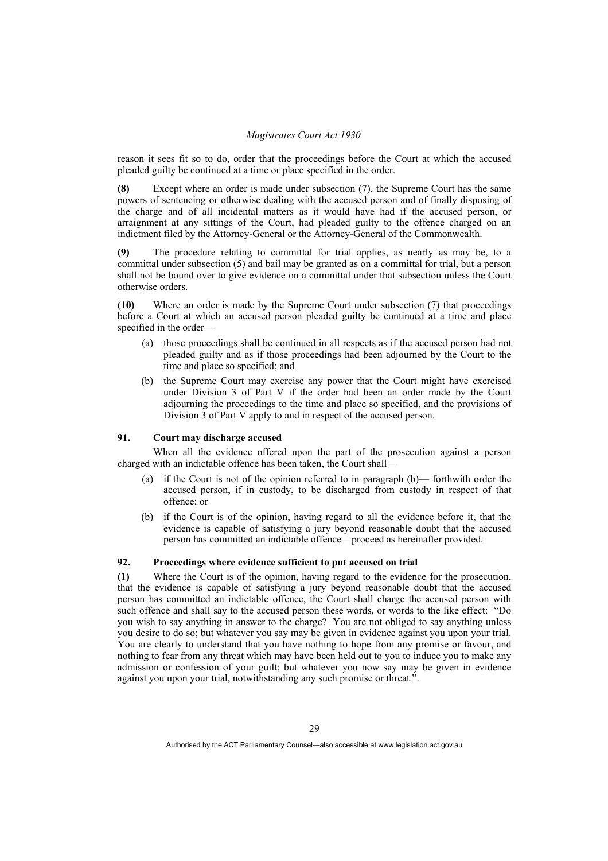reason it sees fit so to do, order that the proceedings before the Court at which the accused pleaded guilty be continued at a time or place specified in the order.

**(8)** Except where an order is made under subsection (7), the Supreme Court has the same powers of sentencing or otherwise dealing with the accused person and of finally disposing of the charge and of all incidental matters as it would have had if the accused person, or arraignment at any sittings of the Court, had pleaded guilty to the offence charged on an indictment filed by the Attorney-General or the Attorney-General of the Commonwealth.

**(9)** The procedure relating to committal for trial applies, as nearly as may be, to a committal under subsection (5) and bail may be granted as on a committal for trial, but a person shall not be bound over to give evidence on a committal under that subsection unless the Court otherwise orders.

**(10)** Where an order is made by the Supreme Court under subsection (7) that proceedings before a Court at which an accused person pleaded guilty be continued at a time and place specified in the order—

- (a) those proceedings shall be continued in all respects as if the accused person had not pleaded guilty and as if those proceedings had been adjourned by the Court to the time and place so specified; and
- the Supreme Court may exercise any power that the Court might have exercised under Division 3 of Part V if the order had been an order made by the Court adjourning the proceedings to the time and place so specified, and the provisions of Division 3 of Part V apply to and in respect of the accused person.

## **91. Court may discharge accused**

 When all the evidence offered upon the part of the prosecution against a person charged with an indictable offence has been taken, the Court shall—

- (a) if the Court is not of the opinion referred to in paragraph (b)— forthwith order the accused person, if in custody, to be discharged from custody in respect of that offence; or
- (b) if the Court is of the opinion, having regard to all the evidence before it, that the evidence is capable of satisfying a jury beyond reasonable doubt that the accused person has committed an indictable offence—proceed as hereinafter provided.

## **92. Proceedings where evidence sufficient to put accused on trial**

**(1)** Where the Court is of the opinion, having regard to the evidence for the prosecution, that the evidence is capable of satisfying a jury beyond reasonable doubt that the accused person has committed an indictable offence, the Court shall charge the accused person with such offence and shall say to the accused person these words, or words to the like effect: "Do you wish to say anything in answer to the charge? You are not obliged to say anything unless you desire to do so; but whatever you say may be given in evidence against you upon your trial. You are clearly to understand that you have nothing to hope from any promise or favour, and nothing to fear from any threat which may have been held out to you to induce you to make any admission or confession of your guilt; but whatever you now say may be given in evidence against you upon your trial, notwithstanding any such promise or threat.".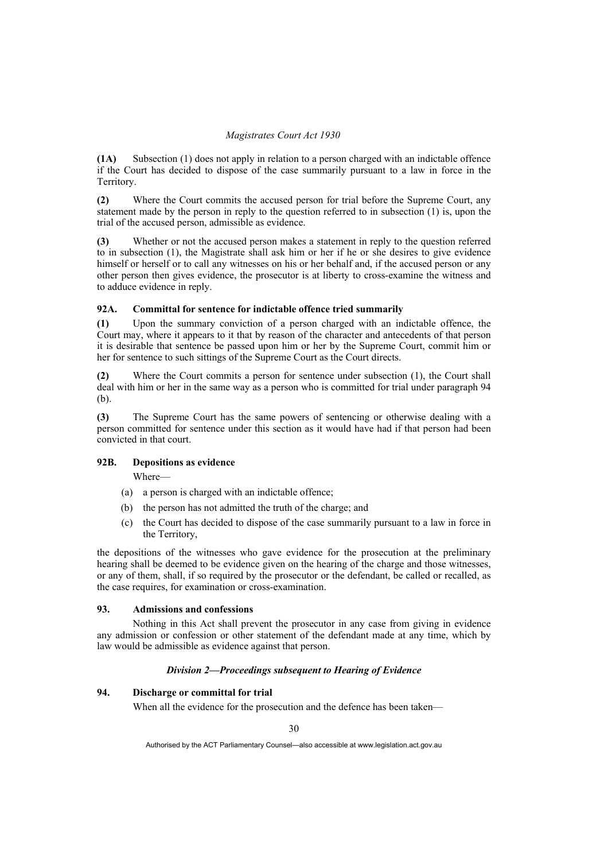**(1A)** Subsection (1) does not apply in relation to a person charged with an indictable offence if the Court has decided to dispose of the case summarily pursuant to a law in force in the Territory.

**(2)** Where the Court commits the accused person for trial before the Supreme Court, any statement made by the person in reply to the question referred to in subsection (1) is, upon the trial of the accused person, admissible as evidence.

**(3)** Whether or not the accused person makes a statement in reply to the question referred to in subsection (1), the Magistrate shall ask him or her if he or she desires to give evidence himself or herself or to call any witnesses on his or her behalf and, if the accused person or any other person then gives evidence, the prosecutor is at liberty to cross-examine the witness and to adduce evidence in reply.

## **92A. Committal for sentence for indictable offence tried summarily**

**(1)** Upon the summary conviction of a person charged with an indictable offence, the Court may, where it appears to it that by reason of the character and antecedents of that person it is desirable that sentence be passed upon him or her by the Supreme Court, commit him or her for sentence to such sittings of the Supreme Court as the Court directs.

**(2)** Where the Court commits a person for sentence under subsection (1), the Court shall deal with him or her in the same way as a person who is committed for trial under paragraph 94 (b).

**(3)** The Supreme Court has the same powers of sentencing or otherwise dealing with a person committed for sentence under this section as it would have had if that person had been convicted in that court.

# **92B. Depositions as evidence**

Where—

- (a) a person is charged with an indictable offence;
- (b) the person has not admitted the truth of the charge; and
- (c) the Court has decided to dispose of the case summarily pursuant to a law in force in the Territory,

the depositions of the witnesses who gave evidence for the prosecution at the preliminary hearing shall be deemed to be evidence given on the hearing of the charge and those witnesses, or any of them, shall, if so required by the prosecutor or the defendant, be called or recalled, as the case requires, for examination or cross-examination.

## **93. Admissions and confessions**

 Nothing in this Act shall prevent the prosecutor in any case from giving in evidence any admission or confession or other statement of the defendant made at any time, which by law would be admissible as evidence against that person.

## *Division 2—Proceedings subsequent to Hearing of Evidence*

## **94. Discharge or committal for trial**

When all the evidence for the prosecution and the defence has been taken—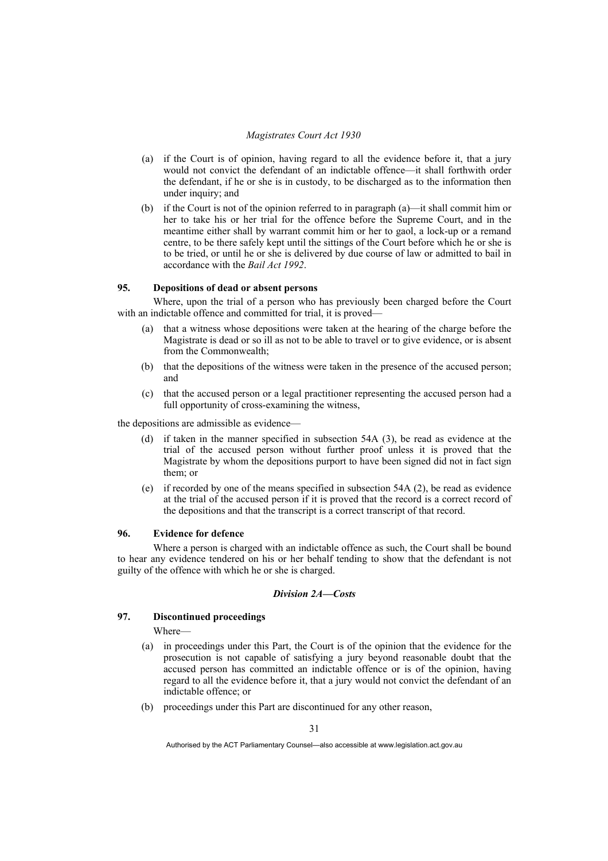- (a) if the Court is of opinion, having regard to all the evidence before it, that a jury would not convict the defendant of an indictable offence—it shall forthwith order the defendant, if he or she is in custody, to be discharged as to the information then under inquiry; and
- (b) if the Court is not of the opinion referred to in paragraph (a)—it shall commit him or her to take his or her trial for the offence before the Supreme Court, and in the meantime either shall by warrant commit him or her to gaol, a lock-up or a remand centre, to be there safely kept until the sittings of the Court before which he or she is to be tried, or until he or she is delivered by due course of law or admitted to bail in accordance with the *Bail Act 1992*.

# **95. Depositions of dead or absent persons**

 Where, upon the trial of a person who has previously been charged before the Court with an indictable offence and committed for trial, it is proved—

- (a) that a witness whose depositions were taken at the hearing of the charge before the Magistrate is dead or so ill as not to be able to travel or to give evidence, or is absent from the Commonwealth;
- (b) that the depositions of the witness were taken in the presence of the accused person; and
- (c) that the accused person or a legal practitioner representing the accused person had a full opportunity of cross-examining the witness,

the depositions are admissible as evidence—

- (d) if taken in the manner specified in subsection 54A (3), be read as evidence at the trial of the accused person without further proof unless it is proved that the Magistrate by whom the depositions purport to have been signed did not in fact sign them; or
- (e) if recorded by one of the means specified in subsection 54A (2), be read as evidence at the trial of the accused person if it is proved that the record is a correct record of the depositions and that the transcript is a correct transcript of that record.

#### **96. Evidence for defence**

 Where a person is charged with an indictable offence as such, the Court shall be bound to hear any evidence tendered on his or her behalf tending to show that the defendant is not guilty of the offence with which he or she is charged.

### *Division 2A—Costs*

#### **97. Discontinued proceedings**

Where—

- (a) in proceedings under this Part, the Court is of the opinion that the evidence for the prosecution is not capable of satisfying a jury beyond reasonable doubt that the accused person has committed an indictable offence or is of the opinion, having regard to all the evidence before it, that a jury would not convict the defendant of an indictable offence; or
- (b) proceedings under this Part are discontinued for any other reason,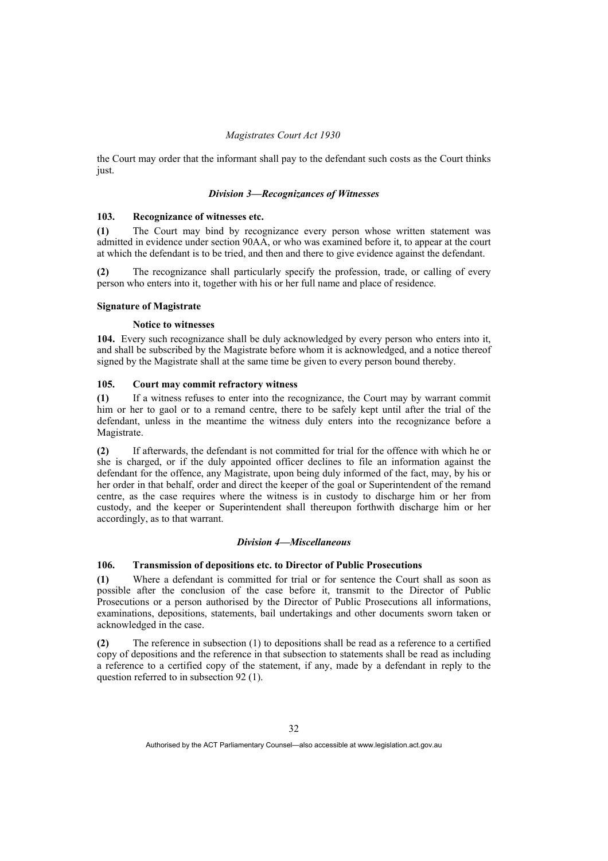the Court may order that the informant shall pay to the defendant such costs as the Court thinks just.

### *Division 3—Recognizances of Witnesses*

## **103. Recognizance of witnesses etc.**

**(1)** The Court may bind by recognizance every person whose written statement was admitted in evidence under section 90AA, or who was examined before it, to appear at the court at which the defendant is to be tried, and then and there to give evidence against the defendant.

**(2)** The recognizance shall particularly specify the profession, trade, or calling of every person who enters into it, together with his or her full name and place of residence.

## **Signature of Magistrate**

### **Notice to witnesses**

**104.** Every such recognizance shall be duly acknowledged by every person who enters into it, and shall be subscribed by the Magistrate before whom it is acknowledged, and a notice thereof signed by the Magistrate shall at the same time be given to every person bound thereby.

### **105. Court may commit refractory witness**

**(1)** If a witness refuses to enter into the recognizance, the Court may by warrant commit him or her to gaol or to a remand centre, there to be safely kept until after the trial of the defendant, unless in the meantime the witness duly enters into the recognizance before a Magistrate.

**(2)** If afterwards, the defendant is not committed for trial for the offence with which he or she is charged, or if the duly appointed officer declines to file an information against the defendant for the offence, any Magistrate, upon being duly informed of the fact, may, by his or her order in that behalf, order and direct the keeper of the goal or Superintendent of the remand centre, as the case requires where the witness is in custody to discharge him or her from custody, and the keeper or Superintendent shall thereupon forthwith discharge him or her accordingly, as to that warrant.

### *Division 4—Miscellaneous*

# **106. Transmission of depositions etc. to Director of Public Prosecutions**

**(1)** Where a defendant is committed for trial or for sentence the Court shall as soon as possible after the conclusion of the case before it, transmit to the Director of Public Prosecutions or a person authorised by the Director of Public Prosecutions all informations, examinations, depositions, statements, bail undertakings and other documents sworn taken or acknowledged in the case.

**(2)** The reference in subsection (1) to depositions shall be read as a reference to a certified copy of depositions and the reference in that subsection to statements shall be read as including a reference to a certified copy of the statement, if any, made by a defendant in reply to the question referred to in subsection 92 (1).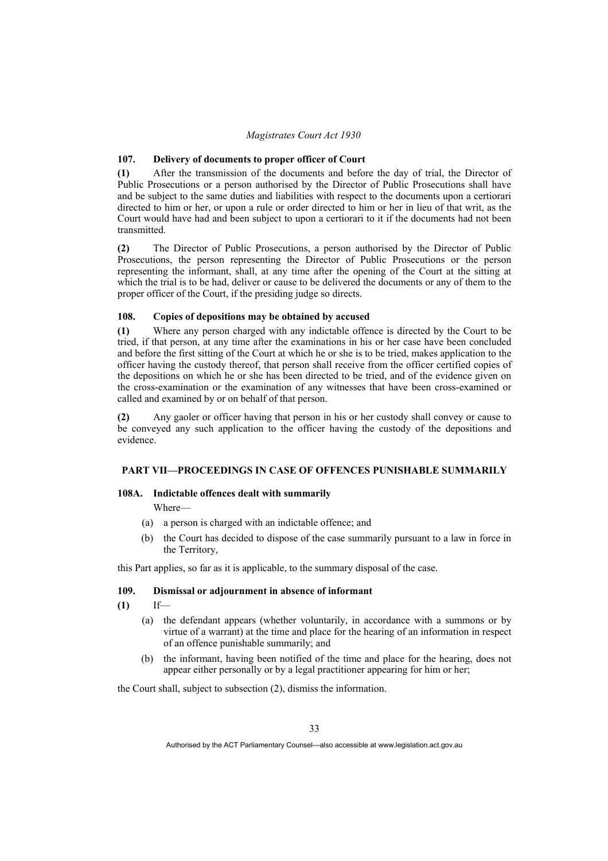## **107. Delivery of documents to proper officer of Court**

**(1)** After the transmission of the documents and before the day of trial, the Director of Public Prosecutions or a person authorised by the Director of Public Prosecutions shall have and be subject to the same duties and liabilities with respect to the documents upon a certiorari directed to him or her, or upon a rule or order directed to him or her in lieu of that writ, as the Court would have had and been subject to upon a certiorari to it if the documents had not been transmitted.

**(2)** The Director of Public Prosecutions, a person authorised by the Director of Public Prosecutions, the person representing the Director of Public Prosecutions or the person representing the informant, shall, at any time after the opening of the Court at the sitting at which the trial is to be had, deliver or cause to be delivered the documents or any of them to the proper officer of the Court, if the presiding judge so directs.

### **108. Copies of depositions may be obtained by accused**

**(1)** Where any person charged with any indictable offence is directed by the Court to be tried, if that person, at any time after the examinations in his or her case have been concluded and before the first sitting of the Court at which he or she is to be tried, makes application to the officer having the custody thereof, that person shall receive from the officer certified copies of the depositions on which he or she has been directed to be tried, and of the evidence given on the cross-examination or the examination of any witnesses that have been cross-examined or called and examined by or on behalf of that person.

**(2)** Any gaoler or officer having that person in his or her custody shall convey or cause to be conveyed any such application to the officer having the custody of the depositions and evidence.

### **PART VII—PROCEEDINGS IN CASE OF OFFENCES PUNISHABLE SUMMARILY**

### **108A. Indictable offences dealt with summarily**

Where—

- (a) a person is charged with an indictable offence; and
- (b) the Court has decided to dispose of the case summarily pursuant to a law in force in the Territory,

this Part applies, so far as it is applicable, to the summary disposal of the case.

### **109. Dismissal or adjournment in absence of informant**

**(1)** If—

- (a) the defendant appears (whether voluntarily, in accordance with a summons or by virtue of a warrant) at the time and place for the hearing of an information in respect of an offence punishable summarily; and
- (b) the informant, having been notified of the time and place for the hearing, does not appear either personally or by a legal practitioner appearing for him or her;

the Court shall, subject to subsection (2), dismiss the information.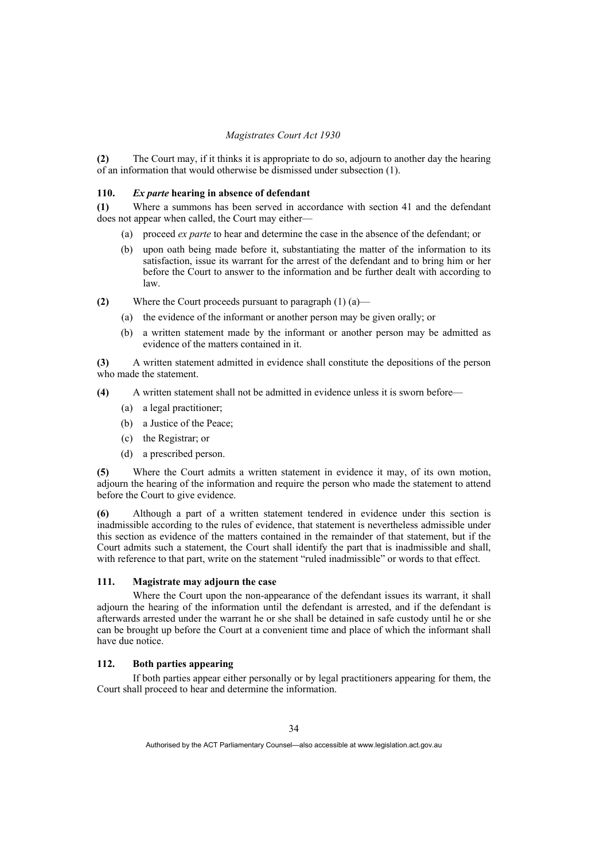**(2)** The Court may, if it thinks it is appropriate to do so, adjourn to another day the hearing of an information that would otherwise be dismissed under subsection (1).

### **110.** *Ex parte* **hearing in absence of defendant**

**(1)** Where a summons has been served in accordance with section 41 and the defendant does not appear when called, the Court may either—

- (a) proceed *ex parte* to hear and determine the case in the absence of the defendant; or
- (b) upon oath being made before it, substantiating the matter of the information to its satisfaction, issue its warrant for the arrest of the defendant and to bring him or her before the Court to answer to the information and be further dealt with according to law.
- **(2)** Where the Court proceeds pursuant to paragraph (1) (a)—
	- (a) the evidence of the informant or another person may be given orally; or
	- (b) a written statement made by the informant or another person may be admitted as evidence of the matters contained in it.

**(3)** A written statement admitted in evidence shall constitute the depositions of the person who made the statement.

- **(4)** A written statement shall not be admitted in evidence unless it is sworn before—
	- (a) a legal practitioner;
	- (b) a Justice of the Peace;
	- (c) the Registrar; or
	- (d) a prescribed person.

**(5)** Where the Court admits a written statement in evidence it may, of its own motion, adjourn the hearing of the information and require the person who made the statement to attend before the Court to give evidence.

**(6)** Although a part of a written statement tendered in evidence under this section is inadmissible according to the rules of evidence, that statement is nevertheless admissible under this section as evidence of the matters contained in the remainder of that statement, but if the Court admits such a statement, the Court shall identify the part that is inadmissible and shall, with reference to that part, write on the statement "ruled inadmissible" or words to that effect.

# **111. Magistrate may adjourn the case**

 Where the Court upon the non-appearance of the defendant issues its warrant, it shall adjourn the hearing of the information until the defendant is arrested, and if the defendant is afterwards arrested under the warrant he or she shall be detained in safe custody until he or she can be brought up before the Court at a convenient time and place of which the informant shall have due notice.

### **112. Both parties appearing**

 If both parties appear either personally or by legal practitioners appearing for them, the Court shall proceed to hear and determine the information.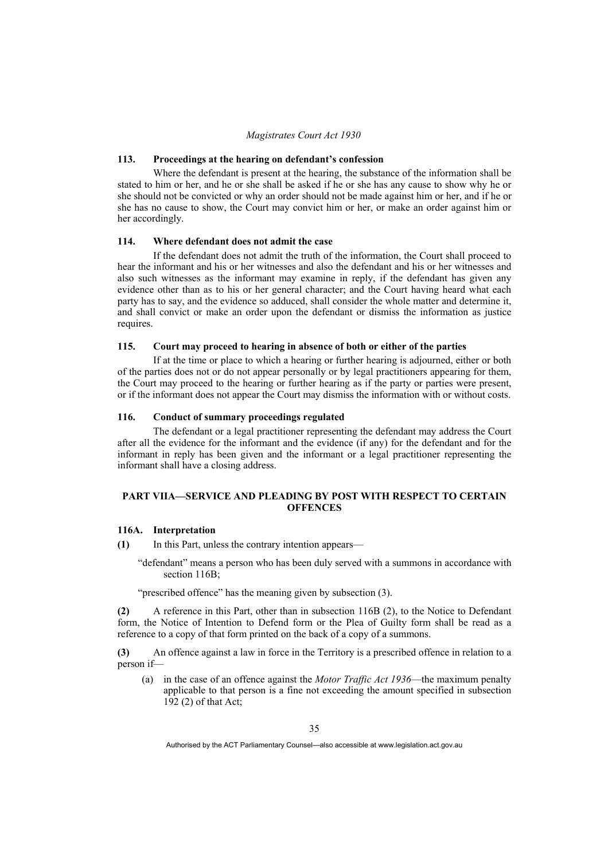## **113. Proceedings at the hearing on defendant's confession**

 Where the defendant is present at the hearing, the substance of the information shall be stated to him or her, and he or she shall be asked if he or she has any cause to show why he or she should not be convicted or why an order should not be made against him or her, and if he or she has no cause to show, the Court may convict him or her, or make an order against him or her accordingly.

## **114. Where defendant does not admit the case**

 If the defendant does not admit the truth of the information, the Court shall proceed to hear the informant and his or her witnesses and also the defendant and his or her witnesses and also such witnesses as the informant may examine in reply, if the defendant has given any evidence other than as to his or her general character; and the Court having heard what each party has to say, and the evidence so adduced, shall consider the whole matter and determine it, and shall convict or make an order upon the defendant or dismiss the information as justice requires.

### **115. Court may proceed to hearing in absence of both or either of the parties**

 If at the time or place to which a hearing or further hearing is adjourned, either or both of the parties does not or do not appear personally or by legal practitioners appearing for them, the Court may proceed to the hearing or further hearing as if the party or parties were present, or if the informant does not appear the Court may dismiss the information with or without costs.

### **116. Conduct of summary proceedings regulated**

 The defendant or a legal practitioner representing the defendant may address the Court after all the evidence for the informant and the evidence (if any) for the defendant and for the informant in reply has been given and the informant or a legal practitioner representing the informant shall have a closing address.

## **PART VIIA—SERVICE AND PLEADING BY POST WITH RESPECT TO CERTAIN OFFENCES**

#### **116A. Interpretation**

- **(1)** In this Part, unless the contrary intention appears—
	- "defendant" means a person who has been duly served with a summons in accordance with section 116B:

"prescribed offence" has the meaning given by subsection (3).

**(2)** A reference in this Part, other than in subsection 116B (2), to the Notice to Defendant form, the Notice of Intention to Defend form or the Plea of Guilty form shall be read as a reference to a copy of that form printed on the back of a copy of a summons.

**(3)** An offence against a law in force in the Territory is a prescribed offence in relation to a person if—

 (a) in the case of an offence against the *Motor Traffic Act 1936*—the maximum penalty applicable to that person is a fine not exceeding the amount specified in subsection 192 (2) of that Act;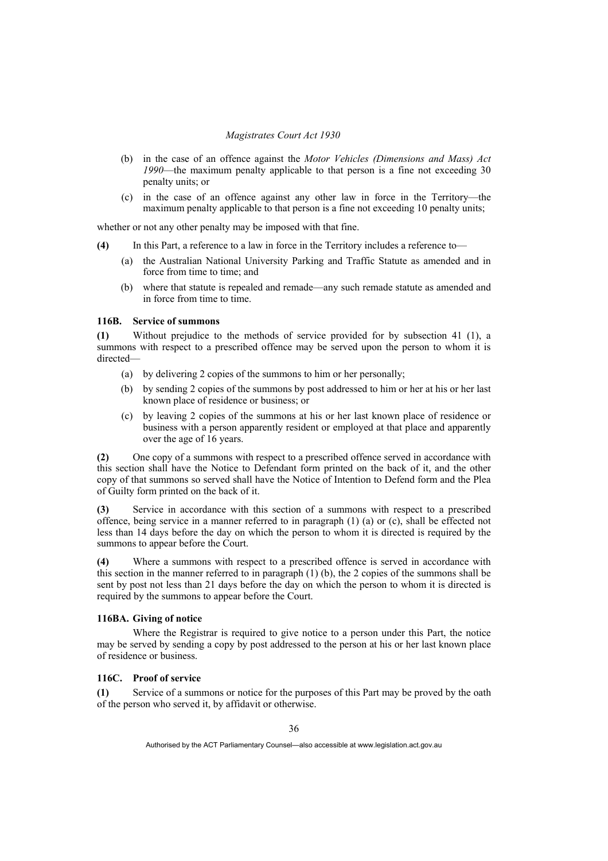- (b) in the case of an offence against the *Motor Vehicles (Dimensions and Mass) Act 1990*—the maximum penalty applicable to that person is a fine not exceeding 30 penalty units; or
- (c) in the case of an offence against any other law in force in the Territory—the maximum penalty applicable to that person is a fine not exceeding 10 penalty units;

whether or not any other penalty may be imposed with that fine.

- **(4)** In this Part, a reference to a law in force in the Territory includes a reference to—
	- (a) the Australian National University Parking and Traffic Statute as amended and in force from time to time; and
	- (b) where that statute is repealed and remade—any such remade statute as amended and in force from time to time.

## **116B. Service of summons**

**(1)** Without prejudice to the methods of service provided for by subsection 41 (1), a summons with respect to a prescribed offence may be served upon the person to whom it is directed—

- (a) by delivering 2 copies of the summons to him or her personally;
- (b) by sending 2 copies of the summons by post addressed to him or her at his or her last known place of residence or business; or
- (c) by leaving 2 copies of the summons at his or her last known place of residence or business with a person apparently resident or employed at that place and apparently over the age of 16 years.

**(2)** One copy of a summons with respect to a prescribed offence served in accordance with this section shall have the Notice to Defendant form printed on the back of it, and the other copy of that summons so served shall have the Notice of Intention to Defend form and the Plea of Guilty form printed on the back of it.

**(3)** Service in accordance with this section of a summons with respect to a prescribed offence, being service in a manner referred to in paragraph (1) (a) or (c), shall be effected not less than 14 days before the day on which the person to whom it is directed is required by the summons to appear before the Court.

**(4)** Where a summons with respect to a prescribed offence is served in accordance with this section in the manner referred to in paragraph (1) (b), the 2 copies of the summons shall be sent by post not less than 21 days before the day on which the person to whom it is directed is required by the summons to appear before the Court.

## **116BA. Giving of notice**

 Where the Registrar is required to give notice to a person under this Part, the notice may be served by sending a copy by post addressed to the person at his or her last known place of residence or business.

# **116C. Proof of service**

**(1)** Service of a summons or notice for the purposes of this Part may be proved by the oath of the person who served it, by affidavit or otherwise.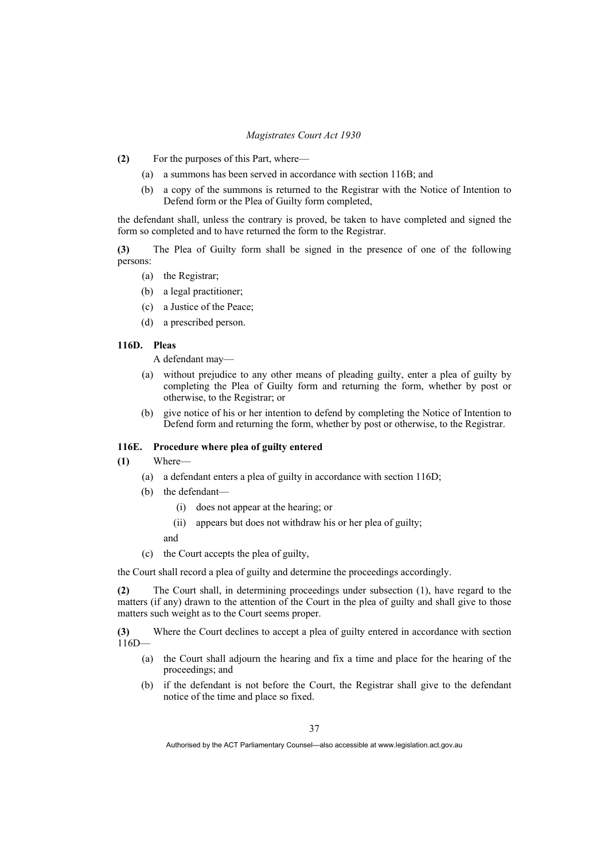- **(2)** For the purposes of this Part, where—
	- (a) a summons has been served in accordance with section 116B; and
	- (b) a copy of the summons is returned to the Registrar with the Notice of Intention to Defend form or the Plea of Guilty form completed,

the defendant shall, unless the contrary is proved, be taken to have completed and signed the form so completed and to have returned the form to the Registrar.

**(3)** The Plea of Guilty form shall be signed in the presence of one of the following persons:

- (a) the Registrar;
- (b) a legal practitioner;
- (c) a Justice of the Peace;
- (d) a prescribed person.

# **116D. Pleas**

A defendant may—

- (a) without prejudice to any other means of pleading guilty, enter a plea of guilty by completing the Plea of Guilty form and returning the form, whether by post or otherwise, to the Registrar; or
- (b) give notice of his or her intention to defend by completing the Notice of Intention to Defend form and returning the form, whether by post or otherwise, to the Registrar.

## **116E. Procedure where plea of guilty entered**

- **(1)** Where—
	- (a) a defendant enters a plea of guilty in accordance with section 116D;
	- (b) the defendant—
		- (i) does not appear at the hearing; or
		- (ii) appears but does not withdraw his or her plea of guilty;
		- and
	- (c) the Court accepts the plea of guilty,

the Court shall record a plea of guilty and determine the proceedings accordingly.

**(2)** The Court shall, in determining proceedings under subsection (1), have regard to the matters (if any) drawn to the attention of the Court in the plea of guilty and shall give to those matters such weight as to the Court seems proper.

**(3)** Where the Court declines to accept a plea of guilty entered in accordance with section  $116D -$ 

- (a) the Court shall adjourn the hearing and fix a time and place for the hearing of the proceedings; and
- (b) if the defendant is not before the Court, the Registrar shall give to the defendant notice of the time and place so fixed.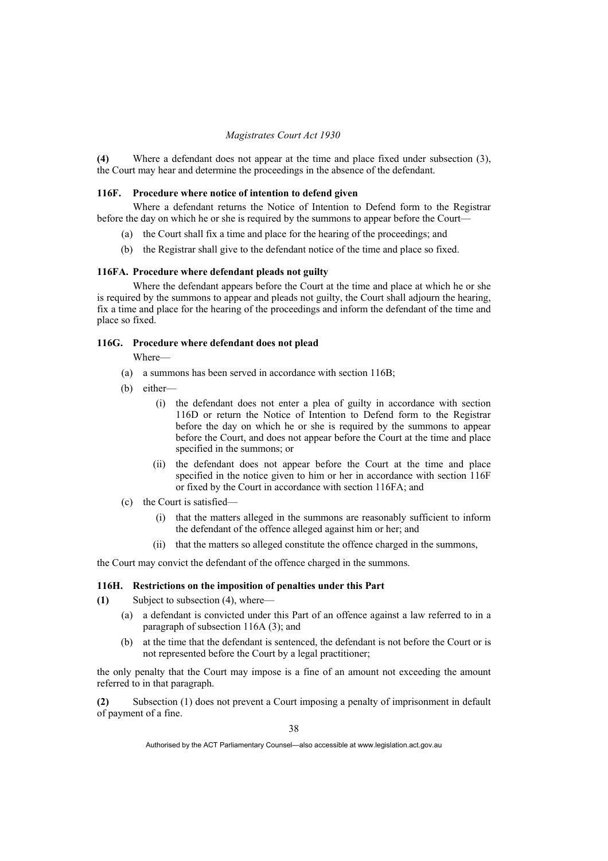**(4)** Where a defendant does not appear at the time and place fixed under subsection (3), the Court may hear and determine the proceedings in the absence of the defendant.

### **116F. Procedure where notice of intention to defend given**

 Where a defendant returns the Notice of Intention to Defend form to the Registrar before the day on which he or she is required by the summons to appear before the Court—

- (a) the Court shall fix a time and place for the hearing of the proceedings; and
- (b) the Registrar shall give to the defendant notice of the time and place so fixed.

#### **116FA. Procedure where defendant pleads not guilty**

 Where the defendant appears before the Court at the time and place at which he or she is required by the summons to appear and pleads not guilty, the Court shall adjourn the hearing, fix a time and place for the hearing of the proceedings and inform the defendant of the time and place so fixed.

### **116G. Procedure where defendant does not plead**

- Where—
- (a) a summons has been served in accordance with section 116B;
- (b) either—
	- (i) the defendant does not enter a plea of guilty in accordance with section 116D or return the Notice of Intention to Defend form to the Registrar before the day on which he or she is required by the summons to appear before the Court, and does not appear before the Court at the time and place specified in the summons; or
	- (ii) the defendant does not appear before the Court at the time and place specified in the notice given to him or her in accordance with section 116F or fixed by the Court in accordance with section 116FA; and
- (c) the Court is satisfied—
	- (i) that the matters alleged in the summons are reasonably sufficient to inform the defendant of the offence alleged against him or her; and
	- (ii) that the matters so alleged constitute the offence charged in the summons,

the Court may convict the defendant of the offence charged in the summons.

#### **116H. Restrictions on the imposition of penalties under this Part**

- **(1)** Subject to subsection (4), where—
	- (a) a defendant is convicted under this Part of an offence against a law referred to in a paragraph of subsection 116A (3); and
	- (b) at the time that the defendant is sentenced, the defendant is not before the Court or is not represented before the Court by a legal practitioner;

the only penalty that the Court may impose is a fine of an amount not exceeding the amount referred to in that paragraph.

**(2)** Subsection (1) does not prevent a Court imposing a penalty of imprisonment in default of payment of a fine.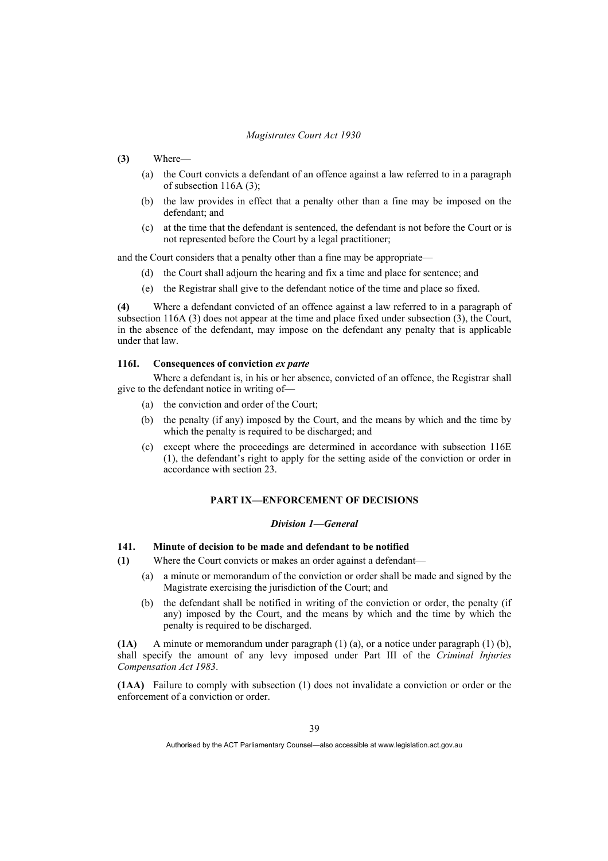- **(3)** Where—
	- (a) the Court convicts a defendant of an offence against a law referred to in a paragraph of subsection 116A (3);
	- (b) the law provides in effect that a penalty other than a fine may be imposed on the defendant; and
	- (c) at the time that the defendant is sentenced, the defendant is not before the Court or is not represented before the Court by a legal practitioner;

and the Court considers that a penalty other than a fine may be appropriate—

- (d) the Court shall adjourn the hearing and fix a time and place for sentence; and
- (e) the Registrar shall give to the defendant notice of the time and place so fixed.

**(4)** Where a defendant convicted of an offence against a law referred to in a paragraph of subsection 116A (3) does not appear at the time and place fixed under subsection (3), the Court, in the absence of the defendant, may impose on the defendant any penalty that is applicable under that law.

## **116I. Consequences of conviction** *ex parte*

 Where a defendant is, in his or her absence, convicted of an offence, the Registrar shall give to the defendant notice in writing of—

- (a) the conviction and order of the Court;
- (b) the penalty (if any) imposed by the Court, and the means by which and the time by which the penalty is required to be discharged; and
- (c) except where the proceedings are determined in accordance with subsection 116E (1), the defendant's right to apply for the setting aside of the conviction or order in accordance with section 23.

## **PART IX—ENFORCEMENT OF DECISIONS**

#### *Division 1—General*

## **141. Minute of decision to be made and defendant to be notified**

- **(1)** Where the Court convicts or makes an order against a defendant—
	- (a) a minute or memorandum of the conviction or order shall be made and signed by the Magistrate exercising the jurisdiction of the Court; and
	- (b) the defendant shall be notified in writing of the conviction or order, the penalty (if any) imposed by the Court, and the means by which and the time by which the penalty is required to be discharged.

**(1A)** A minute or memorandum under paragraph (1) (a), or a notice under paragraph (1) (b), shall specify the amount of any levy imposed under Part III of the *Criminal Injuries Compensation Act 1983*.

**(1AA)** Failure to comply with subsection (1) does not invalidate a conviction or order or the enforcement of a conviction or order.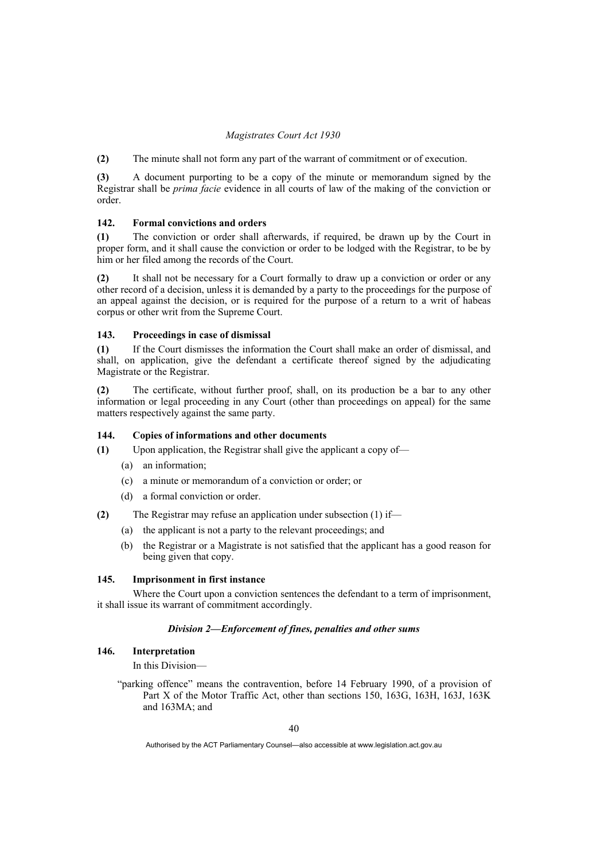**(2)** The minute shall not form any part of the warrant of commitment or of execution.

**(3)** A document purporting to be a copy of the minute or memorandum signed by the Registrar shall be *prima facie* evidence in all courts of law of the making of the conviction or order.

# **142. Formal convictions and orders**

**(1)** The conviction or order shall afterwards, if required, be drawn up by the Court in proper form, and it shall cause the conviction or order to be lodged with the Registrar, to be by him or her filed among the records of the Court.

**(2)** It shall not be necessary for a Court formally to draw up a conviction or order or any other record of a decision, unless it is demanded by a party to the proceedings for the purpose of an appeal against the decision, or is required for the purpose of a return to a writ of habeas corpus or other writ from the Supreme Court.

### **143. Proceedings in case of dismissal**

**(1)** If the Court dismisses the information the Court shall make an order of dismissal, and shall, on application, give the defendant a certificate thereof signed by the adjudicating Magistrate or the Registrar.

**(2)** The certificate, without further proof, shall, on its production be a bar to any other information or legal proceeding in any Court (other than proceedings on appeal) for the same matters respectively against the same party.

### **144. Copies of informations and other documents**

**(1)** Upon application, the Registrar shall give the applicant a copy of—

- (a) an information;
- (c) a minute or memorandum of a conviction or order; or
- (d) a formal conviction or order.
- **(2)** The Registrar may refuse an application under subsection (1) if—
	- (a) the applicant is not a party to the relevant proceedings; and
	- (b) the Registrar or a Magistrate is not satisfied that the applicant has a good reason for being given that copy.

# **145. Imprisonment in first instance**

 Where the Court upon a conviction sentences the defendant to a term of imprisonment, it shall issue its warrant of commitment accordingly.

### *Division 2—Enforcement of fines, penalties and other sums*

#### **146. Interpretation**

In this Division—

"parking offence" means the contravention, before 14 February 1990, of a provision of Part X of the Motor Traffic Act, other than sections 150, 163G, 163H, 163J, 163K and 163MA; and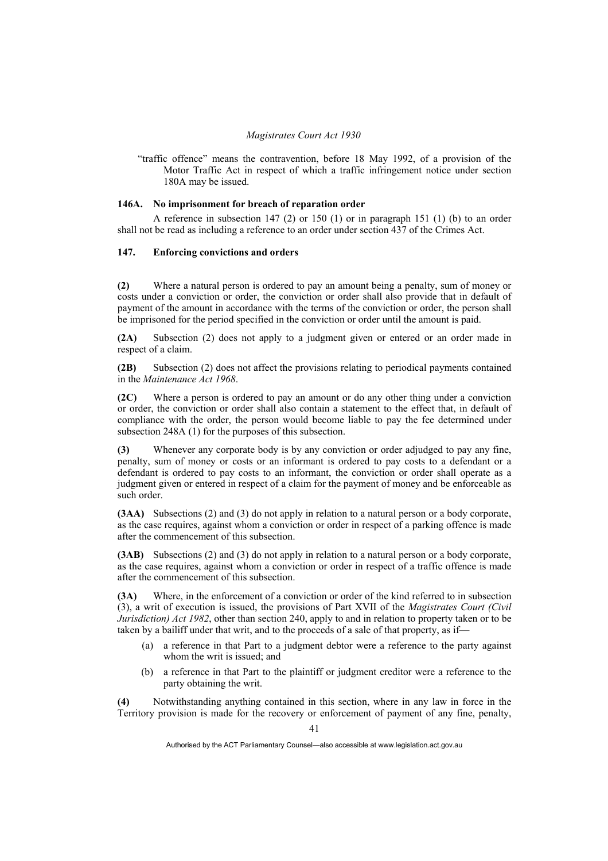"traffic offence" means the contravention, before 18 May 1992, of a provision of the Motor Traffic Act in respect of which a traffic infringement notice under section 180A may be issued.

## **146A. No imprisonment for breach of reparation order**

A reference in subsection  $147$  (2) or  $150$  (1) or in paragraph 151 (1) (b) to an order shall not be read as including a reference to an order under section 437 of the Crimes Act.

# **147. Enforcing convictions and orders**

**(2)** Where a natural person is ordered to pay an amount being a penalty, sum of money or costs under a conviction or order, the conviction or order shall also provide that in default of payment of the amount in accordance with the terms of the conviction or order, the person shall be imprisoned for the period specified in the conviction or order until the amount is paid.

**(2A)** Subsection (2) does not apply to a judgment given or entered or an order made in respect of a claim.

**(2B)** Subsection (2) does not affect the provisions relating to periodical payments contained in the *Maintenance Act 1968*.

**(2C)** Where a person is ordered to pay an amount or do any other thing under a conviction or order, the conviction or order shall also contain a statement to the effect that, in default of compliance with the order, the person would become liable to pay the fee determined under subsection 248A (1) for the purposes of this subsection.

**(3)** Whenever any corporate body is by any conviction or order adjudged to pay any fine, penalty, sum of money or costs or an informant is ordered to pay costs to a defendant or a defendant is ordered to pay costs to an informant, the conviction or order shall operate as a judgment given or entered in respect of a claim for the payment of money and be enforceable as such order.

**(3AA)** Subsections (2) and (3) do not apply in relation to a natural person or a body corporate, as the case requires, against whom a conviction or order in respect of a parking offence is made after the commencement of this subsection.

**(3AB)** Subsections (2) and (3) do not apply in relation to a natural person or a body corporate, as the case requires, against whom a conviction or order in respect of a traffic offence is made after the commencement of this subsection.

**(3A)** Where, in the enforcement of a conviction or order of the kind referred to in subsection (3), a writ of execution is issued, the provisions of Part XVII of the *Magistrates Court (Civil Jurisdiction) Act 1982*, other than section 240, apply to and in relation to property taken or to be taken by a bailiff under that writ, and to the proceeds of a sale of that property, as if—

- (a) a reference in that Part to a judgment debtor were a reference to the party against whom the writ is issued; and
- (b) a reference in that Part to the plaintiff or judgment creditor were a reference to the party obtaining the writ.

**(4)** Notwithstanding anything contained in this section, where in any law in force in the Territory provision is made for the recovery or enforcement of payment of any fine, penalty,

Authorised by the ACT Parliamentary Counsel—also accessible at www.legislation.act.gov.au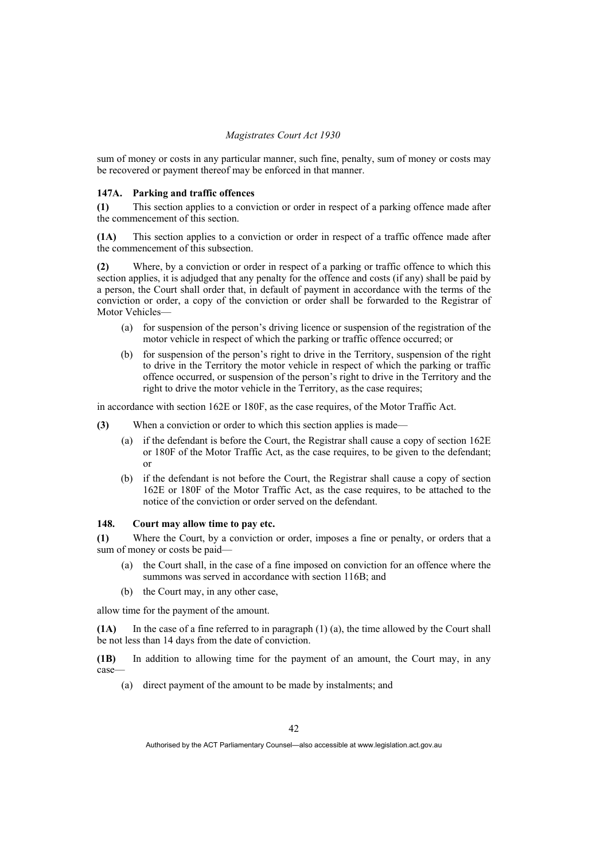sum of money or costs in any particular manner, such fine, penalty, sum of money or costs may be recovered or payment thereof may be enforced in that manner.

## **147A. Parking and traffic offences**

**(1)** This section applies to a conviction or order in respect of a parking offence made after the commencement of this section.

**(1A)** This section applies to a conviction or order in respect of a traffic offence made after the commencement of this subsection.

**(2)** Where, by a conviction or order in respect of a parking or traffic offence to which this section applies, it is adjudged that any penalty for the offence and costs (if any) shall be paid by a person, the Court shall order that, in default of payment in accordance with the terms of the conviction or order, a copy of the conviction or order shall be forwarded to the Registrar of Motor Vehicles—

- (a) for suspension of the person's driving licence or suspension of the registration of the motor vehicle in respect of which the parking or traffic offence occurred; or
- (b) for suspension of the person's right to drive in the Territory, suspension of the right to drive in the Territory the motor vehicle in respect of which the parking or traffic offence occurred, or suspension of the person's right to drive in the Territory and the right to drive the motor vehicle in the Territory, as the case requires;

in accordance with section 162E or 180F, as the case requires, of the Motor Traffic Act.

- **(3)** When a conviction or order to which this section applies is made—
	- (a) if the defendant is before the Court, the Registrar shall cause a copy of section 162E or 180F of the Motor Traffic Act, as the case requires, to be given to the defendant; or
	- (b) if the defendant is not before the Court, the Registrar shall cause a copy of section 162E or 180F of the Motor Traffic Act, as the case requires, to be attached to the notice of the conviction or order served on the defendant.

## **148. Court may allow time to pay etc.**

**(1)** Where the Court, by a conviction or order, imposes a fine or penalty, or orders that a sum of money or costs be paid—

- (a) the Court shall, in the case of a fine imposed on conviction for an offence where the summons was served in accordance with section 116B; and
- (b) the Court may, in any other case,

allow time for the payment of the amount.

**(1A)** In the case of a fine referred to in paragraph (1) (a), the time allowed by the Court shall be not less than 14 days from the date of conviction.

**(1B)** In addition to allowing time for the payment of an amount, the Court may, in any case—

(a) direct payment of the amount to be made by instalments; and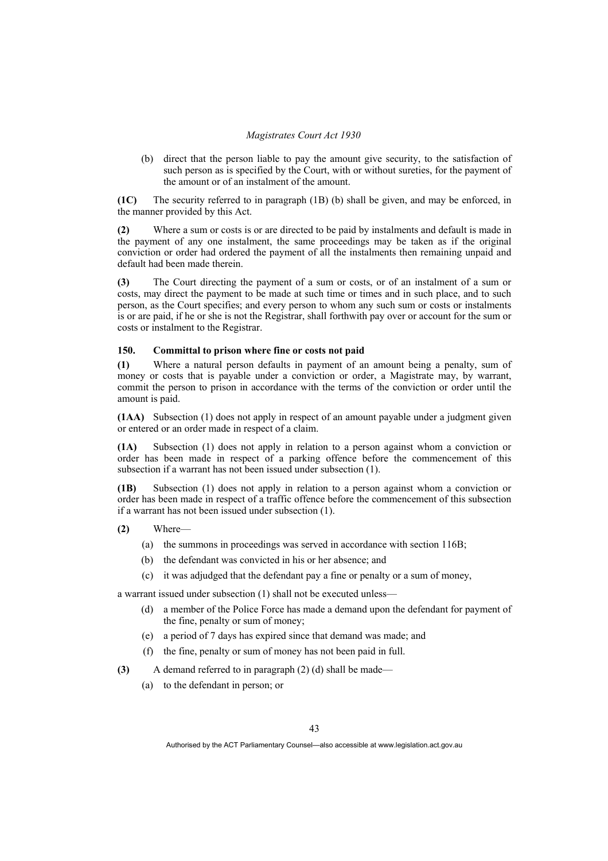(b) direct that the person liable to pay the amount give security, to the satisfaction of such person as is specified by the Court, with or without sureties, for the payment of the amount or of an instalment of the amount.

**(1C)** The security referred to in paragraph (1B) (b) shall be given, and may be enforced, in the manner provided by this Act.

**(2)** Where a sum or costs is or are directed to be paid by instalments and default is made in the payment of any one instalment, the same proceedings may be taken as if the original conviction or order had ordered the payment of all the instalments then remaining unpaid and default had been made therein.

**(3)** The Court directing the payment of a sum or costs, or of an instalment of a sum or costs, may direct the payment to be made at such time or times and in such place, and to such person, as the Court specifies; and every person to whom any such sum or costs or instalments is or are paid, if he or she is not the Registrar, shall forthwith pay over or account for the sum or costs or instalment to the Registrar.

### **150. Committal to prison where fine or costs not paid**

**(1)** Where a natural person defaults in payment of an amount being a penalty, sum of money or costs that is payable under a conviction or order, a Magistrate may, by warrant, commit the person to prison in accordance with the terms of the conviction or order until the amount is paid.

**(1AA)** Subsection (1) does not apply in respect of an amount payable under a judgment given or entered or an order made in respect of a claim.

**(1A)** Subsection (1) does not apply in relation to a person against whom a conviction or order has been made in respect of a parking offence before the commencement of this subsection if a warrant has not been issued under subsection (1).

**(1B)** Subsection (1) does not apply in relation to a person against whom a conviction or order has been made in respect of a traffic offence before the commencement of this subsection if a warrant has not been issued under subsection (1).

**(2)** Where—

- (a) the summons in proceedings was served in accordance with section 116B;
- (b) the defendant was convicted in his or her absence; and
- (c) it was adjudged that the defendant pay a fine or penalty or a sum of money,

a warrant issued under subsection (1) shall not be executed unless—

- (d) a member of the Police Force has made a demand upon the defendant for payment of the fine, penalty or sum of money;
- (e) a period of 7 days has expired since that demand was made; and
- (f) the fine, penalty or sum of money has not been paid in full.
- **(3)** A demand referred to in paragraph (2) (d) shall be made—
	- (a) to the defendant in person; or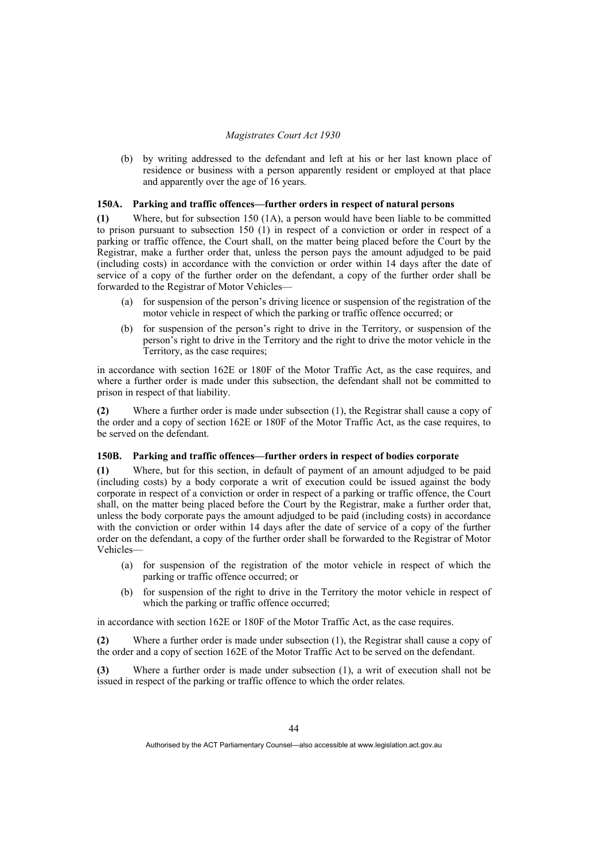(b) by writing addressed to the defendant and left at his or her last known place of residence or business with a person apparently resident or employed at that place and apparently over the age of 16 years.

## **150A. Parking and traffic offences—further orders in respect of natural persons**

**(1)** Where, but for subsection 150 (1A), a person would have been liable to be committed to prison pursuant to subsection 150 (1) in respect of a conviction or order in respect of a parking or traffic offence, the Court shall, on the matter being placed before the Court by the Registrar, make a further order that, unless the person pays the amount adjudged to be paid (including costs) in accordance with the conviction or order within 14 days after the date of service of a copy of the further order on the defendant, a copy of the further order shall be forwarded to the Registrar of Motor Vehicles—

- (a) for suspension of the person's driving licence or suspension of the registration of the motor vehicle in respect of which the parking or traffic offence occurred; or
- (b) for suspension of the person's right to drive in the Territory, or suspension of the person's right to drive in the Territory and the right to drive the motor vehicle in the Territory, as the case requires;

in accordance with section 162E or 180F of the Motor Traffic Act, as the case requires, and where a further order is made under this subsection, the defendant shall not be committed to prison in respect of that liability.

**(2)** Where a further order is made under subsection (1), the Registrar shall cause a copy of the order and a copy of section 162E or 180F of the Motor Traffic Act, as the case requires, to be served on the defendant.

# **150B. Parking and traffic offences—further orders in respect of bodies corporate**

**(1)** Where, but for this section, in default of payment of an amount adjudged to be paid (including costs) by a body corporate a writ of execution could be issued against the body corporate in respect of a conviction or order in respect of a parking or traffic offence, the Court shall, on the matter being placed before the Court by the Registrar, make a further order that, unless the body corporate pays the amount adjudged to be paid (including costs) in accordance with the conviction or order within 14 days after the date of service of a copy of the further order on the defendant, a copy of the further order shall be forwarded to the Registrar of Motor Vehicles—

- (a) for suspension of the registration of the motor vehicle in respect of which the parking or traffic offence occurred; or
- (b) for suspension of the right to drive in the Territory the motor vehicle in respect of which the parking or traffic offence occurred:

in accordance with section 162E or 180F of the Motor Traffic Act, as the case requires.

**(2)** Where a further order is made under subsection (1), the Registrar shall cause a copy of the order and a copy of section 162E of the Motor Traffic Act to be served on the defendant.

**(3)** Where a further order is made under subsection (1), a writ of execution shall not be issued in respect of the parking or traffic offence to which the order relates.

Authorised by the ACT Parliamentary Counsel—also accessible at www.legislation.act.gov.au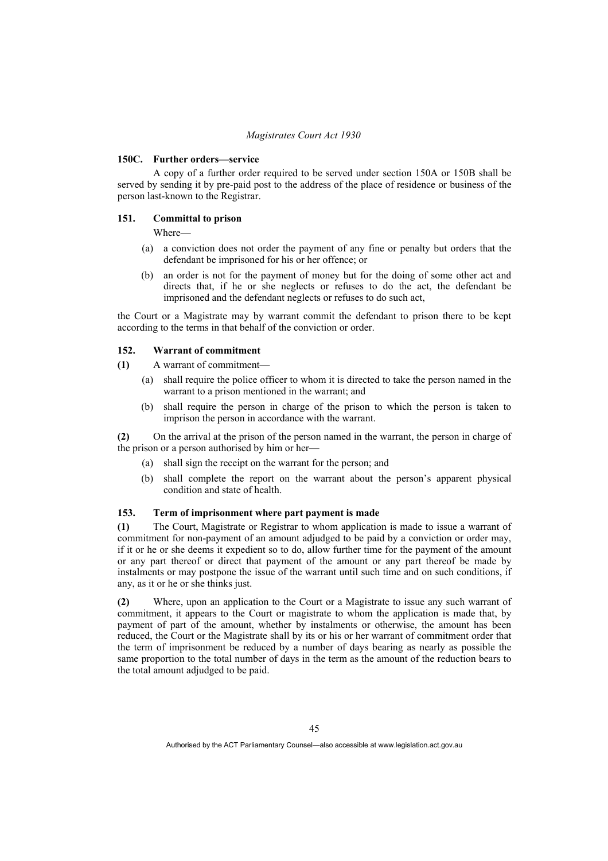### **150C. Further orders—service**

 A copy of a further order required to be served under section 150A or 150B shall be served by sending it by pre-paid post to the address of the place of residence or business of the person last-known to the Registrar.

# **151. Committal to prison**

Where—

- (a) a conviction does not order the payment of any fine or penalty but orders that the defendant be imprisoned for his or her offence; or
- (b) an order is not for the payment of money but for the doing of some other act and directs that, if he or she neglects or refuses to do the act, the defendant be imprisoned and the defendant neglects or refuses to do such act,

the Court or a Magistrate may by warrant commit the defendant to prison there to be kept according to the terms in that behalf of the conviction or order.

### **152. Warrant of commitment**

**(1)** A warrant of commitment—

- (a) shall require the police officer to whom it is directed to take the person named in the warrant to a prison mentioned in the warrant; and
- (b) shall require the person in charge of the prison to which the person is taken to imprison the person in accordance with the warrant.

**(2)** On the arrival at the prison of the person named in the warrant, the person in charge of the prison or a person authorised by him or her—

- (a) shall sign the receipt on the warrant for the person; and
- (b) shall complete the report on the warrant about the person's apparent physical condition and state of health.

# **153. Term of imprisonment where part payment is made**

**(1)** The Court, Magistrate or Registrar to whom application is made to issue a warrant of commitment for non-payment of an amount adjudged to be paid by a conviction or order may, if it or he or she deems it expedient so to do, allow further time for the payment of the amount or any part thereof or direct that payment of the amount or any part thereof be made by instalments or may postpone the issue of the warrant until such time and on such conditions, if any, as it or he or she thinks just.

**(2)** Where, upon an application to the Court or a Magistrate to issue any such warrant of commitment, it appears to the Court or magistrate to whom the application is made that, by payment of part of the amount, whether by instalments or otherwise, the amount has been reduced, the Court or the Magistrate shall by its or his or her warrant of commitment order that the term of imprisonment be reduced by a number of days bearing as nearly as possible the same proportion to the total number of days in the term as the amount of the reduction bears to the total amount adjudged to be paid.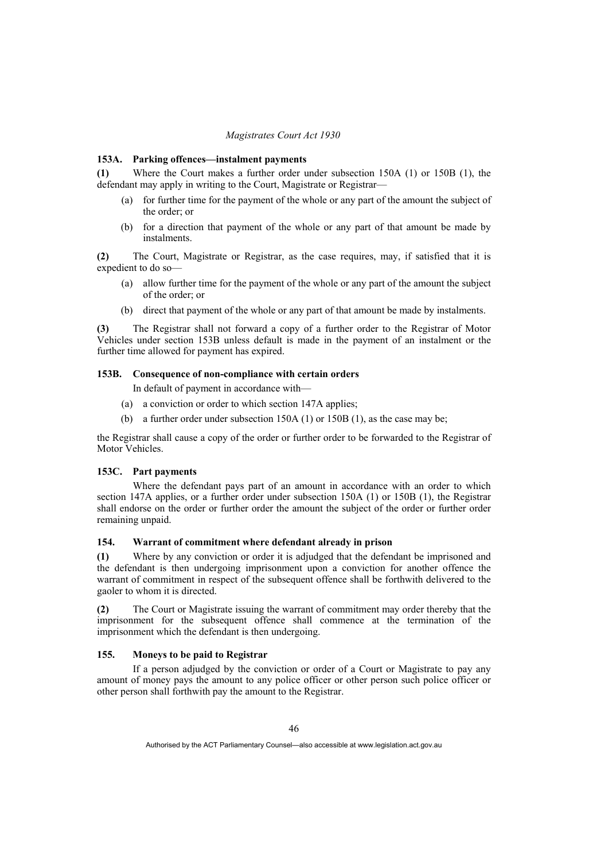#### **153A. Parking offences—instalment payments**

**(1)** Where the Court makes a further order under subsection 150A (1) or 150B (1), the defendant may apply in writing to the Court, Magistrate or Registrar—

- (a) for further time for the payment of the whole or any part of the amount the subject of the order; or
- (b) for a direction that payment of the whole or any part of that amount be made by instalments.

**(2)** The Court, Magistrate or Registrar, as the case requires, may, if satisfied that it is expedient to do so—

- (a) allow further time for the payment of the whole or any part of the amount the subject of the order; or
- (b) direct that payment of the whole or any part of that amount be made by instalments.

**(3)** The Registrar shall not forward a copy of a further order to the Registrar of Motor Vehicles under section 153B unless default is made in the payment of an instalment or the further time allowed for payment has expired.

# **153B. Consequence of non-compliance with certain orders**

In default of payment in accordance with—

- (a) a conviction or order to which section 147A applies;
- (b) a further order under subsection 150A (1) or 150B (1), as the case may be;

the Registrar shall cause a copy of the order or further order to be forwarded to the Registrar of Motor Vehicles.

## **153C. Part payments**

 Where the defendant pays part of an amount in accordance with an order to which section 147A applies, or a further order under subsection 150A (1) or 150B (1), the Registrar shall endorse on the order or further order the amount the subject of the order or further order remaining unpaid.

## **154. Warrant of commitment where defendant already in prison**

**(1)** Where by any conviction or order it is adjudged that the defendant be imprisoned and the defendant is then undergoing imprisonment upon a conviction for another offence the warrant of commitment in respect of the subsequent offence shall be forthwith delivered to the gaoler to whom it is directed.

**(2)** The Court or Magistrate issuing the warrant of commitment may order thereby that the imprisonment for the subsequent offence shall commence at the termination of the imprisonment which the defendant is then undergoing.

# **155. Moneys to be paid to Registrar**

 If a person adjudged by the conviction or order of a Court or Magistrate to pay any amount of money pays the amount to any police officer or other person such police officer or other person shall forthwith pay the amount to the Registrar.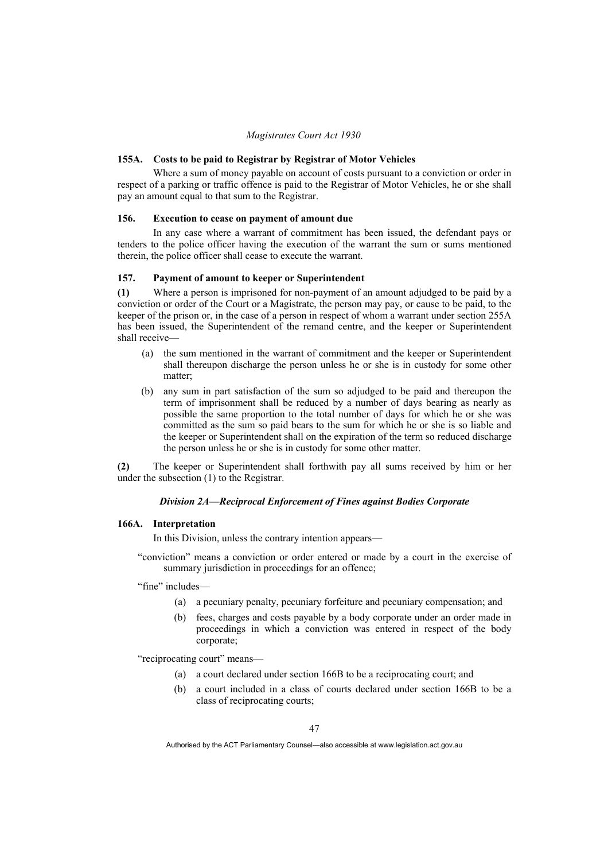### **155A. Costs to be paid to Registrar by Registrar of Motor Vehicles**

 Where a sum of money payable on account of costs pursuant to a conviction or order in respect of a parking or traffic offence is paid to the Registrar of Motor Vehicles, he or she shall pay an amount equal to that sum to the Registrar.

## **156. Execution to cease on payment of amount due**

 In any case where a warrant of commitment has been issued, the defendant pays or tenders to the police officer having the execution of the warrant the sum or sums mentioned therein, the police officer shall cease to execute the warrant.

#### **157. Payment of amount to keeper or Superintendent**

**(1)** Where a person is imprisoned for non-payment of an amount adjudged to be paid by a conviction or order of the Court or a Magistrate, the person may pay, or cause to be paid, to the keeper of the prison or, in the case of a person in respect of whom a warrant under section 255A has been issued, the Superintendent of the remand centre, and the keeper or Superintendent shall receive—

- (a) the sum mentioned in the warrant of commitment and the keeper or Superintendent shall thereupon discharge the person unless he or she is in custody for some other matter;
- (b) any sum in part satisfaction of the sum so adjudged to be paid and thereupon the term of imprisonment shall be reduced by a number of days bearing as nearly as possible the same proportion to the total number of days for which he or she was committed as the sum so paid bears to the sum for which he or she is so liable and the keeper or Superintendent shall on the expiration of the term so reduced discharge the person unless he or she is in custody for some other matter.

**(2)** The keeper or Superintendent shall forthwith pay all sums received by him or her under the subsection (1) to the Registrar.

#### *Division 2A—Reciprocal Enforcement of Fines against Bodies Corporate*

### **166A. Interpretation**

In this Division, unless the contrary intention appears—

"conviction" means a conviction or order entered or made by a court in the exercise of summary jurisdiction in proceedings for an offence:

"fine" includes-

- (a) a pecuniary penalty, pecuniary forfeiture and pecuniary compensation; and
- (b) fees, charges and costs payable by a body corporate under an order made in proceedings in which a conviction was entered in respect of the body corporate;

"reciprocating court" means—

- (a) a court declared under section 166B to be a reciprocating court; and
- (b) a court included in a class of courts declared under section 166B to be a class of reciprocating courts;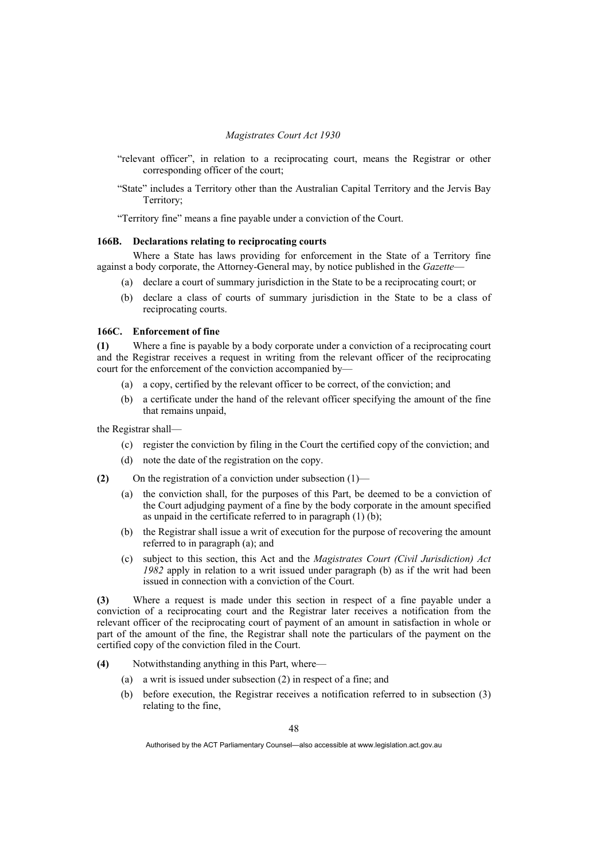- "relevant officer", in relation to a reciprocating court, means the Registrar or other corresponding officer of the court;
- "State" includes a Territory other than the Australian Capital Territory and the Jervis Bay Territory;

"Territory fine" means a fine payable under a conviction of the Court.

## **166B. Declarations relating to reciprocating courts**

 Where a State has laws providing for enforcement in the State of a Territory fine against a body corporate, the Attorney-General may, by notice published in the *Gazette*—

- (a) declare a court of summary jurisdiction in the State to be a reciprocating court; or
- (b) declare a class of courts of summary jurisdiction in the State to be a class of reciprocating courts.

## **166C. Enforcement of fine**

**(1)** Where a fine is payable by a body corporate under a conviction of a reciprocating court and the Registrar receives a request in writing from the relevant officer of the reciprocating court for the enforcement of the conviction accompanied by—

- (a) a copy, certified by the relevant officer to be correct, of the conviction; and
- (b) a certificate under the hand of the relevant officer specifying the amount of the fine that remains unpaid,

the Registrar shall—

- (c) register the conviction by filing in the Court the certified copy of the conviction; and
- (d) note the date of the registration on the copy.
- **(2)** On the registration of a conviction under subsection (1)—
	- (a) the conviction shall, for the purposes of this Part, be deemed to be a conviction of the Court adjudging payment of a fine by the body corporate in the amount specified as unpaid in the certificate referred to in paragraph (1) (b);
	- (b) the Registrar shall issue a writ of execution for the purpose of recovering the amount referred to in paragraph (a); and
	- (c) subject to this section, this Act and the *Magistrates Court (Civil Jurisdiction) Act 1982* apply in relation to a writ issued under paragraph (b) as if the writ had been issued in connection with a conviction of the Court.

**(3)** Where a request is made under this section in respect of a fine payable under a conviction of a reciprocating court and the Registrar later receives a notification from the relevant officer of the reciprocating court of payment of an amount in satisfaction in whole or part of the amount of the fine, the Registrar shall note the particulars of the payment on the certified copy of the conviction filed in the Court.

- **(4)** Notwithstanding anything in this Part, where—
	- (a) a writ is issued under subsection (2) in respect of a fine; and
	- (b) before execution, the Registrar receives a notification referred to in subsection (3) relating to the fine,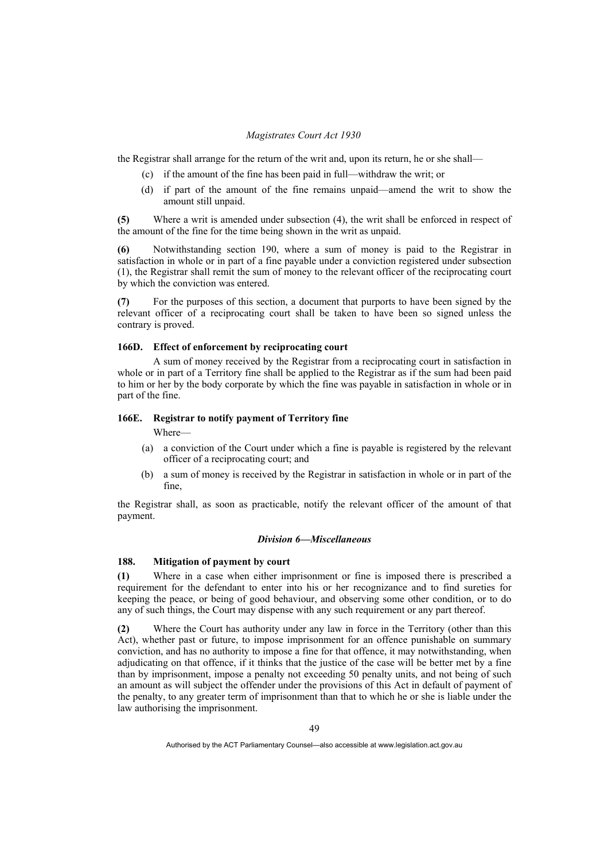the Registrar shall arrange for the return of the writ and, upon its return, he or she shall—

- (c) if the amount of the fine has been paid in full—withdraw the writ; or
- (d) if part of the amount of the fine remains unpaid—amend the writ to show the amount still unpaid.

**(5)** Where a writ is amended under subsection (4), the writ shall be enforced in respect of the amount of the fine for the time being shown in the writ as unpaid.

**(6)** Notwithstanding section 190, where a sum of money is paid to the Registrar in satisfaction in whole or in part of a fine payable under a conviction registered under subsection (1), the Registrar shall remit the sum of money to the relevant officer of the reciprocating court by which the conviction was entered.

**(7)** For the purposes of this section, a document that purports to have been signed by the relevant officer of a reciprocating court shall be taken to have been so signed unless the contrary is proved.

### **166D. Effect of enforcement by reciprocating court**

 A sum of money received by the Registrar from a reciprocating court in satisfaction in whole or in part of a Territory fine shall be applied to the Registrar as if the sum had been paid to him or her by the body corporate by which the fine was payable in satisfaction in whole or in part of the fine.

## **166E. Registrar to notify payment of Territory fine**

Where—

- (a) a conviction of the Court under which a fine is payable is registered by the relevant officer of a reciprocating court; and
- (b) a sum of money is received by the Registrar in satisfaction in whole or in part of the fine,

the Registrar shall, as soon as practicable, notify the relevant officer of the amount of that payment.

### *Division 6—Miscellaneous*

# **188. Mitigation of payment by court**

**(1)** Where in a case when either imprisonment or fine is imposed there is prescribed a requirement for the defendant to enter into his or her recognizance and to find sureties for keeping the peace, or being of good behaviour, and observing some other condition, or to do any of such things, the Court may dispense with any such requirement or any part thereof.

**(2)** Where the Court has authority under any law in force in the Territory (other than this Act), whether past or future, to impose imprisonment for an offence punishable on summary conviction, and has no authority to impose a fine for that offence, it may notwithstanding, when adjudicating on that offence, if it thinks that the justice of the case will be better met by a fine than by imprisonment, impose a penalty not exceeding 50 penalty units, and not being of such an amount as will subject the offender under the provisions of this Act in default of payment of the penalty, to any greater term of imprisonment than that to which he or she is liable under the law authorising the imprisonment.

Authorised by the ACT Parliamentary Counsel—also accessible at www.legislation.act.gov.au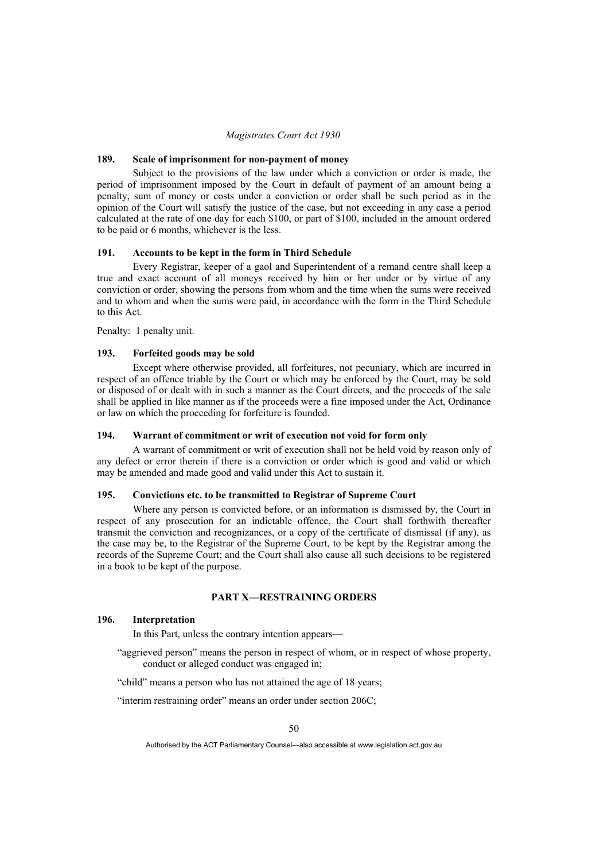## **189. Scale of imprisonment for non-payment of money**

 Subject to the provisions of the law under which a conviction or order is made, the period of imprisonment imposed by the Court in default of payment of an amount being a penalty, sum of money or costs under a conviction or order shall be such period as in the opinion of the Court will satisfy the justice of the case, but not exceeding in any case a period calculated at the rate of one day for each \$100, or part of \$100, included in the amount ordered to be paid or 6 months, whichever is the less.

## **191. Accounts to be kept in the form in Third Schedule**

 Every Registrar, keeper of a gaol and Superintendent of a remand centre shall keep a true and exact account of all moneys received by him or her under or by virtue of any conviction or order, showing the persons from whom and the time when the sums were received and to whom and when the sums were paid, in accordance with the form in the Third Schedule to this Act.

Penalty: 1 penalty unit.

## **193. Forfeited goods may be sold**

 Except where otherwise provided, all forfeitures, not pecuniary, which are incurred in respect of an offence triable by the Court or which may be enforced by the Court, may be sold or disposed of or dealt with in such a manner as the Court directs, and the proceeds of the sale shall be applied in like manner as if the proceeds were a fine imposed under the Act, Ordinance or law on which the proceeding for forfeiture is founded.

## **194. Warrant of commitment or writ of execution not void for form only**

 A warrant of commitment or writ of execution shall not be held void by reason only of any defect or error therein if there is a conviction or order which is good and valid or which may be amended and made good and valid under this Act to sustain it.

### **195. Convictions etc. to be transmitted to Registrar of Supreme Court**

 Where any person is convicted before, or an information is dismissed by, the Court in respect of any prosecution for an indictable offence, the Court shall forthwith thereafter transmit the conviction and recognizances, or a copy of the certificate of dismissal (if any), as the case may be, to the Registrar of the Supreme Court, to be kept by the Registrar among the records of the Supreme Court; and the Court shall also cause all such decisions to be registered in a book to be kept of the purpose.

# **PART X—RESTRAINING ORDERS**

# **196. Interpretation**

In this Part, unless the contrary intention appears—

"aggrieved person" means the person in respect of whom, or in respect of whose property, conduct or alleged conduct was engaged in;

"child" means a person who has not attained the age of 18 years;

"interim restraining order" means an order under section 206C;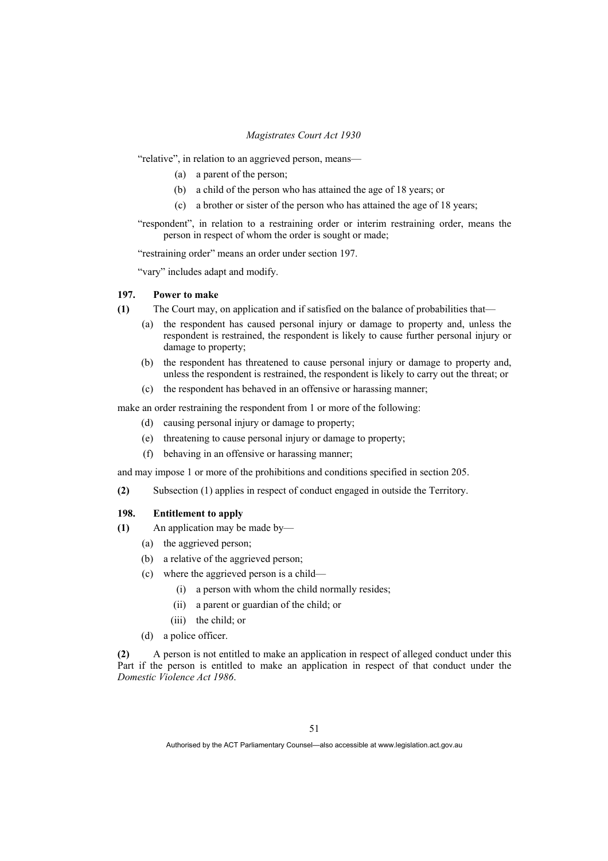"relative", in relation to an aggrieved person, means—

- (a) a parent of the person;
- (b) a child of the person who has attained the age of 18 years; or
- (c) a brother or sister of the person who has attained the age of 18 years;

"respondent", in relation to a restraining order or interim restraining order, means the person in respect of whom the order is sought or made;

"restraining order" means an order under section 197.

"vary" includes adapt and modify.

# **197. Power to make**

- **(1)** The Court may, on application and if satisfied on the balance of probabilities that—
	- (a) the respondent has caused personal injury or damage to property and, unless the respondent is restrained, the respondent is likely to cause further personal injury or damage to property;
	- (b) the respondent has threatened to cause personal injury or damage to property and, unless the respondent is restrained, the respondent is likely to carry out the threat; or
	- (c) the respondent has behaved in an offensive or harassing manner;

make an order restraining the respondent from 1 or more of the following:

- (d) causing personal injury or damage to property;
- (e) threatening to cause personal injury or damage to property;
- (f) behaving in an offensive or harassing manner;

and may impose 1 or more of the prohibitions and conditions specified in section 205.

**(2)** Subsection (1) applies in respect of conduct engaged in outside the Territory.

# **198. Entitlement to apply**

- **(1)** An application may be made by—
	- (a) the aggrieved person;
	- (b) a relative of the aggrieved person;
	- (c) where the aggrieved person is a child—
		- (i) a person with whom the child normally resides;
		- (ii) a parent or guardian of the child; or
		- (iii) the child; or
	- (d) a police officer.

**(2)** A person is not entitled to make an application in respect of alleged conduct under this Part if the person is entitled to make an application in respect of that conduct under the *Domestic Violence Act 1986*.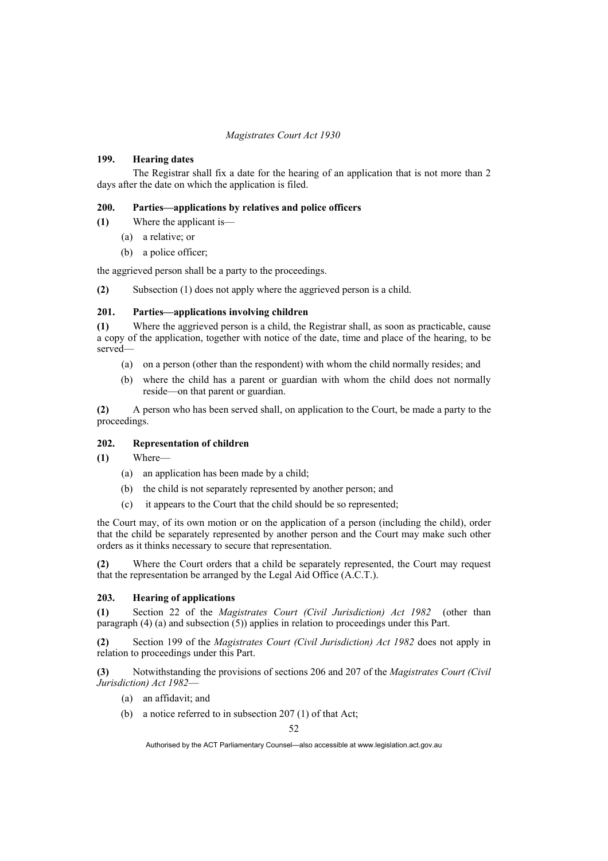## **199. Hearing dates**

 The Registrar shall fix a date for the hearing of an application that is not more than 2 days after the date on which the application is filed.

## **200. Parties—applications by relatives and police officers**

**(1)** Where the applicant is—

- (a) a relative; or
- (b) a police officer;

the aggrieved person shall be a party to the proceedings.

**(2)** Subsection (1) does not apply where the aggrieved person is a child.

## **201. Parties—applications involving children**

**(1)** Where the aggrieved person is a child, the Registrar shall, as soon as practicable, cause a copy of the application, together with notice of the date, time and place of the hearing, to be served—

- (a) on a person (other than the respondent) with whom the child normally resides; and
- (b) where the child has a parent or guardian with whom the child does not normally reside—on that parent or guardian.

**(2)** A person who has been served shall, on application to the Court, be made a party to the proceedings.

## **202. Representation of children**

**(1)** Where—

- (a) an application has been made by a child;
- (b) the child is not separately represented by another person; and
- (c) it appears to the Court that the child should be so represented;

the Court may, of its own motion or on the application of a person (including the child), order that the child be separately represented by another person and the Court may make such other orders as it thinks necessary to secure that representation.

**(2)** Where the Court orders that a child be separately represented, the Court may request that the representation be arranged by the Legal Aid Office (A.C.T.).

## **203. Hearing of applications**

**(1)** Section 22 of the *Magistrates Court (Civil Jurisdiction) Act 1982* (other than paragraph  $(4)$  (a) and subsection  $(5)$ ) applies in relation to proceedings under this Part.

**(2)** Section 199 of the *Magistrates Court (Civil Jurisdiction) Act 1982* does not apply in relation to proceedings under this Part.

**(3)** Notwithstanding the provisions of sections 206 and 207 of the *Magistrates Court (Civil Jurisdiction) Act 1982*—

- (a) an affidavit; and
- (b) a notice referred to in subsection 207 (1) of that Act;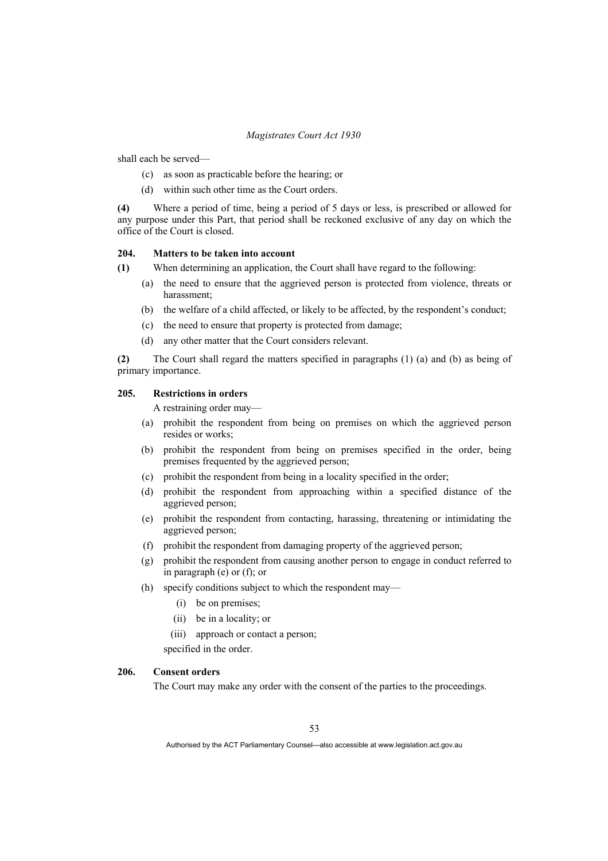shall each be served—

- (c) as soon as practicable before the hearing; or
- (d) within such other time as the Court orders.

**(4)** Where a period of time, being a period of 5 days or less, is prescribed or allowed for any purpose under this Part, that period shall be reckoned exclusive of any day on which the office of the Court is closed.

## **204. Matters to be taken into account**

- **(1)** When determining an application, the Court shall have regard to the following:
	- (a) the need to ensure that the aggrieved person is protected from violence, threats or harassment;
	- (b) the welfare of a child affected, or likely to be affected, by the respondent's conduct;
	- (c) the need to ensure that property is protected from damage;
	- (d) any other matter that the Court considers relevant.

**(2)** The Court shall regard the matters specified in paragraphs (1) (a) and (b) as being of primary importance.

## **205. Restrictions in orders**

A restraining order may—

- (a) prohibit the respondent from being on premises on which the aggrieved person resides or works;
- (b) prohibit the respondent from being on premises specified in the order, being premises frequented by the aggrieved person;
- (c) prohibit the respondent from being in a locality specified in the order;
- (d) prohibit the respondent from approaching within a specified distance of the aggrieved person;
- (e) prohibit the respondent from contacting, harassing, threatening or intimidating the aggrieved person;
- (f) prohibit the respondent from damaging property of the aggrieved person;
- (g) prohibit the respondent from causing another person to engage in conduct referred to in paragraph (e) or (f); or
- (h) specify conditions subject to which the respondent may—
	- (i) be on premises;
	- (ii) be in a locality; or
	- (iii) approach or contact a person;

specified in the order.

## **206. Consent orders**

The Court may make any order with the consent of the parties to the proceedings.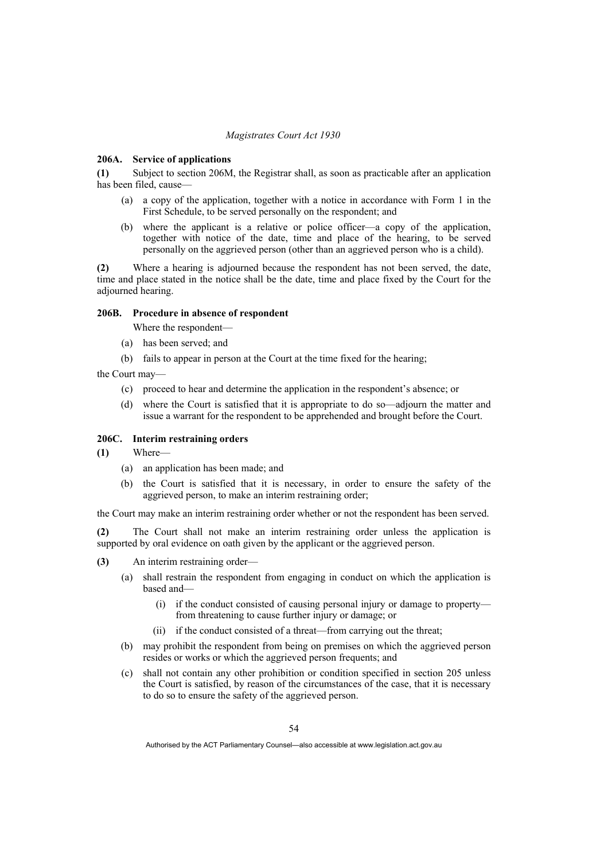### **206A. Service of applications**

**(1)** Subject to section 206M, the Registrar shall, as soon as practicable after an application has been filed, cause-

- (a) a copy of the application, together with a notice in accordance with Form 1 in the First Schedule, to be served personally on the respondent; and
- (b) where the applicant is a relative or police officer—a copy of the application, together with notice of the date, time and place of the hearing, to be served personally on the aggrieved person (other than an aggrieved person who is a child).

**(2)** Where a hearing is adjourned because the respondent has not been served, the date, time and place stated in the notice shall be the date, time and place fixed by the Court for the adiourned hearing.

## **206B. Procedure in absence of respondent**

Where the respondent—

- (a) has been served; and
- (b) fails to appear in person at the Court at the time fixed for the hearing;
- the Court may—
	- (c) proceed to hear and determine the application in the respondent's absence; or
	- (d) where the Court is satisfied that it is appropriate to do so—adjourn the matter and issue a warrant for the respondent to be apprehended and brought before the Court.

### **206C. Interim restraining orders**

- **(1)** Where—
	- (a) an application has been made; and
	- (b) the Court is satisfied that it is necessary, in order to ensure the safety of the aggrieved person, to make an interim restraining order;

the Court may make an interim restraining order whether or not the respondent has been served.

**(2)** The Court shall not make an interim restraining order unless the application is supported by oral evidence on oath given by the applicant or the aggrieved person.

- **(3)** An interim restraining order—
	- (a) shall restrain the respondent from engaging in conduct on which the application is based and—
		- (i) if the conduct consisted of causing personal injury or damage to property from threatening to cause further injury or damage; or
		- (ii) if the conduct consisted of a threat—from carrying out the threat;
	- (b) may prohibit the respondent from being on premises on which the aggrieved person resides or works or which the aggrieved person frequents; and
	- (c) shall not contain any other prohibition or condition specified in section 205 unless the Court is satisfied, by reason of the circumstances of the case, that it is necessary to do so to ensure the safety of the aggrieved person.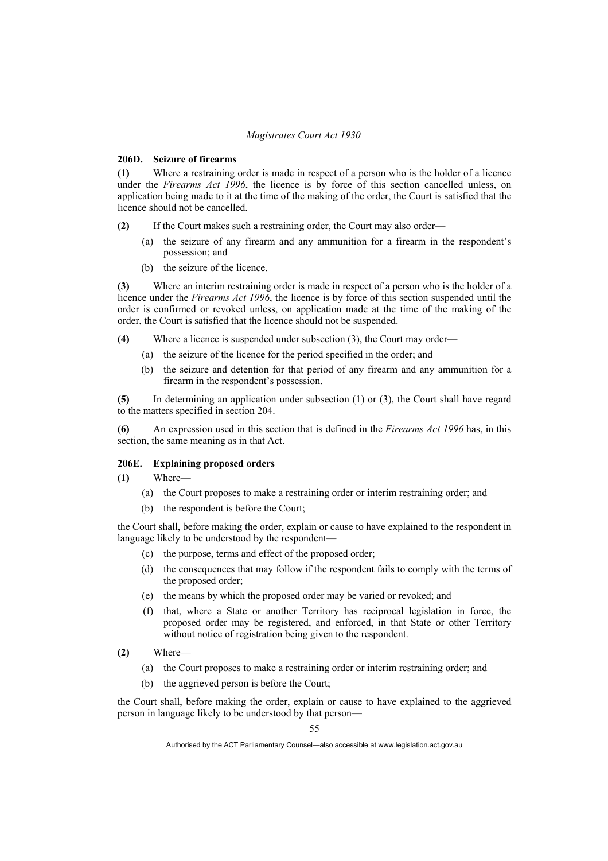## **206D. Seizure of firearms**

**(1)** Where a restraining order is made in respect of a person who is the holder of a licence under the *Firearms Act 1996*, the licence is by force of this section cancelled unless, on application being made to it at the time of the making of the order, the Court is satisfied that the licence should not be cancelled.

**(2)** If the Court makes such a restraining order, the Court may also order—

- (a) the seizure of any firearm and any ammunition for a firearm in the respondent's possession; and
- (b) the seizure of the licence.

**(3)** Where an interim restraining order is made in respect of a person who is the holder of a licence under the *Firearms Act 1996*, the licence is by force of this section suspended until the order is confirmed or revoked unless, on application made at the time of the making of the order, the Court is satisfied that the licence should not be suspended.

**(4)** Where a licence is suspended under subsection (3), the Court may order—

- (a) the seizure of the licence for the period specified in the order; and
- (b) the seizure and detention for that period of any firearm and any ammunition for a firearm in the respondent's possession.

**(5)** In determining an application under subsection (1) or (3), the Court shall have regard to the matters specified in section 204.

**(6)** An expression used in this section that is defined in the *Firearms Act 1996* has, in this section, the same meaning as in that Act.

## **206E. Explaining proposed orders**

**(1)** Where—

- (a) the Court proposes to make a restraining order or interim restraining order; and
- (b) the respondent is before the Court;

the Court shall, before making the order, explain or cause to have explained to the respondent in language likely to be understood by the respondent—

- (c) the purpose, terms and effect of the proposed order;
- (d) the consequences that may follow if the respondent fails to comply with the terms of the proposed order;
- (e) the means by which the proposed order may be varied or revoked; and
- (f) that, where a State or another Territory has reciprocal legislation in force, the proposed order may be registered, and enforced, in that State or other Territory without notice of registration being given to the respondent.
- **(2)** Where—
	- (a) the Court proposes to make a restraining order or interim restraining order; and
	- (b) the aggrieved person is before the Court;

the Court shall, before making the order, explain or cause to have explained to the aggrieved person in language likely to be understood by that person—

55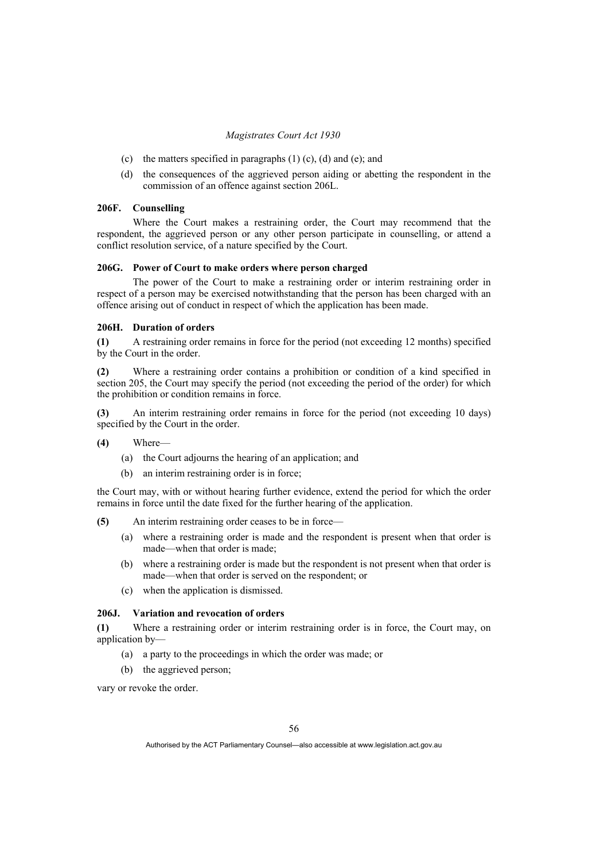- (c) the matters specified in paragraphs (1) (c), (d) and (e); and
- (d) the consequences of the aggrieved person aiding or abetting the respondent in the commission of an offence against section 206L.

# **206F. Counselling**

 Where the Court makes a restraining order, the Court may recommend that the respondent, the aggrieved person or any other person participate in counselling, or attend a conflict resolution service, of a nature specified by the Court.

### **206G. Power of Court to make orders where person charged**

 The power of the Court to make a restraining order or interim restraining order in respect of a person may be exercised notwithstanding that the person has been charged with an offence arising out of conduct in respect of which the application has been made.

### **206H. Duration of orders**

**(1)** A restraining order remains in force for the period (not exceeding 12 months) specified by the Court in the order.

**(2)** Where a restraining order contains a prohibition or condition of a kind specified in section 205, the Court may specify the period (not exceeding the period of the order) for which the prohibition or condition remains in force.

**(3)** An interim restraining order remains in force for the period (not exceeding 10 days) specified by the Court in the order.

- **(4)** Where—
	- (a) the Court adjourns the hearing of an application; and
	- (b) an interim restraining order is in force;

the Court may, with or without hearing further evidence, extend the period for which the order remains in force until the date fixed for the further hearing of the application.

**(5)** An interim restraining order ceases to be in force—

- (a) where a restraining order is made and the respondent is present when that order is made—when that order is made;
- (b) where a restraining order is made but the respondent is not present when that order is made—when that order is served on the respondent; or
- (c) when the application is dismissed.

## **206J. Variation and revocation of orders**

**(1)** Where a restraining order or interim restraining order is in force, the Court may, on application by—

- (a) a party to the proceedings in which the order was made; or
- (b) the aggrieved person;

vary or revoke the order.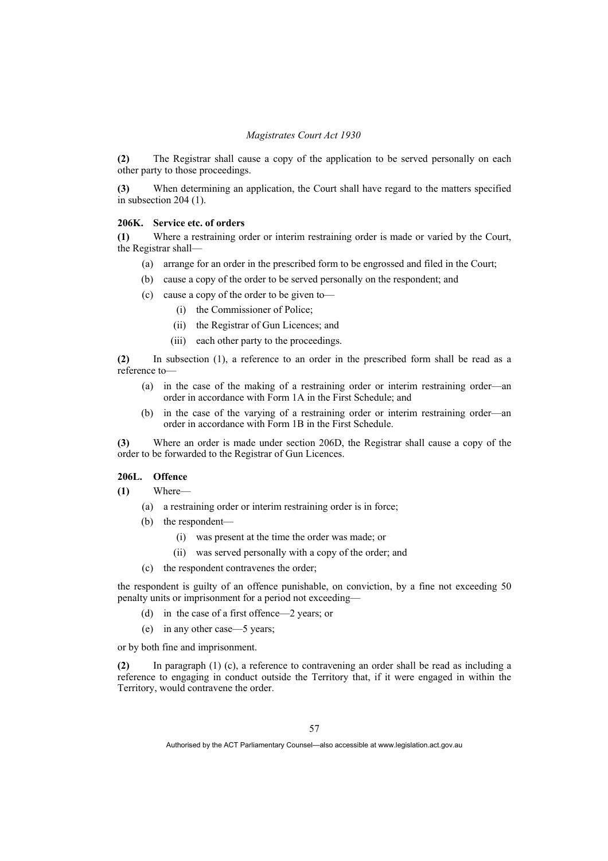**(2)** The Registrar shall cause a copy of the application to be served personally on each other party to those proceedings.

**(3)** When determining an application, the Court shall have regard to the matters specified in subsection 204 (1).

### **206K. Service etc. of orders**

**(1)** Where a restraining order or interim restraining order is made or varied by the Court, the Registrar shall—

- (a) arrange for an order in the prescribed form to be engrossed and filed in the Court;
- (b) cause a copy of the order to be served personally on the respondent; and
- (c) cause a copy of the order to be given to—
	- (i) the Commissioner of Police;
	- (ii) the Registrar of Gun Licences; and
	- (iii) each other party to the proceedings.

**(2)** In subsection (1), a reference to an order in the prescribed form shall be read as a reference to—

- (a) in the case of the making of a restraining order or interim restraining order—an order in accordance with Form 1A in the First Schedule; and
- (b) in the case of the varying of a restraining order or interim restraining order—an order in accordance with Form 1B in the First Schedule.

**(3)** Where an order is made under section 206D, the Registrar shall cause a copy of the order to be forwarded to the Registrar of Gun Licences.

## **206L. Offence**

**(1)** Where—

- (a) a restraining order or interim restraining order is in force;
- (b) the respondent—
	- (i) was present at the time the order was made; or
	- (ii) was served personally with a copy of the order; and
- (c) the respondent contravenes the order;

the respondent is guilty of an offence punishable, on conviction, by a fine not exceeding 50 penalty units or imprisonment for a period not exceeding—

- (d) in the case of a first offence—2 years; or
- (e) in any other case—5 years;

or by both fine and imprisonment.

**(2)** In paragraph (1) (c), a reference to contravening an order shall be read as including a reference to engaging in conduct outside the Territory that, if it were engaged in within the Territory, would contravene the order.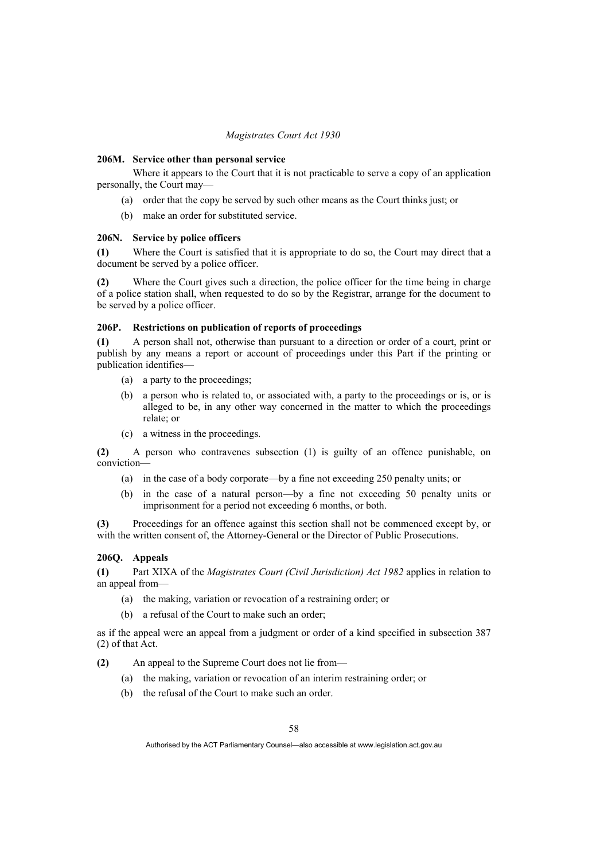#### **206M. Service other than personal service**

 Where it appears to the Court that it is not practicable to serve a copy of an application personally, the Court may—

- (a) order that the copy be served by such other means as the Court thinks just; or
- (b) make an order for substituted service.

### **206N. Service by police officers**

**(1)** Where the Court is satisfied that it is appropriate to do so, the Court may direct that a document be served by a police officer.

**(2)** Where the Court gives such a direction, the police officer for the time being in charge of a police station shall, when requested to do so by the Registrar, arrange for the document to be served by a police officer.

### **206P. Restrictions on publication of reports of proceedings**

**(1)** A person shall not, otherwise than pursuant to a direction or order of a court, print or publish by any means a report or account of proceedings under this Part if the printing or publication identifies—

- (a) a party to the proceedings;
- (b) a person who is related to, or associated with, a party to the proceedings or is, or is alleged to be, in any other way concerned in the matter to which the proceedings relate; or
- (c) a witness in the proceedings.

**(2)** A person who contravenes subsection (1) is guilty of an offence punishable, on conviction—

- (a) in the case of a body corporate—by a fine not exceeding 250 penalty units; or
- (b) in the case of a natural person—by a fine not exceeding 50 penalty units or imprisonment for a period not exceeding 6 months, or both.

**(3)** Proceedings for an offence against this section shall not be commenced except by, or with the written consent of, the Attorney-General or the Director of Public Prosecutions.

## **206Q. Appeals**

**(1)** Part XIXA of the *Magistrates Court (Civil Jurisdiction) Act 1982* applies in relation to an appeal from—

- (a) the making, variation or revocation of a restraining order; or
- (b) a refusal of the Court to make such an order;

as if the appeal were an appeal from a judgment or order of a kind specified in subsection 387 (2) of that Act.

- **(2)** An appeal to the Supreme Court does not lie from—
	- (a) the making, variation or revocation of an interim restraining order; or
	- (b) the refusal of the Court to make such an order.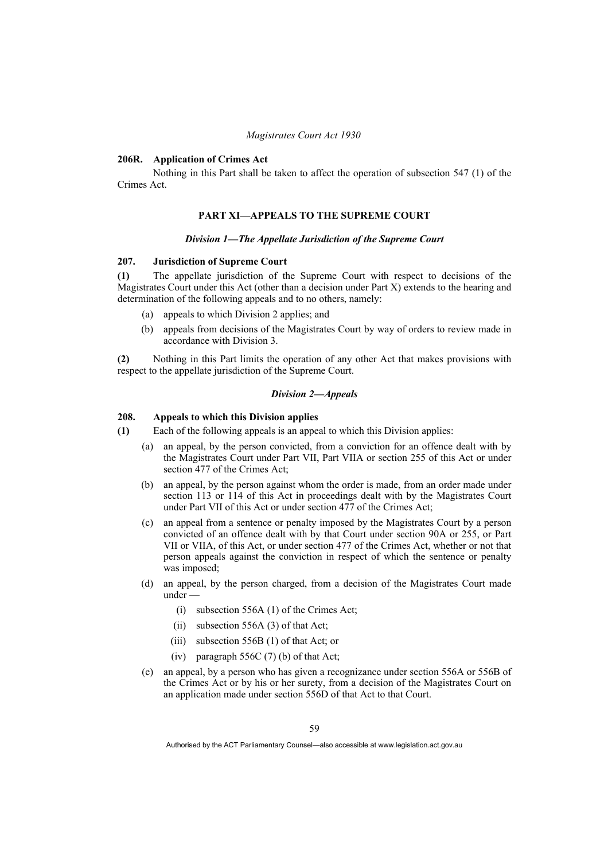### **206R. Application of Crimes Act**

 Nothing in this Part shall be taken to affect the operation of subsection 547 (1) of the Crimes Act.

## **PART XI—APPEALS TO THE SUPREME COURT**

#### *Division 1—The Appellate Jurisdiction of the Supreme Court*

### **207. Jurisdiction of Supreme Court**

**(1)** The appellate jurisdiction of the Supreme Court with respect to decisions of the Magistrates Court under this Act (other than a decision under Part X) extends to the hearing and determination of the following appeals and to no others, namely:

- (a) appeals to which Division 2 applies; and
- (b) appeals from decisions of the Magistrates Court by way of orders to review made in accordance with Division 3.

**(2)** Nothing in this Part limits the operation of any other Act that makes provisions with respect to the appellate jurisdiction of the Supreme Court.

## *Division 2—Appeals*

# **208. Appeals to which this Division applies**

**(1)** Each of the following appeals is an appeal to which this Division applies:

- (a) an appeal, by the person convicted, from a conviction for an offence dealt with by the Magistrates Court under Part VII, Part VIIA or section 255 of this Act or under section 477 of the Crimes Act;
- (b) an appeal, by the person against whom the order is made, from an order made under section 113 or 114 of this Act in proceedings dealt with by the Magistrates Court under Part VII of this Act or under section 477 of the Crimes Act;
- (c) an appeal from a sentence or penalty imposed by the Magistrates Court by a person convicted of an offence dealt with by that Court under section 90A or 255, or Part VII or VIIA, of this Act, or under section 477 of the Crimes Act, whether or not that person appeals against the conviction in respect of which the sentence or penalty was imposed;
- (d) an appeal, by the person charged, from a decision of the Magistrates Court made under -
	- (i) subsection 556A (1) of the Crimes Act;
	- (ii) subsection 556A (3) of that Act;
	- (iii) subsection 556B (1) of that Act; or
	- (iv) paragraph 556C (7) (b) of that Act;
- (e) an appeal, by a person who has given a recognizance under section 556A or 556B of the Crimes Act or by his or her surety, from a decision of the Magistrates Court on an application made under section 556D of that Act to that Court.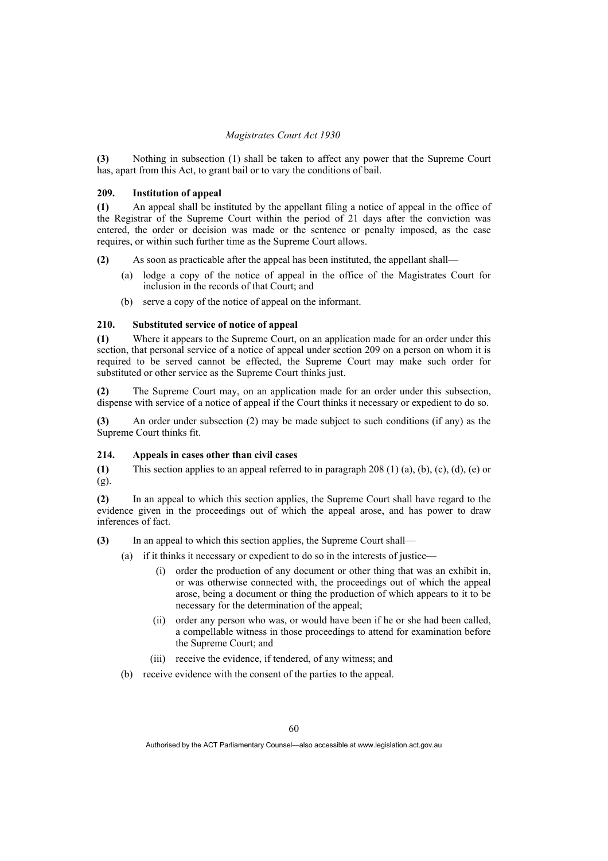**(3)** Nothing in subsection (1) shall be taken to affect any power that the Supreme Court has, apart from this Act, to grant bail or to vary the conditions of bail.

## **209. Institution of appeal**

**(1)** An appeal shall be instituted by the appellant filing a notice of appeal in the office of the Registrar of the Supreme Court within the period of 21 days after the conviction was entered, the order or decision was made or the sentence or penalty imposed, as the case requires, or within such further time as the Supreme Court allows.

**(2)** As soon as practicable after the appeal has been instituted, the appellant shall—

- (a) lodge a copy of the notice of appeal in the office of the Magistrates Court for inclusion in the records of that Court; and
- (b) serve a copy of the notice of appeal on the informant.

# **210. Substituted service of notice of appeal**

**(1)** Where it appears to the Supreme Court, on an application made for an order under this section, that personal service of a notice of appeal under section 209 on a person on whom it is required to be served cannot be effected, the Supreme Court may make such order for substituted or other service as the Supreme Court thinks just.

**(2)** The Supreme Court may, on an application made for an order under this subsection, dispense with service of a notice of appeal if the Court thinks it necessary or expedient to do so.

**(3)** An order under subsection (2) may be made subject to such conditions (if any) as the Supreme Court thinks fit.

## **214. Appeals in cases other than civil cases**

**(1)** This section applies to an appeal referred to in paragraph 208 (1) (a), (b), (c), (d), (e) or (g).

**(2)** In an appeal to which this section applies, the Supreme Court shall have regard to the evidence given in the proceedings out of which the appeal arose, and has power to draw inferences of fact.

- **(3)** In an appeal to which this section applies, the Supreme Court shall—
	- (a) if it thinks it necessary or expedient to do so in the interests of justice—
		- (i) order the production of any document or other thing that was an exhibit in, or was otherwise connected with, the proceedings out of which the appeal arose, being a document or thing the production of which appears to it to be necessary for the determination of the appeal;
		- (ii) order any person who was, or would have been if he or she had been called, a compellable witness in those proceedings to attend for examination before the Supreme Court; and
		- (iii) receive the evidence, if tendered, of any witness; and
	- (b) receive evidence with the consent of the parties to the appeal.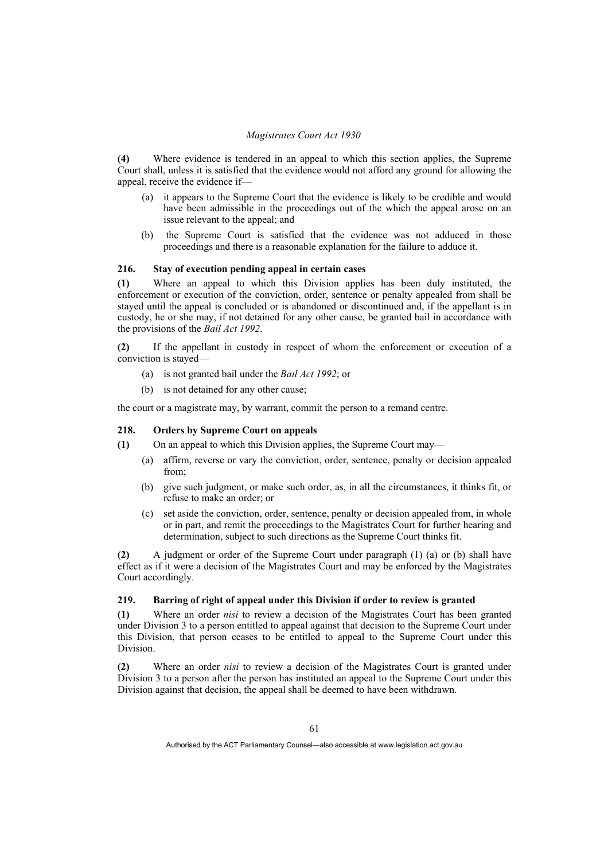**(4)** Where evidence is tendered in an appeal to which this section applies, the Supreme Court shall, unless it is satisfied that the evidence would not afford any ground for allowing the appeal, receive the evidence if—

- (a) it appears to the Supreme Court that the evidence is likely to be credible and would have been admissible in the proceedings out of the which the appeal arose on an issue relevant to the appeal; and
- (b) the Supreme Court is satisfied that the evidence was not adduced in those proceedings and there is a reasonable explanation for the failure to adduce it.

### **216. Stay of execution pending appeal in certain cases**

**(1)** Where an appeal to which this Division applies has been duly instituted, the enforcement or execution of the conviction, order, sentence or penalty appealed from shall be stayed until the appeal is concluded or is abandoned or discontinued and, if the appellant is in custody, he or she may, if not detained for any other cause, be granted bail in accordance with the provisions of the *Bail Act 1992*.

**(2)** If the appellant in custody in respect of whom the enforcement or execution of a conviction is stayed—

- (a) is not granted bail under the *Bail Act 1992*; or
- (b) is not detained for any other cause;

the court or a magistrate may, by warrant, commit the person to a remand centre.

# **218. Orders by Supreme Court on appeals**

- **(1)** On an appeal to which this Division applies, the Supreme Court may—
	- (a) affirm, reverse or vary the conviction, order, sentence, penalty or decision appealed from;
	- (b) give such judgment, or make such order, as, in all the circumstances, it thinks fit, or refuse to make an order; or
	- (c) set aside the conviction, order, sentence, penalty or decision appealed from, in whole or in part, and remit the proceedings to the Magistrates Court for further hearing and determination, subject to such directions as the Supreme Court thinks fit.

**(2)** A judgment or order of the Supreme Court under paragraph (1) (a) or (b) shall have effect as if it were a decision of the Magistrates Court and may be enforced by the Magistrates Court accordingly.

# **219. Barring of right of appeal under this Division if order to review is granted**

**(1)** Where an order *nisi* to review a decision of the Magistrates Court has been granted under Division 3 to a person entitled to appeal against that decision to the Supreme Court under this Division, that person ceases to be entitled to appeal to the Supreme Court under this Division.

**(2)** Where an order *nisi* to review a decision of the Magistrates Court is granted under Division 3 to a person after the person has instituted an appeal to the Supreme Court under this Division against that decision, the appeal shall be deemed to have been withdrawn.

Authorised by the ACT Parliamentary Counsel—also accessible at www.legislation.act.gov.au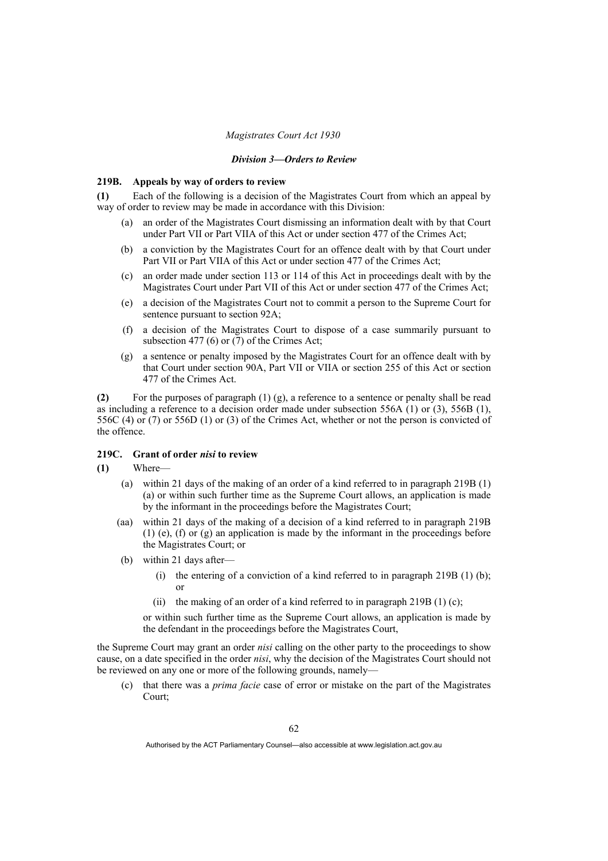#### *Division 3—Orders to Review*

#### **219B. Appeals by way of orders to review**

**(1)** Each of the following is a decision of the Magistrates Court from which an appeal by way of order to review may be made in accordance with this Division:

- (a) an order of the Magistrates Court dismissing an information dealt with by that Court under Part VII or Part VIIA of this Act or under section 477 of the Crimes Act;
- (b) a conviction by the Magistrates Court for an offence dealt with by that Court under Part VII or Part VIIA of this Act or under section 477 of the Crimes Act;
- (c) an order made under section 113 or 114 of this Act in proceedings dealt with by the Magistrates Court under Part VII of this Act or under section 477 of the Crimes Act;
- (e) a decision of the Magistrates Court not to commit a person to the Supreme Court for sentence pursuant to section 92A;
- (f) a decision of the Magistrates Court to dispose of a case summarily pursuant to subsection 477 (6) or  $(7)$  of the Crimes Act;
- (g) a sentence or penalty imposed by the Magistrates Court for an offence dealt with by that Court under section 90A, Part VII or VIIA or section 255 of this Act or section 477 of the Crimes Act.

**(2)** For the purposes of paragraph (1) (g), a reference to a sentence or penalty shall be read as including a reference to a decision order made under subsection  $556A(1)$  or (3),  $556B(1)$ , 556C (4) or (7) or 556D (1) or (3) of the Crimes Act, whether or not the person is convicted of the offence.

# **219C. Grant of order** *nisi* **to review**

- **(1)** Where—
	- (a) within 21 days of the making of an order of a kind referred to in paragraph 219B (1) (a) or within such further time as the Supreme Court allows, an application is made by the informant in the proceedings before the Magistrates Court;
	- (aa) within 21 days of the making of a decision of a kind referred to in paragraph 219B (1) (e), (f) or (g) an application is made by the informant in the proceedings before the Magistrates Court; or
	- (b) within 21 days after—
		- (i) the entering of a conviction of a kind referred to in paragraph  $219B(1)$  (b); or
		- (ii) the making of an order of a kind referred to in paragraph 219B (1) (c);

or within such further time as the Supreme Court allows, an application is made by the defendant in the proceedings before the Magistrates Court,

the Supreme Court may grant an order *nisi* calling on the other party to the proceedings to show cause, on a date specified in the order *nisi*, why the decision of the Magistrates Court should not be reviewed on any one or more of the following grounds, namely—

 (c) that there was a *prima facie* case of error or mistake on the part of the Magistrates Court;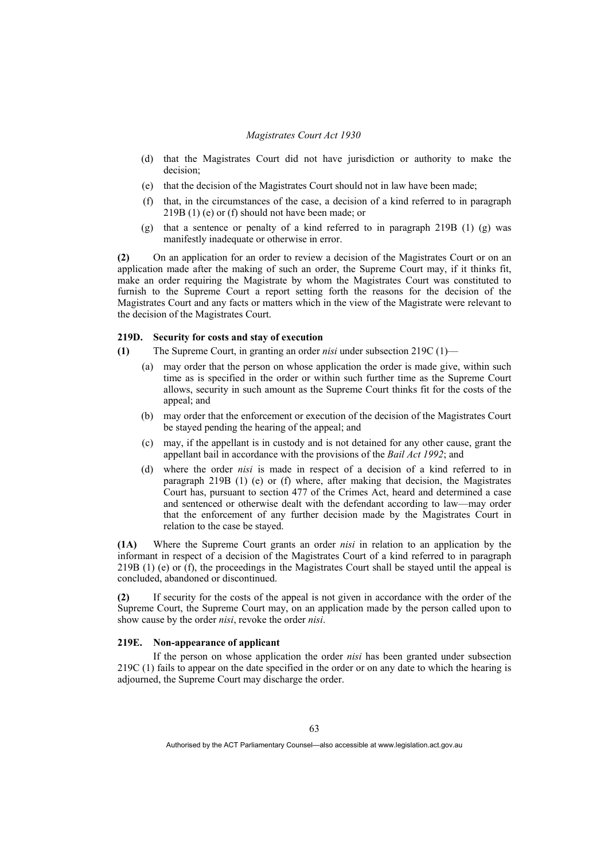- (d) that the Magistrates Court did not have jurisdiction or authority to make the decision;
- (e) that the decision of the Magistrates Court should not in law have been made;
- (f) that, in the circumstances of the case, a decision of a kind referred to in paragraph 219B (1) (e) or (f) should not have been made; or
- (g) that a sentence or penalty of a kind referred to in paragraph 219B (1) (g) was manifestly inadequate or otherwise in error.

**(2)** On an application for an order to review a decision of the Magistrates Court or on an application made after the making of such an order, the Supreme Court may, if it thinks fit, make an order requiring the Magistrate by whom the Magistrates Court was constituted to furnish to the Supreme Court a report setting forth the reasons for the decision of the Magistrates Court and any facts or matters which in the view of the Magistrate were relevant to the decision of the Magistrates Court.

## **219D. Security for costs and stay of execution**

- **(1)** The Supreme Court, in granting an order *nisi* under subsection 219C (1)—
	- (a) may order that the person on whose application the order is made give, within such time as is specified in the order or within such further time as the Supreme Court allows, security in such amount as the Supreme Court thinks fit for the costs of the appeal; and
	- (b) may order that the enforcement or execution of the decision of the Magistrates Court be stayed pending the hearing of the appeal; and
	- (c) may, if the appellant is in custody and is not detained for any other cause, grant the appellant bail in accordance with the provisions of the *Bail Act 1992*; and
	- (d) where the order *nisi* is made in respect of a decision of a kind referred to in paragraph 219B (1) (e) or (f) where, after making that decision, the Magistrates Court has, pursuant to section 477 of the Crimes Act, heard and determined a case and sentenced or otherwise dealt with the defendant according to law—may order that the enforcement of any further decision made by the Magistrates Court in relation to the case be stayed.

**(1A)** Where the Supreme Court grants an order *nisi* in relation to an application by the informant in respect of a decision of the Magistrates Court of a kind referred to in paragraph 219B (1) (e) or (f), the proceedings in the Magistrates Court shall be stayed until the appeal is concluded, abandoned or discontinued.

**(2)** If security for the costs of the appeal is not given in accordance with the order of the Supreme Court, the Supreme Court may, on an application made by the person called upon to show cause by the order *nisi*, revoke the order *nisi*.

# **219E. Non-appearance of applicant**

 If the person on whose application the order *nisi* has been granted under subsection 219C (1) fails to appear on the date specified in the order or on any date to which the hearing is adjourned, the Supreme Court may discharge the order.

Authorised by the ACT Parliamentary Counsel—also accessible at www.legislation.act.gov.au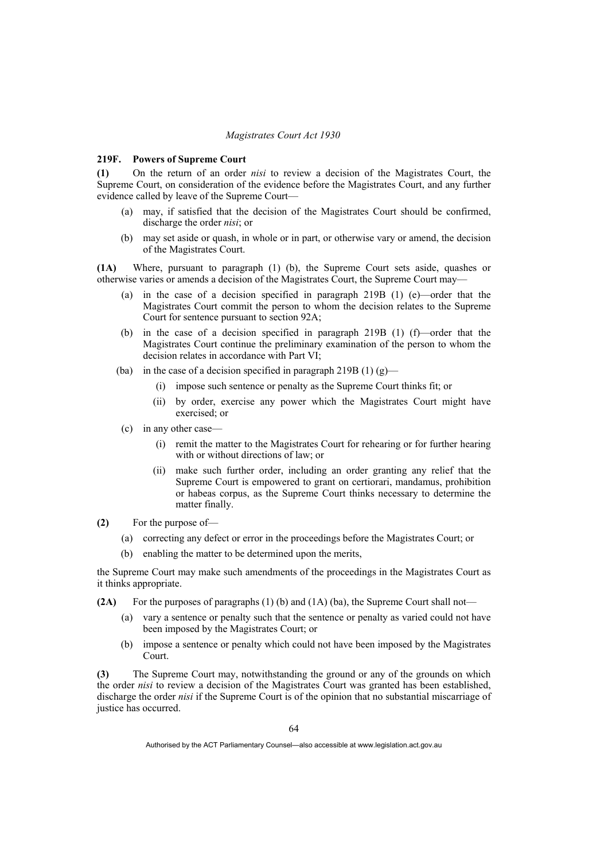#### **219F. Powers of Supreme Court**

**(1)** On the return of an order *nisi* to review a decision of the Magistrates Court, the Supreme Court, on consideration of the evidence before the Magistrates Court, and any further evidence called by leave of the Supreme Court—

- (a) may, if satisfied that the decision of the Magistrates Court should be confirmed, discharge the order *nisi*; or
- (b) may set aside or quash, in whole or in part, or otherwise vary or amend, the decision of the Magistrates Court.

**(1A)** Where, pursuant to paragraph (1) (b), the Supreme Court sets aside, quashes or otherwise varies or amends a decision of the Magistrates Court, the Supreme Court may—

- (a) in the case of a decision specified in paragraph 219B (1) (e)—order that the Magistrates Court commit the person to whom the decision relates to the Supreme Court for sentence pursuant to section 92A;
- (b) in the case of a decision specified in paragraph 219B (1) (f)—order that the Magistrates Court continue the preliminary examination of the person to whom the decision relates in accordance with Part VI;
- (ba) in the case of a decision specified in paragraph 219B (1)  $(g)$ 
	- (i) impose such sentence or penalty as the Supreme Court thinks fit; or
	- (ii) by order, exercise any power which the Magistrates Court might have exercised; or
- (c) in any other case—
	- (i) remit the matter to the Magistrates Court for rehearing or for further hearing with or without directions of law; or
	- (ii) make such further order, including an order granting any relief that the Supreme Court is empowered to grant on certiorari, mandamus, prohibition or habeas corpus, as the Supreme Court thinks necessary to determine the matter finally.
- **(2)** For the purpose of—
	- (a) correcting any defect or error in the proceedings before the Magistrates Court; or
	- (b) enabling the matter to be determined upon the merits,

the Supreme Court may make such amendments of the proceedings in the Magistrates Court as it thinks appropriate.

- **(2A)** For the purposes of paragraphs (1) (b) and (1A) (ba), the Supreme Court shall not—
	- (a) vary a sentence or penalty such that the sentence or penalty as varied could not have been imposed by the Magistrates Court; or
	- (b) impose a sentence or penalty which could not have been imposed by the Magistrates Court.

**(3)** The Supreme Court may, notwithstanding the ground or any of the grounds on which the order *nisi* to review a decision of the Magistrates Court was granted has been established, discharge the order *nisi* if the Supreme Court is of the opinion that no substantial miscarriage of justice has occurred.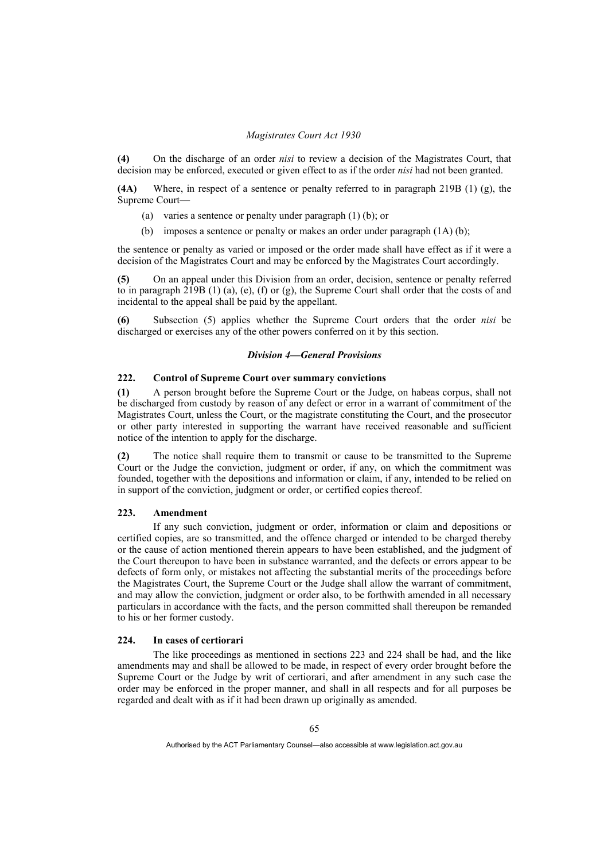**(4)** On the discharge of an order *nisi* to review a decision of the Magistrates Court, that decision may be enforced, executed or given effect to as if the order *nisi* had not been granted.

**(4A)** Where, in respect of a sentence or penalty referred to in paragraph 219B (1) (g), the Supreme Court—

- (a) varies a sentence or penalty under paragraph (1) (b); or
- (b) imposes a sentence or penalty or makes an order under paragraph (1A) (b);

the sentence or penalty as varied or imposed or the order made shall have effect as if it were a decision of the Magistrates Court and may be enforced by the Magistrates Court accordingly.

**(5)** On an appeal under this Division from an order, decision, sentence or penalty referred to in paragraph  $219B(1)$  (a), (e), (f) or (g), the Supreme Court shall order that the costs of and incidental to the appeal shall be paid by the appellant.

**(6)** Subsection (5) applies whether the Supreme Court orders that the order *nisi* be discharged or exercises any of the other powers conferred on it by this section.

# *Division 4—General Provisions*

# **222. Control of Supreme Court over summary convictions**

**(1)** A person brought before the Supreme Court or the Judge, on habeas corpus, shall not be discharged from custody by reason of any defect or error in a warrant of commitment of the Magistrates Court, unless the Court, or the magistrate constituting the Court, and the prosecutor or other party interested in supporting the warrant have received reasonable and sufficient notice of the intention to apply for the discharge.

**(2)** The notice shall require them to transmit or cause to be transmitted to the Supreme Court or the Judge the conviction, judgment or order, if any, on which the commitment was founded, together with the depositions and information or claim, if any, intended to be relied on in support of the conviction, judgment or order, or certified copies thereof.

# **223. Amendment**

 If any such conviction, judgment or order, information or claim and depositions or certified copies, are so transmitted, and the offence charged or intended to be charged thereby or the cause of action mentioned therein appears to have been established, and the judgment of the Court thereupon to have been in substance warranted, and the defects or errors appear to be defects of form only, or mistakes not affecting the substantial merits of the proceedings before the Magistrates Court, the Supreme Court or the Judge shall allow the warrant of commitment, and may allow the conviction, judgment or order also, to be forthwith amended in all necessary particulars in accordance with the facts, and the person committed shall thereupon be remanded to his or her former custody.

#### **224. In cases of certiorari**

 The like proceedings as mentioned in sections 223 and 224 shall be had, and the like amendments may and shall be allowed to be made, in respect of every order brought before the Supreme Court or the Judge by writ of certiorari, and after amendment in any such case the order may be enforced in the proper manner, and shall in all respects and for all purposes be regarded and dealt with as if it had been drawn up originally as amended.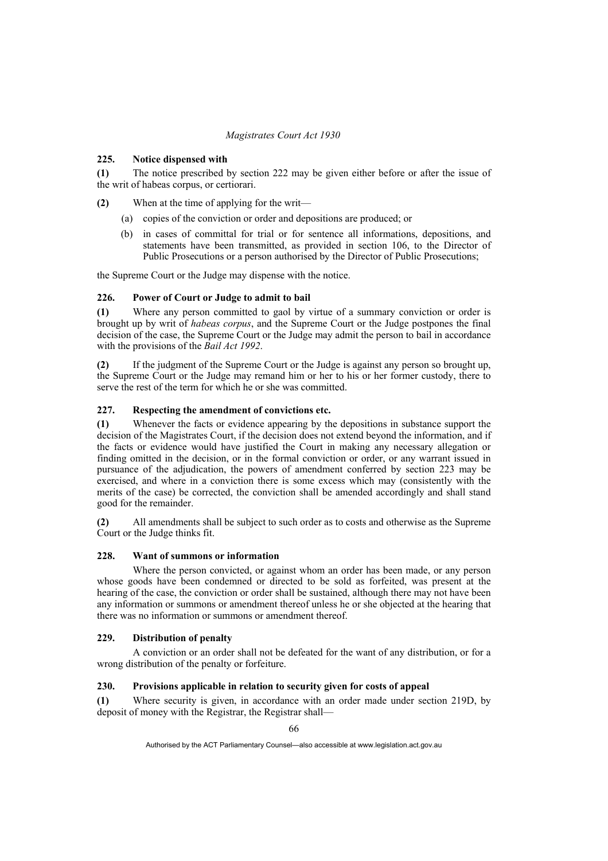# **225. Notice dispensed with**

**(1)** The notice prescribed by section 222 may be given either before or after the issue of the writ of habeas corpus, or certiorari.

**(2)** When at the time of applying for the writ—

- (a) copies of the conviction or order and depositions are produced; or
- (b) in cases of committal for trial or for sentence all informations, depositions, and statements have been transmitted, as provided in section 106, to the Director of Public Prosecutions or a person authorised by the Director of Public Prosecutions;

the Supreme Court or the Judge may dispense with the notice.

# **226. Power of Court or Judge to admit to bail**

**(1)** Where any person committed to gaol by virtue of a summary conviction or order is brought up by writ of *habeas corpus*, and the Supreme Court or the Judge postpones the final decision of the case, the Supreme Court or the Judge may admit the person to bail in accordance with the provisions of the *Bail Act 1992*.

**(2)** If the judgment of the Supreme Court or the Judge is against any person so brought up, the Supreme Court or the Judge may remand him or her to his or her former custody, there to serve the rest of the term for which he or she was committed.

# **227. Respecting the amendment of convictions etc.**

**(1)** Whenever the facts or evidence appearing by the depositions in substance support the decision of the Magistrates Court, if the decision does not extend beyond the information, and if the facts or evidence would have justified the Court in making any necessary allegation or finding omitted in the decision, or in the formal conviction or order, or any warrant issued in pursuance of the adjudication, the powers of amendment conferred by section 223 may be exercised, and where in a conviction there is some excess which may (consistently with the merits of the case) be corrected, the conviction shall be amended accordingly and shall stand good for the remainder.

**(2)** All amendments shall be subject to such order as to costs and otherwise as the Supreme Court or the Judge thinks fit.

# **228. Want of summons or information**

 Where the person convicted, or against whom an order has been made, or any person whose goods have been condemned or directed to be sold as forfeited, was present at the hearing of the case, the conviction or order shall be sustained, although there may not have been any information or summons or amendment thereof unless he or she objected at the hearing that there was no information or summons or amendment thereof.

# **229. Distribution of penalty**

 A conviction or an order shall not be defeated for the want of any distribution, or for a wrong distribution of the penalty or forfeiture.

# **230. Provisions applicable in relation to security given for costs of appeal**

**(1)** Where security is given, in accordance with an order made under section 219D, by deposit of money with the Registrar, the Registrar shall—

Authorised by the ACT Parliamentary Counsel—also accessible at www.legislation.act.gov.au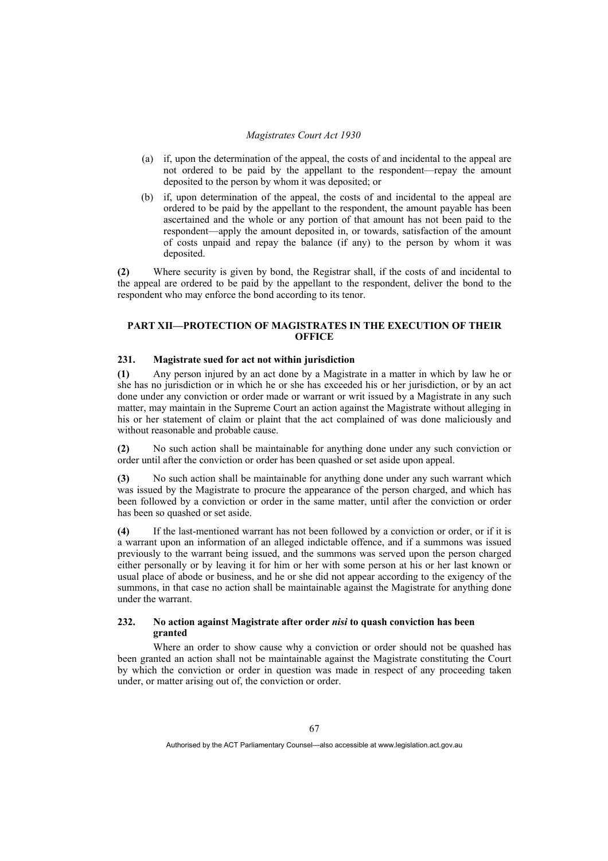- (a) if, upon the determination of the appeal, the costs of and incidental to the appeal are not ordered to be paid by the appellant to the respondent—repay the amount deposited to the person by whom it was deposited; or
- (b) if, upon determination of the appeal, the costs of and incidental to the appeal are ordered to be paid by the appellant to the respondent, the amount payable has been ascertained and the whole or any portion of that amount has not been paid to the respondent—apply the amount deposited in, or towards, satisfaction of the amount of costs unpaid and repay the balance (if any) to the person by whom it was deposited.

**(2)** Where security is given by bond, the Registrar shall, if the costs of and incidental to the appeal are ordered to be paid by the appellant to the respondent, deliver the bond to the respondent who may enforce the bond according to its tenor.

# **PART XII—PROTECTION OF MAGISTRATES IN THE EXECUTION OF THEIR OFFICE**

# **231. Magistrate sued for act not within jurisdiction**

**(1)** Any person injured by an act done by a Magistrate in a matter in which by law he or she has no jurisdiction or in which he or she has exceeded his or her jurisdiction, or by an act done under any conviction or order made or warrant or writ issued by a Magistrate in any such matter, may maintain in the Supreme Court an action against the Magistrate without alleging in his or her statement of claim or plaint that the act complained of was done maliciously and without reasonable and probable cause.

**(2)** No such action shall be maintainable for anything done under any such conviction or order until after the conviction or order has been quashed or set aside upon appeal.

**(3)** No such action shall be maintainable for anything done under any such warrant which was issued by the Magistrate to procure the appearance of the person charged, and which has been followed by a conviction or order in the same matter, until after the conviction or order has been so quashed or set aside.

**(4)** If the last-mentioned warrant has not been followed by a conviction or order, or if it is a warrant upon an information of an alleged indictable offence, and if a summons was issued previously to the warrant being issued, and the summons was served upon the person charged either personally or by leaving it for him or her with some person at his or her last known or usual place of abode or business, and he or she did not appear according to the exigency of the summons, in that case no action shall be maintainable against the Magistrate for anything done under the warrant.

# **232. No action against Magistrate after order** *nisi* **to quash conviction has been granted**

 Where an order to show cause why a conviction or order should not be quashed has been granted an action shall not be maintainable against the Magistrate constituting the Court by which the conviction or order in question was made in respect of any proceeding taken under, or matter arising out of, the conviction or order.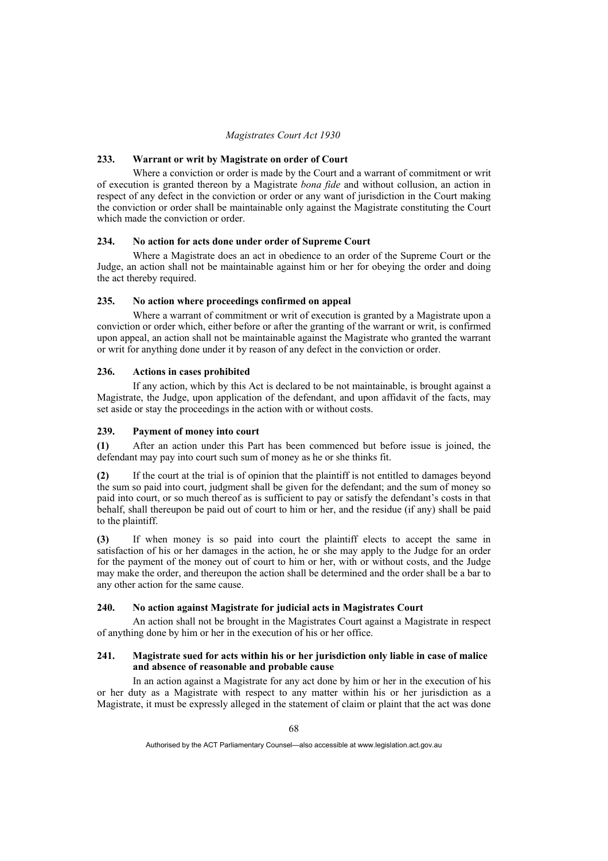## **233. Warrant or writ by Magistrate on order of Court**

 Where a conviction or order is made by the Court and a warrant of commitment or writ of execution is granted thereon by a Magistrate *bona fide* and without collusion, an action in respect of any defect in the conviction or order or any want of jurisdiction in the Court making the conviction or order shall be maintainable only against the Magistrate constituting the Court which made the conviction or order.

# **234. No action for acts done under order of Supreme Court**

 Where a Magistrate does an act in obedience to an order of the Supreme Court or the Judge, an action shall not be maintainable against him or her for obeying the order and doing the act thereby required.

## **235. No action where proceedings confirmed on appeal**

 Where a warrant of commitment or writ of execution is granted by a Magistrate upon a conviction or order which, either before or after the granting of the warrant or writ, is confirmed upon appeal, an action shall not be maintainable against the Magistrate who granted the warrant or writ for anything done under it by reason of any defect in the conviction or order.

# **236. Actions in cases prohibited**

 If any action, which by this Act is declared to be not maintainable, is brought against a Magistrate, the Judge, upon application of the defendant, and upon affidavit of the facts, may set aside or stay the proceedings in the action with or without costs.

# **239. Payment of money into court**

**(1)** After an action under this Part has been commenced but before issue is joined, the defendant may pay into court such sum of money as he or she thinks fit.

**(2)** If the court at the trial is of opinion that the plaintiff is not entitled to damages beyond the sum so paid into court, judgment shall be given for the defendant; and the sum of money so paid into court, or so much thereof as is sufficient to pay or satisfy the defendant's costs in that behalf, shall thereupon be paid out of court to him or her, and the residue (if any) shall be paid to the plaintiff.

**(3)** If when money is so paid into court the plaintiff elects to accept the same in satisfaction of his or her damages in the action, he or she may apply to the Judge for an order for the payment of the money out of court to him or her, with or without costs, and the Judge may make the order, and thereupon the action shall be determined and the order shall be a bar to any other action for the same cause.

### **240. No action against Magistrate for judicial acts in Magistrates Court**

 An action shall not be brought in the Magistrates Court against a Magistrate in respect of anything done by him or her in the execution of his or her office.

## **241. Magistrate sued for acts within his or her jurisdiction only liable in case of malice and absence of reasonable and probable cause**

 In an action against a Magistrate for any act done by him or her in the execution of his or her duty as a Magistrate with respect to any matter within his or her jurisdiction as a Magistrate, it must be expressly alleged in the statement of claim or plaint that the act was done

Authorised by the ACT Parliamentary Counsel—also accessible at www.legislation.act.gov.au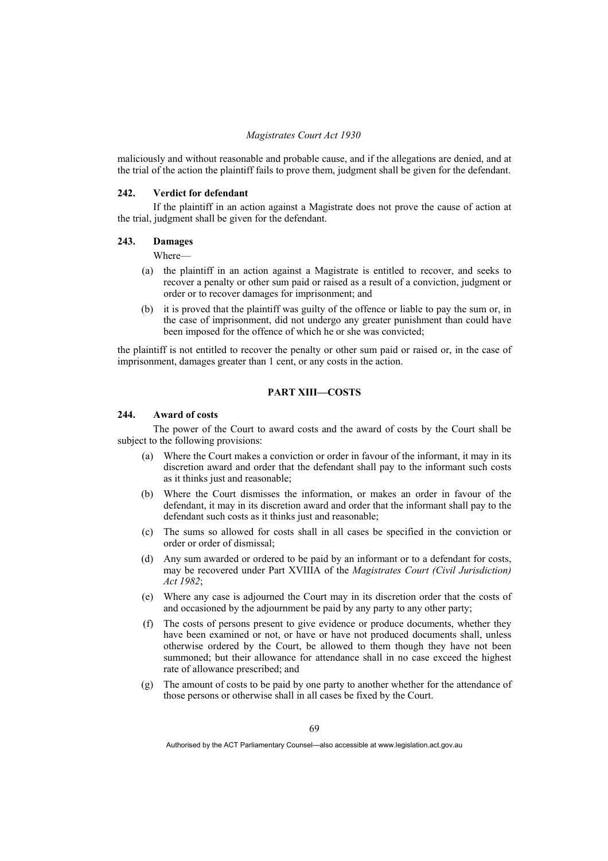maliciously and without reasonable and probable cause, and if the allegations are denied, and at the trial of the action the plaintiff fails to prove them, judgment shall be given for the defendant.

#### **242. Verdict for defendant**

 If the plaintiff in an action against a Magistrate does not prove the cause of action at the trial, judgment shall be given for the defendant.

### **243. Damages**

Where—

- (a) the plaintiff in an action against a Magistrate is entitled to recover, and seeks to recover a penalty or other sum paid or raised as a result of a conviction, judgment or order or to recover damages for imprisonment; and
- (b) it is proved that the plaintiff was guilty of the offence or liable to pay the sum or, in the case of imprisonment, did not undergo any greater punishment than could have been imposed for the offence of which he or she was convicted;

the plaintiff is not entitled to recover the penalty or other sum paid or raised or, in the case of imprisonment, damages greater than 1 cent, or any costs in the action.

# **PART XIII—COSTS**

# **244. Award of costs**

 The power of the Court to award costs and the award of costs by the Court shall be subject to the following provisions:

- (a) Where the Court makes a conviction or order in favour of the informant, it may in its discretion award and order that the defendant shall pay to the informant such costs as it thinks just and reasonable;
- (b) Where the Court dismisses the information, or makes an order in favour of the defendant, it may in its discretion award and order that the informant shall pay to the defendant such costs as it thinks just and reasonable;
- (c) The sums so allowed for costs shall in all cases be specified in the conviction or order or order of dismissal;
- (d) Any sum awarded or ordered to be paid by an informant or to a defendant for costs, may be recovered under Part XVIIIA of the *Magistrates Court (Civil Jurisdiction) Act 1982*;
- (e) Where any case is adjourned the Court may in its discretion order that the costs of and occasioned by the adjournment be paid by any party to any other party;
- (f) The costs of persons present to give evidence or produce documents, whether they have been examined or not, or have or have not produced documents shall, unless otherwise ordered by the Court, be allowed to them though they have not been summoned; but their allowance for attendance shall in no case exceed the highest rate of allowance prescribed; and
- (g) The amount of costs to be paid by one party to another whether for the attendance of those persons or otherwise shall in all cases be fixed by the Court.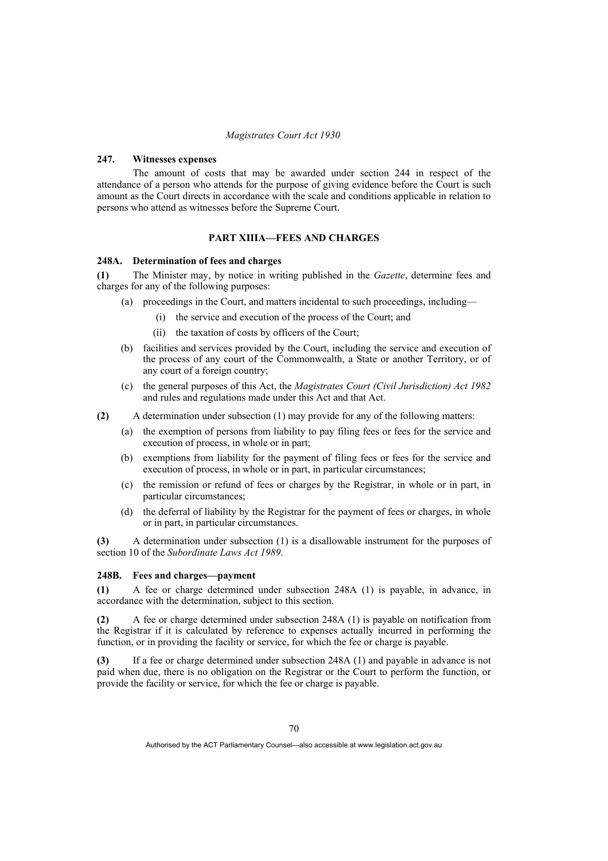# **247. Witnesses expenses**

 The amount of costs that may be awarded under section 244 in respect of the attendance of a person who attends for the purpose of giving evidence before the Court is such amount as the Court directs in accordance with the scale and conditions applicable in relation to persons who attend as witnesses before the Supreme Court.

#### **PART XIIIA—FEES AND CHARGES**

#### **248A. Determination of fees and charges**

**(1)** The Minister may, by notice in writing published in the *Gazette*, determine fees and charges for any of the following purposes:

- (a) proceedings in the Court, and matters incidental to such proceedings, including—
	- (i) the service and execution of the process of the Court; and
	- (ii) the taxation of costs by officers of the Court;
- (b) facilities and services provided by the Court, including the service and execution of the process of any court of the Commonwealth, a State or another Territory, or of any court of a foreign country;
- (c) the general purposes of this Act, the *Magistrates Court (Civil Jurisdiction) Act 1982* and rules and regulations made under this Act and that Act.
- **(2)** A determination under subsection (1) may provide for any of the following matters:
	- (a) the exemption of persons from liability to pay filing fees or fees for the service and execution of process, in whole or in part;
	- (b) exemptions from liability for the payment of filing fees or fees for the service and execution of process, in whole or in part, in particular circumstances;
	- (c) the remission or refund of fees or charges by the Registrar, in whole or in part, in particular circumstances;
	- (d) the deferral of liability by the Registrar for the payment of fees or charges, in whole or in part, in particular circumstances.

**(3)** A determination under subsection (1) is a disallowable instrument for the purposes of section 10 of the *Subordinate Laws Act 1989*.

#### **248B. Fees and charges—payment**

**(1)** A fee or charge determined under subsection 248A (1) is payable, in advance, in accordance with the determination, subject to this section.

**(2)** A fee or charge determined under subsection 248A (1) is payable on notification from the Registrar if it is calculated by reference to expenses actually incurred in performing the function, or in providing the facility or service, for which the fee or charge is payable.

**(3)** If a fee or charge determined under subsection 248A (1) and payable in advance is not paid when due, there is no obligation on the Registrar or the Court to perform the function, or provide the facility or service, for which the fee or charge is payable.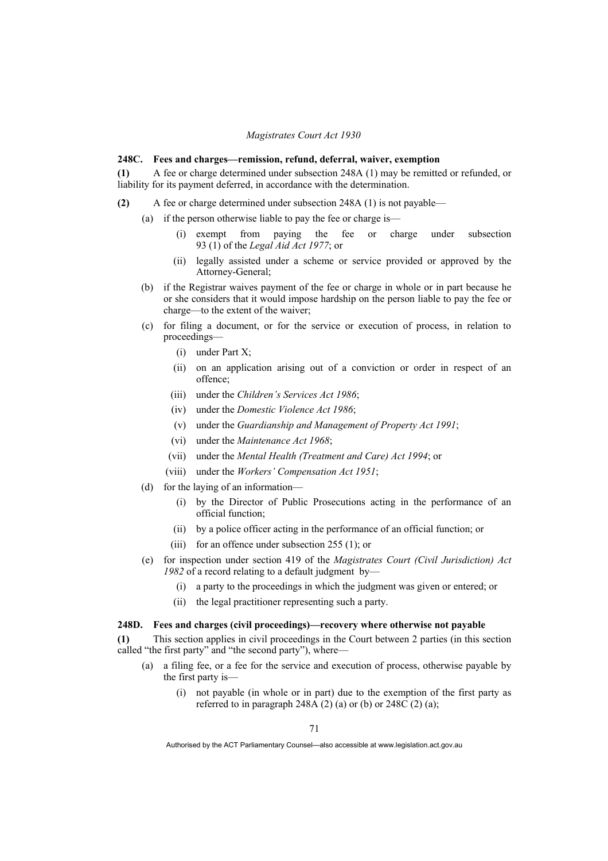#### **248C. Fees and charges—remission, refund, deferral, waiver, exemption**

**(1)** A fee or charge determined under subsection 248A (1) may be remitted or refunded, or liability for its payment deferred, in accordance with the determination.

- **(2)** A fee or charge determined under subsection 248A (1) is not payable—
	- (a) if the person otherwise liable to pay the fee or charge is—
		- (i) exempt from paying the fee or charge under subsection 93 (1) of the *Legal Aid Act 1977*; or
		- (ii) legally assisted under a scheme or service provided or approved by the Attorney-General;
	- (b) if the Registrar waives payment of the fee or charge in whole or in part because he or she considers that it would impose hardship on the person liable to pay the fee or charge—to the extent of the waiver;
	- (c) for filing a document, or for the service or execution of process, in relation to proceedings—
		- (i) under Part X;
		- (ii) on an application arising out of a conviction or order in respect of an offence;
		- (iii) under the *Children's Services Act 1986*;
		- (iv) under the *Domestic Violence Act 1986*;
		- (v) under the *Guardianship and Management of Property Act 1991*;
		- (vi) under the *Maintenance Act 1968*;
		- (vii) under the *Mental Health (Treatment and Care) Act 1994*; or
		- (viii) under the *Workers' Compensation Act 1951*;
	- (d) for the laying of an information—
		- (i) by the Director of Public Prosecutions acting in the performance of an official function;
		- (ii) by a police officer acting in the performance of an official function; or
		- (iii) for an offence under subsection 255 (1); or
	- (e) for inspection under section 419 of the *Magistrates Court (Civil Jurisdiction) Act 1982* of a record relating to a default judgment by—
		- (i) a party to the proceedings in which the judgment was given or entered; or
		- (ii) the legal practitioner representing such a party.

#### **248D. Fees and charges (civil proceedings)—recovery where otherwise not payable**

**(1)** This section applies in civil proceedings in the Court between 2 parties (in this section called "the first party" and "the second party"), where—

- (a) a filing fee, or a fee for the service and execution of process, otherwise payable by the first party is—
	- (i) not payable (in whole or in part) due to the exemption of the first party as referred to in paragraph 248A (2) (a) or (b) or 248C (2) (a);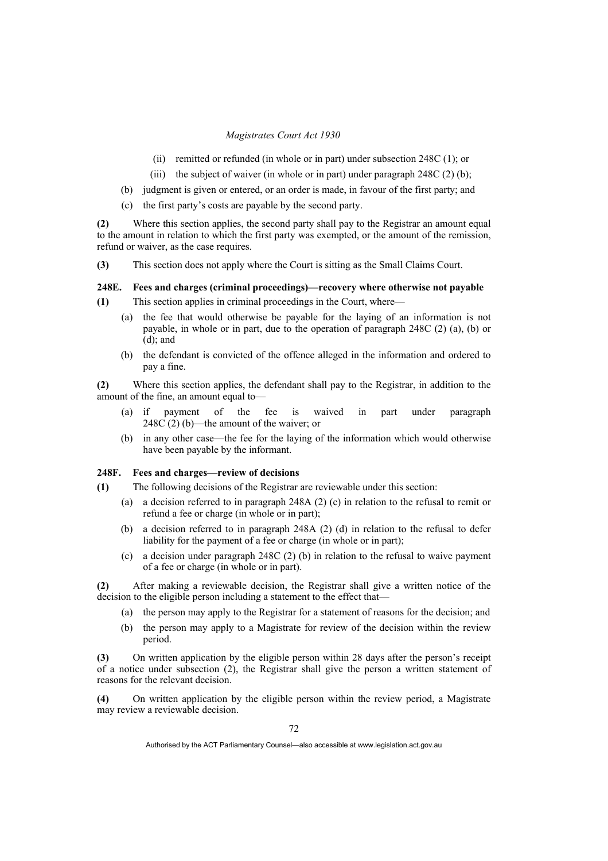- (ii) remitted or refunded (in whole or in part) under subsection 248C (1); or
- (iii) the subject of waiver (in whole or in part) under paragraph  $248C(2)$  (b);
- (b) judgment is given or entered, or an order is made, in favour of the first party; and
- (c) the first party's costs are payable by the second party.

**(2)** Where this section applies, the second party shall pay to the Registrar an amount equal to the amount in relation to which the first party was exempted, or the amount of the remission, refund or waiver, as the case requires.

**(3)** This section does not apply where the Court is sitting as the Small Claims Court.

# **248E. Fees and charges (criminal proceedings)—recovery where otherwise not payable**

**(1)** This section applies in criminal proceedings in the Court, where—

- (a) the fee that would otherwise be payable for the laying of an information is not payable, in whole or in part, due to the operation of paragraph 248C (2) (a), (b) or  $(d)$ ; and
- (b) the defendant is convicted of the offence alleged in the information and ordered to pay a fine.

**(2)** Where this section applies, the defendant shall pay to the Registrar, in addition to the amount of the fine, an amount equal to—

- (a) if payment of the fee is waived in part under paragraph 248C (2) (b)—the amount of the waiver; or
	- (b) in any other case—the fee for the laying of the information which would otherwise have been payable by the informant.

# **248F. Fees and charges—review of decisions**

- **(1)** The following decisions of the Registrar are reviewable under this section:
	- (a) a decision referred to in paragraph 248A (2) (c) in relation to the refusal to remit or refund a fee or charge (in whole or in part);
	- (b) a decision referred to in paragraph 248A (2) (d) in relation to the refusal to defer liability for the payment of a fee or charge (in whole or in part);
	- (c) a decision under paragraph 248C (2) (b) in relation to the refusal to waive payment of a fee or charge (in whole or in part).

**(2)** After making a reviewable decision, the Registrar shall give a written notice of the decision to the eligible person including a statement to the effect that—

- (a) the person may apply to the Registrar for a statement of reasons for the decision; and
- (b) the person may apply to a Magistrate for review of the decision within the review period.

**(3)** On written application by the eligible person within 28 days after the person's receipt of a notice under subsection (2), the Registrar shall give the person a written statement of reasons for the relevant decision.

**(4)** On written application by the eligible person within the review period, a Magistrate may review a reviewable decision.

Authorised by the ACT Parliamentary Counsel—also accessible at www.legislation.act.gov.au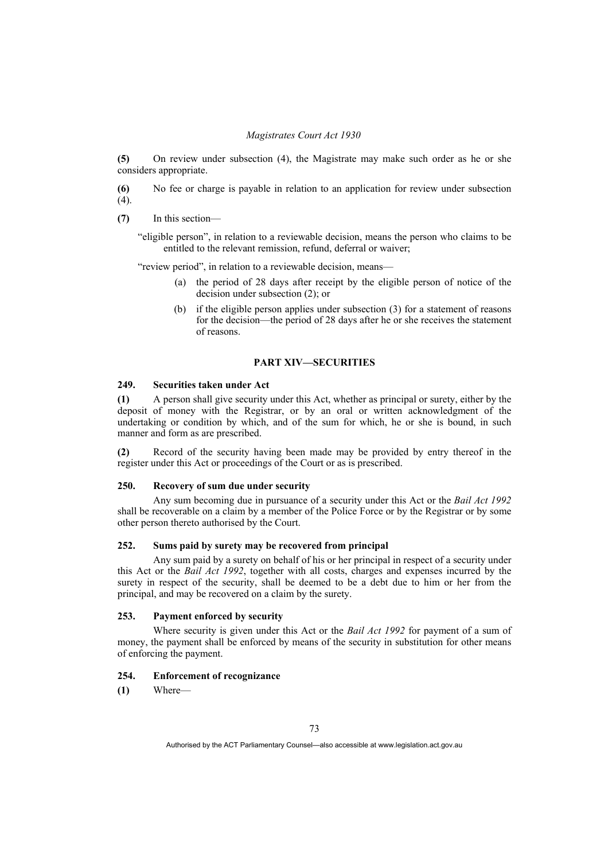**(5)** On review under subsection (4), the Magistrate may make such order as he or she considers appropriate.

**(6)** No fee or charge is payable in relation to an application for review under subsection  $(4)$ .

**(7)** In this section—

"eligible person", in relation to a reviewable decision, means the person who claims to be entitled to the relevant remission, refund, deferral or waiver;

"review period", in relation to a reviewable decision, means—

- (a) the period of 28 days after receipt by the eligible person of notice of the decision under subsection (2); or
- (b) if the eligible person applies under subsection (3) for a statement of reasons for the decision—the period of 28 days after he or she receives the statement of reasons.

# **PART XIV—SECURITIES**

# **249. Securities taken under Act**

**(1)** A person shall give security under this Act, whether as principal or surety, either by the deposit of money with the Registrar, or by an oral or written acknowledgment of the undertaking or condition by which, and of the sum for which, he or she is bound, in such manner and form as are prescribed.

**(2)** Record of the security having been made may be provided by entry thereof in the register under this Act or proceedings of the Court or as is prescribed.

## **250. Recovery of sum due under security**

 Any sum becoming due in pursuance of a security under this Act or the *Bail Act 1992*  shall be recoverable on a claim by a member of the Police Force or by the Registrar or by some other person thereto authorised by the Court.

# **252. Sums paid by surety may be recovered from principal**

 Any sum paid by a surety on behalf of his or her principal in respect of a security under this Act or the *Bail Act 1992*, together with all costs, charges and expenses incurred by the surety in respect of the security, shall be deemed to be a debt due to him or her from the principal, and may be recovered on a claim by the surety.

# **253. Payment enforced by security**

 Where security is given under this Act or the *Bail Act 1992* for payment of a sum of money, the payment shall be enforced by means of the security in substitution for other means of enforcing the payment.

# **254. Enforcement of recognizance**

**(1)** Where—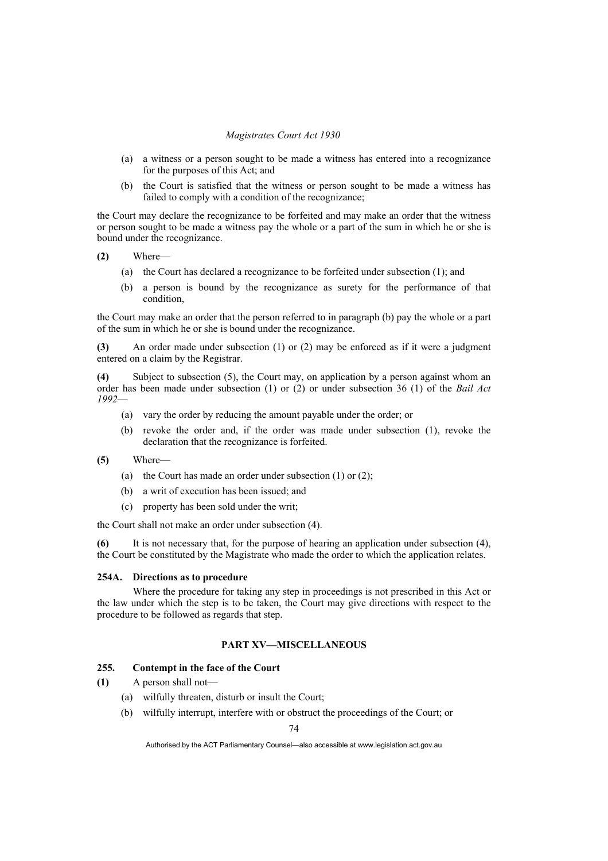- (a) a witness or a person sought to be made a witness has entered into a recognizance for the purposes of this Act; and
- (b) the Court is satisfied that the witness or person sought to be made a witness has failed to comply with a condition of the recognizance;

the Court may declare the recognizance to be forfeited and may make an order that the witness or person sought to be made a witness pay the whole or a part of the sum in which he or she is bound under the recognizance.

- **(2)** Where—
	- (a) the Court has declared a recognizance to be forfeited under subsection (1); and
	- (b) a person is bound by the recognizance as surety for the performance of that condition,

the Court may make an order that the person referred to in paragraph (b) pay the whole or a part of the sum in which he or she is bound under the recognizance.

**(3)** An order made under subsection (1) or (2) may be enforced as if it were a judgment entered on a claim by the Registrar.

**(4)** Subject to subsection (5), the Court may, on application by a person against whom an order has been made under subsection (1) or (2) or under subsection 36 (1) of the *Bail Act 1992*—

- (a) vary the order by reducing the amount payable under the order; or
- (b) revoke the order and, if the order was made under subsection (1), revoke the declaration that the recognizance is forfeited.
- **(5)** Where—
	- (a) the Court has made an order under subsection (1) or (2);
	- (b) a writ of execution has been issued; and
	- (c) property has been sold under the writ;

the Court shall not make an order under subsection (4).

**(6)** It is not necessary that, for the purpose of hearing an application under subsection (4), the Court be constituted by the Magistrate who made the order to which the application relates.

# **254A. Directions as to procedure**

 Where the procedure for taking any step in proceedings is not prescribed in this Act or the law under which the step is to be taken, the Court may give directions with respect to the procedure to be followed as regards that step.

# **PART XV—MISCELLANEOUS**

# **255. Contempt in the face of the Court**

- **(1)** A person shall not—
	- (a) wilfully threaten, disturb or insult the Court;
	- (b) wilfully interrupt, interfere with or obstruct the proceedings of the Court; or

74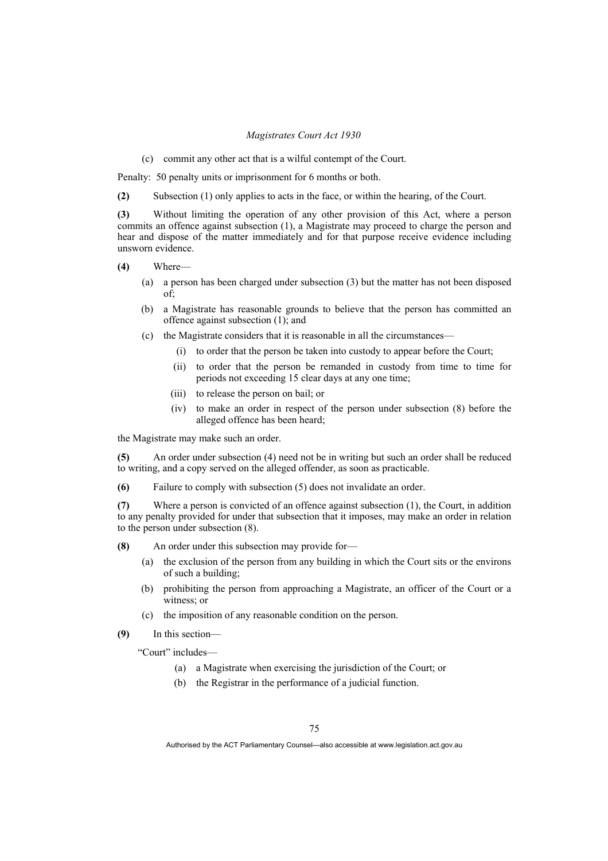(c) commit any other act that is a wilful contempt of the Court.

Penalty: 50 penalty units or imprisonment for 6 months or both.

**(2)** Subsection (1) only applies to acts in the face, or within the hearing, of the Court.

**(3)** Without limiting the operation of any other provision of this Act, where a person commits an offence against subsection (1), a Magistrate may proceed to charge the person and hear and dispose of the matter immediately and for that purpose receive evidence including unsworn evidence.

- **(4)** Where—
	- (a) a person has been charged under subsection (3) but the matter has not been disposed of;
	- (b) a Magistrate has reasonable grounds to believe that the person has committed an offence against subsection (1); and
	- (c) the Magistrate considers that it is reasonable in all the circumstances—
		- (i) to order that the person be taken into custody to appear before the Court;
		- (ii) to order that the person be remanded in custody from time to time for periods not exceeding 15 clear days at any one time;
		- (iii) to release the person on bail; or
		- (iv) to make an order in respect of the person under subsection (8) before the alleged offence has been heard;

the Magistrate may make such an order.

**(5)** An order under subsection (4) need not be in writing but such an order shall be reduced to writing, and a copy served on the alleged offender, as soon as practicable.

**(6)** Failure to comply with subsection (5) does not invalidate an order.

**(7)** Where a person is convicted of an offence against subsection (1), the Court, in addition to any penalty provided for under that subsection that it imposes, may make an order in relation to the person under subsection (8).

**(8)** An order under this subsection may provide for—

- (a) the exclusion of the person from any building in which the Court sits or the environs of such a building;
- (b) prohibiting the person from approaching a Magistrate, an officer of the Court or a witness: or
- (c) the imposition of any reasonable condition on the person.
- **(9)** In this section—

"Court" includes—

- (a) a Magistrate when exercising the jurisdiction of the Court; or
- (b) the Registrar in the performance of a judicial function.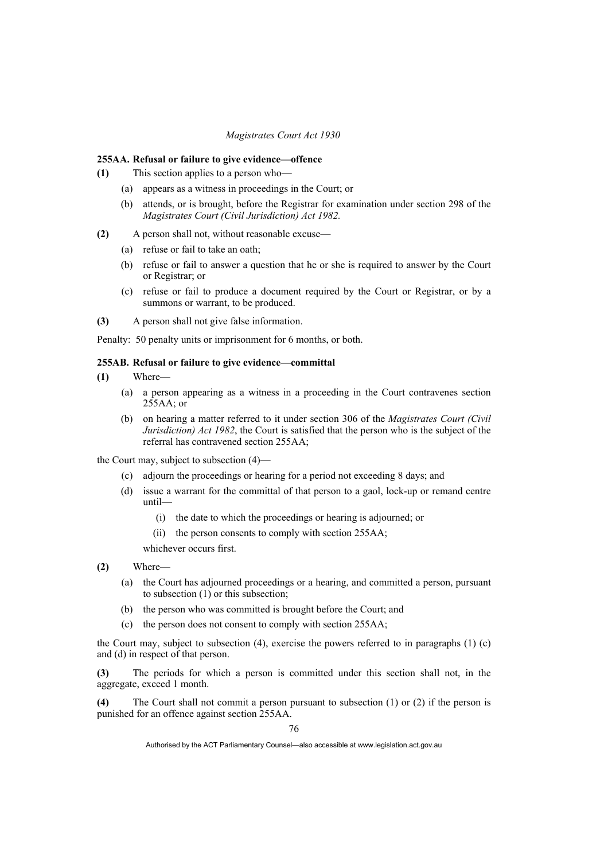#### **255AA. Refusal or failure to give evidence—offence**

- **(1)** This section applies to a person who—
	- (a) appears as a witness in proceedings in the Court; or
	- (b) attends, or is brought, before the Registrar for examination under section 298 of the *Magistrates Court (Civil Jurisdiction) Act 1982.*
- **(2)** A person shall not, without reasonable excuse—
	- (a) refuse or fail to take an oath;
	- (b) refuse or fail to answer a question that he or she is required to answer by the Court or Registrar; or
	- (c) refuse or fail to produce a document required by the Court or Registrar, or by a summons or warrant, to be produced.
- **(3)** A person shall not give false information.

Penalty: 50 penalty units or imprisonment for 6 months, or both.

## **255AB. Refusal or failure to give evidence—committal**

- **(1)** Where—
	- (a) a person appearing as a witness in a proceeding in the Court contravenes section  $255AA$ ; or
	- (b) on hearing a matter referred to it under section 306 of the *Magistrates Court (Civil Jurisdiction) Act 1982*, the Court is satisfied that the person who is the subject of the referral has contravened section 255AA;

the Court may, subject to subsection (4)—

- (c) adjourn the proceedings or hearing for a period not exceeding 8 days; and
- (d) issue a warrant for the committal of that person to a gaol, lock-up or remand centre until—
	- (i) the date to which the proceedings or hearing is adjourned; or
	- (ii) the person consents to comply with section 255AA;

whichever occurs first.

- **(2)** Where—
	- (a) the Court has adjourned proceedings or a hearing, and committed a person, pursuant to subsection (1) or this subsection;
	- (b) the person who was committed is brought before the Court; and
	- (c) the person does not consent to comply with section 255AA;

the Court may, subject to subsection  $(4)$ , exercise the powers referred to in paragraphs  $(1)$  (c) and (d) in respect of that person.

**(3)** The periods for which a person is committed under this section shall not, in the aggregate, exceed 1 month.

**(4)** The Court shall not commit a person pursuant to subsection (1) or (2) if the person is punished for an offence against section 255AA.

Authorised by the ACT Parliamentary Counsel—also accessible at www.legislation.act.gov.au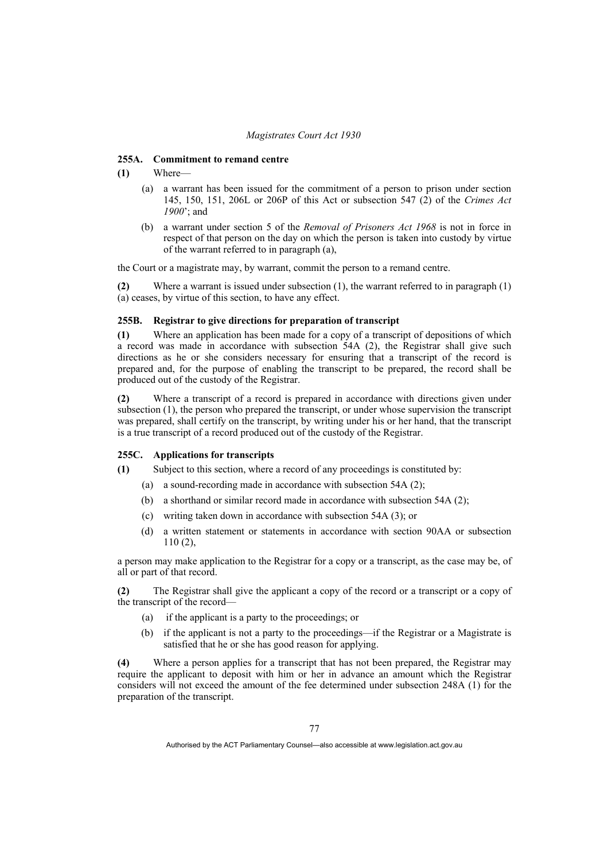#### **255A. Commitment to remand centre**

## **(1)** Where—

- (a) a warrant has been issued for the commitment of a person to prison under section 145, 150, 151, 206L or 206P of this Act or subsection 547 (2) of the *Crimes Act 1900*'; and
- (b) a warrant under section 5 of the *Removal of Prisoners Act 1968* is not in force in respect of that person on the day on which the person is taken into custody by virtue of the warrant referred to in paragraph (a),

the Court or a magistrate may, by warrant, commit the person to a remand centre.

**(2)** Where a warrant is issued under subsection (1), the warrant referred to in paragraph (1) (a) ceases, by virtue of this section, to have any effect.

# **255B. Registrar to give directions for preparation of transcript**

**(1)** Where an application has been made for a copy of a transcript of depositions of which a record was made in accordance with subsection 54A (2), the Registrar shall give such directions as he or she considers necessary for ensuring that a transcript of the record is prepared and, for the purpose of enabling the transcript to be prepared, the record shall be produced out of the custody of the Registrar.

**(2)** Where a transcript of a record is prepared in accordance with directions given under subsection (1), the person who prepared the transcript, or under whose supervision the transcript was prepared, shall certify on the transcript, by writing under his or her hand, that the transcript is a true transcript of a record produced out of the custody of the Registrar.

#### **255C. Applications for transcripts**

**(1)** Subject to this section, where a record of any proceedings is constituted by:

- (a) a sound-recording made in accordance with subsection 54A (2);
- (b) a shorthand or similar record made in accordance with subsection 54A (2);
- (c) writing taken down in accordance with subsection 54A (3); or
- (d) a written statement or statements in accordance with section 90AA or subsection 110 (2),

a person may make application to the Registrar for a copy or a transcript, as the case may be, of all or part of that record.

**(2)** The Registrar shall give the applicant a copy of the record or a transcript or a copy of the transcript of the record—

- (a) if the applicant is a party to the proceedings; or
- (b) if the applicant is not a party to the proceedings—if the Registrar or a Magistrate is satisfied that he or she has good reason for applying.

**(4)** Where a person applies for a transcript that has not been prepared, the Registrar may require the applicant to deposit with him or her in advance an amount which the Registrar considers will not exceed the amount of the fee determined under subsection 248A (1) for the preparation of the transcript.

Authorised by the ACT Parliamentary Counsel—also accessible at www.legislation.act.gov.au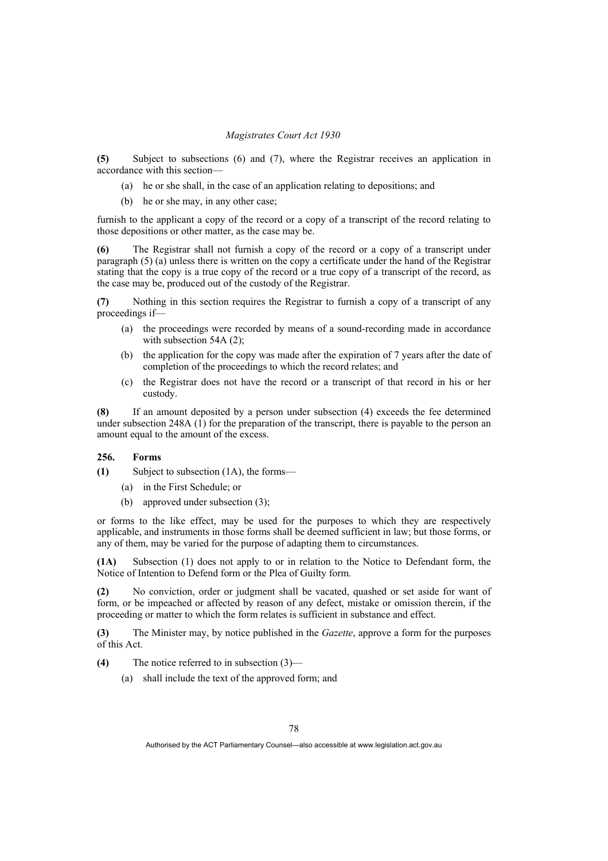**(5)** Subject to subsections (6) and (7), where the Registrar receives an application in accordance with this section—

- (a) he or she shall, in the case of an application relating to depositions; and
- (b) he or she may, in any other case;

furnish to the applicant a copy of the record or a copy of a transcript of the record relating to those depositions or other matter, as the case may be.

**(6)** The Registrar shall not furnish a copy of the record or a copy of a transcript under paragraph (5) (a) unless there is written on the copy a certificate under the hand of the Registrar stating that the copy is a true copy of the record or a true copy of a transcript of the record, as the case may be, produced out of the custody of the Registrar.

**(7)** Nothing in this section requires the Registrar to furnish a copy of a transcript of any proceedings if—

- (a) the proceedings were recorded by means of a sound-recording made in accordance with subsection 54A (2);
- (b) the application for the copy was made after the expiration of 7 years after the date of completion of the proceedings to which the record relates; and
- (c) the Registrar does not have the record or a transcript of that record in his or her custody.

**(8)** If an amount deposited by a person under subsection (4) exceeds the fee determined under subsection 248A  $(1)$  for the preparation of the transcript, there is payable to the person an amount equal to the amount of the excess.

# **256. Forms**

- **(1)** Subject to subsection (1A), the forms—
	- (a) in the First Schedule; or
	- (b) approved under subsection (3);

or forms to the like effect, may be used for the purposes to which they are respectively applicable, and instruments in those forms shall be deemed sufficient in law; but those forms, or any of them, may be varied for the purpose of adapting them to circumstances.

**(1A)** Subsection (1) does not apply to or in relation to the Notice to Defendant form, the Notice of Intention to Defend form or the Plea of Guilty form.

**(2)** No conviction, order or judgment shall be vacated, quashed or set aside for want of form, or be impeached or affected by reason of any defect, mistake or omission therein, if the proceeding or matter to which the form relates is sufficient in substance and effect.

**(3)** The Minister may, by notice published in the *Gazette*, approve a form for the purposes of this Act.

**(4)** The notice referred to in subsection (3)—

(a) shall include the text of the approved form; and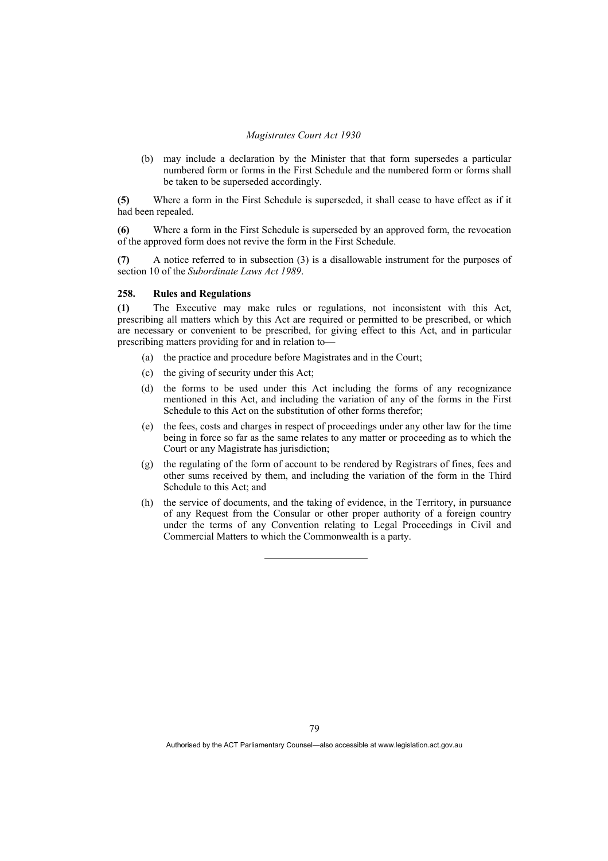(b) may include a declaration by the Minister that that form supersedes a particular numbered form or forms in the First Schedule and the numbered form or forms shall be taken to be superseded accordingly.

**(5)** Where a form in the First Schedule is superseded, it shall cease to have effect as if it had been repealed.

**(6)** Where a form in the First Schedule is superseded by an approved form, the revocation of the approved form does not revive the form in the First Schedule.

**(7)** A notice referred to in subsection (3) is a disallowable instrument for the purposes of section 10 of the *Subordinate Laws Act 1989*.

#### **258. Rules and Regulations**

**(1)** The Executive may make rules or regulations, not inconsistent with this Act, prescribing all matters which by this Act are required or permitted to be prescribed, or which are necessary or convenient to be prescribed, for giving effect to this Act, and in particular prescribing matters providing for and in relation to—

- (a) the practice and procedure before Magistrates and in the Court;
- (c) the giving of security under this Act;
- (d) the forms to be used under this Act including the forms of any recognizance mentioned in this Act, and including the variation of any of the forms in the First Schedule to this Act on the substitution of other forms therefor:
- (e) the fees, costs and charges in respect of proceedings under any other law for the time being in force so far as the same relates to any matter or proceeding as to which the Court or any Magistrate has jurisdiction;
- (g) the regulating of the form of account to be rendered by Registrars of fines, fees and other sums received by them, and including the variation of the form in the Third Schedule to this Act; and
- (h) the service of documents, and the taking of evidence, in the Territory, in pursuance of any Request from the Consular or other proper authority of a foreign country under the terms of any Convention relating to Legal Proceedings in Civil and Commercial Matters to which the Commonwealth is a party.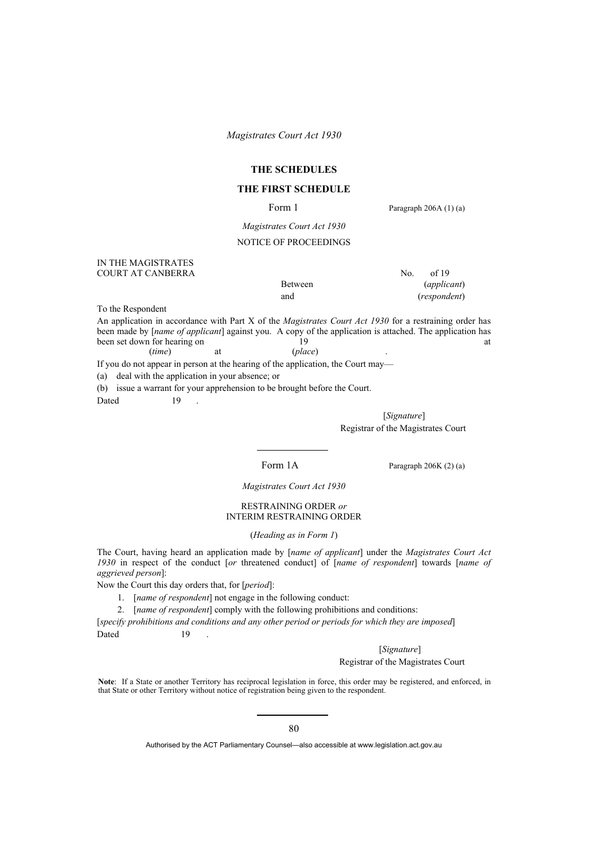# **THE SCHEDULES**

# **THE FIRST SCHEDULE**

Form 1 Paragraph 206A (1) (a)

*Magistrates Court Act 1930*

## NOTICE OF PROCEEDINGS

#### IN THE MAGISTRATES COURT AT CANBERRA No. of 19

Between (*applicant*) and (*respondent*)

To the Respondent

An application in accordance with Part X of the *Magistrates Court Act 1930* for a restraining order has been made by [*name of applicant*] against you. A copy of the application is attached. The application has been set down for hearing on a st been set down for hearing on the 19 at 19 at 19 at 19 at 19 at 19 at 19 at 19 at 19 at 19 at 19 at 19 at 19 at 19 at 19 at 19 at 19 at 19 at 19 at 19 at 19 at 19 at 19 at 19 at 19 at 19 at 19 at 19 at 19 at 19 at 19 at 19 (*time*) at (*place*) .

If you do not appear in person at the hearing of the application, the Court may—

(a) deal with the application in your absence; or

(b) issue a warrant for your apprehension to be brought before the Court.

Dated 19

 [*Signature*] Registrar of the Magistrates Court

Form 1A Paragraph 206K (2) (a)

*Magistrates Court Act 1930* 

# RESTRAINING ORDER *or* INTERIM RESTRAINING ORDER

(*Heading as in Form 1*)

The Court, having heard an application made by [*name of applicant*] under the *Magistrates Court Act 1930* in respect of the conduct [*or* threatened conduct] of [*name of respondent*] towards [*name of aggrieved person*]:

Now the Court this day orders that, for [*period*]:

- 1. [*name of respondent*] not engage in the following conduct:
- 2. [*name of respondent*] comply with the following prohibitions and conditions:

[*specify prohibitions and conditions and any other period or periods for which they are imposed*] Dated 19

[*Signature*]

## Registrar of the Magistrates Court

**Note**: If a State or another Territory has reciprocal legislation in force, this order may be registered, and enforced, in that State or other Territory without notice of registration being given to the respondent.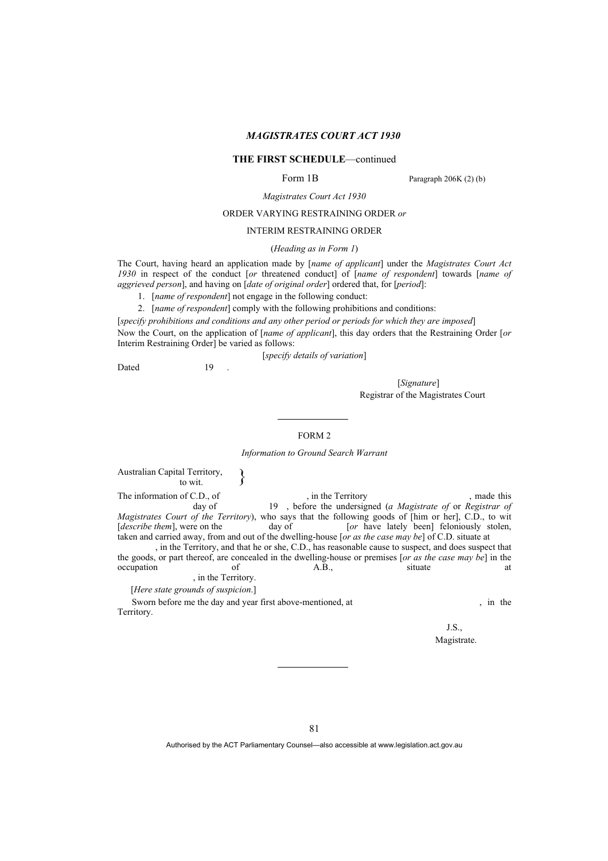# **THE FIRST SCHEDULE**—continued

Form 1B Paragraph 206K (2) (b)

*Magistrates Court Act 1930*

#### ORDER VARYING RESTRAINING ORDER *or*

INTERIM RESTRAINING ORDER

#### (*Heading as in Form 1*)

The Court, having heard an application made by [*name of applicant*] under the *Magistrates Court Act 1930* in respect of the conduct [*or* threatened conduct] of [*name of respondent*] towards [*name of aggrieved person*], and having on [*date of original order*] ordered that, for [*period*]:

1. [*name of respondent*] not engage in the following conduct:

2. [*name of respondent*] comply with the following prohibitions and conditions:

[*specify prohibitions and conditions and any other period or periods for which they are imposed*]

Now the Court, on the application of [*name of applicant*], this day orders that the Restraining Order [*or* Interim Restraining Order] be varied as follows:

[*specify details of variation*]

Dated 19

[*Signature*] Registrar of the Magistrates Court

#### FORM 2

*Information to Ground Search Warrant* 

Australian Capital Territory,  $\longrightarrow$ The information of C.D., of , in the Territory , made this day of the undersigned (a Magistrate of or Registrar of the undersigned (a Magistrate of or Registrar of day of 19 , before the undersigned (*a Magistrate of* or *Registrar of* 

*Magistrates Court of the Territory*), who says that the following goods of [him or her], C.D., to wit [*describe them*], were on the day of [*or* have lately been] feloniously stolen, taken and carried away, from and out of the dwelling-house [*or as the case may be*] of C.D. situate at , in the Territory, and that he or she, C.D., has reasonable cause to suspect, and does suspect that

the goods, or part thereof, are concealed in the dwelling-house or premises [*or as the case may be*] in the occupation of A.B., situate at , in the Territory.

[*Here state grounds of suspicion*.]

Sworn before me the day and year first above-mentioned, at , in the Territory.

J.S., Magistrate.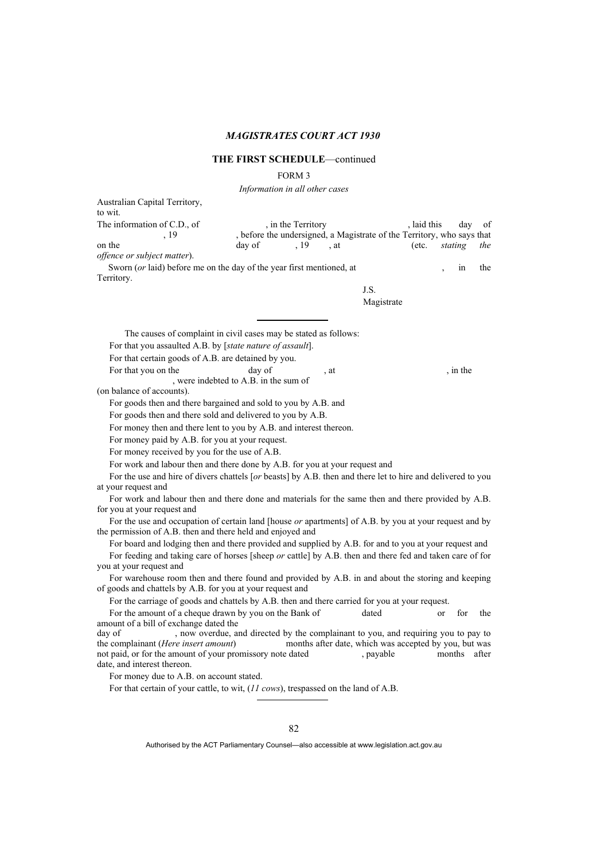# **THE FIRST SCHEDULE**—continued

FORM 3

*Information in all other cases*

| Australian Capital Territory,<br>to wit.                                                                                                                             |                                                                                    |                    |      |                                                       |             |               |                |       |
|----------------------------------------------------------------------------------------------------------------------------------------------------------------------|------------------------------------------------------------------------------------|--------------------|------|-------------------------------------------------------|-------------|---------------|----------------|-------|
| The information of C.D., of<br>. 19                                                                                                                                  | , before the undersigned, a Magistrate of the Territory, who says that             | , in the Territory |      |                                                       | , laid this |               | day            | of    |
| on the                                                                                                                                                               | day of                                                                             | . 19               | , at |                                                       | (etc.       | stating       |                | the   |
| offence or subject matter).                                                                                                                                          |                                                                                    |                    |      |                                                       |             |               |                |       |
| Sworn (or laid) before me on the day of the year first mentioned, at                                                                                                 |                                                                                    |                    |      |                                                       |             |               | <sub>1</sub> n | the   |
| Territory.                                                                                                                                                           |                                                                                    |                    |      |                                                       |             |               |                |       |
|                                                                                                                                                                      |                                                                                    |                    |      | J.S.                                                  |             |               |                |       |
|                                                                                                                                                                      |                                                                                    |                    |      | Magistrate                                            |             |               |                |       |
| The causes of complaint in civil cases may be stated as follows:                                                                                                     |                                                                                    |                    |      |                                                       |             |               |                |       |
| For that you assaulted A.B. by [state nature of assault].                                                                                                            |                                                                                    |                    |      |                                                       |             |               |                |       |
| For that certain goods of A.B. are detained by you.                                                                                                                  |                                                                                    |                    |      |                                                       |             |               |                |       |
| For that you on the                                                                                                                                                  | day of<br>, were indebted to A.B. in the sum of                                    |                    | , at |                                                       |             |               | , in the       |       |
| (on balance of accounts).                                                                                                                                            |                                                                                    |                    |      |                                                       |             |               |                |       |
| For goods then and there bargained and sold to you by A.B. and                                                                                                       |                                                                                    |                    |      |                                                       |             |               |                |       |
| For goods then and there sold and delivered to you by A.B.                                                                                                           |                                                                                    |                    |      |                                                       |             |               |                |       |
| For money then and there lent to you by A.B. and interest thereon.                                                                                                   |                                                                                    |                    |      |                                                       |             |               |                |       |
| For money paid by A.B. for you at your request.                                                                                                                      |                                                                                    |                    |      |                                                       |             |               |                |       |
| For money received by you for the use of A.B.                                                                                                                        |                                                                                    |                    |      |                                                       |             |               |                |       |
| For work and labour then and there done by A.B. for you at your request and                                                                                          |                                                                                    |                    |      |                                                       |             |               |                |       |
| For the use and hire of divers chattels [or beasts] by A.B. then and there let to hire and delivered to you<br>at your request and                                   |                                                                                    |                    |      |                                                       |             |               |                |       |
| For work and labour then and there done and materials for the same then and there provided by A.B.                                                                   |                                                                                    |                    |      |                                                       |             |               |                |       |
| for you at your request and                                                                                                                                          |                                                                                    |                    |      |                                                       |             |               |                |       |
| For the use and occupation of certain land [house or apartments] of A.B. by you at your request and by<br>the permission of A.B. then and there held and enjoyed and |                                                                                    |                    |      |                                                       |             |               |                |       |
| For board and lodging then and there provided and supplied by A.B. for and to you at your request and                                                                |                                                                                    |                    |      |                                                       |             |               |                |       |
| For feeding and taking care of horses [sheep or cattle] by A.B. then and there fed and taken care of for                                                             |                                                                                    |                    |      |                                                       |             |               |                |       |
| you at your request and                                                                                                                                              |                                                                                    |                    |      |                                                       |             |               |                |       |
| For warehouse room then and there found and provided by A.B. in and about the storing and keeping                                                                    |                                                                                    |                    |      |                                                       |             |               |                |       |
| of goods and chattels by A.B. for you at your request and                                                                                                            |                                                                                    |                    |      |                                                       |             |               |                |       |
| For the carriage of goods and chattels by A.B. then and there carried for you at your request.                                                                       |                                                                                    |                    |      |                                                       |             |               |                |       |
| For the amount of a cheque drawn by you on the Bank of                                                                                                               |                                                                                    |                    |      | dated                                                 |             | <sub>or</sub> | for            | the   |
| amount of a bill of exchange dated the                                                                                                                               |                                                                                    |                    |      |                                                       |             |               |                |       |
| day of                                                                                                                                                               | , now overdue, and directed by the complainant to you, and requiring you to pay to |                    |      |                                                       |             |               |                |       |
| the complainant (Here insert amount)                                                                                                                                 |                                                                                    |                    |      | months after date, which was accepted by you, but was |             |               |                |       |
| not paid, or for the amount of your promissory note dated<br>date, and interest thereon.                                                                             |                                                                                    |                    |      | , payable                                             |             | months        |                | after |
| For money due to A.B. on account stated.                                                                                                                             |                                                                                    |                    |      |                                                       |             |               |                |       |

For that certain of your cattle, to wit, (*11 cows*), trespassed on the land of A.B.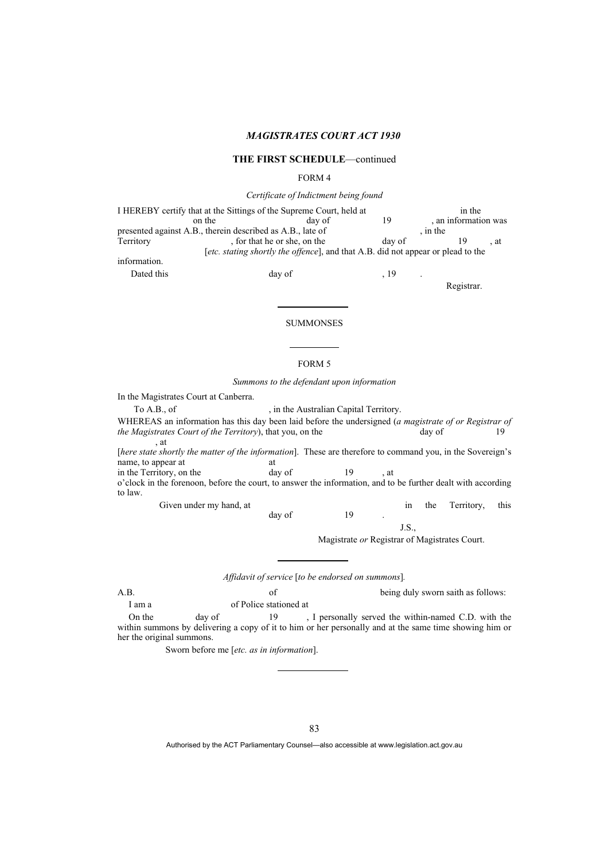#### **THE FIRST SCHEDULE**—continued

#### FORM 4

#### *Certificate of Indictment being found*

I HEREBY certify that at the Sittings of the Supreme Court, held at in the on the day of the day of the day of the day of the day of the day of the day of the day of the day of the day of  $\frac{19}{100}$ , an information was presented against A.B., therein described as A.B., late of<br>Territory , for that he or she, on the day of  $T$ , for that he or she, on the day of 19, at [*etc. stating shortly the offence*], and that A.B. did not appear or plead to the information.

Dated this day of , 19

Registrar.

#### SUMMONSES

#### FORM 5

*Summons to the defendant upon information* 

In the Magistrates Court at Canberra.

To A.B., of , in the Australian Capital Territory.

WHEREAS an information has this day been laid before the undersigned (*a magistrate of or Registrar of the Magistrates Court of the Territory*), that you, on the day of 19 , at

[*here state shortly the matter of the information*]. These are therefore to command you, in the Sovereign's name, to appear at at

in the Territory, on the day of 19, at o'clock in the forenoon, before the court, to answer the information, and to be further dealt with according to law.

day of 19

Given under my hand, at in the Territory, this

J.S.,

Magistrate *or* Registrar of Magistrates Court.

*Affidavit of service* [*to be endorsed on summons*]*.* 

A.B. being duly sworn saith as follows: I am a of Police stationed at

On the day of 19 , I personally served the within-named C.D. with the within summons by delivering a copy of it to him or her personally and at the same time showing him or her the original summons.

Sworn before me [*etc. as in information*].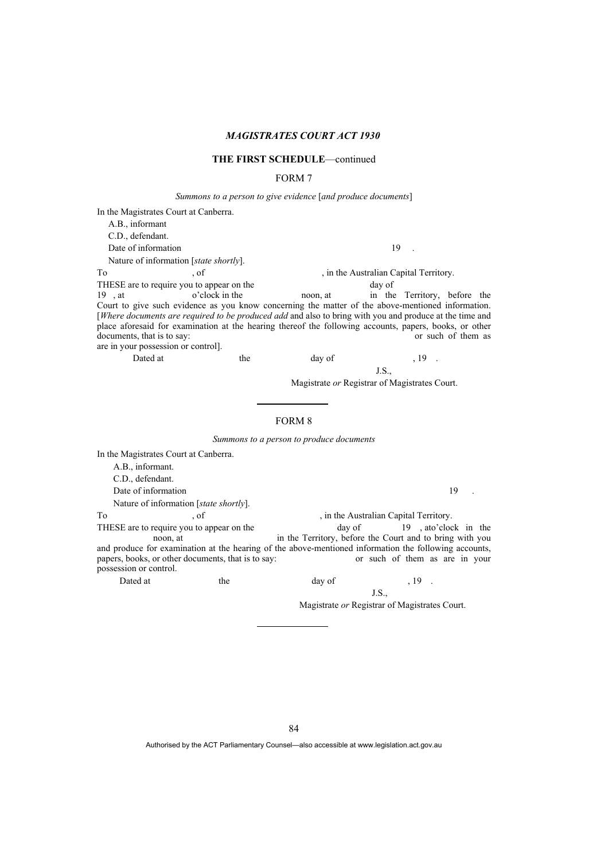## **THE FIRST SCHEDULE**—continued

# FORM 7

*Summons to a person to give evidence* [*and produce documents*]

In the Magistrates Court at Canberra. A.B., informant C.D., defendant. Date of information 19 . Nature of information [*state shortly*]. To 3. To the Australian Capital Territory. THESE are to require you to appear on the day of day of the day of poon, at day of poon, at the day of  $\frac{19}{10}$ , at  $\frac{1}{10}$  at  $\frac{1}{10}$  at  $\frac{1}{10}$  at  $\frac{1}{10}$  at  $\frac{1}{10}$  at  $\frac{1}{10}$  at  $\frac{1}{10}$  at  $\frac{1$ in the Territory, before the Court to give such evidence as you know concerning the matter of the above-mentioned information. [*Where documents are required to be produced add* and also to bring with you and produce at the time and place aforesaid for examination at the hearing thereof the following accounts, papers, books, or other documents, that is to say: are in your possession or control]. Dated at the day of the case of  $\frac{19}{19}$ .

 J.S., Magistrate *or* Registrar of Magistrates Court.

# FORM 8

*Summons to a person to produce documents* 

In the Magistrates Court at Canberra.

A.B., informant. C.D., defendant. Date of information 19 Nature of information [*state shortly*]. To  $, of$ , of , in the Australian Capital Territory. THESE are to require you to appear on the day of 19, ato'clock in the

noon, at in the Territory, before the Court and to bring with you and produce for examination at the hearing of the above-mentioned information the following accounts, papers, books, or other documents, that is to say: or such of them as are in your possession or control.

Dated at the day of the contract the contract of the day of the set of the set of the day of the set of the set of the day of the set of the set of the day of the set of the set of the set of the set of the set of the set J.S.,

Magistrate *or* Registrar of Magistrates Court.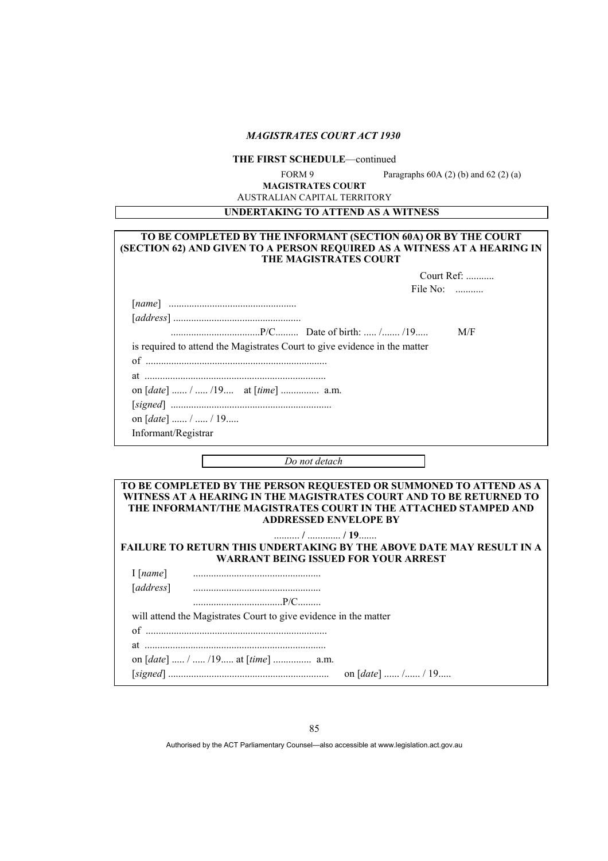# **THE FIRST SCHEDULE**—continued

FORM 9 Paragraphs  $60A(2)$  (b) and  $62(2)$  (a)

**MAGISTRATES COURT** AUSTRALIAN CAPITAL TERRITORY

**UNDERTAKING TO ATTEND AS A WITNESS** 

# **TO BE COMPLETED BY THE INFORMANT (SECTION 60A) OR BY THE COURT (SECTION 62) AND GIVEN TO A PERSON REQUIRED AS A WITNESS AT A HEARING IN THE MAGISTRATES COURT** Court Ref: ........... **File No:** ............

|                                                                            | M/F |
|----------------------------------------------------------------------------|-----|
| is required to attend the Magistrates Court to give evidence in the matter |     |
|                                                                            |     |
|                                                                            |     |
| on $[date]$ /  /19 at $[time]$ a.m.                                        |     |
|                                                                            |     |
| on $[date]$ /  / 19                                                        |     |

Informant/Registrar

*Do not detach* 

| TO BE COMPLETED BY THE PERSON REQUESTED OR SUMMONED TO ATTEND AS A                                                  |  |  |  |
|---------------------------------------------------------------------------------------------------------------------|--|--|--|
| WITNESS AT A HEARING IN THE MAGISTRATES COURT AND TO BE RETURNED TO                                                 |  |  |  |
| THE INFORMANT/THE MAGISTRATES COURT IN THE ATTACHED STAMPED AND                                                     |  |  |  |
| <b>ADDRESSED ENVELOPE BY</b>                                                                                        |  |  |  |
|                                                                                                                     |  |  |  |
| <b>FAILURE TO RETURN THIS UNDERTAKING BY THE ABOVE DATE MAY RESULT IN A</b><br>WARRANT BEING ISSUED FOR YOUR ARREST |  |  |  |
| $I$ [name]                                                                                                          |  |  |  |
| [address]                                                                                                           |  |  |  |
|                                                                                                                     |  |  |  |
| will attend the Magistrates Court to give evidence in the matter                                                    |  |  |  |
|                                                                                                                     |  |  |  |
|                                                                                                                     |  |  |  |
| on $[date]$ /  /19 at $[time]$ a.m.                                                                                 |  |  |  |
|                                                                                                                     |  |  |  |

[*signed*] ............................................................... on [*date*] ...... /...... / 19.....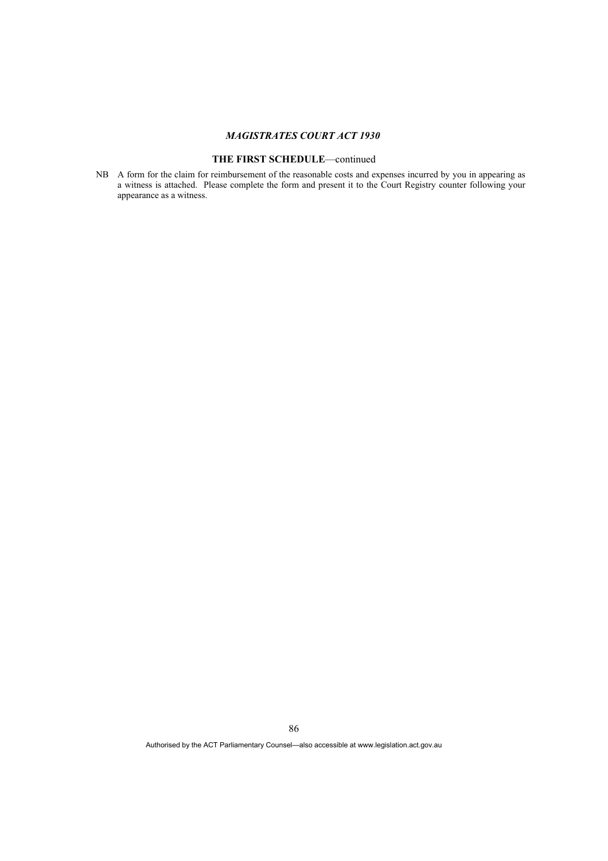# **THE FIRST SCHEDULE**—continued

NB A form for the claim for reimbursement of the reasonable costs and expenses incurred by you in appearing as a witness is attached. Please complete the form and present it to the Court Registry counter following your appearance as a witness.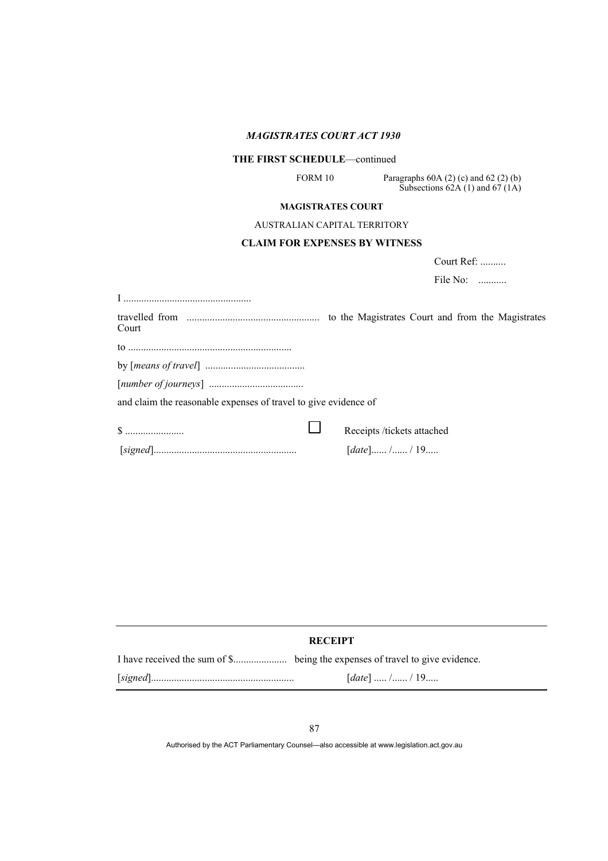# **THE FIRST SCHEDULE**—continued

FORM 10 Paragraphs 60A (2) (c) and 62 (2) (b) Subsections  $62A(1)$  and  $67(1A)$ 

### **MAGISTRATES COURT**

### AUSTRALIAN CAPITAL TERRITORY

# **CLAIM FOR EXPENSES BY WITNESS**

Court Ref: ..........

File No: ...........

| Court                                                           | to the Magistrates Court and from the Magistrates |
|-----------------------------------------------------------------|---------------------------------------------------|
|                                                                 |                                                   |
|                                                                 |                                                   |
|                                                                 |                                                   |
| and claim the reasonable expenses of travel to give evidence of |                                                   |
|                                                                 | Receipts /tickets attached                        |
|                                                                 | $[date]$ /  / 19                                  |

# **RECEIPT**

| [ <i>date</i> ]  /  / 19 |
|--------------------------|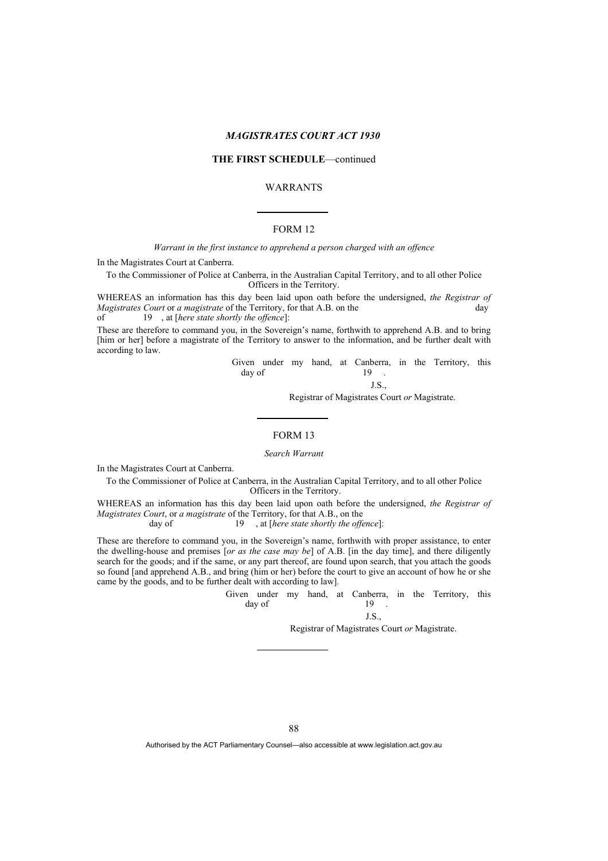# **THE FIRST SCHEDULE**—continued

# WARRANTS

# FORM 12

#### *Warrant in the first instance to apprehend a person charged with an offence*

In the Magistrates Court at Canberra.

To the Commissioner of Police at Canberra, in the Australian Capital Territory, and to all other Police Officers in the Territory.

WHEREAS an information has this day been laid upon oath before the undersigned, *the Registrar of Magistrates Court* or *a magistrate* of the Territory, for that A.B. on the day of 19 , at [*here state shortly the offence*]:

These are therefore to command you, in the Sovereign's name, forthwith to apprehend A.B. and to bring [him or her] before a magistrate of the Territory to answer to the information, and be further dealt with according to law.

 Given under my hand, at Canberra, in the Territory, this  $\frac{day}{19}$  .

J.S.,

Registrar of Magistrates Court *or* Magistrate.

## FORM 13

#### *Search Warrant*

In the Magistrates Court at Canberra.

To the Commissioner of Police at Canberra, in the Australian Capital Territory, and to all other Police Officers in the Territory.

WHEREAS an information has this day been laid upon oath before the undersigned, *the Registrar of Magistrates Court*, or *a magistrate* of the Territory, for that A.B., on the

day of 19 , at [*here state shortly the offence*]:

These are therefore to command you, in the Sovereign's name, forthwith with proper assistance, to enter the dwelling-house and premises [*or as the case may be*] of A.B. [in the day time], and there diligently search for the goods; and if the same, or any part thereof, are found upon search, that you attach the goods so found [and apprehend A.B., and bring (him or her) before the court to give an account of how he or she came by the goods, and to be further dealt with according to law].

 Given under my hand, at Canberra, in the Territory, this  $day of$  19.

J.S.,

Registrar of Magistrates Court *or* Magistrate.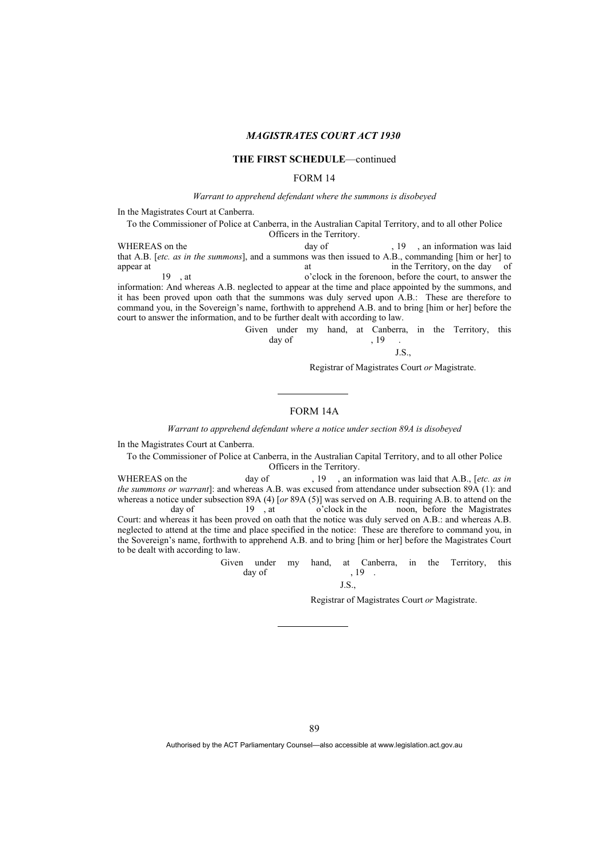#### **THE FIRST SCHEDULE**—continued

# FORM 14

*Warrant to apprehend defendant where the summons is disobeyed* 

In the Magistrates Court at Canberra.

To the Commissioner of Police at Canberra, in the Australian Capital Territory, and to all other Police Officers in the Territory.

WHEREAS on the day of  $\frac{19}{19}$ , an information was laid that A.B. [*etc. as in the summons*], and a summons was then issued to A.B., commanding [him or her] to appear at in the Territory, on the day of<br>
19 at o'clock in the forenoon before the court to answer the 19 , at o'clock in the forenoon, before the court, to answer the information: And whereas A.B. neglected to appear at the time and place appointed by the summons, and it has been proved upon oath that the summons was duly served upon A.B.: These are therefore to command you, in the Sovereign's name, forthwith to apprehend A.B. and to bring [him or her] before the court to answer the information, and to be further dealt with according to law.

Given under my hand, at Canberra, in the Territory, this day of  $19$ .  $\text{day of}$ , 19.

J.S.,

Registrar of Magistrates Court *or* Magistrate.

# FORM 14A

*Warrant to apprehend defendant where a notice under section 89A is disobeyed* 

In the Magistrates Court at Canberra.

To the Commissioner of Police at Canberra, in the Australian Capital Territory, and to all other Police Officers in the Territory.

WHEREAS on the day of , 19 , an information was laid that A.B., [etc. as in *the summons or warrant*]: and whereas A.B. was excused from attendance under subsection 89A (1): and whereas a notice under subsection 89A (4) [*or* 89A (5)] was served on A.B. requiring A.B. to attend on the day of 19 at o'clock in the noon, before the Magistrates noon, before the Magistrates Court: and whereas it has been proved on oath that the notice was duly served on A.B.: and whereas A.B. neglected to attend at the time and place specified in the notice: These are therefore to command you, in the Sovereign's name, forthwith to apprehend A.B. and to bring [him or her] before the Magistrates Court to be dealt with according to law.

> Given under my hand, at Canberra, in the Territory, this day of  $\frac{1}{2}$ ,  $\frac{1}{2}$ ,  $\frac{1}{2}$

Registrar of Magistrates Court *or* Magistrate.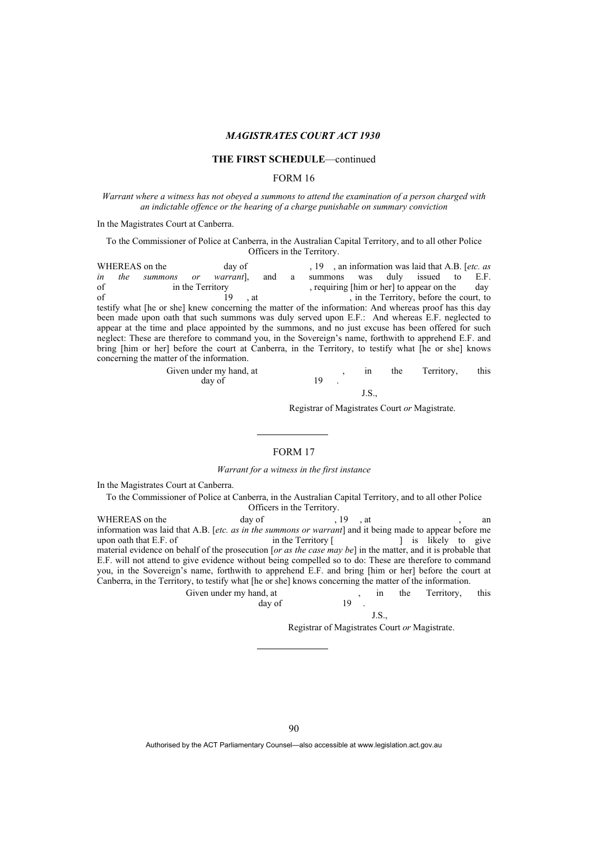## **THE FIRST SCHEDULE**—continued

#### FORM 16

*Warrant where a witness has not obeyed a summons to attend the examination of a person charged with an indictable offence or the hearing of a charge punishable on summary conviction* 

In the Magistrates Court at Canberra.

#### To the Commissioner of Police at Canberra, in the Australian Capital Territory, and to all other Police Officers in the Territory.

WHEREAS on the day of , 19 , an information was laid that A.B. [*etc. as in the summons or warrant*], and a summons was duly issued to E.F. *in the summons or warrant*], and a summons was duly issued to E.F. of in the Territory in the Territory , requiring [him or her] to appear on the day<br>of the Territory before the court to of 19 , at , in the Territory, before the court, to testify what [he or she] knew concerning the matter of the information: And whereas proof has this day been made upon oath that such summons was duly served upon E.F.: And whereas E.F. neglected to appear at the time and place appointed by the summons, and no just excuse has been offered for such neglect: These are therefore to command you, in the Sovereign's name, forthwith to apprehend E.F. and bring [him or her] before the court at Canberra, in the Territory, to testify what [he or she] knows concerning the matter of the information.

| Given under my hand, at |  | ın | the the | Territory, | this |
|-------------------------|--|----|---------|------------|------|
| day of                  |  |    |         |            |      |
|                         |  |    |         |            |      |

Registrar of Magistrates Court *or* Magistrate.

# FORM 17

*Warrant for a witness in the first instance* 

In the Magistrates Court at Canberra.

To the Commissioner of Police at Canberra, in the Australian Capital Territory, and to all other Police Officers in the Territory.

WHEREAS on the day of , 19, at , an information was laid that A.B. [*etc. as in the summons or warrant*] and it being made to appear before me upon oath that E.F. of in the Territory [ ] is likely to give material evidence on behalf of the prosecution [*or as the case may be*] in the matter, and it is probable that E.F. will not attend to give evidence without being compelled so to do: These are therefore to command you, in the Sovereign's name, forthwith to apprehend E.F. and bring [him or her] before the court at Canberra, in the Territory, to testify what [he or she] knows concerning the matter of the information.

Given under my hand, at  $\frac{19}{2}$ , in the Territory, this  $\text{day of}$  19.

#### J.S.,

Registrar of Magistrates Court *or* Magistrate.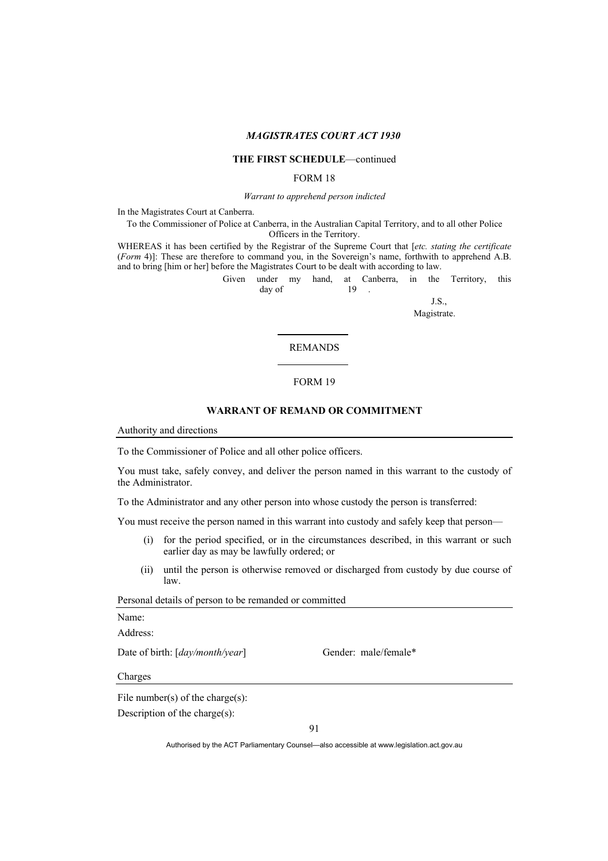#### **THE FIRST SCHEDULE**—continued

#### FORM 18

*Warrant to apprehend person indicted* 

In the Magistrates Court at Canberra.

To the Commissioner of Police at Canberra, in the Australian Capital Territory, and to all other Police Officers in the Territory.

WHEREAS it has been certified by the Registrar of the Supreme Court that [*etc. stating the certificate* (*Form* 4)]: These are therefore to command you, in the Sovereign's name, forthwith to apprehend A.B. and to bring [him or her] before the Magistrates Court to be dealt with according to law.

Given under my hand, at Canberra, in the Territory, this day of

J.S.,

Magistrate.

#### REMANDS

#### FORM 19

### **WARRANT OF REMAND OR COMMITMENT**

Authority and directions

To the Commissioner of Police and all other police officers.

 $day of$  19.

You must take, safely convey, and deliver the person named in this warrant to the custody of the Administrator.

To the Administrator and any other person into whose custody the person is transferred:

You must receive the person named in this warrant into custody and safely keep that person—

- (i) for the period specified, or in the circumstances described, in this warrant or such earlier day as may be lawfully ordered; or
- (ii) until the person is otherwise removed or discharged from custody by due course of law.

Personal details of person to be remanded or committed

Name:

Address:

Date of birth: [*day/month/year*] Gender: male/female\*

Charges

File number(s) of the charge(s):

Description of the charge(s):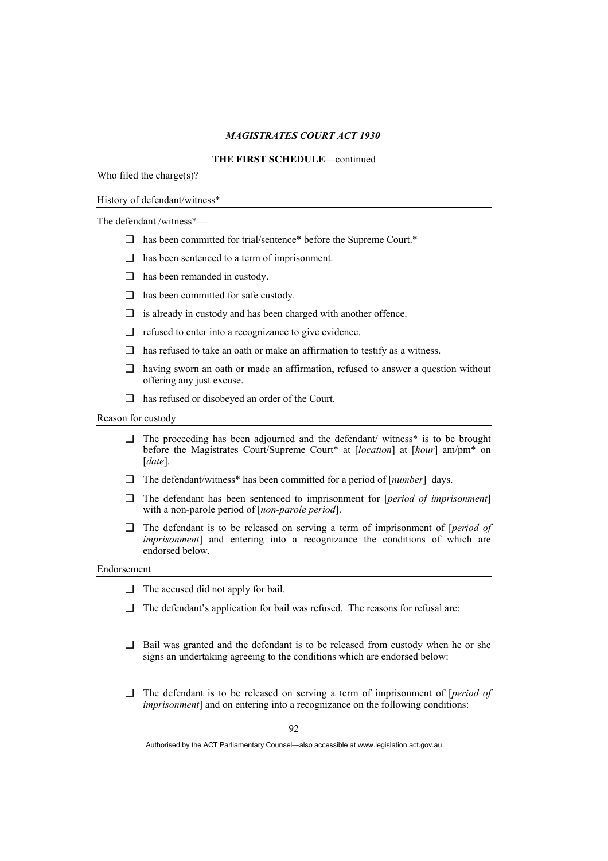# **THE FIRST SCHEDULE**—continued

Who filed the charge(s)?

#### History of defendant/witness\*

The defendant /witness\*—

- ❑ has been committed for trial/sentence\* before the Supreme Court.\*
- ❑ has been sentenced to a term of imprisonment.
- ❑ has been remanded in custody.
- ❑ has been committed for safe custody.
- $\Box$  is already in custody and has been charged with another offence.
- ❑ refused to enter into a recognizance to give evidence.
- ❑ has refused to take an oath or make an affirmation to testify as a witness.
- ❑ having sworn an oath or made an affirmation, refused to answer a question without offering any just excuse.
- ❑ has refused or disobeyed an order of the Court.

Reason for custody

- $\Box$  The proceeding has been adjourned and the defendant/ witness\* is to be brought before the Magistrates Court/Supreme Court\* at [*location*] at [*hour*] am/pm\* on [*date*].
- ❑ The defendant/witness\* has been committed for a period of [*number*] days.
- ❑ The defendant has been sentenced to imprisonment for [*period of imprisonment*] with a non-parole period of [*non-parole period*].
- ❑ The defendant is to be released on serving a term of imprisonment of [*period of imprisonment*] and entering into a recognizance the conditions of which are endorsed below.

#### Endorsement

- ❑ The accused did not apply for bail.
- ❑ The defendant's application for bail was refused. The reasons for refusal are:
- ❑ Bail was granted and the defendant is to be released from custody when he or she signs an undertaking agreeing to the conditions which are endorsed below:
- ❑ The defendant is to be released on serving a term of imprisonment of [*period of imprisonment*] and on entering into a recognizance on the following conditions: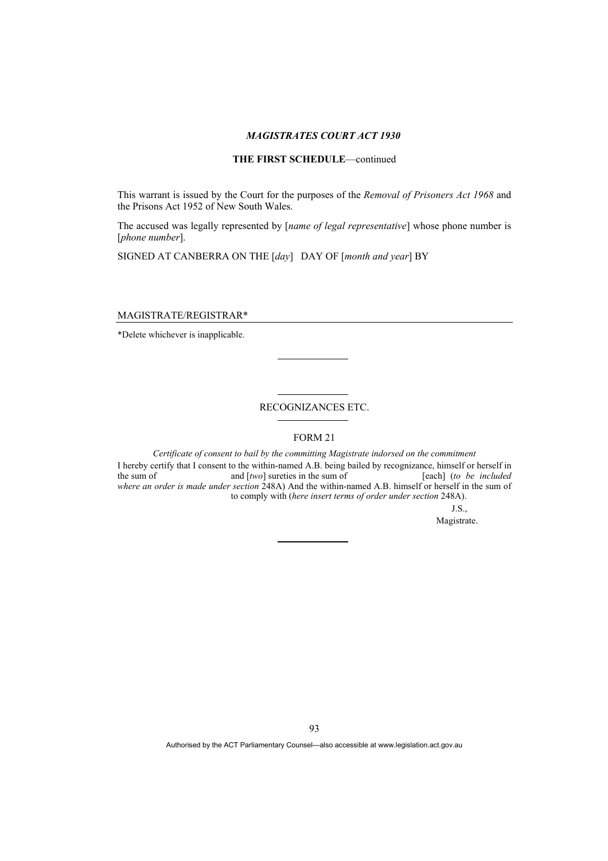# **THE FIRST SCHEDULE**—continued

This warrant is issued by the Court for the purposes of the *Removal of Prisoners Act 1968* and the Prisons Act 1952 of New South Wales.

The accused was legally represented by [*name of legal representative*] whose phone number is [*phone number*].

SIGNED AT CANBERRA ON THE [*day*] DAY OF [*month and year*] BY

MAGISTRATE/REGISTRAR\*

\*Delete whichever is inapplicable.

# RECOGNIZANCES ETC.

FORM 21

*Certificate of consent to bail by the committing Magistrate indorsed on the commitment*  I hereby certify that I consent to the within-named A.B. being bailed by recognizance, himself or herself in the sum of and [*two*] sureties in the sum of [each] (*to be included where an order is made under section* 248A) And the within-named A.B. himself or herself in the sum of to comply with (*here insert terms of order under section* 248A).

J.S.,

Magistrate.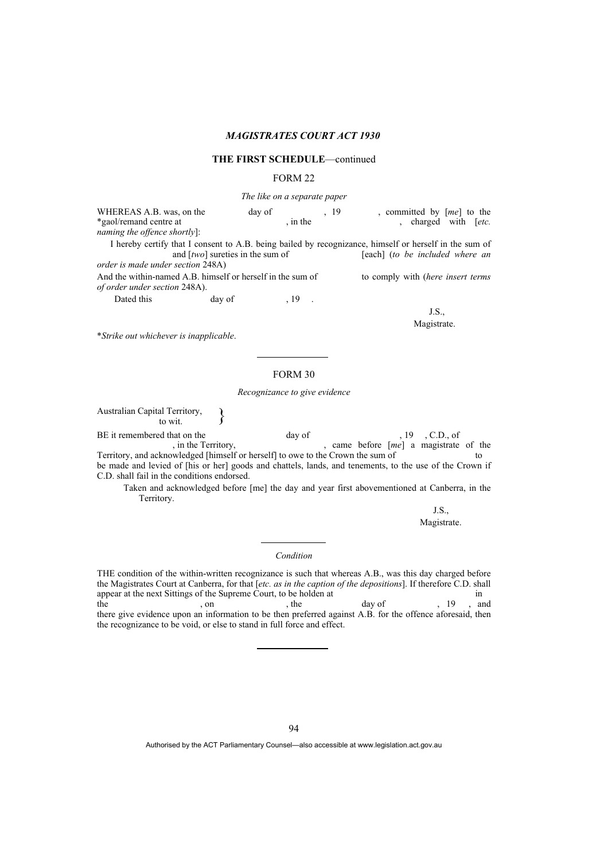#### **THE FIRST SCHEDULE**—continued

# FORM 22

*The like on a separate paper* 

WHEREAS A.B. was, on the day of , 19 , committed by  $[me]$  to the *\*gaol/remand centre at* ... in the *the saol* to the *etc.* , charged with [etc. *naming the offence shortly*]:

I hereby certify that I consent to A.B. being bailed by recognizance, himself or herself in the sum of and [two] sureties in the sum of [each] (to be included where an *order is made under section* 248A)

And the within-named A.B. himself or herself in the sum of to comply with (*here insert terms of order under section* 248A).

Dated this day of 19

J.S., Magistrate.

\**Strike out whichever is inapplicable*.

# FORM 30

#### *Recognizance to give evidence*

Australian Capital Territory,  $\qquad \qquad \left. \right\}$ 

BE it remembered that on the day of , 19, C.D., of , in the Territory, and day of , came before  $[me]$  a magistrate came before [*me*] a magistrate of the Territory, and acknowledged [himself or herself] to owe to the Crown the sum of to be made and levied of [his or her] goods and chattels, lands, and tenements, to the use of the Crown if C.D. shall fail in the conditions endorsed.

Taken and acknowledged before [me] the day and year first abovementioned at Canberra, in the Territory.

> J.S., Magistrate.

*Condition* 

THE condition of the within-written recognizance is such that whereas A.B., was this day charged before the Magistrates Court at Canberra, for that [*etc. as in the caption of the depositions*]. If therefore C.D. shall appear at the next Sittings of the Supreme Court, to be holden at in the , on , the day of , 19, and there give evidence upon an information to be then preferred against A.B. for the offence aforesaid, then the recognizance to be void, or else to stand in full force and effect.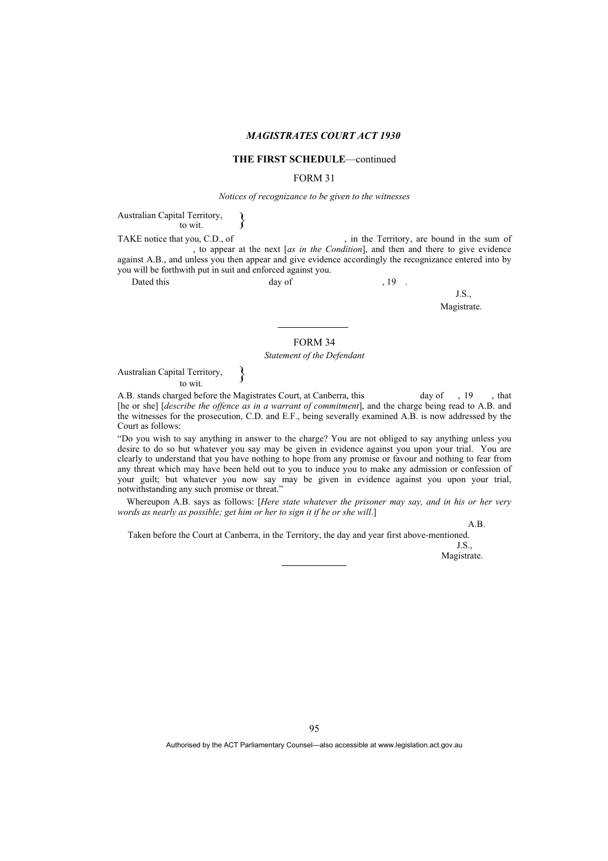#### **THE FIRST SCHEDULE**—continued

#### FORM 31

#### *Notices of recognizance to be given to the witnesses*

Australian Capital Territory,  $\longrightarrow$ 

TAKE notice that you, C.D., of , in the Territory, are bound in the sum of , to appear at the next [*as in the Condition*], and then and there to give evidence against A.B., and unless you then appear and give evidence accordingly the recognizance entered into by you will be forthwith put in suit and enforced against you.

Dated this day of , 19 .

J.S., Magistrate.

FORM 34

*Statement of the Defendant* 

Australian Capital Territory,  $\begin{matrix} \downarrow \\ \downarrow \\ \downarrow \downarrow \downarrow \end{matrix}$ 

A.B. stands charged before the Magistrates Court, at Canberra, this day of , 19 , that [he or she] [*describe the offence as in a warrant of commitment*], and the charge being read to A.B. and the witnesses for the prosecution, C.D. and E.F., being severally examined A.B. is now addressed by the Court as follows:

"Do you wish to say anything in answer to the charge? You are not obliged to say anything unless you desire to do so but whatever you say may be given in evidence against you upon your trial. You are clearly to understand that you have nothing to hope from any promise or favour and nothing to fear from any threat which may have been held out to you to induce you to make any admission or confession of your guilt; but whatever you now say may be given in evidence against you upon your trial, notwithstanding any such promise or threat."

Whereupon A.B. says as follows: [*Here state whatever the prisoner may say, and in his or her very words as nearly as possible; get him or her to sign it if he or she will*.]

A.B.

Taken before the Court at Canberra, in the Territory, the day and year first above-mentioned.

J.S., Magistrate.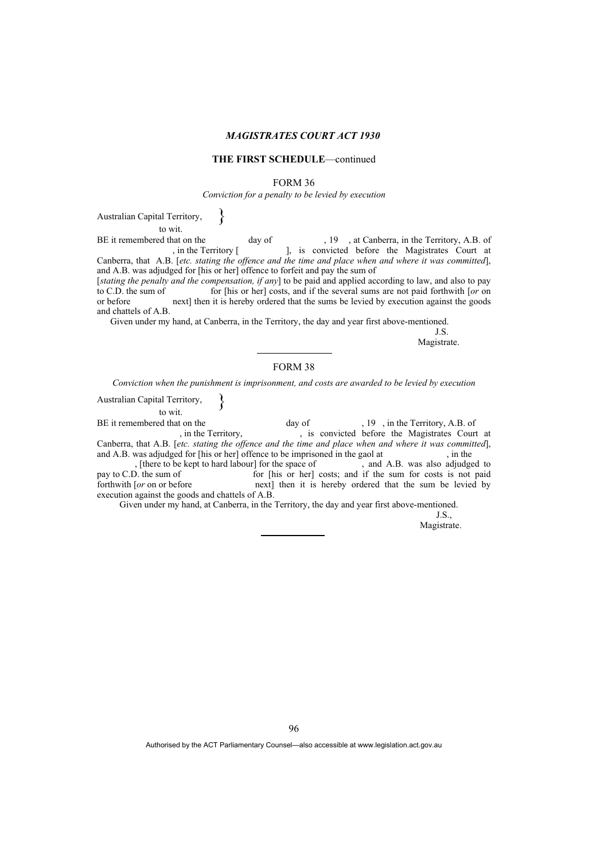#### **THE FIRST SCHEDULE**—continued

#### FORM 36

*Conviction for a penalty to be levied by execution* 

Australian Capital Territory, to wit. }

BE it remembered that on the day of , 19, at Canberra, in the Territory, A.B. of , in the Territory [, is convicted before the Magistrates Court at ), is convicted before the Magistrates Court at Canberra, that A.B. [*etc. stating the offence and the time and place when and where it was committed*], and A.B. was adjudged for [his or her] offence to forfeit and pay the sum of

[*stating the penalty and the compensation, if any*] to be paid and applied according to law, and also to pay to C.D. the sum of for [his or her] costs, and if the several sums are not paid forthwith [*or* on or before next] then it is hereby ordered that the sums be levied by execution against the goods and chattels of A.B.

Given under my hand, at Canberra, in the Territory, the day and year first above-mentioned.

J.S.

Magistrate.

# FORM 38

*Conviction when the punishment is imprisonment, and costs are awarded to be levied by execution*

Australian Capital Territory, to wit. }

BE it remembered that on the day of , 19, in the Territory, A.B. of , in the Territory, A.B. of , is convicted before the Magistrates Court , is convicted before the Magistrates Court at Canberra, that A.B. [*etc. stating the offence and the time and place when and where it was committed*], and A.B. was adjudged for [his or her] offence to be imprisoned in the gaol at , in the sense of , [there to be kept to hard labour] for the space of and A.B. was also adjudged to , [there to be kept to hard labour] for the space of pay to C.D. the sum of for [his or her] for [his or her] costs; and if the sum for costs is not paid forthwith [*or* on or before next] then it is hereby ordered that the sum be levied by execution against the goods and chattels of A.B.

Given under my hand, at Canberra, in the Territory, the day and year first above-mentioned.

 $J.S.$ Magistrate.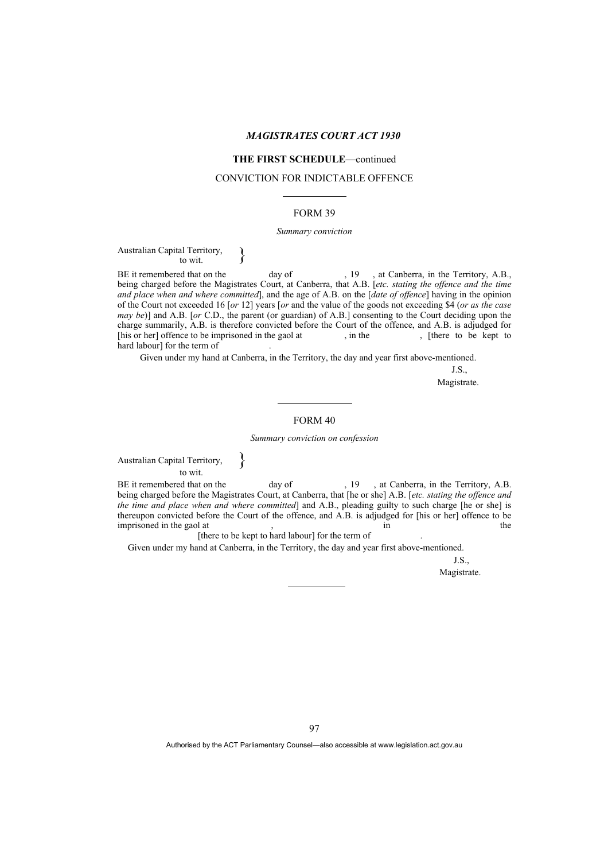#### **THE FIRST SCHEDULE**—continued

#### CONVICTION FOR INDICTABLE OFFENCE

#### FORM 39

#### *Summary conviction*

# Australian Capital Territory,  $\longrightarrow$

BE it remembered that on the day of , 19, at Canberra, in the Territory, A.B., being charged before the Magistrates Court, at Canberra, that A.B. [*etc. stating the offence and the time and place when and where committed*], and the age of A.B. on the [*date of offence*] having in the opinion of the Court not exceeded 16 [*or* 12] years [*or* and the value of the goods not exceeding \$4 (*or as the case may be*)] and A.B. [*or* C.D., the parent (or guardian) of A.B.] consenting to the Court deciding upon the charge summarily, A.B. is therefore convicted before the Court of the offence, and A.B. is adjudged for [his or her] offence to be imprisoned in the gaol at , in the , [there to be kept to hard labour] for the term of

Given under my hand at Canberra, in the Territory, the day and year first above-mentioned.

J.S.,

Magistrate.

#### FORM 40

*Summary conviction on confession* 

Australian Capital Territory, to wit.

BE it remembered that on the day of , 19, at Canberra, in the Territory, A.B. being charged before the Magistrates Court, at Canberra, that [he or she] A.B. [*etc. stating the offence and the time and place when and where committed*] and A.B., pleading guilty to such charge [he or she] is thereupon convicted before the Court of the offence, and A.B. is adjudged for [his or her] offence to be  $\frac{1}{2}$  in the gaol at  $\frac{1}{2}$ ,  $\frac{1}{2}$  in the gaol at the gaol at  $\frac{1}{2}$ ,  $\frac{1}{2}$  in  $\frac{1}{2}$  in  $\frac{1}{2}$  in  $\frac{1}{2}$  in  $\frac{1}{2}$  in  $\frac{1}{2}$  in  $\frac{1}{2}$  in  $\frac{1}{2}$  in  $\frac{1}{2}$  in  $\frac{1}{2}$  in  $\frac{1}{2$ 

[there to be kept to hard labour] for the term of

}

Given under my hand at Canberra, in the Territory, the day and year first above-mentioned.

J.S.,

Magistrate.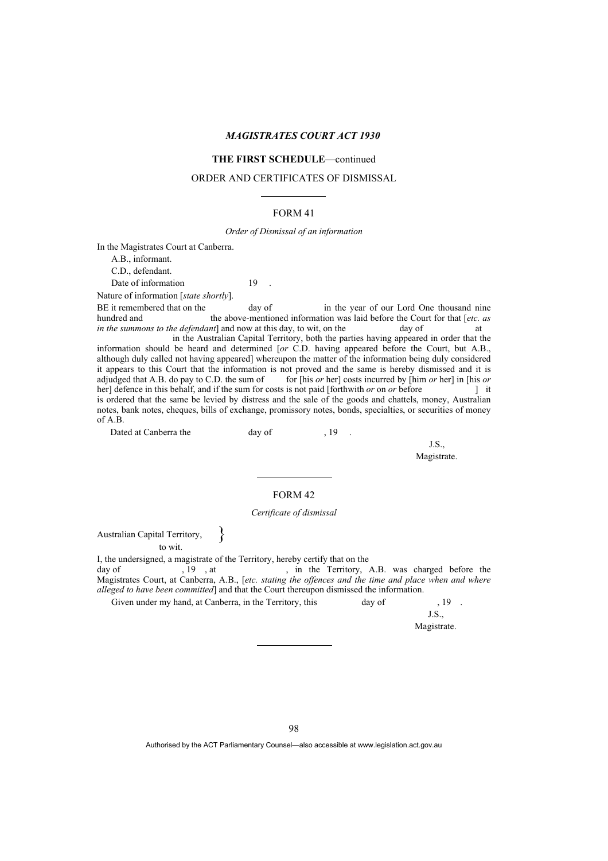### **THE FIRST SCHEDULE**—continued

#### ORDER AND CERTIFICATES OF DISMISSAL

#### FORM 41

#### *Order of Dismissal of an information*

In the Magistrates Court at Canberra.

A.B., informant.

C.D., defendant.

Date of information 19

Nature of information [*state shortly*].

BE it remembered that on the day of in the year of our Lord One thousand nine hundred and the above-mentioned information was laid before the Court for that [*etc. as in the summons to the defendant*] and now at this day, to wit, on the day of at *in the summons to the defendant*] and now at this day, to wit, on the day of at

 in the Australian Capital Territory, both the parties having appeared in order that the information should be heard and determined [*or* C.D. having appeared before the Court, but A.B., although duly called not having appeared] whereupon the matter of the information being duly considered it appears to this Court that the information is not proved and the same is hereby dismissed and it is adjudged that A.B. do pay to C.D. the sum of for [his *or* her] costs incurred by [him *or* her] in [his *or* her] defence in this behalf, and if the sum for costs is not paid [forthwith *or* on *or* before ] it is ordered that the same be levied by distress and the sale of the goods and chattels, money, Australian notes, bank notes, cheques, bills of exchange, promissory notes, bonds, specialties, or securities of money of A.B.

Dated at Canberra the day of the day of the state of  $\frac{19}{19}$ .

J.S., Magistrate.

#### FORM 42

#### *Certificate of dismissal*

Australian Capital Territory,

to wit.

I, the undersigned, a magistrate of the Territory, hereby certify that on the day of  $19$ , at  $\frac{1}{19}$ , at day of , 19, at , in the Territory, A.B. was charged before the Magistrates Court, at Canberra, A.B., [*etc. stating the offences and the time and place when and where alleged to have been committed*] and that the Court thereupon dismissed the information.

Given under my hand, at Canberra, in the Territory, this day of , 19 .

}

J.S., Magistrate.

98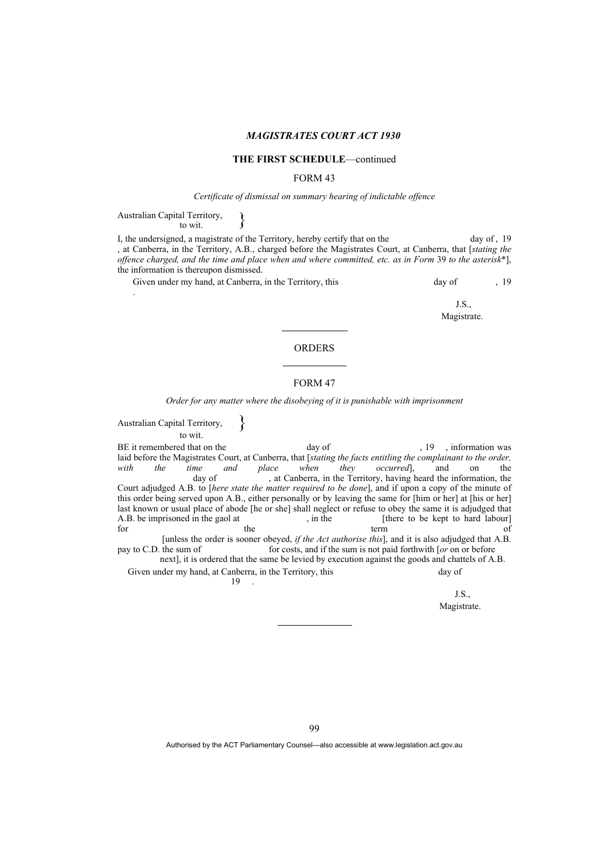#### **THE FIRST SCHEDULE**—continued

#### FORM 43

#### *Certificate of dismissal on summary hearing of indictable offence*

Australian Capital Territory,  $\longrightarrow$ 

.

I, the undersigned, a magistrate of the Territory, hereby certify that on the day of , 19 , at Canberra, in the Territory, A.B., charged before the Magistrates Court, at Canberra, that [*stating the offence charged, and the time and place when and where committed, etc. as in Form* 39 *to the asterisk*\*], the information is thereupon dismissed.

Given under my hand, at Canberra, in the Territory, this day of , 19

J.S., Magistrate.

#### FORM 47

ORDERS

*Order for any matter where the disobeying of it is punishable with imprisonment* 

Australian Capital Territory, to wit. } BE it remembered that on the day of , 19 , information was laid before the Magistrates Court, at Canberra, that [*stating the facts entitling the complainant to the order, with* the time and place when they occurred], and on the *with* the time and place when they occurred], and on the day of a st Canberra, in the Territory, having heard the information, the at Canberra, in the Territory, having heard the information, the Court adjudged A.B. to [*here state the matter required to be done*], and if upon a copy of the minute of this order being served upon A.B., either personally or by leaving the same for [him or her] at [his or her] last known or usual place of abode [he or she] shall neglect or refuse to obey the same it is adjudged that A.B. be imprisoned in the gaol at , in the [there to be kept to hard labour] for the context of the context of the context of the context of the context of the context of the context of the context of the context of the co for the term of  $\sim$  [unless the order is sooner obeyed, *if the Act authorise this*], and it is also adjudged that A.B. for costs, and if the sum is not paid forthwith [*or* on or before next], it is ordered that the same be levied by execution against the goods and chattels of A.B. Given under my hand, at Canberra, in the Territory, this day of

 $19$  .

J.S.,

Magistrate.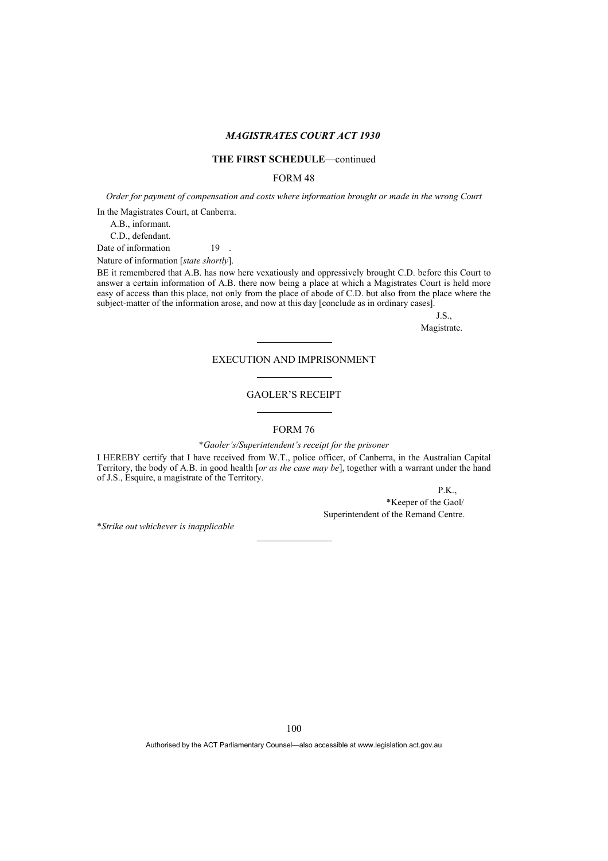#### **THE FIRST SCHEDULE**—continued

### FORM 48

*Order for payment of compensation and costs where information brought or made in the wrong Court* 

In the Magistrates Court, at Canberra.

A.B., informant.

C.D., defendant.

Date of information 19 .

Nature of information [*state shortly*].

BE it remembered that A.B. has now here vexatiously and oppressively brought C.D. before this Court to answer a certain information of A.B. there now being a place at which a Magistrates Court is held more easy of access than this place, not only from the place of abode of C.D. but also from the place where the subject-matter of the information arose, and now at this day [conclude as in ordinary cases].

J.S.,

Magistrate.

### EXECUTION AND IMPRISONMENT

#### GAOLER'S RECEIPT

#### FORM 76

\**Gaoler's/Superintendent's receipt for the prisoner*

I HEREBY certify that I have received from W.T., police officer, of Canberra, in the Australian Capital Territory, the body of A.B. in good health [*or as the case may be*], together with a warrant under the hand of J.S., Esquire, a magistrate of the Territory.

P.K.,

 \*Keeper of the Gaol/ Superintendent of the Remand Centre.

\**Strike out whichever is inapplicable*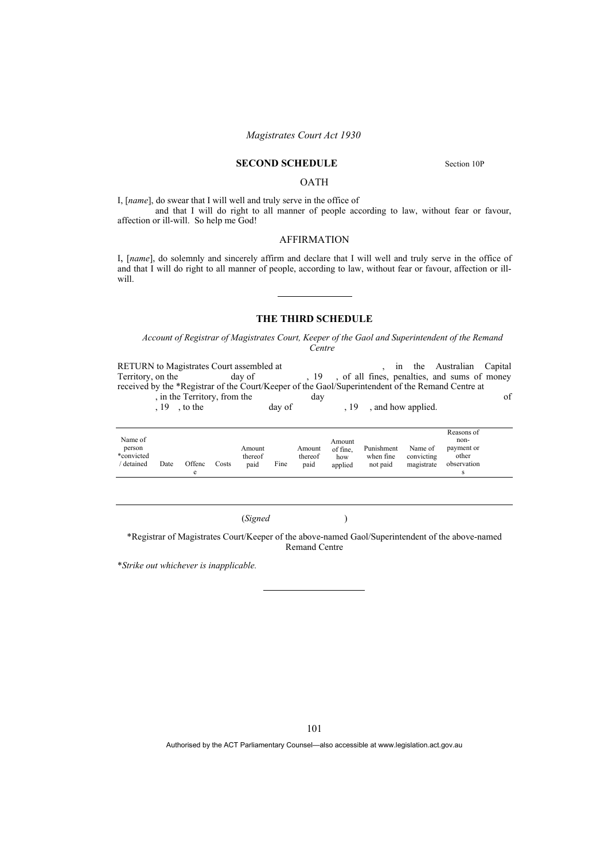### **SECOND SCHEDULE** Section 10P

#### OATH

I, [*name*], do swear that I will well and truly serve in the office of and that I will do right to all manner of people according to law, without fear or favour, affection or ill-will. So help me God!

#### AFFIRMATION

I, [*name*], do solemnly and sincerely affirm and declare that I will well and truly serve in the office of and that I will do right to all manner of people, according to law, without fear or favour, affection or illwill.

#### **THE THIRD SCHEDULE**

*Account of Registrar of Magistrates Court, Keeper of the Gaol and Superintendent of the Remand Centre* 

RETURN to Magistrates Court assembled at <br>
Territory on the day of all fines negatives and sums of money Territory, on the day of , 19, of all fines, penalties, and sums of money received by the \*Registrar of the Court/Keeper of the Gaol/Superintendent of the Remand Centre at , in the Territory, from the day of

, 19, to the day of , 19, and how applied.

|            |      |        |       |         |      |         |          |            |            | Reasons of  |  |
|------------|------|--------|-------|---------|------|---------|----------|------------|------------|-------------|--|
| Name of    |      |        |       |         |      |         | Amount   |            |            | non-        |  |
| person     |      |        |       | Amount  |      | Amount  | of fine. | Punishment | Name of    | payment or  |  |
| *convicted |      |        |       | thereof |      | thereof | how      | when fine  | convicting | other       |  |
| detained   | Date | Offenc | Costs | paid    | Fine | paid    | applied  | not paid   | magistrate | observation |  |
|            |      | e      |       |         |      |         |          |            |            |             |  |

(*Signed* )

\*Registrar of Magistrates Court/Keeper of the above-named Gaol/Superintendent of the above-named Remand Centre

\**Strike out whichever is inapplicable.*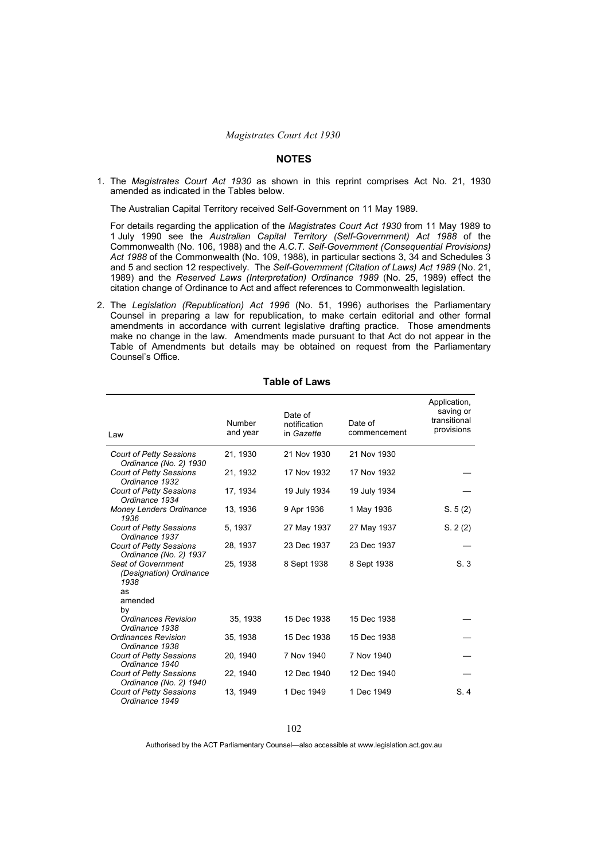#### **NOTES**

1. The *Magistrates Court Act 1930* as shown in this reprint comprises Act No. 21, 1930 amended as indicated in the Tables below.

The Australian Capital Territory received Self-Government on 11 May 1989.

For details regarding the application of the *Magistrates Court Act 1930* from 11 May 1989 to 1 July 1990 see the *Australian Capital Territory (Self-Government) Act 1988* of the Commonwealth (No. 106, 1988) and the *A.C.T. Self-Government (Consequential Provisions) Act 1988* of the Commonwealth (No. 109, 1988), in particular sections 3, 34 and Schedules 3 and 5 and section 12 respectively. The *Self-Government (Citation of Laws) Act 1989* (No. 21, 1989) and the *Reserved Laws (Interpretation) Ordinance 1989* (No. 25, 1989) effect the citation change of Ordinance to Act and affect references to Commonwealth legislation.

2. The *Legislation (Republication) Act 1996* (No. 51, 1996) authorises the Parliamentary Counsel in preparing a law for republication, to make certain editorial and other formal amendments in accordance with current legislative drafting practice. Those amendments make no change in the law. Amendments made pursuant to that Act do not appear in the Table of Amendments but details may be obtained on request from the Parliamentary Counsel's Office.

| Law                                                      | Number<br>and year | Date of<br>notification<br>in Gazette | Date of<br>commencement | Application,<br>saving or<br>transitional<br>provisions |
|----------------------------------------------------------|--------------------|---------------------------------------|-------------------------|---------------------------------------------------------|
| <b>Court of Petty Sessions</b><br>Ordinance (No. 2) 1930 | 21, 1930           | 21 Nov 1930                           | 21 Nov 1930             |                                                         |
| <b>Court of Petty Sessions</b><br>Ordinance 1932         | 21, 1932           | 17 Nov 1932                           | 17 Nov 1932             |                                                         |
| <b>Court of Petty Sessions</b><br>Ordinance 1934         | 17, 1934           | 19 July 1934                          | 19 July 1934            |                                                         |
| <b>Money Lenders Ordinance</b><br>1936                   | 13, 1936           | 9 Apr 1936                            | 1 May 1936              | S. 5(2)                                                 |
| <b>Court of Petty Sessions</b><br>Ordinance 1937         | 5, 1937            | 27 May 1937                           | 27 May 1937             | S. 2(2)                                                 |
| <b>Court of Petty Sessions</b><br>Ordinance (No. 2) 1937 | 28, 1937           | 23 Dec 1937                           | 23 Dec 1937             |                                                         |
| Seat of Government<br>(Designation) Ordinance<br>1938    | 25, 1938           | 8 Sept 1938                           | 8 Sept 1938             | S.3                                                     |
| as<br>amended                                            |                    |                                       |                         |                                                         |
| b٧<br><b>Ordinances Revision</b><br>Ordinance 1938       | 35, 1938           | 15 Dec 1938                           | 15 Dec 1938             |                                                         |
| <b>Ordinances Revision</b><br>Ordinance 1938             | 35, 1938           | 15 Dec 1938                           | 15 Dec 1938             |                                                         |
| <b>Court of Petty Sessions</b><br>Ordinance 1940         | 20, 1940           | 7 Nov 1940                            | 7 Nov 1940              |                                                         |
| <b>Court of Petty Sessions</b><br>Ordinance (No. 2) 1940 | 22, 1940           | 12 Dec 1940                           | 12 Dec 1940             |                                                         |
| <b>Court of Petty Sessions</b><br>Ordinance 1949         | 13, 1949           | 1 Dec 1949                            | 1 Dec 1949              | S.4                                                     |

#### **Table of Laws**

<sup>102</sup>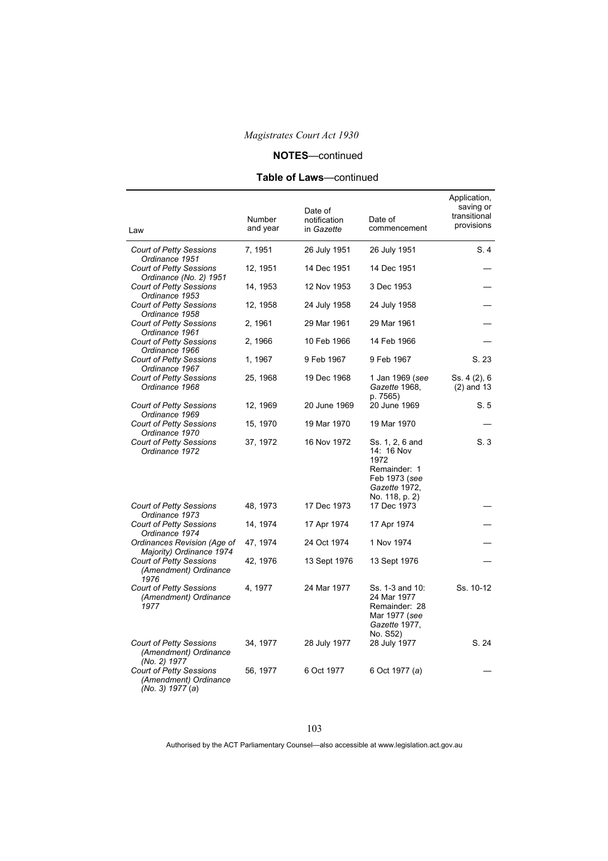## **NOTES**—continued

# **Table of Laws**—continued

| Law                                                                         | Number<br>and year | Date of<br>notification<br>in Gazette | Date of<br>commencement                                                                                   | Application,<br>saving or<br>transitional<br>provisions |
|-----------------------------------------------------------------------------|--------------------|---------------------------------------|-----------------------------------------------------------------------------------------------------------|---------------------------------------------------------|
| <b>Court of Petty Sessions</b><br>Ordinance 1951                            | 7, 1951            | 26 July 1951                          | 26 July 1951                                                                                              | S. 4                                                    |
| <b>Court of Petty Sessions</b><br>Ordinance (No. 2) 1951                    | 12, 1951           | 14 Dec 1951                           | 14 Dec 1951                                                                                               |                                                         |
| <b>Court of Petty Sessions</b><br>Ordinance 1953                            | 14, 1953           | 12 Nov 1953                           | 3 Dec 1953                                                                                                |                                                         |
| <b>Court of Petty Sessions</b><br>Ordinance 1958                            | 12, 1958           | 24 July 1958                          | 24 July 1958                                                                                              |                                                         |
| <b>Court of Petty Sessions</b><br>Ordinance 1961                            | 2, 1961            | 29 Mar 1961                           | 29 Mar 1961                                                                                               |                                                         |
| <b>Court of Petty Sessions</b><br>Ordinance 1966                            | 2, 1966            | 10 Feb 1966                           | 14 Feb 1966                                                                                               |                                                         |
| <b>Court of Petty Sessions</b><br>Ordinance 1967                            | 1, 1967            | 9 Feb 1967                            | 9 Feb 1967                                                                                                | S.23                                                    |
| <b>Court of Petty Sessions</b><br>Ordinance 1968                            | 25, 1968           | 19 Dec 1968                           | 1 Jan 1969 (see<br>Gazette 1968,<br>p. 7565)                                                              | Ss. 4 (2), 6<br>$(2)$ and 13                            |
| <b>Court of Petty Sessions</b><br>Ordinance 1969                            | 12, 1969           | 20 June 1969                          | 20 June 1969                                                                                              | S. 5                                                    |
| <b>Court of Petty Sessions</b><br>Ordinance 1970                            | 15, 1970           | 19 Mar 1970                           | 19 Mar 1970                                                                                               |                                                         |
| <b>Court of Petty Sessions</b><br>Ordinance 1972                            | 37, 1972           | 16 Nov 1972                           | Ss. 1, 2, 6 and<br>14: 16 Nov<br>1972<br>Remainder: 1<br>Feb 1973 (see<br>Gazette 1972,<br>No. 118, p. 2) | S.3                                                     |
| <b>Court of Petty Sessions</b><br>Ordinance 1973                            | 48, 1973           | 17 Dec 1973                           | 17 Dec 1973                                                                                               |                                                         |
| <b>Court of Petty Sessions</b><br>Ordinance 1974                            | 14, 1974           | 17 Apr 1974                           | 17 Apr 1974                                                                                               |                                                         |
| Ordinances Revision (Age of<br>Majority) Ordinance 1974                     | 47, 1974           | 24 Oct 1974                           | 1 Nov 1974                                                                                                |                                                         |
| <b>Court of Petty Sessions</b><br>(Amendment) Ordinance<br>1976             | 42, 1976           | 13 Sept 1976                          | 13 Sept 1976                                                                                              |                                                         |
| Court of Petty Sessions<br>(Amendment) Ordinance<br>1977                    | 4, 1977            | 24 Mar 1977                           | Ss. 1-3 and 10:<br>24 Mar 1977<br>Remainder: 28<br>Mar 1977 (see<br>Gazette 1977,<br>No. S52)             | Ss. 10-12                                               |
| <b>Court of Petty Sessions</b><br>(Amendment) Ordinance<br>(No. 2) 1977     | 34, 1977           | 28 July 1977                          | 28 July 1977                                                                                              | S. 24                                                   |
| <b>Court of Petty Sessions</b><br>(Amendment) Ordinance<br>(No. 3) 1977 (a) | 56, 1977           | 6 Oct 1977                            | 6 Oct 1977 (a)                                                                                            |                                                         |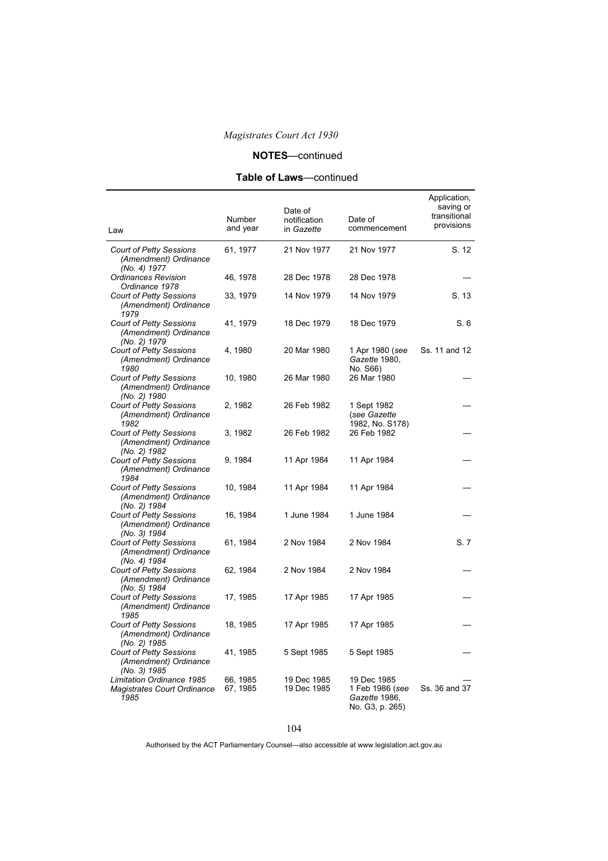# **NOTES**—continued

# **Table of Laws**—continued

| Law                                                                     | Number<br>and year   | Date of<br>notification<br>in Gazette | Date of<br>commencement                                            | Application,<br>saving or<br>transitional<br>provisions |
|-------------------------------------------------------------------------|----------------------|---------------------------------------|--------------------------------------------------------------------|---------------------------------------------------------|
| <b>Court of Petty Sessions</b><br>(Amendment) Ordinance<br>(No. 4) 1977 | 61, 1977             | 21 Nov 1977                           | 21 Nov 1977                                                        | S. 12                                                   |
| <b>Ordinances Revision</b><br>Ordinance 1978                            | 46, 1978             | 28 Dec 1978                           | 28 Dec 1978                                                        |                                                         |
| <b>Court of Petty Sessions</b><br>(Amendment) Ordinance<br>1979         | 33, 1979             | 14 Nov 1979                           | 14 Nov 1979                                                        | S. 13                                                   |
| <b>Court of Petty Sessions</b><br>(Amendment) Ordinance<br>(No. 2) 1979 | 41, 1979             | 18 Dec 1979                           | 18 Dec 1979                                                        | S.6                                                     |
| <b>Court of Petty Sessions</b><br>(Amendment) Ordinance<br>1980         | 4, 1980              | 20 Mar 1980                           | 1 Apr 1980 (see<br>Gazette 1980,<br>No. S66)                       | Ss. 11 and 12                                           |
| Court of Petty Sessions<br>(Amendment) Ordinance<br>(No. 2) 1980        | 10, 1980             | 26 Mar 1980                           | 26 Mar 1980                                                        |                                                         |
| <b>Court of Petty Sessions</b><br>(Amendment) Ordinance<br>1982         | 2, 1982              | 26 Feb 1982                           | 1 Sept 1982<br>(see Gazette<br>1982, No. S178)                     |                                                         |
| <b>Court of Petty Sessions</b><br>(Amendment) Ordinance<br>(No. 2) 1982 | 3, 1982              | 26 Feb 1982                           | 26 Feb 1982                                                        |                                                         |
| <b>Court of Petty Sessions</b><br>(Amendment) Ordinance<br>1984         | 9, 1984              | 11 Apr 1984                           | 11 Apr 1984                                                        |                                                         |
| <b>Court of Petty Sessions</b><br>(Amendment) Ordinance<br>(No. 2) 1984 | 10, 1984             | 11 Apr 1984                           | 11 Apr 1984                                                        |                                                         |
| <b>Court of Petty Sessions</b><br>(Amendment) Ordinance<br>(No. 3) 1984 | 16, 1984             | 1 June 1984                           | 1 June 1984                                                        |                                                         |
| <b>Court of Petty Sessions</b><br>(Amendment) Ordinance<br>(No. 4) 1984 | 61, 1984             | 2 Nov 1984                            | 2 Nov 1984                                                         | S.7                                                     |
| <b>Court of Petty Sessions</b><br>(Amendment) Ordinance<br>(No. 5) 1984 | 62, 1984             | 2 Nov 1984                            | 2 Nov 1984                                                         |                                                         |
| <b>Court of Petty Sessions</b><br>(Amendment) Ordinance<br>1985         | 17, 1985             | 17 Apr 1985                           | 17 Apr 1985                                                        |                                                         |
| <b>Court of Petty Sessions</b><br>(Amendment) Ordinance<br>(No. 2) 1985 | 18, 1985             | 17 Apr 1985                           | 17 Apr 1985                                                        |                                                         |
| <b>Court of Petty Sessions</b><br>(Amendment) Ordinance<br>(No. 3) 1985 | 41, 1985             | 5 Sept 1985                           | 5 Sept 1985                                                        |                                                         |
| Limitation Ordinance 1985<br>Magistrates Court Ordinance<br>1985        | 66, 1985<br>67, 1985 | 19 Dec 1985<br>19 Dec 1985            | 19 Dec 1985<br>1 Feb 1986 (see<br>Gazette 1986,<br>No. G3, p. 265) | Ss. 36 and 37                                           |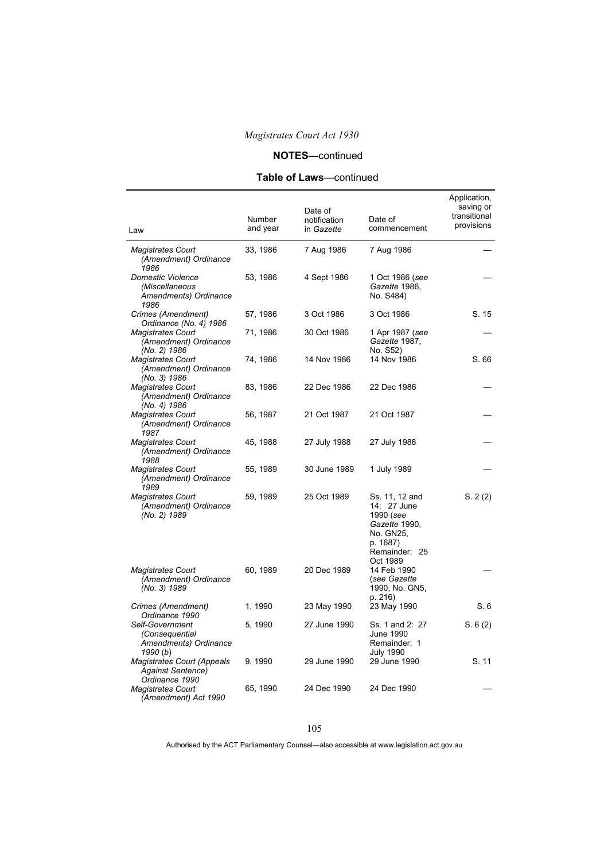# **NOTES**—continued

# **Table of Laws**—continued

| Law                                                                             | Number<br>and year | Date of<br>notification<br>in Gazette | Date of<br>commencement                                                                                           | Application,<br>saving or<br>transitional<br>provisions |
|---------------------------------------------------------------------------------|--------------------|---------------------------------------|-------------------------------------------------------------------------------------------------------------------|---------------------------------------------------------|
| <b>Magistrates Court</b><br>(Amendment) Ordinance<br>1986                       | 33, 1986           | 7 Aug 1986                            | 7 Aug 1986                                                                                                        |                                                         |
| Domestic Violence<br>(Miscellaneous<br>Amendments) Ordinance<br>1986            | 53, 1986           | 4 Sept 1986                           | 1 Oct 1986 (see<br>Gazette 1986,<br>No. S484)                                                                     |                                                         |
| Crimes (Amendment)<br>Ordinance (No. 4) 1986                                    | 57, 1986           | 3 Oct 1986                            | 3 Oct 1986                                                                                                        | S. 15                                                   |
| <b>Magistrates Court</b><br>(Amendment) Ordinance<br>(No. 2) 1986               | 71, 1986           | 30 Oct 1986                           | 1 Apr 1987 (see<br>Gazette 1987,<br>No. S52)                                                                      |                                                         |
| <b>Magistrates Court</b><br>(Amendment) Ordinance<br>(No. 3) 1986               | 74, 1986           | 14 Nov 1986                           | 14 Nov 1986                                                                                                       | S. 66                                                   |
| <b>Magistrates Court</b><br>(Amendment) Ordinance<br>(No. 4) 1986               | 83, 1986           | 22 Dec 1986                           | 22 Dec 1986                                                                                                       |                                                         |
| <b>Magistrates Court</b><br>(Amendment) Ordinance<br>1987                       | 56, 1987           | 21 Oct 1987                           | 21 Oct 1987                                                                                                       |                                                         |
| <b>Magistrates Court</b><br>(Amendment) Ordinance<br>1988                       | 45, 1988           | 27 July 1988                          | 27 July 1988                                                                                                      |                                                         |
| <b>Magistrates Court</b><br>(Amendment) Ordinance<br>1989                       | 55, 1989           | 30 June 1989                          | 1 July 1989                                                                                                       |                                                         |
| <b>Magistrates Court</b><br>(Amendment) Ordinance<br>(No. 2) 1989               | 59, 1989           | 25 Oct 1989                           | Ss. 11, 12 and<br>14: 27 June<br>1990 (see<br>Gazette 1990,<br>No. GN25,<br>p. 1687)<br>Remainder: 25<br>Oct 1989 | S. 2(2)                                                 |
| <b>Magistrates Court</b><br>(Amendment) Ordinance<br>(No. 3) 1989               | 60, 1989           | 20 Dec 1989                           | 14 Feb 1990<br>(see Gazette<br>1990, No. GN5,<br>p. 216)                                                          |                                                         |
| Crimes (Amendment)<br>Ordinance 1990                                            | 1, 1990            | 23 May 1990                           | 23 May 1990                                                                                                       | S.6                                                     |
| Self-Government<br>(Consequential<br>Amendments) Ordinance<br>1990(b)           | 5, 1990            | 27 June 1990                          | Ss. 1 and 2: 27<br>June 1990<br>Remainder: 1<br><b>July 1990</b>                                                  | S. 6(2)                                                 |
| <b>Magistrates Court (Appeals</b><br><b>Against Sentence)</b><br>Ordinance 1990 | 9, 1990            | 29 June 1990                          | 29 June 1990                                                                                                      | S. 11                                                   |
| <b>Magistrates Court</b><br>(Amendment) Act 1990                                | 65, 1990           | 24 Dec 1990                           | 24 Dec 1990                                                                                                       |                                                         |

105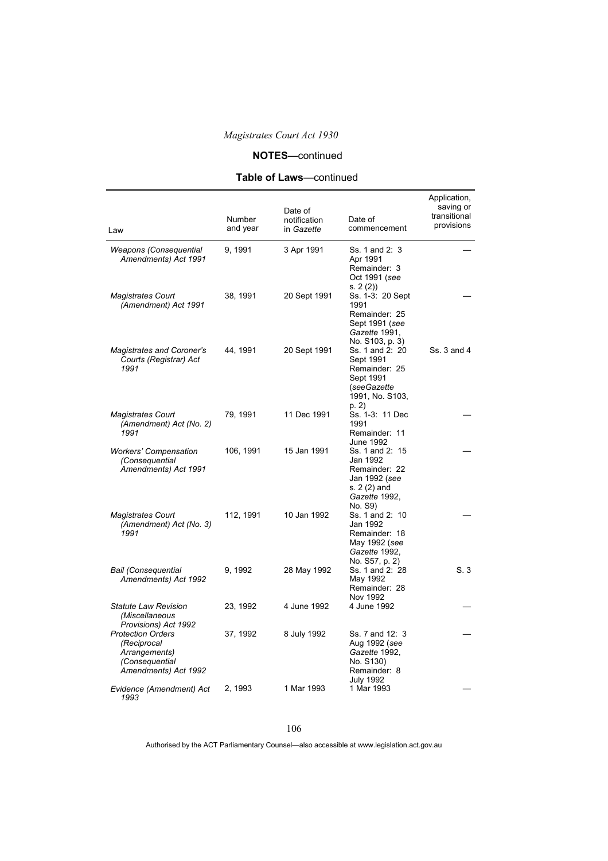# **NOTES**—continued

# **Table of Laws**—continued

| Law                                                                                                | Number<br>and year | Date of<br>notification<br>in Gazette | Date of<br>commencement                                                                                   | Application,<br>saving or<br>transitional<br>provisions |
|----------------------------------------------------------------------------------------------------|--------------------|---------------------------------------|-----------------------------------------------------------------------------------------------------------|---------------------------------------------------------|
| Weapons (Consequential<br>Amendments) Act 1991                                                     | 9, 1991            | 3 Apr 1991                            | Ss. 1 and 2: 3<br>Apr 1991<br>Remainder: 3<br>Oct 1991 (see<br>s. 2(2)                                    |                                                         |
| <b>Magistrates Court</b><br>(Amendment) Act 1991                                                   | 38, 1991           | 20 Sept 1991                          | Ss. 1-3: 20 Sept<br>1991<br>Remainder: 25<br>Sept 1991 (see<br>Gazette 1991,<br>No. S103, p. 3)           |                                                         |
| <b>Magistrates and Coroner's</b><br>Courts (Registrar) Act<br>1991                                 | 44, 1991           | 20 Sept 1991                          | Ss. 1 and 2: 20<br>Sept 1991<br>Remainder: 25<br>Sept 1991<br>(seeGazette<br>1991, No. S103,<br>p. 2)     | Ss. 3 and 4                                             |
| <b>Magistrates Court</b><br>(Amendment) Act (No. 2)<br>1991                                        | 79, 1991           | 11 Dec 1991                           | Ss. 1-3: 11 Dec<br>1991<br>Remainder: 11<br>June 1992                                                     |                                                         |
| <b>Workers' Compensation</b><br>(Consequential<br>Amendments) Act 1991                             | 106, 1991          | 15 Jan 1991                           | Ss. 1 and 2: 15<br>Jan 1992<br>Remainder: 22<br>Jan 1992 (see<br>s. 2 (2) and<br>Gazette 1992,<br>No. S9) |                                                         |
| <b>Magistrates Court</b><br>(Amendment) Act (No. 3)<br>1991                                        | 112, 1991          | 10 Jan 1992                           | Ss. 1 and 2: 10<br>Jan 1992<br>Remainder: 18<br>May 1992 (see<br>Gazette 1992,<br>No. S57, p. 2)          |                                                         |
| <b>Bail (Consequential</b><br>Amendments) Act 1992                                                 | 9, 1992            | 28 May 1992                           | Ss. 1 and 2: 28<br>May 1992<br>Remainder: 28<br>Nov 1992                                                  | S.3                                                     |
| Statute Law Revision<br>(Miscellaneous<br>Provisions) Act 1992                                     | 23, 1992           | 4 June 1992                           | 4 June 1992                                                                                               |                                                         |
| <b>Protection Orders</b><br>(Reciprocal<br>Arrangements)<br>(Consequential<br>Amendments) Act 1992 | 37, 1992           | 8 July 1992                           | Ss. 7 and 12: 3<br>Aug 1992 (see<br>Gazette 1992,<br>No. S130)<br>Remainder: 8<br><b>July 1992</b>        |                                                         |
| Evidence (Amendment) Act<br>1993                                                                   | 2, 1993            | 1 Mar 1993                            | 1 Mar 1993                                                                                                |                                                         |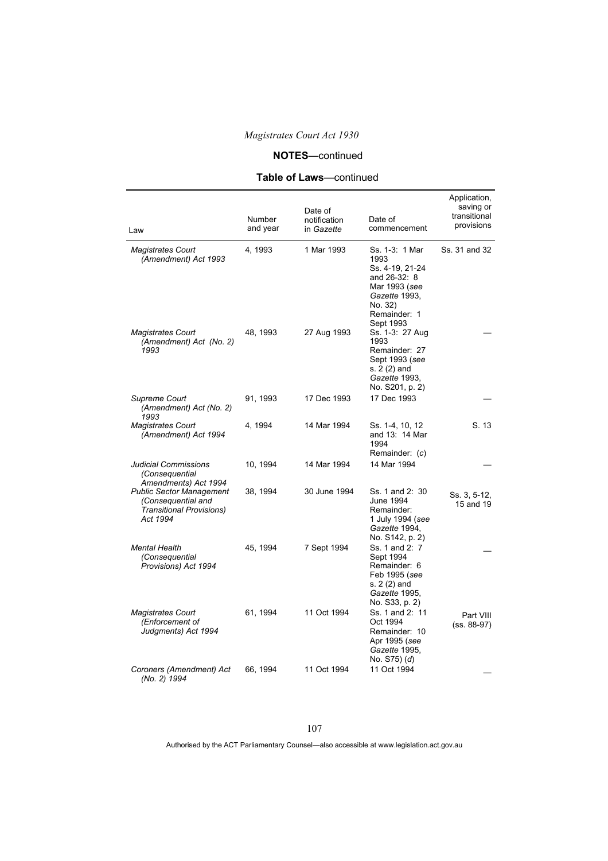## **NOTES**—continued

# **Table of Laws**—continued

| Law                                                                                           | Number<br>and year | Date of<br>notification<br>in Gazette | Date of<br>commencement                                                                                                             | Application,<br>saving or<br>transitional<br>provisions |
|-----------------------------------------------------------------------------------------------|--------------------|---------------------------------------|-------------------------------------------------------------------------------------------------------------------------------------|---------------------------------------------------------|
| <b>Magistrates Court</b><br>(Amendment) Act 1993                                              | 4, 1993            | 1 Mar 1993                            | Ss. 1-3: 1 Mar<br>1993<br>Ss. 4-19, 21-24<br>and 26-32: 8<br>Mar 1993 (see<br>Gazette 1993,<br>No. 32)<br>Remainder: 1<br>Sept 1993 | Ss. 31 and 32                                           |
| <b>Magistrates Court</b><br>(Amendment) Act (No. 2)<br>1993                                   | 48, 1993           | 27 Aug 1993                           | Ss. 1-3: 27 Aug<br>1993<br>Remainder: 27<br>Sept 1993 (see<br>s. 2 (2) and<br>Gazette 1993,<br>No. S201, p. 2)                      |                                                         |
| Supreme Court<br>(Amendment) Act (No. 2)<br>1993                                              | 91, 1993           | 17 Dec 1993                           | 17 Dec 1993                                                                                                                         |                                                         |
| <b>Magistrates Court</b><br>(Amendment) Act 1994                                              | 4, 1994            | 14 Mar 1994                           | Ss. 1-4, 10, 12<br>and 13: 14 Mar<br>1994<br>Remainder: (c)                                                                         | S. 13                                                   |
| Judicial Commissions<br>(Consequential<br>Amendments) Act 1994                                | 10, 1994           | 14 Mar 1994                           | 14 Mar 1994                                                                                                                         |                                                         |
| <b>Public Sector Management</b><br>(Consequential and<br>Transitional Provisions)<br>Act 1994 | 38, 1994           | 30 June 1994                          | Ss. 1 and 2: 30<br>June 1994<br>Remainder:<br>1 July 1994 (see<br>Gazette 1994,<br>No. S142, p. 2)                                  | Ss. 3, 5-12,<br>15 and 19                               |
| <b>Mental Health</b><br>(Consequential<br>Provisions) Act 1994                                | 45, 1994           | 7 Sept 1994                           | Ss. 1 and 2: 7<br>Sept 1994<br>Remainder: 6<br>Feb 1995 (see<br>s. 2 (2) and<br>Gazette 1995,<br>No. S33, p. 2)                     |                                                         |
| <b>Magistrates Court</b><br>(Enforcement of<br>Judgments) Act 1994                            | 61, 1994           | 11 Oct 1994                           | Ss. 1 and 2: 11<br>Oct 1994<br>Remainder: 10<br>Apr 1995 (see<br>Gazette 1995,<br>No. S75) (d)                                      | Part VIII<br>$(ss. 88-97)$                              |
| Coroners (Amendment) Act<br>(No. 2) 1994                                                      | 66, 1994           | 11 Oct 1994                           | 11 Oct 1994                                                                                                                         |                                                         |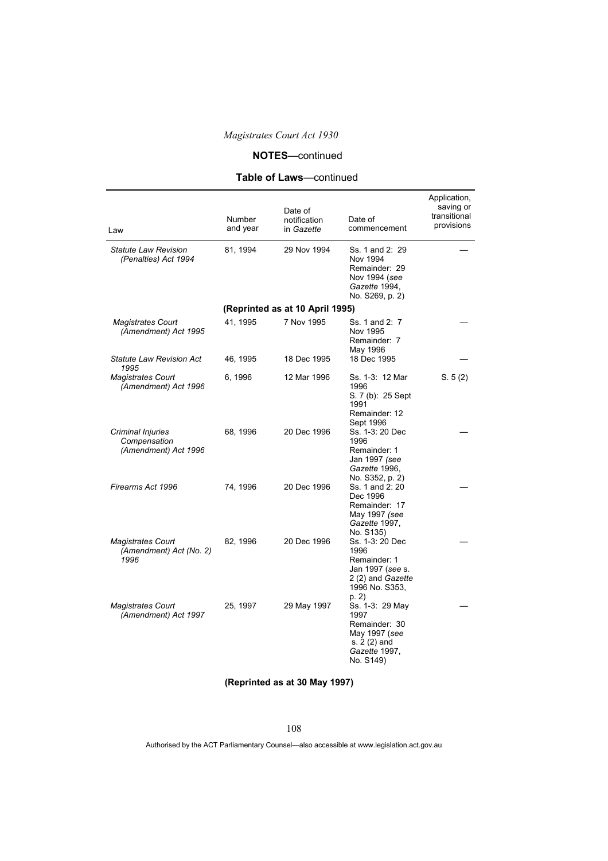## **NOTES**—continued

## **Table of Laws**—continued

| Law                                                         | Number<br>and year | Date of<br>notification<br>in Gazette | Date of<br>commencement                                                                                            | Application,<br>saving or<br>transitional<br>provisions |
|-------------------------------------------------------------|--------------------|---------------------------------------|--------------------------------------------------------------------------------------------------------------------|---------------------------------------------------------|
| <b>Statute Law Revision</b><br>(Penalties) Act 1994         | 81, 1994           | 29 Nov 1994                           | Ss. 1 and 2: 29<br>Nov 1994<br>Remainder: 29<br>Nov 1994 (see<br>Gazette 1994,<br>No. S269, p. 2)                  |                                                         |
|                                                             |                    | (Reprinted as at 10 April 1995)       |                                                                                                                    |                                                         |
| <b>Magistrates Court</b><br>(Amendment) Act 1995            | 41, 1995           | 7 Nov 1995                            | Ss. 1 and 2: 7<br>Nov 1995<br>Remainder: 7<br>May 1996                                                             |                                                         |
| <b>Statute Law Revision Act</b><br>1995                     | 46, 1995           | 18 Dec 1995                           | 18 Dec 1995                                                                                                        |                                                         |
| <b>Magistrates Court</b><br>(Amendment) Act 1996            | 6, 1996            | 12 Mar 1996                           | Ss. 1-3: 12 Mar<br>1996<br>S. 7 (b): 25 Sept<br>1991<br>Remainder: 12<br>Sept 1996                                 | S. 5(2)                                                 |
| Criminal Injuries<br>Compensation<br>(Amendment) Act 1996   | 68, 1996           | 20 Dec 1996                           | Ss. 1-3: 20 Dec<br>1996<br>Remainder: 1<br>Jan 1997 (see<br>Gazette 1996,<br>No. S352, p. 2)                       |                                                         |
| Firearms Act 1996                                           | 74, 1996           | 20 Dec 1996                           | Ss. 1 and 2: 20<br>Dec 1996<br>Remainder: 17<br>May 1997 (see<br>Gazette 1997,<br>No. S135)                        |                                                         |
| <b>Magistrates Court</b><br>(Amendment) Act (No. 2)<br>1996 | 82, 1996           | 20 Dec 1996                           | Ss. 1-3: 20 Dec<br>1996<br>Remainder: 1<br>Jan 1997 (see s.<br>2 (2) and <i>Gazette</i><br>1996 No. S353,<br>p. 2) |                                                         |
| <b>Magistrates Court</b><br>(Amendment) Act 1997            | 25, 1997           | 29 May 1997                           | Ss. 1-3: 29 May<br>1997<br>Remainder: 30<br>May 1997 (see<br>s. 2 (2) and<br>Gazette 1997,<br>No. S149)            |                                                         |

## **(Reprinted as at 30 May 1997)**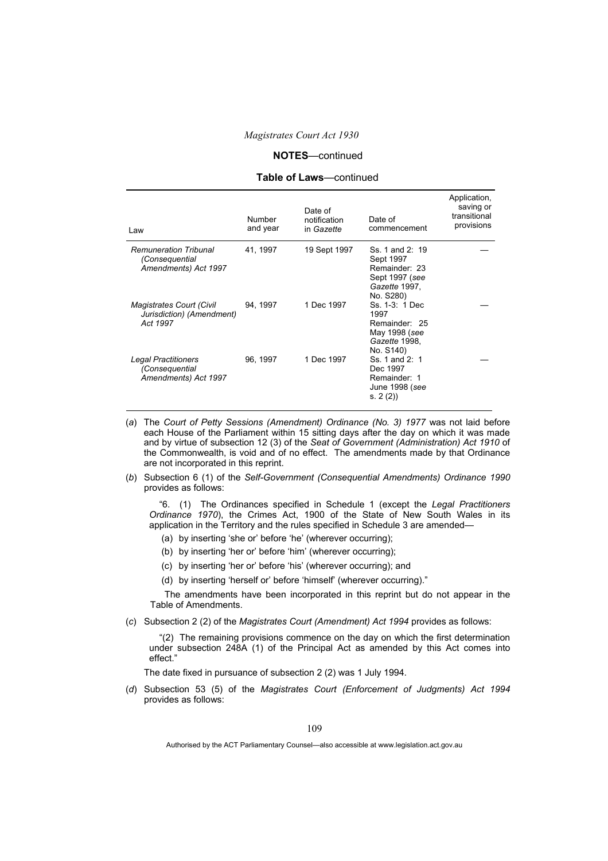#### **NOTES**—continued

#### **Table of Laws**—continued

| Law                                                                      | <b>Number</b><br>and year | Date of<br>notification<br>in Gazette | Date of<br>commencement                                                                       | Application,<br>saving or<br>transitional<br>provisions |
|--------------------------------------------------------------------------|---------------------------|---------------------------------------|-----------------------------------------------------------------------------------------------|---------------------------------------------------------|
| <b>Remuneration Tribunal</b><br>(Consequential<br>Amendments) Act 1997   | 41, 1997                  | 19 Sept 1997                          | Ss. 1 and 2: 19<br>Sept 1997<br>Remainder: 23<br>Sept 1997 (see<br>Gazette 1997,<br>No. S280) |                                                         |
| <b>Magistrates Court (Civil</b><br>Jurisdiction) (Amendment)<br>Act 1997 | 94, 1997                  | 1 Dec 1997                            | Ss. 1-3: 1 Dec.<br>1997<br>Remainder: 25<br>May 1998 (see<br>Gazette 1998,<br>No. S140)       |                                                         |
| Legal Practitioners<br>(Consequential<br>Amendments) Act 1997            | 96, 1997                  | 1 Dec 1997                            | Ss. 1 and 2: 1<br>Dec 1997<br>Remainder: 1<br>June 1998 (see<br>s. 2(2)                       |                                                         |

- (*a*) The *Court of Petty Sessions (Amendment) Ordinance (No. 3) 1977* was not laid before each House of the Parliament within 15 sitting days after the day on which it was made and by virtue of subsection 12 (3) of the *Seat of Government (Administration) Act 1910* of the Commonwealth, is void and of no effect. The amendments made by that Ordinance are not incorporated in this reprint.
- (*b*) Subsection 6 (1) of the *Self-Government (Consequential Amendments) Ordinance 1990* provides as follows:

"6. (1) The Ordinances specified in Schedule 1 (except the *Legal Practitioners Ordinance 1970*), the Crimes Act, 1900 of the State of New South Wales in its application in the Territory and the rules specified in Schedule 3 are amended—

- (a) by inserting 'she or' before 'he' (wherever occurring);
- (b) by inserting 'her or' before 'him' (wherever occurring);
- (c) by inserting 'her or' before 'his' (wherever occurring); and
- (d) by inserting 'herself or' before 'himself' (wherever occurring)."

The amendments have been incorporated in this reprint but do not appear in the Table of Amendments.

(*c*) Subsection 2 (2) of the *Magistrates Court (Amendment) Act 1994* provides as follows:

"(2) The remaining provisions commence on the day on which the first determination under subsection 248A (1) of the Principal Act as amended by this Act comes into effect."

The date fixed in pursuance of subsection 2 (2) was 1 July 1994.

(*d*) Subsection 53 (5) of the *Magistrates Court (Enforcement of Judgments) Act 1994* provides as follows: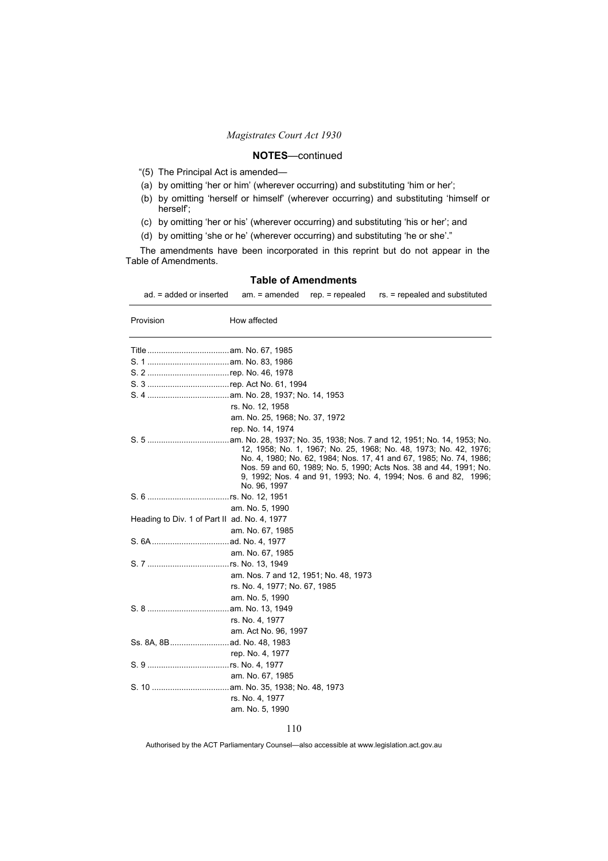## **NOTES**—continued

- "(5)The Principal Act is amended—
- (a) by omitting 'her or him' (wherever occurring) and substituting 'him or her';
- (b) by omitting 'herself or himself' (wherever occurring) and substituting 'himself or herself';
- (c) by omitting 'her or his' (wherever occurring) and substituting 'his or her'; and
- (d) by omitting 'she or he' (wherever occurring) and substituting 'he or she'."

The amendments have been incorporated in this reprint but do not appear in the Table of Amendments.

ad. = added or inserted am. = amended rep. = repealed rs. = repealed and substituted

| Provision                                    | How affected                                                                                                                                                                                                                                                                                   |
|----------------------------------------------|------------------------------------------------------------------------------------------------------------------------------------------------------------------------------------------------------------------------------------------------------------------------------------------------|
|                                              |                                                                                                                                                                                                                                                                                                |
|                                              |                                                                                                                                                                                                                                                                                                |
|                                              |                                                                                                                                                                                                                                                                                                |
|                                              |                                                                                                                                                                                                                                                                                                |
|                                              |                                                                                                                                                                                                                                                                                                |
|                                              | rs. No. 12, 1958                                                                                                                                                                                                                                                                               |
|                                              | am. No. 25, 1968; No. 37, 1972                                                                                                                                                                                                                                                                 |
|                                              | rep. No. 14, 1974                                                                                                                                                                                                                                                                              |
|                                              | 12, 1958; No. 1, 1967; No. 25, 1968; No. 48, 1973; No. 42, 1976;<br>No. 4, 1980; No. 62, 1984; Nos. 17, 41 and 67, 1985; No. 74, 1986;<br>Nos. 59 and 60, 1989; No. 5, 1990; Acts Nos. 38 and 44, 1991; No.<br>9, 1992; Nos. 4 and 91, 1993; No. 4, 1994; Nos. 6 and 82, 1996;<br>No. 96, 1997 |
|                                              |                                                                                                                                                                                                                                                                                                |
|                                              | am. No. 5, 1990                                                                                                                                                                                                                                                                                |
| Heading to Div. 1 of Part II ad. No. 4, 1977 |                                                                                                                                                                                                                                                                                                |
|                                              | am. No. 67, 1985                                                                                                                                                                                                                                                                               |
|                                              |                                                                                                                                                                                                                                                                                                |
|                                              | am. No. 67, 1985                                                                                                                                                                                                                                                                               |
|                                              |                                                                                                                                                                                                                                                                                                |
|                                              | am. Nos. 7 and 12, 1951; No. 48, 1973                                                                                                                                                                                                                                                          |
|                                              | rs. No. 4, 1977; No. 67, 1985                                                                                                                                                                                                                                                                  |
|                                              | am. No. 5, 1990                                                                                                                                                                                                                                                                                |
|                                              |                                                                                                                                                                                                                                                                                                |
|                                              | rs. No. 4, 1977                                                                                                                                                                                                                                                                                |
|                                              | am. Act No. 96, 1997                                                                                                                                                                                                                                                                           |
|                                              |                                                                                                                                                                                                                                                                                                |
|                                              | rep. No. 4, 1977                                                                                                                                                                                                                                                                               |
|                                              |                                                                                                                                                                                                                                                                                                |
|                                              | am. No. 67, 1985                                                                                                                                                                                                                                                                               |
|                                              |                                                                                                                                                                                                                                                                                                |
|                                              | rs. No. 4, 1977                                                                                                                                                                                                                                                                                |
|                                              | am. No. 5, 1990                                                                                                                                                                                                                                                                                |

#### **Table of Amendments**

110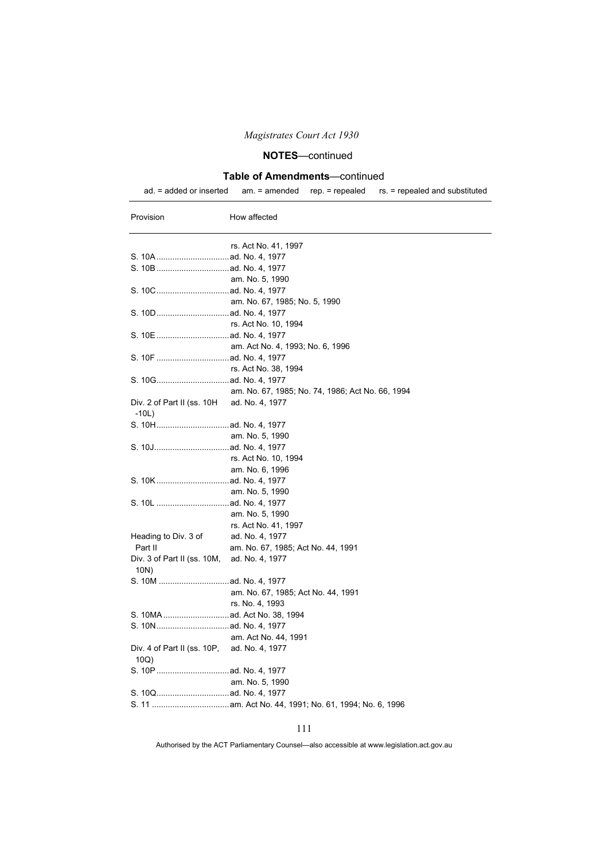## **NOTES**—continued

### **Table of Amendments**—continued

ad. = added or inserted am. = amended rep. = repealed rs. = repealed and substituted

| Provision                                             | How affected                                     |
|-------------------------------------------------------|--------------------------------------------------|
|                                                       | rs. Act No. 41, 1997                             |
|                                                       |                                                  |
|                                                       |                                                  |
|                                                       | am. No. 5, 1990                                  |
|                                                       |                                                  |
|                                                       | am. No. 67, 1985; No. 5, 1990                    |
|                                                       |                                                  |
|                                                       | rs. Act No. 10, 1994                             |
|                                                       |                                                  |
|                                                       | am. Act No. 4, 1993; No. 6, 1996                 |
|                                                       |                                                  |
|                                                       | rs. Act No. 38, 1994                             |
|                                                       |                                                  |
|                                                       | am. No. 67, 1985; No. 74, 1986; Act No. 66, 1994 |
| Div. 2 of Part II (ss. 10H ad. No. 4, 1977<br>$-10L)$ |                                                  |
|                                                       |                                                  |
|                                                       | am. No. 5, 1990                                  |
|                                                       |                                                  |
|                                                       | rs. Act No. 10, 1994                             |
|                                                       | am. No. 6, 1996                                  |
|                                                       |                                                  |
|                                                       | am. No. 5, 1990                                  |
|                                                       |                                                  |
|                                                       | am. No. 5, 1990                                  |
|                                                       | rs. Act No. 41, 1997                             |
| Heading to Div. 3 of                                  | ad. No. 4, 1977                                  |
| Part II                                               | am. No. 67, 1985; Act No. 44, 1991               |
| Div. 3 of Part II (ss. 10M, ad. No. 4, 1977<br>10N)   |                                                  |
|                                                       |                                                  |
|                                                       | am. No. 67, 1985; Act No. 44, 1991               |
|                                                       | rs. No. 4, 1993                                  |
|                                                       |                                                  |
|                                                       |                                                  |
|                                                       | am. Act No. 44, 1991                             |
| Div. 4 of Part II (ss. 10P, ad. No. 4, 1977<br>10Q)   |                                                  |
|                                                       |                                                  |
|                                                       | am. No. 5, 1990                                  |
|                                                       |                                                  |
|                                                       |                                                  |
|                                                       |                                                  |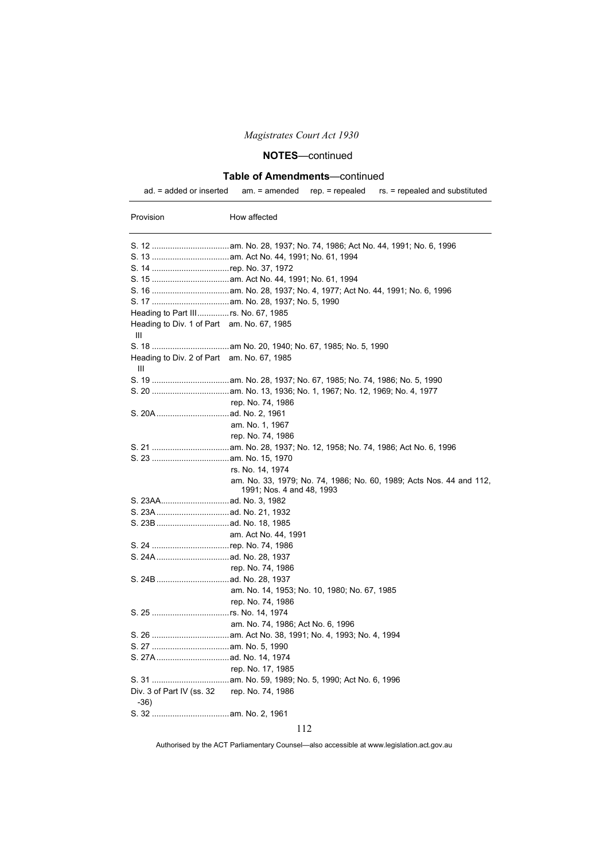## **NOTES**—continued

### **Table of Amendments**—continued

Provision **How affected** 

ad. = added or inserted am. = amended rep. = repealed rs. = repealed and substituted

| Heading to Div. 1 of Part am. No. 67, 1985<br>Ш       |                                                                                                  |
|-------------------------------------------------------|--------------------------------------------------------------------------------------------------|
|                                                       |                                                                                                  |
| Heading to Div. 2 of Part am. No. 67, 1985<br>Ш       |                                                                                                  |
|                                                       |                                                                                                  |
|                                                       |                                                                                                  |
|                                                       | rep. No. 74, 1986                                                                                |
|                                                       |                                                                                                  |
|                                                       | am. No. 1, 1967                                                                                  |
|                                                       | rep. No. 74, 1986                                                                                |
|                                                       |                                                                                                  |
|                                                       |                                                                                                  |
|                                                       | rs. No. 14, 1974                                                                                 |
|                                                       | am. No. 33, 1979; No. 74, 1986; No. 60, 1989; Acts Nos. 44 and 112,<br>1991; Nos. 4 and 48, 1993 |
|                                                       |                                                                                                  |
|                                                       |                                                                                                  |
|                                                       |                                                                                                  |
|                                                       | am. Act No. 44, 1991                                                                             |
|                                                       |                                                                                                  |
|                                                       |                                                                                                  |
|                                                       | rep. No. 74, 1986                                                                                |
|                                                       |                                                                                                  |
|                                                       | am. No. 14, 1953; No. 10, 1980; No. 67, 1985                                                     |
|                                                       | rep. No. 74, 1986                                                                                |
|                                                       |                                                                                                  |
|                                                       | am. No. 74, 1986; Act No. 6, 1996                                                                |
|                                                       |                                                                                                  |
|                                                       |                                                                                                  |
|                                                       |                                                                                                  |
|                                                       | rep. No. 17, 1985                                                                                |
|                                                       |                                                                                                  |
| Div. 3 of Part IV (ss. 32 rep. No. 74, 1986<br>$-36)$ |                                                                                                  |
|                                                       |                                                                                                  |

112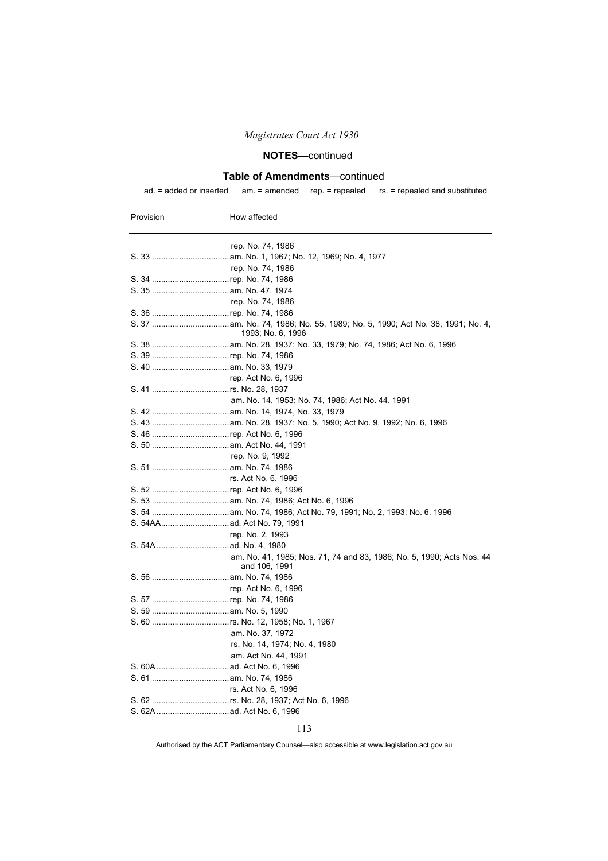# **NOTES**—continued

### **Table of Amendments**—continued

|  |  |  | $ad = added$ or inserted $am = amended$ rep. = repealed rs. = repealed and substituted |
|--|--|--|----------------------------------------------------------------------------------------|
|--|--|--|----------------------------------------------------------------------------------------|

| Provision | How affected                                                                           |
|-----------|----------------------------------------------------------------------------------------|
|           | rep. No. 74, 1986                                                                      |
|           |                                                                                        |
|           | rep. No. 74, 1986                                                                      |
|           |                                                                                        |
|           |                                                                                        |
|           | rep. No. 74, 1986                                                                      |
|           |                                                                                        |
|           | 1993; No. 6, 1996                                                                      |
|           |                                                                                        |
|           |                                                                                        |
|           |                                                                                        |
|           | rep. Act No. 6, 1996                                                                   |
|           |                                                                                        |
|           | am. No. 14, 1953; No. 74, 1986; Act No. 44, 1991                                       |
|           |                                                                                        |
|           |                                                                                        |
|           |                                                                                        |
|           |                                                                                        |
|           | rep. No. 9, 1992                                                                       |
|           |                                                                                        |
|           | rs. Act No. 6, 1996                                                                    |
|           |                                                                                        |
|           |                                                                                        |
|           |                                                                                        |
|           |                                                                                        |
|           | rep. No. 2, 1993                                                                       |
|           |                                                                                        |
|           | am. No. 41, 1985; Nos. 71, 74 and 83, 1986; No. 5, 1990; Acts Nos. 44<br>and 106, 1991 |
|           |                                                                                        |
|           | rep. Act No. 6, 1996                                                                   |
|           |                                                                                        |
|           |                                                                                        |
|           |                                                                                        |
|           | am. No. 37, 1972                                                                       |
|           | rs. No. 14, 1974; No. 4, 1980                                                          |
|           | am. Act No. 44, 1991                                                                   |
|           |                                                                                        |
|           |                                                                                        |
|           | rs. Act No. 6, 1996                                                                    |
|           |                                                                                        |
|           |                                                                                        |

113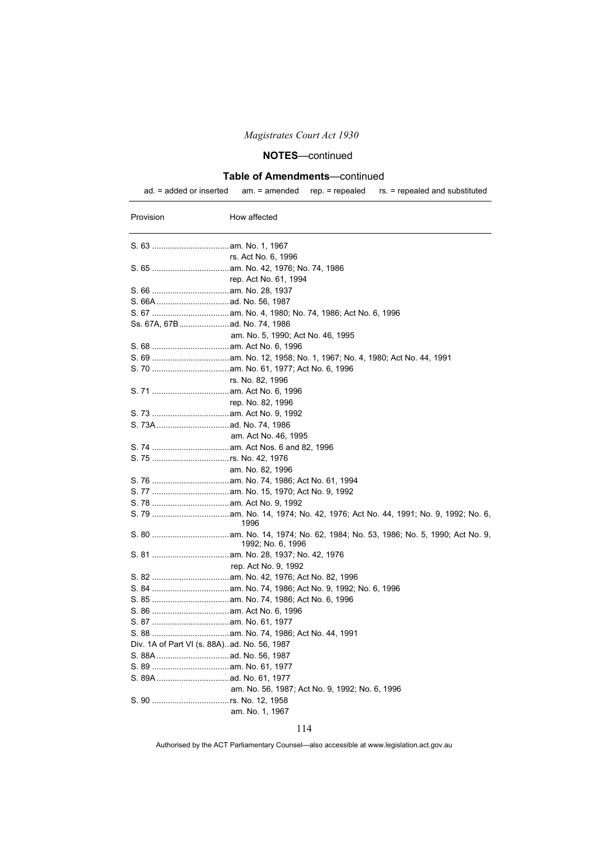## **NOTES**—continued

### **Table of Amendments**—continued

ad. = added or inserted am. = amended rep. = repealed rs. = repealed and substituted

| Provision | How affected                                   |
|-----------|------------------------------------------------|
|           |                                                |
|           | rs. Act No. 6, 1996                            |
|           |                                                |
|           | rep. Act No. 61, 1994                          |
|           |                                                |
|           |                                                |
|           |                                                |
|           | Ss. 67A, 67B  ad. No. 74, 1986                 |
|           | am. No. 5, 1990; Act No. 46, 1995              |
|           |                                                |
|           |                                                |
|           |                                                |
|           | rs. No. 82, 1996                               |
|           |                                                |
|           | rep. No. 82, 1996                              |
|           |                                                |
|           |                                                |
|           | am. Act No. 46, 1995                           |
|           |                                                |
|           |                                                |
|           | am. No. 82, 1996                               |
|           |                                                |
|           |                                                |
|           |                                                |
|           | 1996                                           |
|           | 1992; No. 6, 1996                              |
|           |                                                |
|           | rep. Act No. 9, 1992                           |
|           |                                                |
|           |                                                |
|           |                                                |
|           |                                                |
|           |                                                |
|           |                                                |
|           | Div. 1A of Part VI (s. 88A)ad. No. 56, 1987    |
|           |                                                |
|           |                                                |
|           |                                                |
|           | am. No. 56, 1987; Act No. 9, 1992; No. 6, 1996 |
|           |                                                |
|           | am. No. 1, 1967                                |

#### 114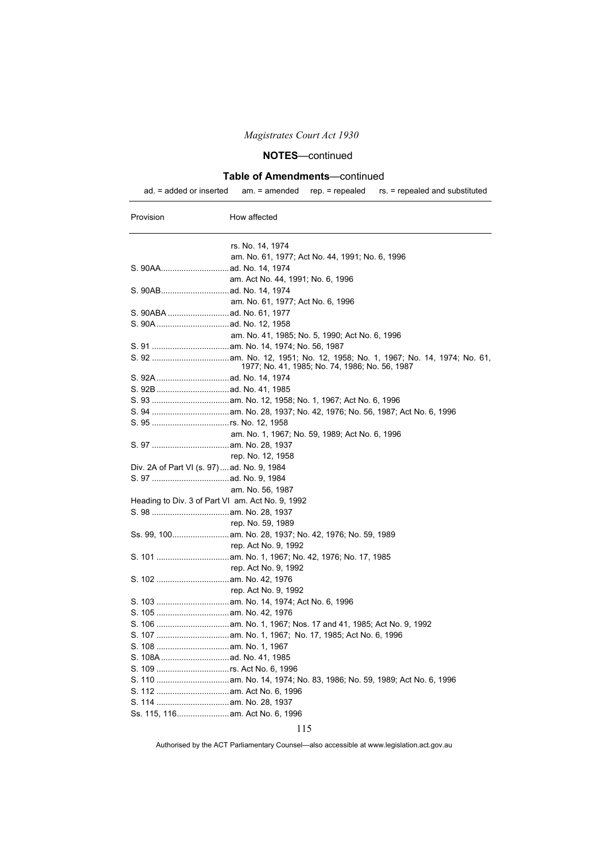# **NOTES**—continued

### **Table of Amendments**—continued

|  |  |  | ad. $=$ added or inserted am. $=$ amended rep. $=$ repealed rs. $=$ repealed and substituted |
|--|--|--|----------------------------------------------------------------------------------------------|
|--|--|--|----------------------------------------------------------------------------------------------|

| Provision                                        | How affected                                    |
|--------------------------------------------------|-------------------------------------------------|
|                                                  | rs. No. 14, 1974                                |
|                                                  | am. No. 61, 1977; Act No. 44, 1991; No. 6, 1996 |
|                                                  |                                                 |
|                                                  | am. Act No. 44, 1991; No. 6, 1996               |
|                                                  |                                                 |
|                                                  | am. No. 61, 1977; Act No. 6, 1996               |
|                                                  |                                                 |
|                                                  |                                                 |
|                                                  | am. No. 41, 1985; No. 5, 1990; Act No. 6, 1996  |
|                                                  |                                                 |
|                                                  |                                                 |
|                                                  | 1977; No. 41, 1985; No. 74, 1986; No. 56, 1987  |
|                                                  |                                                 |
|                                                  |                                                 |
|                                                  |                                                 |
|                                                  |                                                 |
|                                                  |                                                 |
|                                                  | am. No. 1, 1967; No. 59, 1989; Act No. 6, 1996  |
|                                                  |                                                 |
|                                                  | rep. No. 12, 1958                               |
| Div. 2A of Part VI (s. 97)ad. No. 9, 1984        |                                                 |
|                                                  |                                                 |
|                                                  | am. No. 56, 1987                                |
| Heading to Div. 3 of Part VI am. Act No. 9, 1992 |                                                 |
|                                                  |                                                 |
|                                                  | rep. No. 59, 1989                               |
|                                                  |                                                 |
|                                                  | rep. Act No. 9, 1992                            |
|                                                  |                                                 |
|                                                  | rep. Act No. 9, 1992                            |
|                                                  |                                                 |
|                                                  | rep. Act No. 9, 1992                            |
|                                                  |                                                 |
|                                                  |                                                 |
|                                                  |                                                 |
|                                                  |                                                 |
|                                                  |                                                 |
|                                                  |                                                 |
|                                                  |                                                 |
|                                                  |                                                 |
|                                                  |                                                 |
|                                                  |                                                 |
| Ss. 115, 116 am. Act No. 6, 1996                 |                                                 |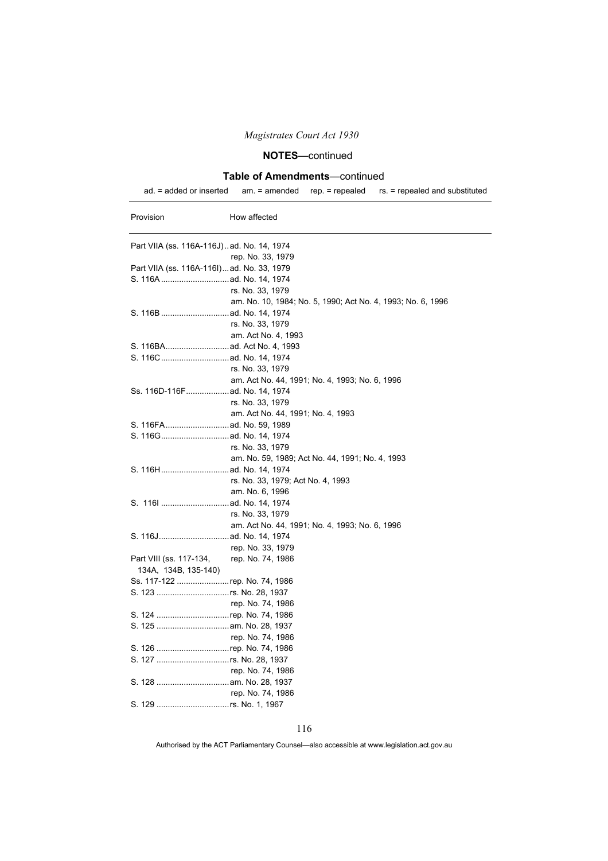## **NOTES**—continued

### **Table of Amendments**—continued

ad. = added or inserted am. = amended rep. = repealed rs. = repealed and substituted

| Provision                                 | How affected                                                |
|-------------------------------------------|-------------------------------------------------------------|
| Part VIIA (ss. 116A-116J)ad. No. 14, 1974 |                                                             |
|                                           | rep. No. 33, 1979                                           |
| Part VIIA (ss. 116A-116I)ad. No. 33, 1979 |                                                             |
|                                           |                                                             |
|                                           | rs. No. 33, 1979                                            |
|                                           | am. No. 10, 1984; No. 5, 1990; Act No. 4, 1993; No. 6, 1996 |
|                                           |                                                             |
|                                           | rs. No. 33, 1979                                            |
|                                           | am. Act No. 4, 1993                                         |
|                                           |                                                             |
|                                           |                                                             |
|                                           | rs. No. 33, 1979                                            |
|                                           | am. Act No. 44, 1991; No. 4, 1993; No. 6, 1996              |
|                                           |                                                             |
|                                           | rs. No. 33, 1979                                            |
|                                           | am. Act No. 44, 1991; No. 4, 1993                           |
|                                           |                                                             |
|                                           |                                                             |
|                                           | rs. No. 33, 1979                                            |
|                                           | am. No. 59, 1989; Act No. 44, 1991; No. 4, 1993             |
|                                           |                                                             |
|                                           | rs. No. 33, 1979; Act No. 4, 1993                           |
|                                           | am. No. 6, 1996                                             |
|                                           |                                                             |
|                                           | rs. No. 33, 1979                                            |
|                                           | am. Act No. 44, 1991; No. 4, 1993; No. 6, 1996              |
|                                           |                                                             |
|                                           | rep. No. 33, 1979                                           |
| Part VIII (ss. 117-134, rep. No. 74, 1986 |                                                             |
| 134A, 134B, 135-140)                      |                                                             |
| Ss. 117-122 rep. No. 74, 1986             |                                                             |
|                                           |                                                             |
|                                           | rep. No. 74, 1986                                           |
| S. 124 rep. No. 74, 1986                  |                                                             |
|                                           |                                                             |
|                                           | rep. No. 74, 1986                                           |
| S. 126 rep. No. 74, 1986                  |                                                             |
|                                           |                                                             |
|                                           | rep. No. 74, 1986                                           |
|                                           |                                                             |
|                                           | rep. No. 74, 1986                                           |
|                                           |                                                             |

116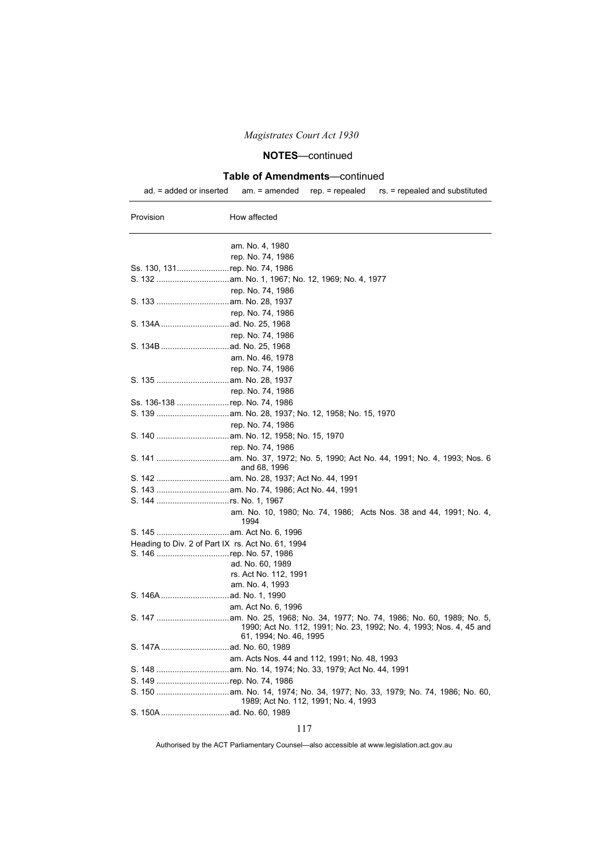## **NOTES**—continued

### **Table of Amendments**—continued

ad. = added or inserted am. = amended rep. = repealed rs. = repealed and substituted

| Provision                                         | How affected                                                                                 |
|---------------------------------------------------|----------------------------------------------------------------------------------------------|
|                                                   | am. No. 4, 1980                                                                              |
|                                                   | rep. No. 74, 1986                                                                            |
| Ss. 130, 131rep. No. 74, 1986                     |                                                                                              |
|                                                   |                                                                                              |
|                                                   | rep. No. 74, 1986                                                                            |
|                                                   |                                                                                              |
|                                                   | rep. No. 74, 1986                                                                            |
|                                                   |                                                                                              |
|                                                   | rep. No. 74, 1986                                                                            |
|                                                   |                                                                                              |
|                                                   | am. No. 46, 1978                                                                             |
|                                                   | rep. No. 74, 1986                                                                            |
|                                                   |                                                                                              |
|                                                   | rep. No. 74, 1986                                                                            |
| Ss. 136-138 rep. No. 74, 1986                     |                                                                                              |
|                                                   |                                                                                              |
|                                                   | rep. No. 74, 1986                                                                            |
|                                                   |                                                                                              |
|                                                   | rep. No. 74, 1986                                                                            |
|                                                   |                                                                                              |
|                                                   | and 68, 1996                                                                                 |
|                                                   |                                                                                              |
|                                                   |                                                                                              |
|                                                   |                                                                                              |
|                                                   | am. No. 10, 1980; No. 74, 1986; Acts Nos. 38 and 44, 1991; No. 4,<br>1994                    |
|                                                   |                                                                                              |
| Heading to Div. 2 of Part IX rs. Act No. 61, 1994 |                                                                                              |
|                                                   |                                                                                              |
|                                                   | ad. No. 60, 1989                                                                             |
|                                                   | rs. Act No. 112, 1991                                                                        |
|                                                   | am. No. 4, 1993                                                                              |
|                                                   |                                                                                              |
|                                                   | am. Act No. 6, 1996                                                                          |
|                                                   | 1990; Act No. 112, 1991; No. 23, 1992; No. 4, 1993; Nos. 4, 45 and<br>61, 1994; No. 46, 1995 |
|                                                   |                                                                                              |
|                                                   | am. Acts Nos. 44 and 112, 1991; No. 48, 1993                                                 |
|                                                   |                                                                                              |
| S. 149 rep. No. 74, 1986                          |                                                                                              |
|                                                   | 1989; Act No. 112, 1991; No. 4, 1993                                                         |
|                                                   |                                                                                              |

#### 117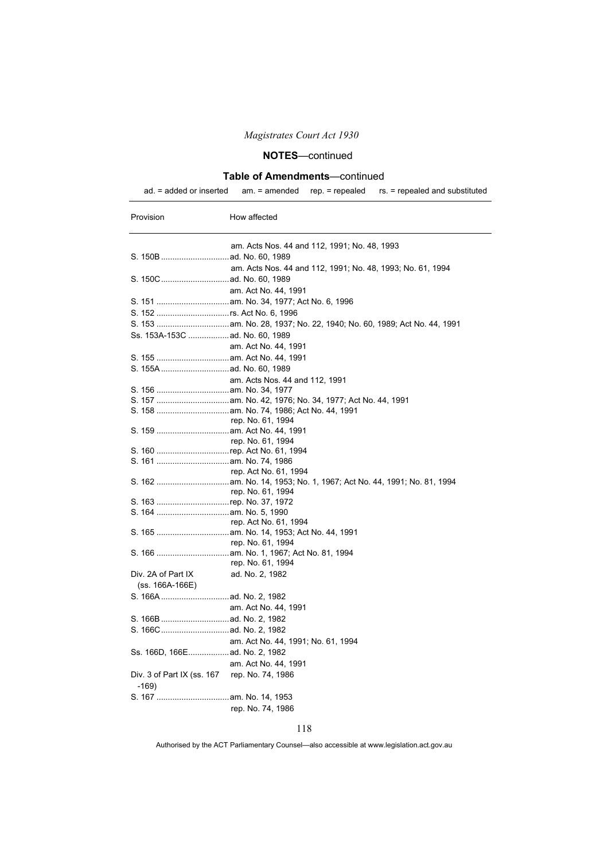# **NOTES**—continued

### **Table of Amendments**—continued

| Provision                                    | How affected                                               |
|----------------------------------------------|------------------------------------------------------------|
|                                              | am. Acts Nos. 44 and 112, 1991; No. 48, 1993               |
|                                              |                                                            |
|                                              | am. Acts Nos. 44 and 112, 1991; No. 48, 1993; No. 61, 1994 |
|                                              |                                                            |
|                                              | am. Act No. 44, 1991                                       |
|                                              |                                                            |
|                                              |                                                            |
|                                              |                                                            |
|                                              |                                                            |
|                                              | am. Act No. 44, 1991                                       |
|                                              |                                                            |
|                                              |                                                            |
|                                              | am. Acts Nos. 44 and 112, 1991                             |
|                                              |                                                            |
|                                              |                                                            |
|                                              |                                                            |
|                                              | rep. No. 61, 1994                                          |
|                                              |                                                            |
|                                              | rep. No. 61, 1994                                          |
| S. 160 rep. Act No. 61, 1994                 |                                                            |
|                                              |                                                            |
|                                              | rep. Act No. 61, 1994                                      |
|                                              |                                                            |
| S. 163 rep. No. 37, 1972                     | rep. No. 61, 1994                                          |
|                                              |                                                            |
|                                              | rep. Act No. 61, 1994                                      |
|                                              |                                                            |
|                                              | rep. No. 61, 1994                                          |
|                                              |                                                            |
|                                              | rep. No. 61, 1994                                          |
| Div. 2A of Part IX                           | ad. No. 2, 1982                                            |
| (ss. 166A-166E)                              |                                                            |
|                                              |                                                            |
|                                              | am. Act No. 44, 1991                                       |
|                                              |                                                            |
|                                              |                                                            |
|                                              | am. Act No. 44, 1991; No. 61, 1994                         |
| Ss. 166D, 166E ad. No. 2, 1982               |                                                            |
|                                              | am. Act No. 44, 1991                                       |
| Div. 3 of Part IX (ss. 167 rep. No. 74, 1986 |                                                            |
| -169)                                        |                                                            |
|                                              |                                                            |
|                                              | rep. No. 74, 1986                                          |
|                                              |                                                            |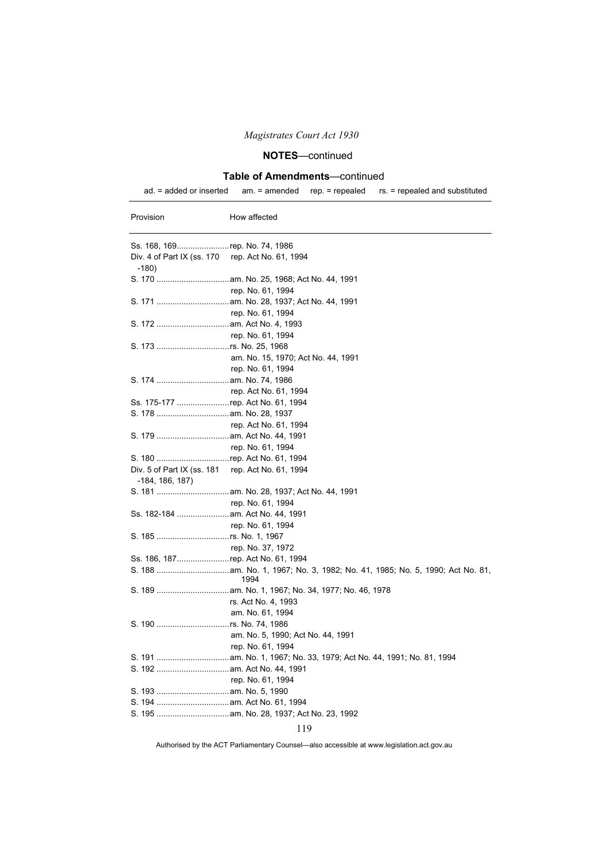## **NOTES**—continued

### **Table of Amendments**—continued

ad. = added or inserted am. = amended rep. = repealed rs. = repealed and substituted

| Provision                                                   | How affected                       |
|-------------------------------------------------------------|------------------------------------|
| Ss. 168, 169rep. No. 74, 1986                               |                                    |
| Div. 4 of Part IX (ss. 170 rep. Act No. 61, 1994<br>$-180)$ |                                    |
|                                                             |                                    |
|                                                             | rep. No. 61, 1994                  |
|                                                             |                                    |
|                                                             | rep. No. 61, 1994                  |
|                                                             |                                    |
|                                                             | rep. No. 61, 1994                  |
|                                                             |                                    |
|                                                             | am. No. 15, 1970; Act No. 44, 1991 |
|                                                             | rep. No. 61, 1994                  |
|                                                             |                                    |
|                                                             | rep. Act No. 61, 1994              |
| Ss. 175-177 rep. Act No. 61, 1994                           |                                    |
|                                                             |                                    |
|                                                             | rep. Act No. 61, 1994              |
|                                                             |                                    |
|                                                             | rep. No. 61, 1994                  |
| S. 180 rep. Act No. 61, 1994                                |                                    |
| Div. 5 of Part IX (ss. 181 rep. Act No. 61, 1994            |                                    |
| -184, 186, 187)                                             |                                    |
|                                                             |                                    |
|                                                             | rep. No. 61, 1994                  |
| Ss. 182-184  am. Act No. 44, 1991                           |                                    |
|                                                             | rep. No. 61, 1994                  |
|                                                             |                                    |
|                                                             | rep. No. 37, 1972                  |
| Ss. 186, 187rep. Act No. 61, 1994                           |                                    |
|                                                             | 1994                               |
|                                                             |                                    |
|                                                             | rs. Act No. 4, 1993                |
|                                                             | am. No. 61, 1994                   |
|                                                             |                                    |
|                                                             | am. No. 5, 1990; Act No. 44, 1991  |
|                                                             | rep. No. 61, 1994                  |
|                                                             |                                    |
|                                                             |                                    |
|                                                             | rep. No. 61, 1994                  |
|                                                             |                                    |
|                                                             |                                    |
|                                                             |                                    |

### 119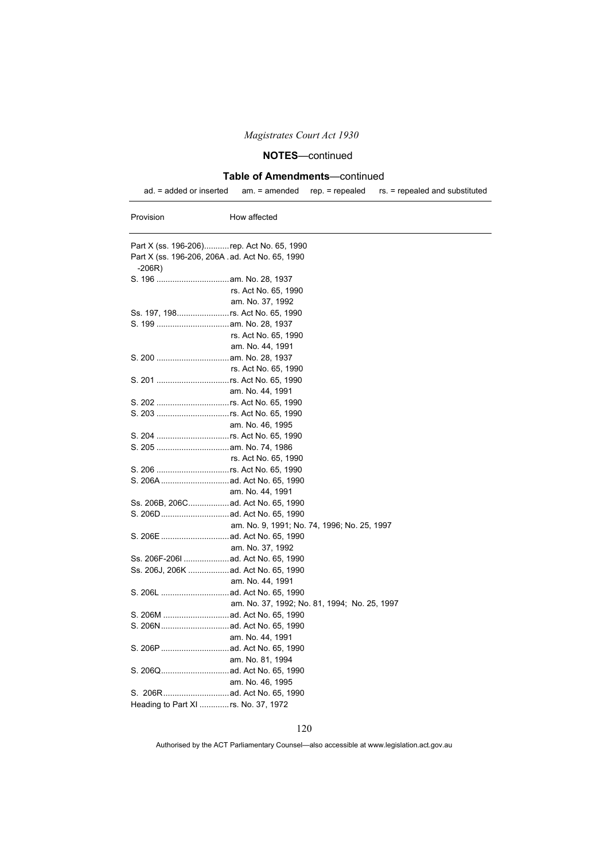## **NOTES**—continued

### **Table of Amendments**—continued

ad. = added or inserted am. = amended rep. = repealed rs. = repealed and substituted

| Provision | How affected                                    |  |
|-----------|-------------------------------------------------|--|
|           | Part X (ss. 196-206)rep. Act No. 65, 1990       |  |
|           | Part X (ss. 196-206, 206A .ad. Act No. 65, 1990 |  |
| $-206R)$  |                                                 |  |
|           |                                                 |  |
|           | rs. Act No. 65, 1990                            |  |
|           | am. No. 37, 1992                                |  |
|           | Ss. 197, 198rs. Act No. 65, 1990                |  |
|           |                                                 |  |
|           | rs. Act No. 65, 1990                            |  |
|           | am. No. 44, 1991                                |  |
|           |                                                 |  |
|           | rs. Act No. 65, 1990                            |  |
|           |                                                 |  |
|           | am. No. 44, 1991                                |  |
|           |                                                 |  |
|           | S. 203 rs. Act No. 65, 1990                     |  |
|           | am. No. 46, 1995                                |  |
|           |                                                 |  |
|           |                                                 |  |
|           | rs. Act No. 65, 1990                            |  |
|           | S. 206 rs. Act No. 65, 1990                     |  |
|           |                                                 |  |
|           | am. No. 44, 1991                                |  |
|           | Ss. 206B, 206C ad. Act No. 65, 1990             |  |
|           |                                                 |  |
|           | am. No. 9, 1991; No. 74, 1996; No. 25, 1997     |  |
|           |                                                 |  |
|           | am. No. 37, 1992                                |  |
|           | Ss. 206F-206I  ad. Act No. 65, 1990             |  |
|           |                                                 |  |
|           | am. No. 44, 1991                                |  |
|           |                                                 |  |
|           | am. No. 37, 1992; No. 81, 1994; No. 25, 1997    |  |
|           |                                                 |  |
|           |                                                 |  |
|           | am. No. 44, 1991                                |  |
|           |                                                 |  |
|           | am. No. 81, 1994                                |  |
|           |                                                 |  |
|           | am. No. 46, 1995                                |  |
|           |                                                 |  |
|           | Heading to Part XI  rs. No. 37, 1972            |  |
|           |                                                 |  |

#### 120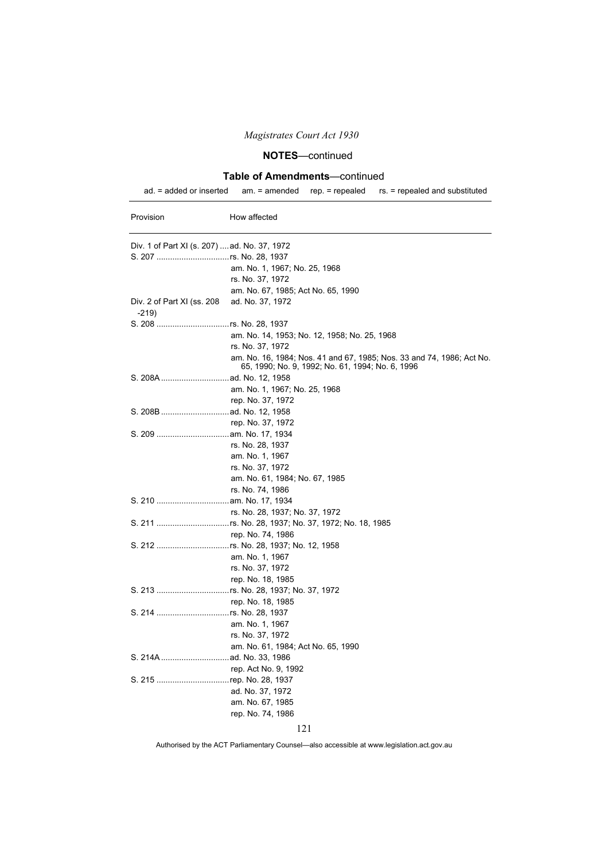## **NOTES**—continued

### **Table of Amendments**—continued

ad. = added or inserted am. = amended rep. = repealed rs. = repealed and substituted

| Provision                                    | How affected                                                                                                              |  |
|----------------------------------------------|---------------------------------------------------------------------------------------------------------------------------|--|
| Div. 1 of Part XI (s. 207)  ad. No. 37, 1972 |                                                                                                                           |  |
|                                              |                                                                                                                           |  |
|                                              | am. No. 1, 1967; No. 25, 1968                                                                                             |  |
|                                              | rs. No. 37, 1972                                                                                                          |  |
|                                              | am. No. 67, 1985; Act No. 65, 1990                                                                                        |  |
| Div. 2 of Part XI (ss. 208<br>$-219$         | ad. No. 37, 1972                                                                                                          |  |
|                                              |                                                                                                                           |  |
|                                              | am. No. 14, 1953; No. 12, 1958; No. 25, 1968                                                                              |  |
|                                              | rs. No. 37, 1972                                                                                                          |  |
|                                              | am. No. 16, 1984; Nos. 41 and 67, 1985; Nos. 33 and 74, 1986; Act No.<br>65, 1990; No. 9, 1992; No. 61, 1994; No. 6, 1996 |  |
|                                              |                                                                                                                           |  |
|                                              | am. No. 1, 1967; No. 25, 1968                                                                                             |  |
|                                              | rep. No. 37, 1972                                                                                                         |  |
|                                              |                                                                                                                           |  |
|                                              | rep. No. 37, 1972                                                                                                         |  |
|                                              |                                                                                                                           |  |
|                                              | rs. No. 28, 1937                                                                                                          |  |
|                                              | am. No. 1, 1967                                                                                                           |  |
|                                              | rs. No. 37, 1972                                                                                                          |  |
|                                              | am. No. 61, 1984; No. 67, 1985                                                                                            |  |
|                                              | rs. No. 74, 1986                                                                                                          |  |
|                                              |                                                                                                                           |  |
|                                              | rs. No. 28, 1937; No. 37, 1972                                                                                            |  |
|                                              |                                                                                                                           |  |
|                                              | rep. No. 74, 1986                                                                                                         |  |
|                                              |                                                                                                                           |  |
|                                              | am. No. 1, 1967                                                                                                           |  |
|                                              | rs. No. 37, 1972                                                                                                          |  |
|                                              | rep. No. 18, 1985                                                                                                         |  |
|                                              | S. 213 rs. No. 28, 1937; No. 37, 1972                                                                                     |  |
|                                              | rep. No. 18, 1985                                                                                                         |  |
|                                              |                                                                                                                           |  |
|                                              | am. No. 1, 1967                                                                                                           |  |
|                                              | rs. No. 37, 1972                                                                                                          |  |
|                                              | am. No. 61, 1984; Act No. 65, 1990                                                                                        |  |
|                                              |                                                                                                                           |  |
|                                              | rep. Act No. 9, 1992                                                                                                      |  |
| S. 215 rep. No. 28, 1937                     |                                                                                                                           |  |
|                                              | ad. No. 37, 1972                                                                                                          |  |
|                                              | am. No. 67, 1985                                                                                                          |  |
|                                              | rep. No. 74, 1986                                                                                                         |  |
|                                              | 121                                                                                                                       |  |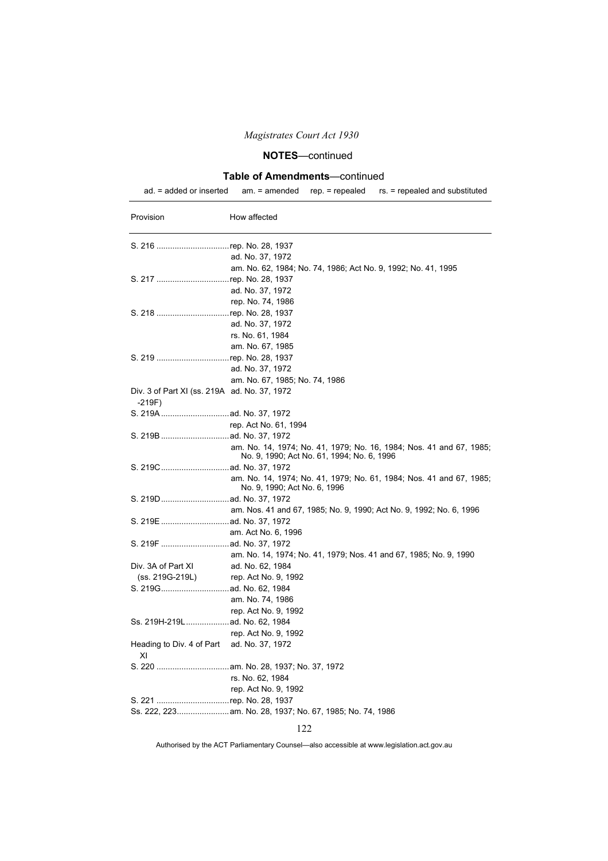## **NOTES**—continued

### **Table of Amendments**—continued

ad. = added or inserted am. = amended rep. = repealed rs. = repealed and substituted

| Provision                                        | How affected                                                                                                      |
|--------------------------------------------------|-------------------------------------------------------------------------------------------------------------------|
|                                                  |                                                                                                                   |
|                                                  | ad. No. 37, 1972                                                                                                  |
|                                                  | am. No. 62, 1984; No. 74, 1986; Act No. 9, 1992; No. 41, 1995                                                     |
| S. 217 rep. No. 28, 1937                         |                                                                                                                   |
|                                                  | ad. No. 37, 1972                                                                                                  |
|                                                  | rep. No. 74, 1986                                                                                                 |
| S. 218 rep. No. 28, 1937                         |                                                                                                                   |
|                                                  | ad. No. 37, 1972                                                                                                  |
|                                                  | rs. No. 61, 1984                                                                                                  |
|                                                  | am. No. 67, 1985                                                                                                  |
| S. 219 rep. No. 28, 1937                         |                                                                                                                   |
|                                                  | ad. No. 37, 1972                                                                                                  |
|                                                  | am. No. 67, 1985; No. 74, 1986                                                                                    |
| Div. 3 of Part XI (ss. 219A ad. No. 37, 1972     |                                                                                                                   |
| -219F)                                           |                                                                                                                   |
|                                                  |                                                                                                                   |
|                                                  | rep. Act No. 61, 1994                                                                                             |
|                                                  |                                                                                                                   |
|                                                  | am. No. 14, 1974; No. 41, 1979; No. 16, 1984; Nos. 41 and 67, 1985;<br>No. 9, 1990; Act No. 61, 1994; No. 6, 1996 |
|                                                  |                                                                                                                   |
|                                                  | am. No. 14, 1974; No. 41, 1979; No. 61, 1984; Nos. 41 and 67, 1985;<br>No. 9, 1990; Act No. 6, 1996               |
|                                                  |                                                                                                                   |
|                                                  | am. Nos. 41 and 67, 1985; No. 9, 1990; Act No. 9, 1992; No. 6, 1996                                               |
|                                                  |                                                                                                                   |
|                                                  | am. Act No. 6, 1996                                                                                               |
|                                                  |                                                                                                                   |
|                                                  | am. No. 14, 1974; No. 41, 1979; Nos. 41 and 67, 1985; No. 9, 1990                                                 |
| Div. 3A of Part XI                               | ad. No. 62, 1984                                                                                                  |
| (ss. 219G-219L)                                  | rep. Act No. 9, 1992                                                                                              |
|                                                  |                                                                                                                   |
|                                                  | am. No. 74, 1986                                                                                                  |
|                                                  | rep. Act No. 9, 1992                                                                                              |
| Ss. 219H-219L ad. No. 62, 1984                   |                                                                                                                   |
|                                                  | rep. Act No. 9, 1992                                                                                              |
| Heading to Div. 4 of Part ad. No. 37, 1972<br>ΧI |                                                                                                                   |
|                                                  |                                                                                                                   |
|                                                  | rs. No. 62, 1984                                                                                                  |
|                                                  | rep. Act No. 9, 1992                                                                                              |
| S. 221 rep. No. 28, 1937                         |                                                                                                                   |
|                                                  |                                                                                                                   |
|                                                  |                                                                                                                   |

### 122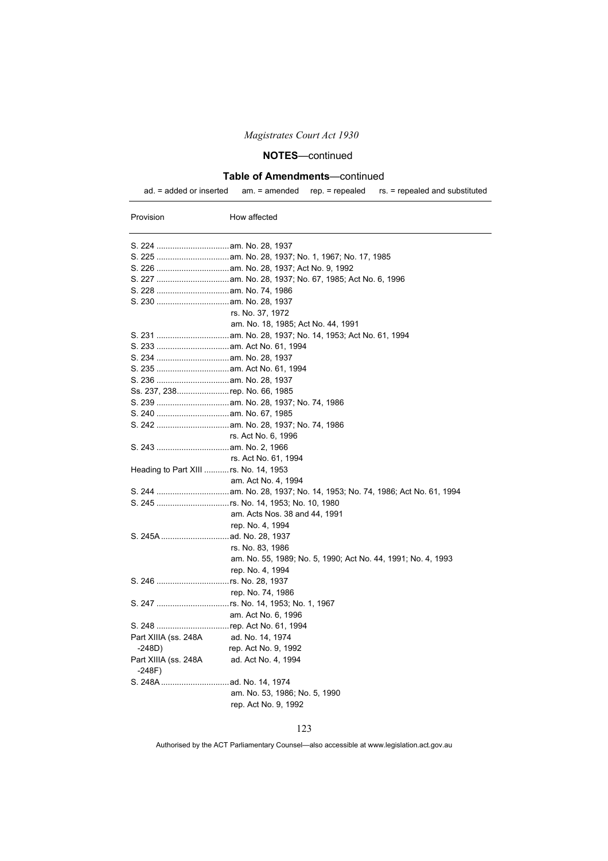## **NOTES**—continued

### **Table of Amendments**—continued

ad. = added or inserted am. = amended rep. = repealed rs. = repealed and substituted

| Provision                                | How affected                                                 |  |  |
|------------------------------------------|--------------------------------------------------------------|--|--|
|                                          |                                                              |  |  |
|                                          |                                                              |  |  |
|                                          |                                                              |  |  |
|                                          |                                                              |  |  |
|                                          |                                                              |  |  |
|                                          |                                                              |  |  |
|                                          | rs. No. 37, 1972                                             |  |  |
|                                          | am. No. 18, 1985; Act No. 44, 1991                           |  |  |
|                                          |                                                              |  |  |
|                                          |                                                              |  |  |
|                                          |                                                              |  |  |
|                                          |                                                              |  |  |
|                                          |                                                              |  |  |
| Ss. 237, 238rep. No. 66, 1985            |                                                              |  |  |
|                                          |                                                              |  |  |
|                                          |                                                              |  |  |
|                                          |                                                              |  |  |
|                                          | rs. Act No. 6, 1996                                          |  |  |
|                                          |                                                              |  |  |
|                                          | rs. Act No. 61, 1994                                         |  |  |
| Heading to Part XIII  rs. No. 14, 1953   |                                                              |  |  |
|                                          | am. Act No. 4, 1994                                          |  |  |
|                                          |                                                              |  |  |
|                                          |                                                              |  |  |
|                                          | am. Acts Nos. 38 and 44, 1991                                |  |  |
|                                          | rep. No. 4, 1994                                             |  |  |
|                                          |                                                              |  |  |
|                                          | rs. No. 83, 1986                                             |  |  |
|                                          | am. No. 55, 1989; No. 5, 1990; Act No. 44, 1991; No. 4, 1993 |  |  |
|                                          | rep. No. 4, 1994                                             |  |  |
|                                          | rep. No. 74, 1986                                            |  |  |
|                                          |                                                              |  |  |
|                                          | am. Act No. 6, 1996                                          |  |  |
| S. 248 rep. Act No. 61, 1994             |                                                              |  |  |
| Part XIIIA (ss. 248A                     | ad. No. 14, 1974                                             |  |  |
| -248D)                                   | rep. Act No. 9, 1992                                         |  |  |
| Part XIIIA (ss. 248A ad. Act No. 4, 1994 |                                                              |  |  |
| -248F)                                   |                                                              |  |  |
|                                          |                                                              |  |  |
|                                          | am. No. 53, 1986; No. 5, 1990                                |  |  |
|                                          | rep. Act No. 9, 1992                                         |  |  |
|                                          |                                                              |  |  |

123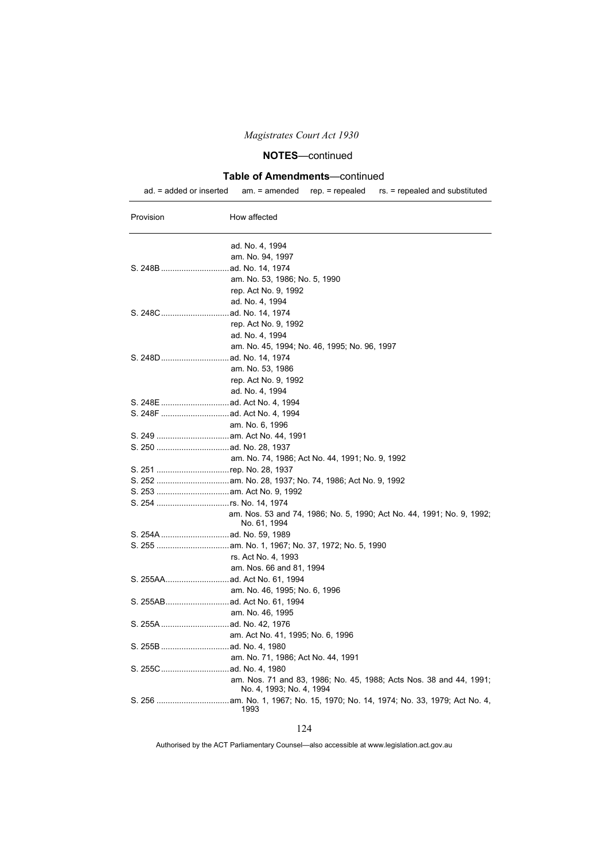## **NOTES**—continued

### **Table of Amendments**—continued

ad. = added or inserted am. = amended rep. = repealed rs. = repealed and substituted

| Provision | How affected                                                                                   |
|-----------|------------------------------------------------------------------------------------------------|
|           | ad. No. 4, 1994                                                                                |
|           | am. No. 94, 1997                                                                               |
|           |                                                                                                |
|           | am. No. 53, 1986; No. 5, 1990                                                                  |
|           | rep. Act No. 9, 1992                                                                           |
|           | ad. No. 4, 1994                                                                                |
|           |                                                                                                |
|           | rep. Act No. 9, 1992                                                                           |
|           | ad. No. 4, 1994                                                                                |
|           | am. No. 45, 1994; No. 46, 1995; No. 96, 1997                                                   |
|           |                                                                                                |
|           | am. No. 53, 1986                                                                               |
|           | rep. Act No. 9, 1992                                                                           |
|           | ad. No. 4, 1994                                                                                |
|           |                                                                                                |
|           |                                                                                                |
|           | am. No. 6, 1996                                                                                |
|           |                                                                                                |
|           |                                                                                                |
|           | am. No. 74, 1986; Act No. 44, 1991; No. 9, 1992                                                |
|           | S. 251 rep. No. 28, 1937                                                                       |
|           |                                                                                                |
|           |                                                                                                |
|           | S. 254 rs. No. 14, 1974                                                                        |
|           | am. Nos. 53 and 74, 1986; No. 5, 1990; Act No. 44, 1991; No. 9, 1992;<br>No. 61, 1994          |
|           |                                                                                                |
|           |                                                                                                |
|           | rs. Act No. 4, 1993                                                                            |
|           | am. Nos. 66 and 81, 1994                                                                       |
|           |                                                                                                |
|           | am. No. 46, 1995; No. 6, 1996                                                                  |
|           |                                                                                                |
|           | am. No. 46, 1995                                                                               |
|           |                                                                                                |
|           | am. Act No. 41, 1995; No. 6, 1996                                                              |
|           |                                                                                                |
|           | am. No. 71, 1986; Act No. 44, 1991                                                             |
|           |                                                                                                |
|           | am. Nos. 71 and 83, 1986; No. 45, 1988; Acts Nos. 38 and 44, 1991;<br>No. 4, 1993; No. 4, 1994 |
|           | 1993                                                                                           |

#### 124